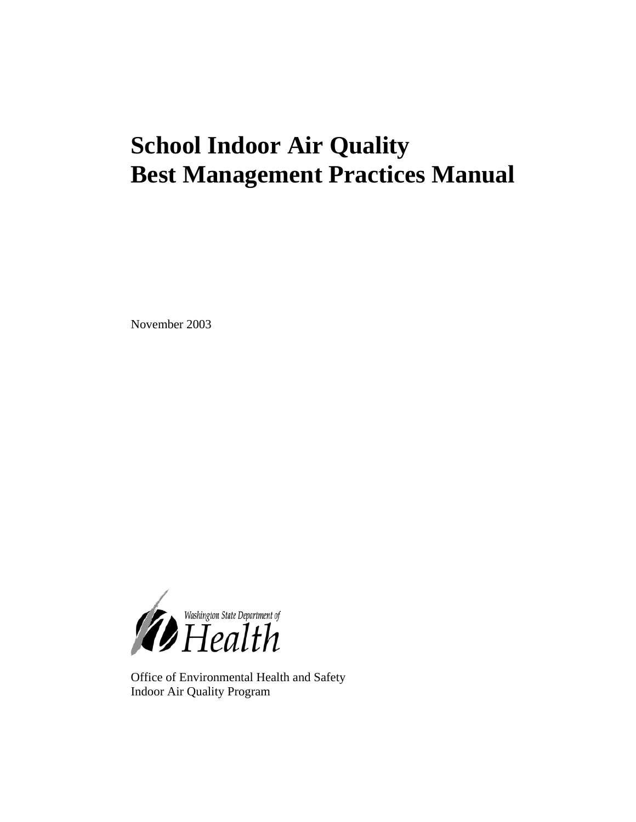# **School Indoor Air Quality Best Management Practices Manual**

November 2003



Office of Environmental Health and Safety Indoor Air Quality Program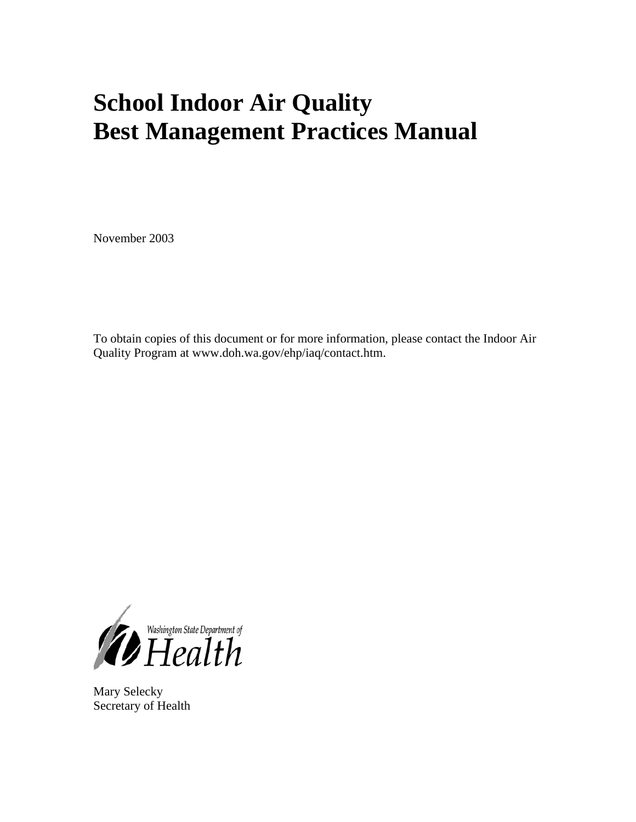# **School Indoor Air Quality Best Management Practices Manual**

November 2003

To obtain copies of this document or for more information, please contact the Indoor Air Quality Program at www.doh.wa.gov/ehp/iaq/contact.htm.



Mary Selecky Secretary of Health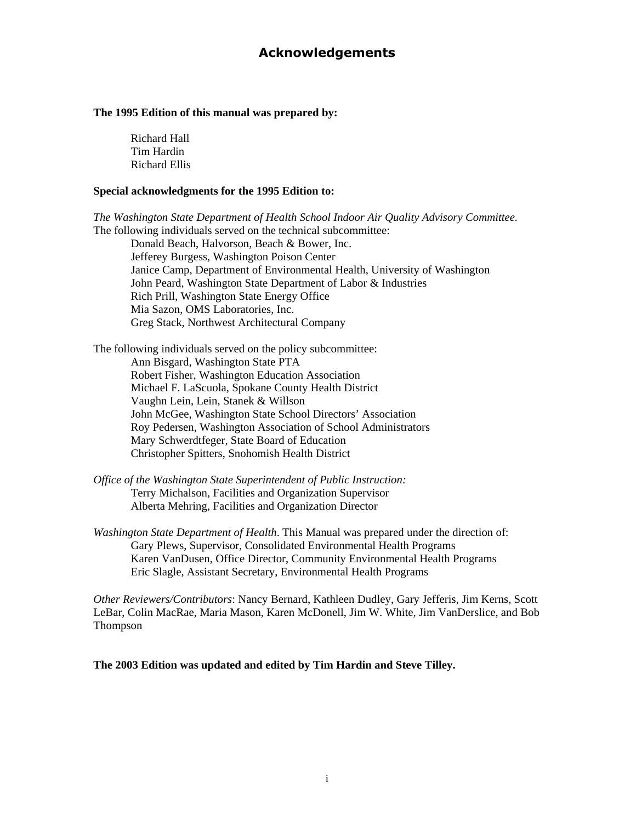#### **Acknowledgements**

#### <span id="page-2-0"></span>**The 1995 Edition of this manual was prepared by:**

 Richard Hall Tim Hardin Richard Ellis

#### **Special acknowledgments for the 1995 Edition to:**

*The Washington State Department of Health School Indoor Air Quality Advisory Committee.*  The following individuals served on the technical subcommittee:

 Donald Beach, Halvorson, Beach & Bower, Inc. Jefferey Burgess, Washington Poison Center Janice Camp, Department of Environmental Health, University of Washington John Peard, Washington State Department of Labor & Industries Rich Prill, Washington State Energy Office Mia Sazon, OMS Laboratories, Inc. Greg Stack, Northwest Architectural Company

The following individuals served on the policy subcommittee: Ann Bisgard, Washington State PTA Robert Fisher, Washington Education Association Michael F. LaScuola, Spokane County Health District Vaughn Lein, Lein, Stanek & Willson John McGee, Washington State School Directors' Association Roy Pedersen, Washington Association of School Administrators Mary Schwerdtfeger, State Board of Education Christopher Spitters, Snohomish Health District

- *Office of the Washington State Superintendent of Public Instruction:*  Terry Michalson, Facilities and Organization Supervisor Alberta Mehring, Facilities and Organization Director
- *Washington State Department of Health*. This Manual was prepared under the direction of: Gary Plews, Supervisor, Consolidated Environmental Health Programs Karen VanDusen, Office Director, Community Environmental Health Programs Eric Slagle, Assistant Secretary, Environmental Health Programs

*Other Reviewers/Contributors*: Nancy Bernard, Kathleen Dudley, Gary Jefferis, Jim Kerns, Scott LeBar, Colin MacRae, Maria Mason, Karen McDonell, Jim W. White, Jim VanDerslice, and Bob Thompson

**The 2003 Edition was updated and edited by Tim Hardin and Steve Tilley.**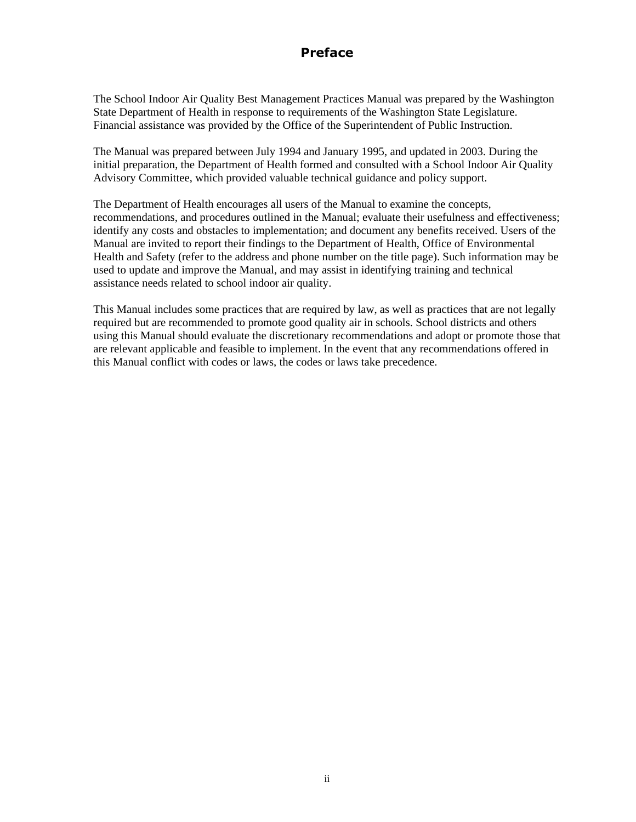## **Preface**

<span id="page-3-0"></span>The School Indoor Air Quality Best Management Practices Manual was prepared by the Washington State Department of Health in response to requirements of the Washington State Legislature. Financial assistance was provided by the Office of the Superintendent of Public Instruction.

The Manual was prepared between July 1994 and January 1995, and updated in 2003. During the initial preparation, the Department of Health formed and consulted with a School Indoor Air Quality Advisory Committee, which provided valuable technical guidance and policy support.

The Department of Health encourages all users of the Manual to examine the concepts, recommendations, and procedures outlined in the Manual; evaluate their usefulness and effectiveness; identify any costs and obstacles to implementation; and document any benefits received. Users of the Manual are invited to report their findings to the Department of Health, Office of Environmental Health and Safety (refer to the address and phone number on the title page). Such information may be used to update and improve the Manual, and may assist in identifying training and technical assistance needs related to school indoor air quality.

This Manual includes some practices that are required by law, as well as practices that are not legally required but are recommended to promote good quality air in schools. School districts and others using this Manual should evaluate the discretionary recommendations and adopt or promote those that are relevant applicable and feasible to implement. In the event that any recommendations offered in this Manual conflict with codes or laws, the codes or laws take precedence.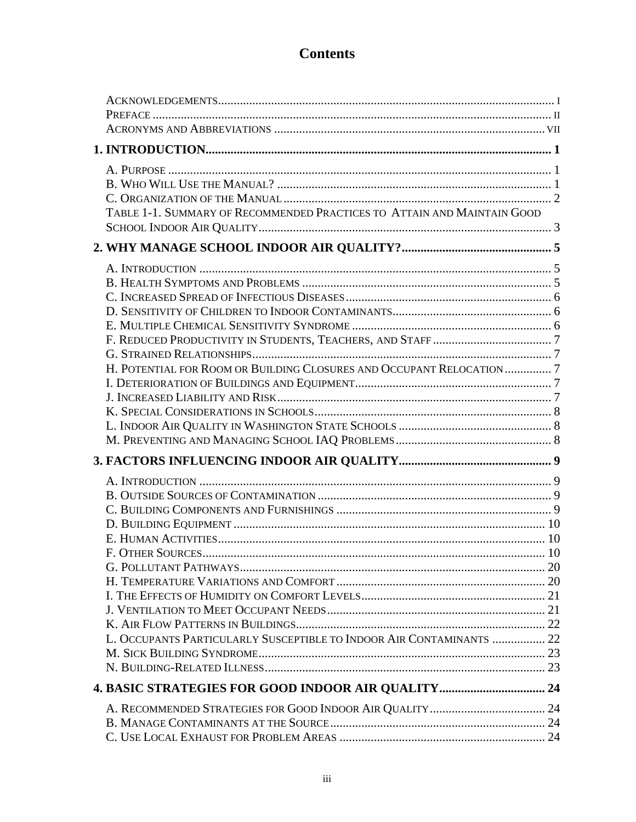## **Contents**

| TABLE 1-1. SUMMARY OF RECOMMENDED PRACTICES TO ATTAIN AND MAINTAIN GOOD |  |
|-------------------------------------------------------------------------|--|
|                                                                         |  |
|                                                                         |  |
|                                                                         |  |
|                                                                         |  |
|                                                                         |  |
|                                                                         |  |
|                                                                         |  |
|                                                                         |  |
|                                                                         |  |
|                                                                         |  |
| H. POTENTIAL FOR ROOM OR BUILDING CLOSURES AND OCCUPANT RELOCATION 7    |  |
|                                                                         |  |
|                                                                         |  |
|                                                                         |  |
|                                                                         |  |
|                                                                         |  |
|                                                                         |  |
|                                                                         |  |
|                                                                         |  |
|                                                                         |  |
|                                                                         |  |
|                                                                         |  |
|                                                                         |  |
|                                                                         |  |
|                                                                         |  |
|                                                                         |  |
|                                                                         |  |
|                                                                         |  |
| L. OCCUPANTS PARTICULARLY SUSCEPTIBLE TO INDOOR AIR CONTAMINANTS  22    |  |
|                                                                         |  |
|                                                                         |  |
|                                                                         |  |
|                                                                         |  |
|                                                                         |  |
|                                                                         |  |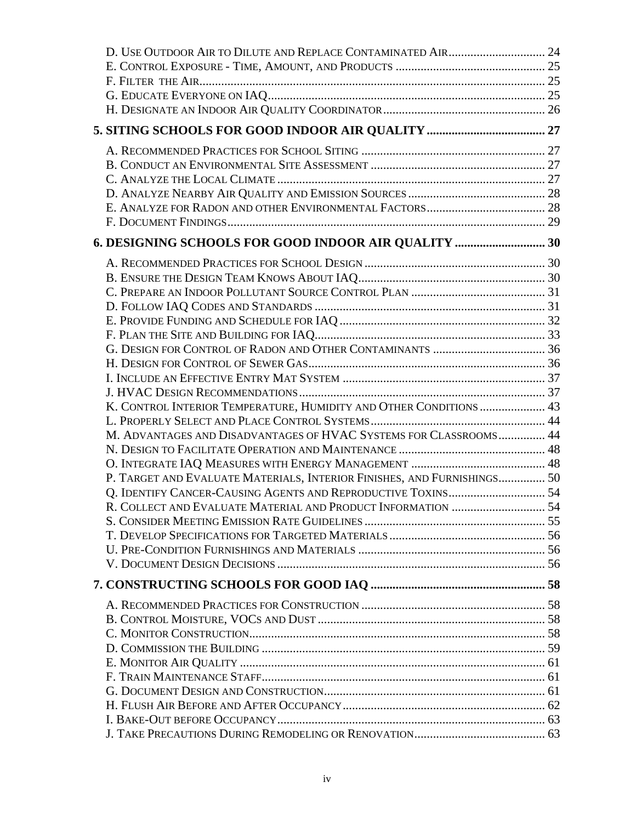| 6. DESIGNING SCHOOLS FOR GOOD INDOOR AIR QUALITY  30                    |  |
|-------------------------------------------------------------------------|--|
|                                                                         |  |
|                                                                         |  |
|                                                                         |  |
|                                                                         |  |
|                                                                         |  |
|                                                                         |  |
|                                                                         |  |
|                                                                         |  |
|                                                                         |  |
|                                                                         |  |
| K. CONTROL INTERIOR TEMPERATURE, HUMIDITY AND OTHER CONDITIONS  43      |  |
|                                                                         |  |
| M. ADVANTAGES AND DISADVANTAGES OF HVAC SYSTEMS FOR CLASSROOMS 44       |  |
|                                                                         |  |
|                                                                         |  |
| P. TARGET AND EVALUATE MATERIALS, INTERIOR FINISHES, AND FURNISHINGS 50 |  |
|                                                                         |  |
| R. COLLECT AND EVALUATE MATERIAL AND PRODUCT INFORMATION  54            |  |
|                                                                         |  |
|                                                                         |  |
|                                                                         |  |
|                                                                         |  |
|                                                                         |  |
|                                                                         |  |
|                                                                         |  |
|                                                                         |  |
|                                                                         |  |
|                                                                         |  |
|                                                                         |  |
|                                                                         |  |
|                                                                         |  |
|                                                                         |  |
|                                                                         |  |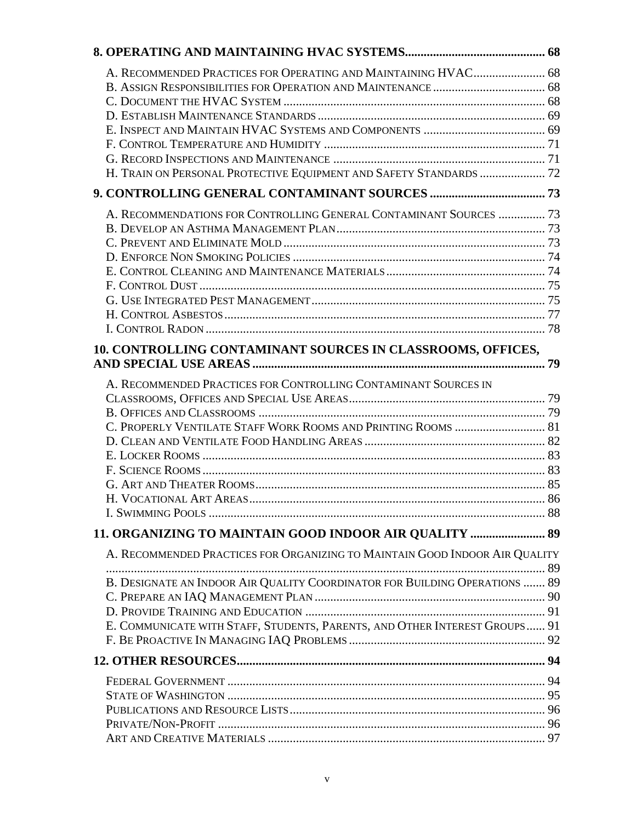| A. RECOMMENDED PRACTICES FOR OPERATING AND MAINTAINING HVAC 68              |  |
|-----------------------------------------------------------------------------|--|
|                                                                             |  |
|                                                                             |  |
|                                                                             |  |
|                                                                             |  |
|                                                                             |  |
|                                                                             |  |
| H. TRAIN ON PERSONAL PROTECTIVE EQUIPMENT AND SAFETY STANDARDS  72          |  |
|                                                                             |  |
| A. RECOMMENDATIONS FOR CONTROLLING GENERAL CONTAMINANT SOURCES  73          |  |
|                                                                             |  |
|                                                                             |  |
|                                                                             |  |
|                                                                             |  |
|                                                                             |  |
|                                                                             |  |
|                                                                             |  |
|                                                                             |  |
| 10. CONTROLLING CONTAMINANT SOURCES IN CLASSROOMS, OFFICES,                 |  |
| A. RECOMMENDED PRACTICES FOR CONTROLLING CONTAMINANT SOURCES IN             |  |
|                                                                             |  |
|                                                                             |  |
| C. PROPERLY VENTILATE STAFF WORK ROOMS AND PRINTING ROOMS  81               |  |
|                                                                             |  |
|                                                                             |  |
|                                                                             |  |
|                                                                             |  |
|                                                                             |  |
|                                                                             |  |
| 11. ORGANIZING TO MAINTAIN GOOD INDOOR AIR QUALITY  89                      |  |
| A. RECOMMENDED PRACTICES FOR ORGANIZING TO MAINTAIN GOOD INDOOR AIR QUALITY |  |
|                                                                             |  |
| B. DESIGNATE AN INDOOR AIR QUALITY COORDINATOR FOR BUILDING OPERATIONS  89  |  |
|                                                                             |  |
|                                                                             |  |
| E. COMMUNICATE WITH STAFF, STUDENTS, PARENTS, AND OTHER INTEREST GROUPS 91  |  |
|                                                                             |  |
|                                                                             |  |
|                                                                             |  |
|                                                                             |  |
|                                                                             |  |
|                                                                             |  |
|                                                                             |  |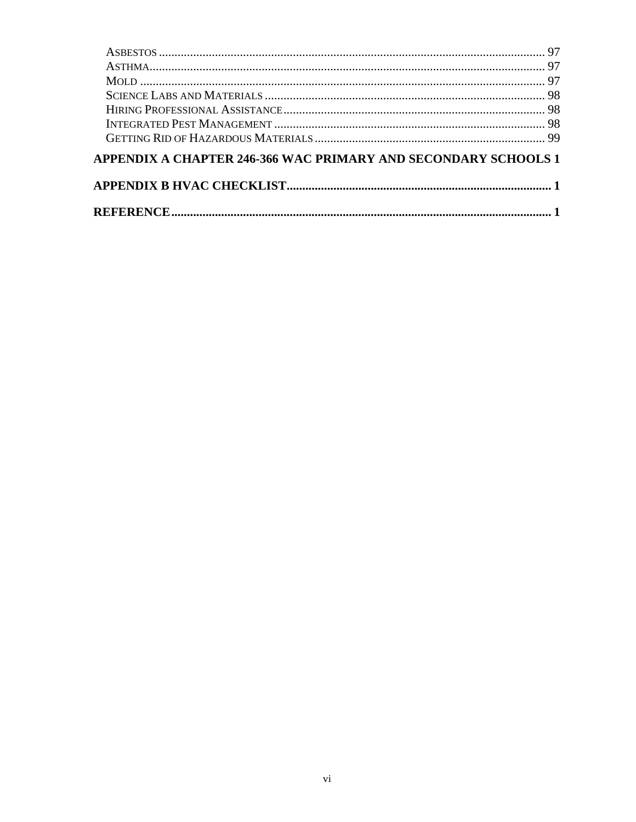| APPENDIX A CHAPTER 246-366 WAC PRIMARY AND SECONDARY SCHOOLS 1 |  |
|----------------------------------------------------------------|--|
|                                                                |  |
|                                                                |  |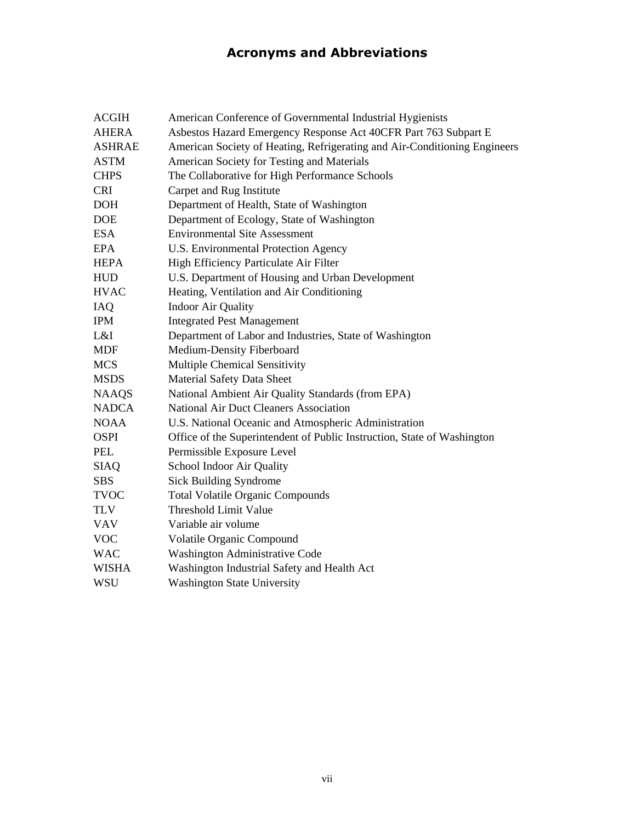## **Acronyms and Abbreviations**

<span id="page-8-0"></span>

| <b>ACGIH</b>  | American Conference of Governmental Industrial Hygienists                 |
|---------------|---------------------------------------------------------------------------|
| <b>AHERA</b>  | Asbestos Hazard Emergency Response Act 40CFR Part 763 Subpart E           |
| <b>ASHRAE</b> | American Society of Heating, Refrigerating and Air-Conditioning Engineers |
| <b>ASTM</b>   | American Society for Testing and Materials                                |
| <b>CHPS</b>   | The Collaborative for High Performance Schools                            |
| <b>CRI</b>    | Carpet and Rug Institute                                                  |
| <b>DOH</b>    | Department of Health, State of Washington                                 |
| <b>DOE</b>    | Department of Ecology, State of Washington                                |
| <b>ESA</b>    | <b>Environmental Site Assessment</b>                                      |
| <b>EPA</b>    | U.S. Environmental Protection Agency                                      |
| <b>HEPA</b>   | High Efficiency Particulate Air Filter                                    |
| <b>HUD</b>    | U.S. Department of Housing and Urban Development                          |
| <b>HVAC</b>   | Heating, Ventilation and Air Conditioning                                 |
| IAQ           | <b>Indoor Air Quality</b>                                                 |
| <b>IPM</b>    | <b>Integrated Pest Management</b>                                         |
| L&I           | Department of Labor and Industries, State of Washington                   |
| <b>MDF</b>    | Medium-Density Fiberboard                                                 |
| <b>MCS</b>    | <b>Multiple Chemical Sensitivity</b>                                      |
| <b>MSDS</b>   | Material Safety Data Sheet                                                |
| <b>NAAQS</b>  | National Ambient Air Quality Standards (from EPA)                         |
| <b>NADCA</b>  | National Air Duct Cleaners Association                                    |
| <b>NOAA</b>   | U.S. National Oceanic and Atmospheric Administration                      |
| <b>OSPI</b>   | Office of the Superintendent of Public Instruction, State of Washington   |
| <b>PEL</b>    | Permissible Exposure Level                                                |
| <b>SIAQ</b>   | School Indoor Air Quality                                                 |
| <b>SBS</b>    | <b>Sick Building Syndrome</b>                                             |
| <b>TVOC</b>   | <b>Total Volatile Organic Compounds</b>                                   |
| <b>TLV</b>    | <b>Threshold Limit Value</b>                                              |
| <b>VAV</b>    | Variable air volume                                                       |
| <b>VOC</b>    | Volatile Organic Compound                                                 |
| <b>WAC</b>    | Washington Administrative Code                                            |
| <b>WISHA</b>  | Washington Industrial Safety and Health Act                               |
| <b>WSU</b>    | <b>Washington State University</b>                                        |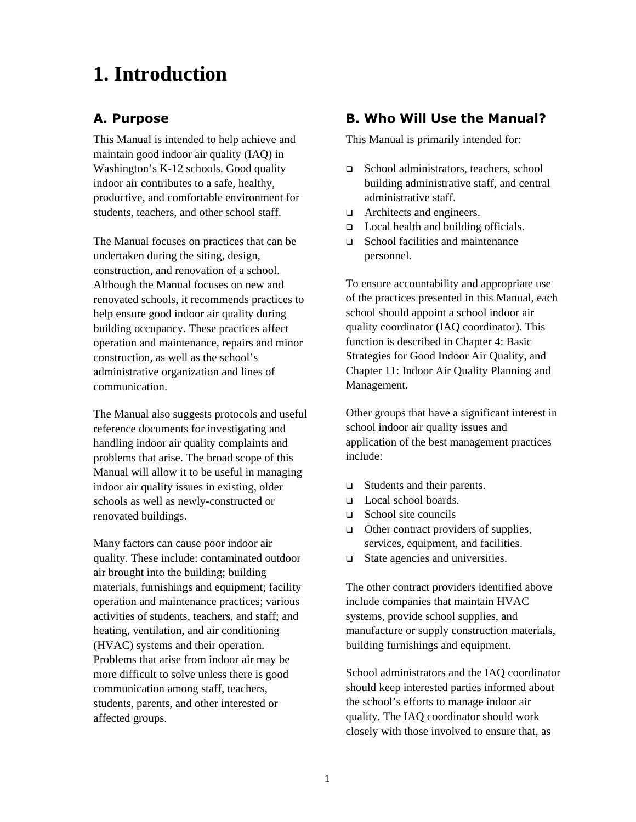# <span id="page-9-0"></span>**1. Introduction**

## **A. Purpose**

This Manual is intended to help achieve and maintain good indoor air quality (IAQ) in Washington's K-12 schools. Good quality indoor air contributes to a safe, healthy, productive, and comfortable environment for students, teachers, and other school staff.

The Manual focuses on practices that can be undertaken during the siting, design, construction, and renovation of a school. Although the Manual focuses on new and renovated schools, it recommends practices to help ensure good indoor air quality during building occupancy. These practices affect operation and maintenance, repairs and minor construction, as well as the school's administrative organization and lines of communication.

The Manual also suggests protocols and useful reference documents for investigating and handling indoor air quality complaints and problems that arise. The broad scope of this Manual will allow it to be useful in managing indoor air quality issues in existing, older schools as well as newly-constructed or renovated buildings.

Many factors can cause poor indoor air quality. These include: contaminated outdoor air brought into the building; building materials, furnishings and equipment; facility operation and maintenance practices; various activities of students, teachers, and staff; and heating, ventilation, and air conditioning (HVAC) systems and their operation. Problems that arise from indoor air may be more difficult to solve unless there is good communication among staff, teachers, students, parents, and other interested or affected groups.

## **B. Who Will Use the Manual?**

This Manual is primarily intended for:

- □ School administrators, teachers, school building administrative staff, and central administrative staff.
- $\Box$  Architects and engineers.
- □ Local health and building officials.
- School facilities and maintenance personnel.

To ensure accountability and appropriate use of the practices presented in this Manual, each school should appoint a school indoor air quality coordinator (IAQ coordinator)*.* This function is described in Chapter 4: Basic Strategies for Good Indoor Air Quality, and Chapter 11: Indoor Air Quality Planning and Management.

Other groups that have a significant interest in school indoor air quality issues and application of the best management practices include:

- □ Students and their parents.
- Local school boards.
- $\Box$  School site councils
- $\Box$  Other contract providers of supplies, services, equipment, and facilities.
- □ State agencies and universities.

The other contract providers identified above include companies that maintain HVAC systems, provide school supplies, and manufacture or supply construction materials, building furnishings and equipment.

School administrators and the IAQ coordinator should keep interested parties informed about the school's efforts to manage indoor air quality. The IAQ coordinator should work closely with those involved to ensure that, as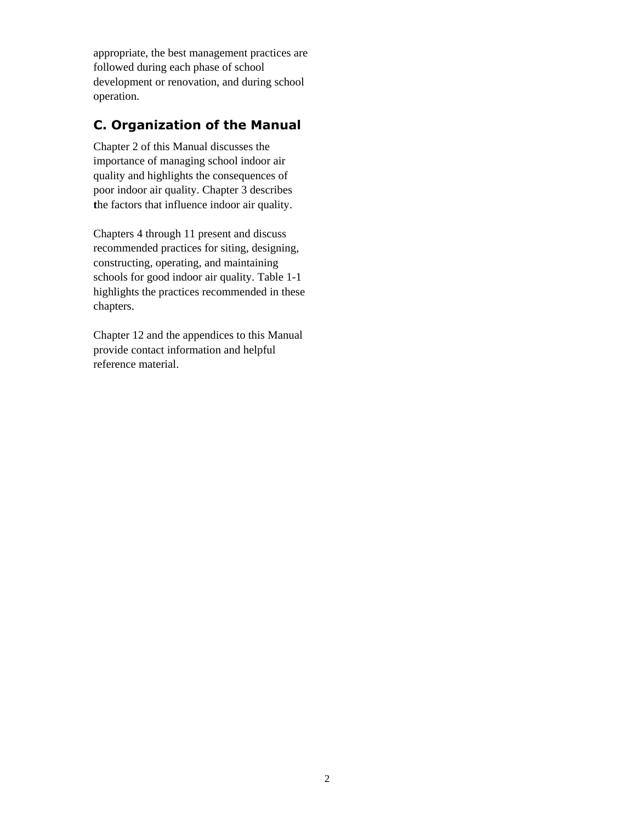<span id="page-10-0"></span>appropriate, the best management practices are followed during each phase of school development or renovation, and during school operation.

## **C. Organization of the Manual**

Chapter 2 of this Manual discusses the importance of managing school indoor air quality and highlights the consequences of poor indoor air quality. Chapter 3 describes **t**he factors that influence indoor air quality.

Chapters 4 through 11 present and discuss recommended practices for siting, designing, constructing, operating, and maintaining schools for good indoor air quality. Table 1-1 highlights the practices recommended in these chapters.

Chapter 12 and the appendices to this Manual provide contact information and helpful reference material.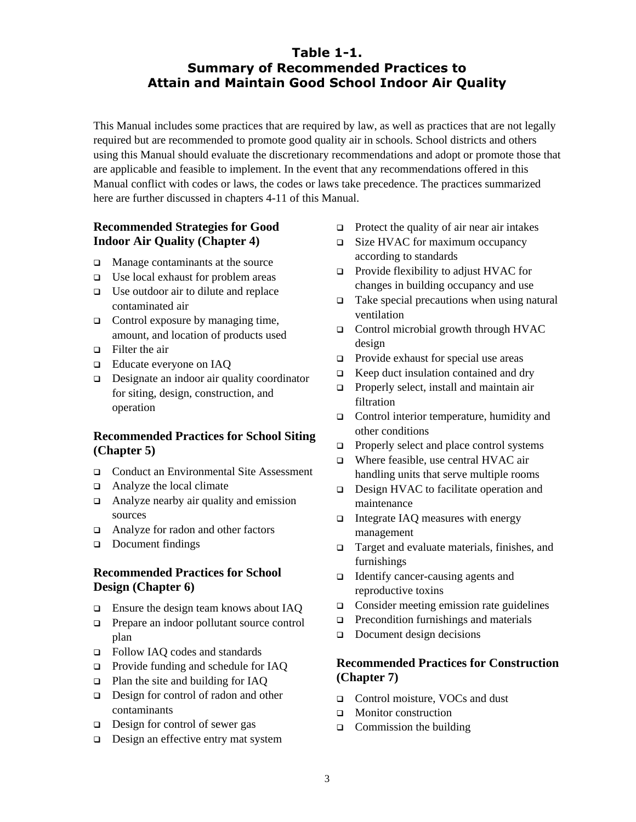### **Table 1-1. Summary of Recommended Practices to Attain and Maintain Good School Indoor Air Quality**

<span id="page-11-0"></span>This Manual includes some practices that are required by law, as well as practices that are not legally required but are recommended to promote good quality air in schools. School districts and others using this Manual should evaluate the discretionary recommendations and adopt or promote those that are applicable and feasible to implement. In the event that any recommendations offered in this Manual conflict with codes or laws, the codes or laws take precedence. The practices summarized here are further discussed in chapters 4-11 of this Manual.

#### **Recommended Strategies for Good Indoor Air Quality (Chapter 4)**

- $\Box$  Manage contaminants at the source
- $\Box$  Use local exhaust for problem areas
- $\Box$  Use outdoor air to dilute and replace contaminated air
- $\Box$  Control exposure by managing time, amount, and location of products used
- □ Filter the air
- □ Educate everyone on IAO
- $\Box$  Designate an indoor air quality coordinator for siting, design, construction, and operation

#### **Recommended Practices for School Siting (Chapter 5)**

- Conduct an Environmental Site Assessment
- $\Box$  Analyze the local climate
- Analyze nearby air quality and emission sources
- □ Analyze for radon and other factors
- Document findings

#### **Recommended Practices for School Design (Chapter 6)**

- □ Ensure the design team knows about IAQ
- **Prepare an indoor pollutant source control** plan
- Follow IAQ codes and standards
- □ Provide funding and schedule for IAQ
- □ Plan the site and building for IAO
- $\Box$  Design for control of radon and other contaminants
- $\Box$  Design for control of sewer gas
- $\Box$  Design an effective entry mat system
- $\Box$  Protect the quality of air near air intakes
- □ Size HVAC for maximum occupancy according to standards
- □ Provide flexibility to adjust HVAC for changes in building occupancy and use
- $\Box$  Take special precautions when using natural ventilation
- $\Box$  Control microbial growth through HVAC design
- $\Box$  Provide exhaust for special use areas
- $\Box$  Keep duct insulation contained and dry
- **Properly select, install and maintain air** filtration
- □ Control interior temperature, humidity and other conditions
- $\Box$  Properly select and place control systems
- □ Where feasible, use central HVAC air handling units that serve multiple rooms
- □ Design HVAC to facilitate operation and maintenance
- $\Box$  Integrate IAQ measures with energy management
- □ Target and evaluate materials, finishes, and furnishings
- Identify cancer-causing agents and reproductive toxins
- $\Box$  Consider meeting emission rate guidelines
- $\Box$  Precondition furnishings and materials
- $\Box$  Document design decisions

#### **Recommended Practices for Construction (Chapter 7)**

- □ Control moisture, VOCs and dust
- **D** Monitor construction
- $\Box$  Commission the building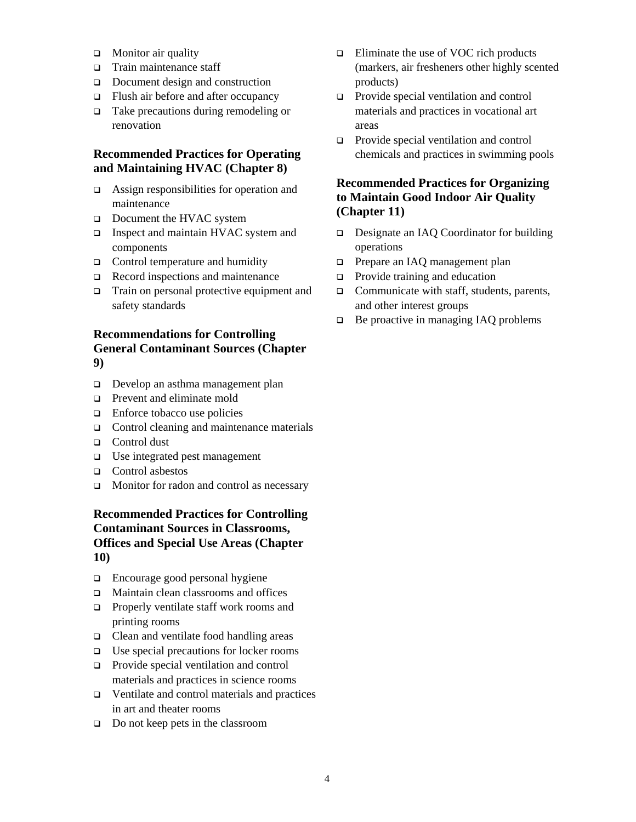- $\Box$  Monitor air quality
- □ Train maintenance staff
- Document design and construction
- □ Flush air before and after occupancy
- $\Box$  Take precautions during remodeling or renovation

#### **Recommended Practices for Operating and Maintaining HVAC (Chapter 8)**

- $\Box$  Assign responsibilities for operation and maintenance
- Document the HVAC system
- □ Inspect and maintain HVAC system and components
- $\Box$  Control temperature and humidity
- $\Box$  Record inspections and maintenance
- □ Train on personal protective equipment and safety standards

#### **Recommendations for Controlling General Contaminant Sources (Chapter 9)**

- Develop an asthma management plan
- **D** Prevent and eliminate mold
- $\Box$  Enforce tobacco use policies
- $\Box$  Control cleaning and maintenance materials
- □ Control dust
- □ Use integrated pest management
- □ Control asbestos
- $\Box$  Monitor for radon and control as necessary

#### **Recommended Practices for Controlling Contaminant Sources in Classrooms, Offices and Special Use Areas (Chapter 10)**

- $\Box$  Encourage good personal hygiene
- □ Maintain clean classrooms and offices
- **Properly ventilate staff work rooms and** printing rooms
- Clean and ventilate food handling areas
- $\Box$  Use special precautions for locker rooms
- **Provide special ventilation and control** materials and practices in science rooms
- Ventilate and control materials and practices in art and theater rooms
- $\Box$  Do not keep pets in the classroom
- $\Box$  Eliminate the use of VOC rich products (markers, air fresheners other highly scented products)
- **Provide special ventilation and control** materials and practices in vocational art areas
- Provide special ventilation and control chemicals and practices in swimming pools

#### **Recommended Practices for Organizing to Maintain Good Indoor Air Quality (Chapter 11)**

- □ Designate an IAQ Coordinator for building operations
- **D** Prepare an IAQ management plan
- $\Box$  Provide training and education
- $\Box$  Communicate with staff, students, parents, and other interest groups
- $\Box$  Be proactive in managing IAQ problems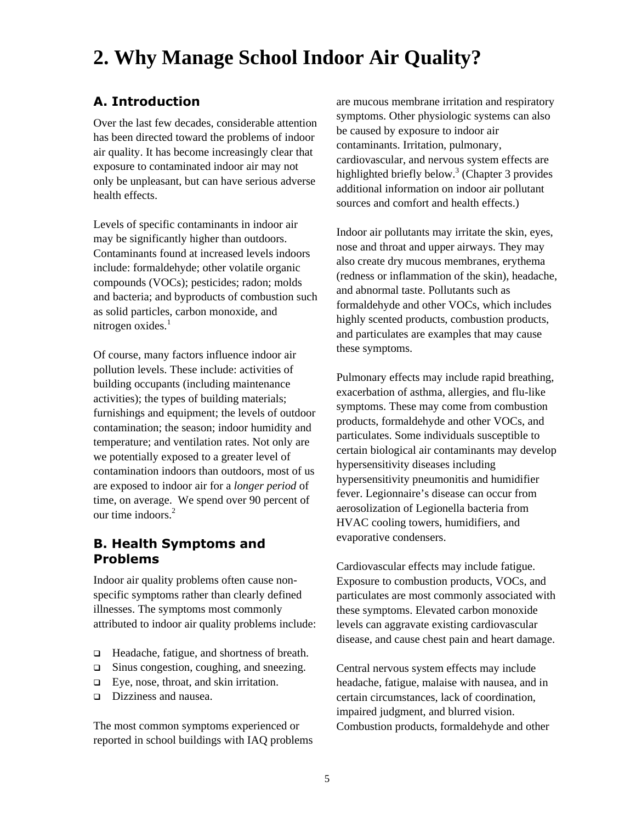# <span id="page-13-0"></span>**2. Why Manage School Indoor Air Quality?**

## **A. Introduction**

Over the last few decades, considerable attention has been directed toward the problems of indoor air quality. It has become increasingly clear that exposure to contaminated indoor air may not only be unpleasant, but can have serious adverse health effects.

Levels of specific contaminants in indoor air may be significantly higher than outdoors. Contaminants found at increased levels indoors include: formaldehyde; other volatile organic compounds (VOCs); pesticides; radon; molds and bacteria; and byproducts of combustion such as solid particles, carbon monoxide, and nitrogen oxides. $<sup>1</sup>$  $<sup>1</sup>$  $<sup>1</sup>$ </sup>

Of course, many factors influence indoor air pollution levels. These include: activities of building occupants (including maintenance activities); the types of building materials; furnishings and equipment; the levels of outdoor contamination; the season; indoor humidity and temperature; and ventilation rates. Not only are we potentially exposed to a greater level of contamination indoors than outdoors, most of us are exposed to indoor air for a *longer period* of time, on average. We spend over 90 percent of our time indoors.<sup>2</sup>

#### **B. Health Symptoms and Problems**

Indoor air quality problems often cause nonspecific symptoms rather than clearly defined illnesses. The symptoms most commonly attributed to indoor air quality problems include:

- □ Headache, fatigue, and shortness of breath.
- □ Sinus congestion, coughing, and sneezing.
- $\Box$  Eye, nose, throat, and skin irritation.
- Dizziness and nausea.

The most common symptoms experienced or reported in school buildings with IAQ problems

are mucous membrane irritation and respiratory symptoms. Other physiologic systems can also be caused by exposure to indoor air contaminants. Irritation, pulmonary, cardiovascular, and nervous system effects are highlighted briefly below.<sup>3</sup> [\(](#page-134-2)Chapter 3 provides additional information on indoor air pollutant sources and comfort and health effects.)

Indoor air pollutants may irritate the skin, eyes, nose and throat and upper airways. They may also create dry mucous membranes, erythema (redness or inflammation of the skin), headache, and abnormal taste. Pollutants such as formaldehyde and other VOCs, which includes highly scented products, combustion products, and particulates are examples that may cause these symptoms.

Pulmonary effects may include rapid breathing, exacerbation of asthma, allergies, and flu-like symptoms. These may come from combustion products, formaldehyde and other VOCs, and particulates. Some individuals susceptible to certain biological air contaminants may develop hypersensitivity diseases including hypersensitivity pneumonitis and humidifier fever. Legionnaire's disease can occur from aerosolization of Legionella bacteria from HVAC cooling towers, humidifiers, and evaporative condensers.

Cardiovascular effects may include fatigue. Exposure to combustion products, VOCs, and particulates are most commonly associated with these symptoms. Elevated carbon monoxide levels can aggravate existing cardiovascular disease, and cause chest pain and heart damage.

Central nervous system effects may include headache, fatigue, malaise with nausea, and in certain circumstances, lack of coordination, impaired judgment, and blurred vision. Combustion products, formaldehyde and other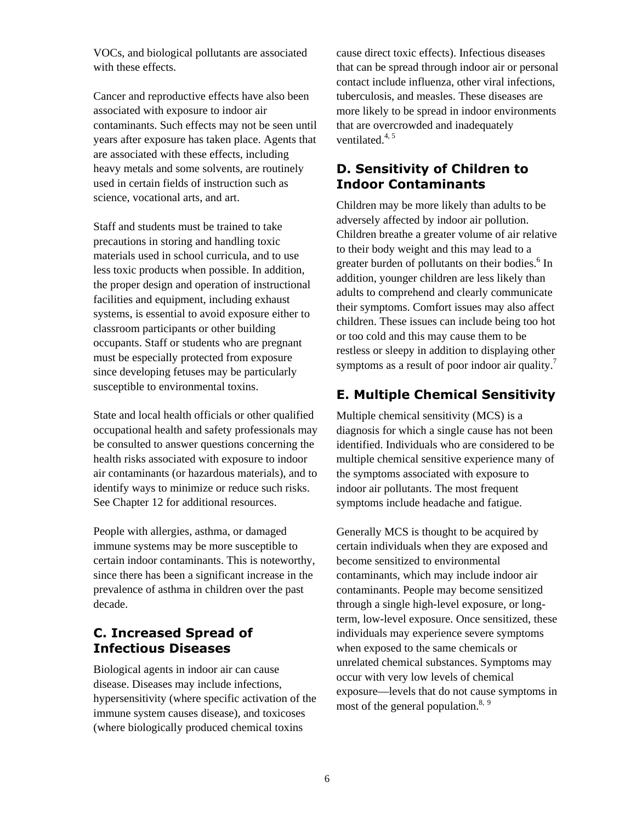<span id="page-14-0"></span>VOCs, and biological pollutants are associated with these effects.

Cancer and reproductive effects have also been associated with exposure to indoor air contaminants. Such effects may not be seen until years after exposure has taken place. Agents that are associated with these effects, including heavy metals and some solvents, are routinely used in certain fields of instruction such as science, vocational arts, and art.

Staff and students must be trained to take precautions in storing and handling toxic materials used in school curricula, and to use less toxic products when possible. In addition, the proper design and operation of instructional facilities and equipment, including exhaust systems, is essential to avoid exposure either to classroom participants or other building occupants. Staff or students who are pregnant must be especially protected from exposure since developing fetuses may be particularly susceptible to environmental toxins.

State and local health officials or other qualified occupational health and safety professionals may be consulted to answer questions concerning the health risks associated with exposure to indoor air contaminants (or hazardous materials), and to identify ways to minimize or reduce such risks. See Chapter 12 for additional resources.

People with allergies, asthma, or damaged immune systems may be more susceptible to certain indoor contaminants. This is noteworthy, since there has been a significant increase in the prevalence of asthma in children over the past decade.

## **C. Increased Spread of Infectious Diseases**

Biological agents in indoor air can cause disease. Diseases may include infections, hypersensitivity (where specific activation of the immune system causes disease), and toxicoses (where biologically produced chemical toxins

cause direct toxic effects). Infectious diseases that can be spread through indoor air or personal contact include influenza, other viral infections, tuberculosis, and measles. These diseases are more likely to be spread in indoor environments that are overcrowded and inadequately ventilated. $4, 5$  $4, 5$ 

## **D. Sensitivity of Children to Indoor Contaminants**

Children may be more likely than adults to be adversely affected by indoor air pollution. Children breathe a greater volume of air relative to their body weight and this may lead to a greater burden of pollutants on their bodies.<sup>[6](#page-134-5)</sup> In addition, younger children are less likely than adults to comprehend and clearly communicate their symptoms. Comfort issues may also affect children. These issues can include being too hot or too cold and this may cause them to be restless or sleepy in addition to displaying other symptoms as a result of poor indoor air quality.<sup>7</sup>

## **E. Multiple Chemical Sensitivity**

Multiple chemical sensitivity (MCS) is a diagnosis for which a single cause has not been identified. Individuals who are considered to be multiple chemical sensitive experience many of the symptoms associated with exposure to indoor air pollutants. The most frequent symptoms include headache and fatigue.

Generally MCS is thought to be acquired by certain individuals when they are exposed and become sensitized to environmental contaminants, which may include indoor air contaminants. People may become sensitized through a single high-level exposure, or longterm, low-level exposure. Once sensitized, these individuals may experience severe symptoms when exposed to the same chemicals or unrelated chemical substances. Symptoms may occur with very low levels of chemical exposure—levels that do not cause symptoms in most of the general population.<sup>8, [9](#page-134-8)</sup>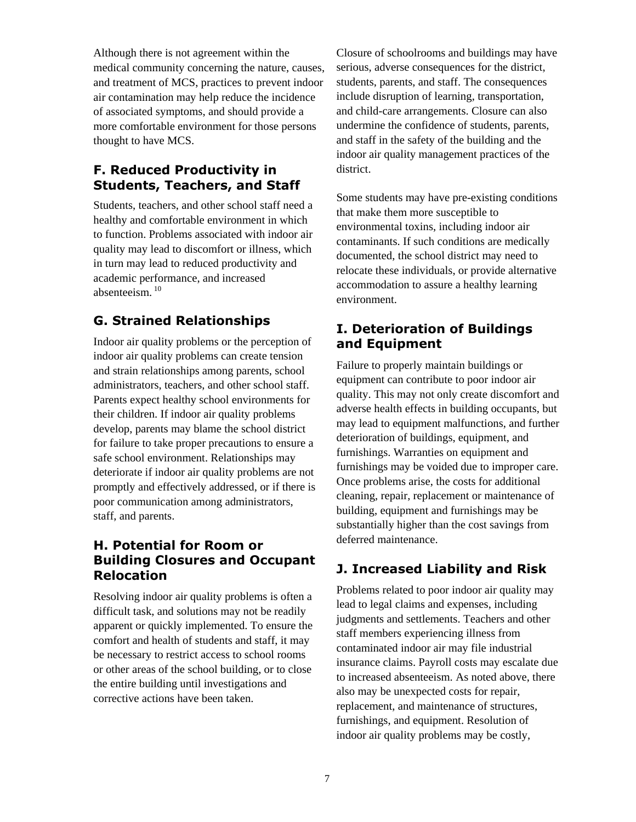<span id="page-15-0"></span>Although there is not agreement within the medical community concerning the nature, causes, and treatment of MCS, practices to prevent indoor air contamination may help reduce the incidence of associated symptoms, and should provide a more comfortable environment for those persons thought to have MCS.

## **F. Reduced Productivity in Students, Teachers, and Staff**

Students, teachers, and other school staff need a healthy and comfortable environment in which to function. Problems associated with indoor air quality may lead to discomfort or illness, which in turn may lead to reduced productivity and academic performance, and increased absenteeism. [10](#page-134-9) 

## **G. Strained Relationships**

Indoor air quality problems or the perception of indoor air quality problems can create tension and strain relationships among parents, school administrators, teachers, and other school staff. Parents expect healthy school environments for their children. If indoor air quality problems develop, parents may blame the school district for failure to take proper precautions to ensure a safe school environment. Relationships may deteriorate if indoor air quality problems are not promptly and effectively addressed, or if there is poor communication among administrators, staff, and parents.

## **H. Potential for Room or Building Closures and Occupant Relocation**

Resolving indoor air quality problems is often a difficult task, and solutions may not be readily apparent or quickly implemented. To ensure the comfort and health of students and staff, it may be necessary to restrict access to school rooms or other areas of the school building, or to close the entire building until investigations and corrective actions have been taken.

Closure of schoolrooms and buildings may have serious, adverse consequences for the district, students, parents, and staff. The consequences include disruption of learning, transportation, and child-care arrangements. Closure can also undermine the confidence of students, parents, and staff in the safety of the building and the indoor air quality management practices of the district.

Some students may have pre-existing conditions that make them more susceptible to environmental toxins, including indoor air contaminants. If such conditions are medically documented, the school district may need to relocate these individuals, or provide alternative accommodation to assure a healthy learning environment.

## **I. Deterioration of Buildings and Equipment**

Failure to properly maintain buildings or equipment can contribute to poor indoor air quality. This may not only create discomfort and adverse health effects in building occupants, but may lead to equipment malfunctions, and further deterioration of buildings, equipment, and furnishings. Warranties on equipment and furnishings may be voided due to improper care. Once problems arise, the costs for additional cleaning, repair, replacement or maintenance of building, equipment and furnishings may be substantially higher than the cost savings from deferred maintenance.

## **J. Increased Liability and Risk**

Problems related to poor indoor air quality may lead to legal claims and expenses, including judgments and settlements. Teachers and other staff members experiencing illness from contaminated indoor air may file industrial insurance claims. Payroll costs may escalate due to increased absenteeism. As noted above, there also may be unexpected costs for repair, replacement, and maintenance of structures, furnishings, and equipment. Resolution of indoor air quality problems may be costly,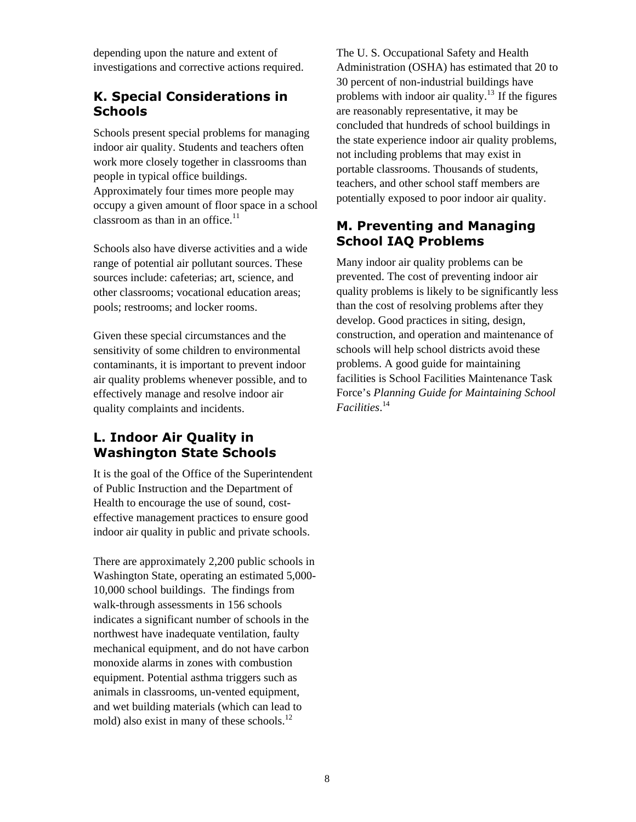<span id="page-16-0"></span>depending upon the nature and extent of investigations and corrective actions required.

#### **K. Special Considerations in Schools**

Schools present special problems for managing indoor air quality. Students and teachers often work more closely together in classrooms than people in typical office buildings. Approximately four times more people may occupy a given amount of floor space in a school classroom as than in an office. $11$ 

Schools also have diverse activities and a wide range of potential air pollutant sources. These sources include: cafeterias; art, science, and other classrooms; vocational education areas; pools; restrooms; and locker rooms.

Given these special circumstances and the sensitivity of some children to environmental contaminants, it is important to prevent indoor air quality problems whenever possible, and to effectively manage and resolve indoor air quality complaints and incidents.

## **L. Indoor Air Quality in Washington State Schools**

It is the goal of the Office of the Superintendent of Public Instruction and the Department of Health to encourage the use of sound, costeffective management practices to ensure good indoor air quality in public and private schools.

There are approximately 2,200 public schools in Washington State, operating an estimated 5,000- 10,000 school buildings. The findings from walk-through assessments in 156 schools indicates a significant number of schools in the northwest have inadequate ventilation, faulty mechanical equipment, and do not have carbon monoxide alarms in zones with combustion equipment. Potential asthma triggers such as animals in classrooms, un-vented equipment, and wet building materials (which can lead to mold) also exist in many of these schools.<sup>[12](#page-134-11)</sup>

The U. S. Occupational Safety and Health Administration (OSHA) has estimated that 20 to 30 percent of non-industrial buildings have problems with indoor air quality.<sup>13</sup> If the figures are reasonably representative, it may be concluded that hundreds of school buildings in the state experience indoor air quality problems, not including problems that may exist in portable classrooms. Thousands of students, teachers, and other school staff members are potentially exposed to poor indoor air quality.

#### **M. Preventing and Managing School IAQ Problems**

Many indoor air quality problems can be prevented. The cost of preventing indoor air quality problems is likely to be significantly less than the cost of resolving problems after they develop. Good practices in siting, design, construction, and operation and maintenance of schools will help school districts avoid these problems. A good guide for maintaining facilities is School Facilities Maintenance Task Force's *Planning Guide for Maintaining School Facilities*. [14](#page-134-13)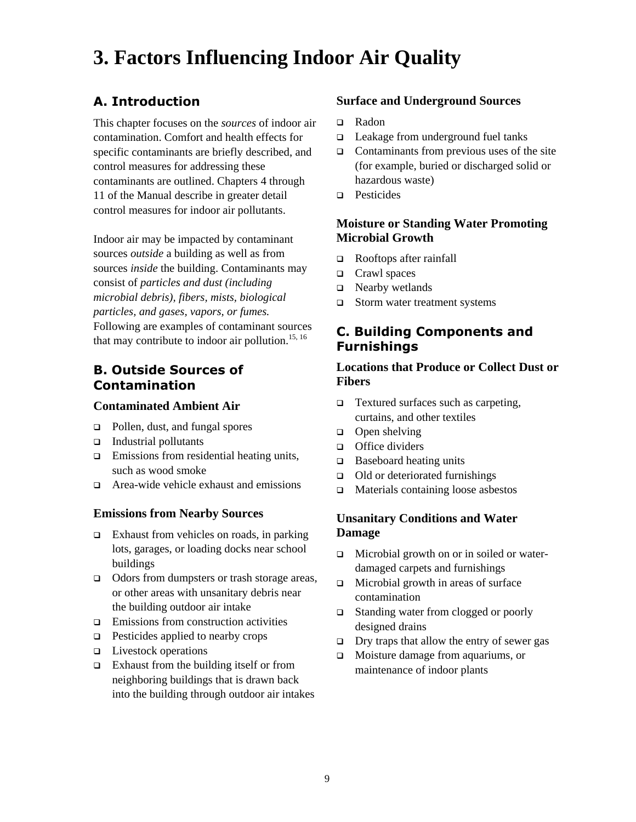# <span id="page-17-0"></span>**3. Factors Influencing Indoor Air Quality**

## **A. Introduction**

This chapter focuses on the *sources* of indoor air contamination. Comfort and health effects for specific contaminants are briefly described, and control measures for addressing these contaminants are outlined. Chapters 4 through 11 of the Manual describe in greater detail control measures for indoor air pollutants.

Indoor air may be impacted by contaminant sources *outside* a building as well as from sources *inside* the building. Contaminants may consist of *particles and dust (including microbial debris), fibers, mists, biological particles, and gases, vapors, or fumes.*  Following are examples of contaminant sources that may contribute to indoor air pollution.<sup>[15,](#page-134-14) [16](#page-134-15)</sup>

## **B. Outside Sources of Contamination**

#### **Contaminated Ambient Air**

- □ Pollen, dust, and fungal spores
- $\Box$  Industrial pollutants
- $\Box$  Emissions from residential heating units, such as wood smoke
- □ Area-wide vehicle exhaust and emissions

#### **Emissions from Nearby Sources**

- $\Box$  Exhaust from vehicles on roads, in parking lots, garages, or loading docks near school buildings
- □ Odors from dumpsters or trash storage areas, or other areas with unsanitary debris near the building outdoor air intake
- $\Box$  Emissions from construction activities
- $\Box$  Pesticides applied to nearby crops
- **Livestock operations**
- $\Box$  Exhaust from the building itself or from neighboring buildings that is drawn back into the building through outdoor air intakes

#### **Surface and Underground Sources**

- □ Radon
- $\Box$  Leakage from underground fuel tanks
- $\Box$  Contaminants from previous uses of the site (for example, buried or discharged solid or hazardous waste)
- **Pesticides**

#### **Moisture or Standing Water Promoting Microbial Growth**

- Rooftops after rainfall
- □ Crawl spaces
- □ Nearby wetlands
- □ Storm water treatment systems

### **C. Building Components and Furnishings**

#### **Locations that Produce or Collect Dust or Fibers**

- $\Box$  Textured surfaces such as carpeting, curtains, and other textiles
- $\Box$  Open shelving
- □ Office dividers
- $\Box$  Baseboard heating units
- $\Box$  Old or deteriorated furnishings
- □ Materials containing loose asbestos

#### **Unsanitary Conditions and Water Damage**

- □ Microbial growth on or in soiled or waterdamaged carpets and furnishings
- $\Box$  Microbial growth in areas of surface contamination
- □ Standing water from clogged or poorly designed drains
- $\Box$  Dry traps that allow the entry of sewer gas
- Moisture damage from aquariums, or maintenance of indoor plants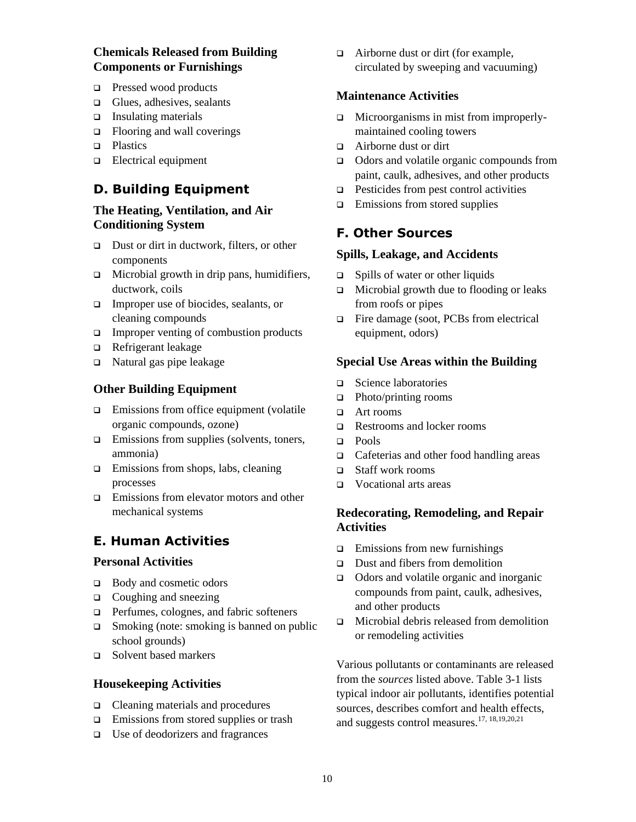#### <span id="page-18-0"></span>**Chemicals Released from Building Components or Furnishings**

- **Pressed wood products**
- $\Box$  Glues, adhesives, sealants
- $\Box$  Insulating materials
- $\Box$  Flooring and wall coverings
- **D** Plastics
- **Electrical equipment**

#### **D. Building Equipment**

#### **The Heating, Ventilation, and Air Conditioning System**

- □ Dust or dirt in ductwork, filters, or other components
- $\Box$  Microbial growth in drip pans, humidifiers, ductwork, coils
- Improper use of biocides, sealants, or cleaning compounds
- $\Box$  Improper venting of combustion products
- Refrigerant leakage
- $\Box$  Natural gas pipe leakage

#### **Other Building Equipment**

- $\Box$  Emissions from office equipment (volatile organic compounds, ozone)
- $\Box$  Emissions from supplies (solvents, toners, ammonia)
- $\Box$  Emissions from shops, labs, cleaning processes
- □ Emissions from elevator motors and other mechanical systems

#### **E. Human Activities**

#### **Personal Activities**

- $\Box$  Body and cosmetic odors
- $\Box$  Coughing and sneezing
- $\Box$  Perfumes, colognes, and fabric softeners
- $\Box$  Smoking (note: smoking is banned on public school grounds)
- □ Solvent based markers

#### **Housekeeping Activities**

- □ Cleaning materials and procedures
- **Emissions from stored supplies or trash**
- □ Use of deodorizers and fragrances

 $\Box$  Airborne dust or dirt (for example, circulated by sweeping and vacuuming)

#### **Maintenance Activities**

- □ Microorganisms in mist from improperlymaintained cooling towers
- Airborne dust or dirt
- Odors and volatile organic compounds from paint, caulk, adhesives, and other products
- $\Box$  Pesticides from pest control activities
- $\Box$  Emissions from stored supplies

#### **F. Other Sources**

#### **Spills, Leakage, and Accidents**

- $\Box$  Spills of water or other liquids
- $\Box$  Microbial growth due to flooding or leaks from roofs or pipes
- Fire damage (soot, PCBs from electrical equipment, odors)

#### **Special Use Areas within the Building**

- □ Science laboratories
- $\Box$  Photo/printing rooms
- □ Art rooms
- Restrooms and locker rooms
- pools Pools
- □ Cafeterias and other food handling areas
- Staff work rooms
- □ Vocational arts areas

#### **Redecorating, Remodeling, and Repair Activities**

- $\Box$  Emissions from new furnishings
- $\Box$  Dust and fibers from demolition
- □ Odors and volatile organic and inorganic compounds from paint, caulk, adhesives, and other products
- Microbial debris released from demolition or remodeling activities

Various pollutants or contaminants are released from the *sources* listed above. Table 3-1 lists typical indoor air pollutants, identifies potential sources, describes comfort and health effects, and suggests control measures.[17,](#page-134-16) [18,](#page-134-17)[19,](#page-134-18)[20,](#page-134-19)[21](#page-134-20)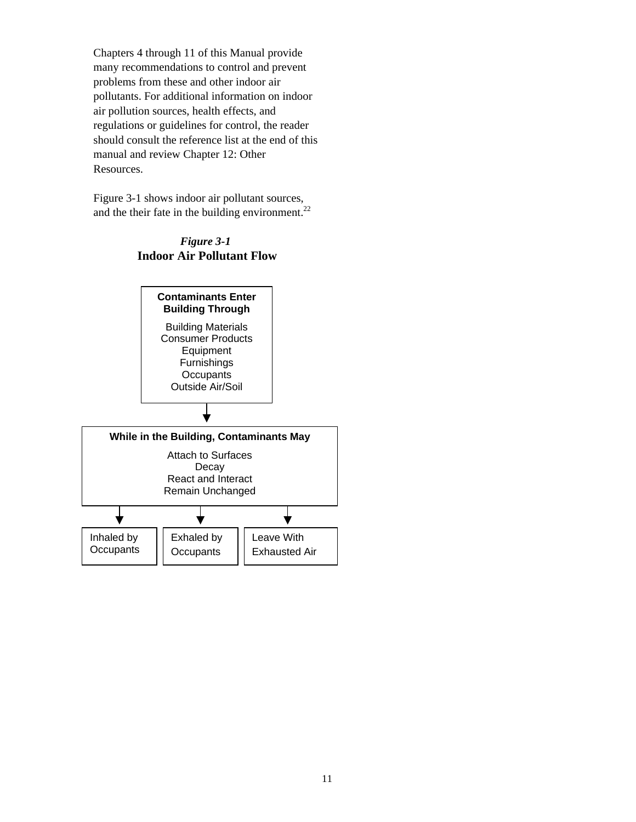Chapters 4 through 11 of this Manual provide many recommendations to control and prevent problems from these and other indoor air pollutants. For additional information on indoor air pollution sources, health effects, and regulations or guidelines for control, the reader should consult the reference list at the end of this manual and review Chapter 12: Other Resources.

Figure 3-1 shows indoor air pollutant sources, and the their fate in the building environment. $^{22}$  $^{22}$  $^{22}$ 



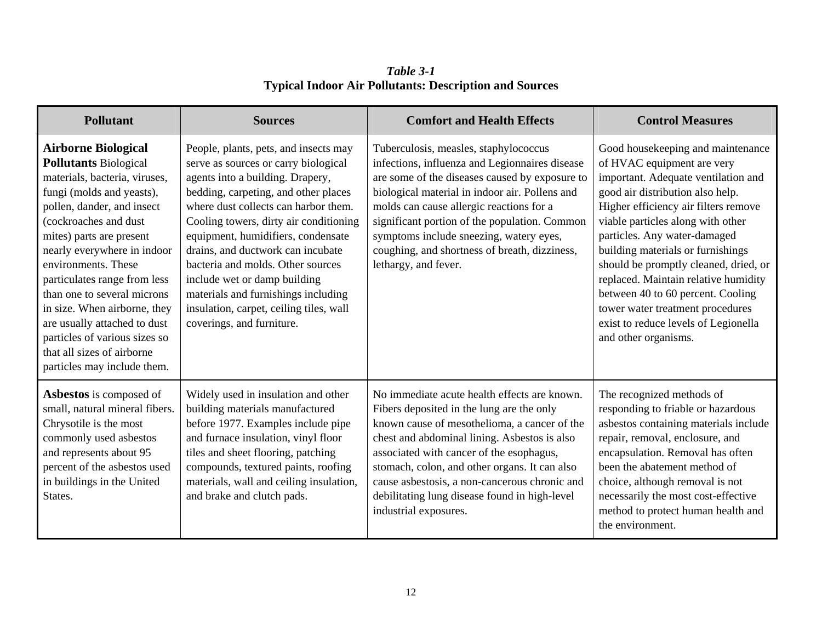*Table 3-1* **Typical Indoor Air Pollutants: Description and Sources** 

| <b>Pollutant</b>                                                                                                                                                                                                                                                                                                                                                                                                                                                                               | <b>Sources</b>                                                                                                                                                                                                                                                                                                                                                                                                                                                                                             | <b>Comfort and Health Effects</b>                                                                                                                                                                                                                                                                                                                                                                                 | <b>Control Measures</b>                                                                                                                                                                                                                                                                                                                                                                                                                                                                                                |
|------------------------------------------------------------------------------------------------------------------------------------------------------------------------------------------------------------------------------------------------------------------------------------------------------------------------------------------------------------------------------------------------------------------------------------------------------------------------------------------------|------------------------------------------------------------------------------------------------------------------------------------------------------------------------------------------------------------------------------------------------------------------------------------------------------------------------------------------------------------------------------------------------------------------------------------------------------------------------------------------------------------|-------------------------------------------------------------------------------------------------------------------------------------------------------------------------------------------------------------------------------------------------------------------------------------------------------------------------------------------------------------------------------------------------------------------|------------------------------------------------------------------------------------------------------------------------------------------------------------------------------------------------------------------------------------------------------------------------------------------------------------------------------------------------------------------------------------------------------------------------------------------------------------------------------------------------------------------------|
| <b>Airborne Biological</b><br><b>Pollutants Biological</b><br>materials, bacteria, viruses,<br>fungi (molds and yeasts),<br>pollen, dander, and insect<br>(cockroaches and dust<br>mites) parts are present<br>nearly everywhere in indoor<br>environments. These<br>particulates range from less<br>than one to several microns<br>in size. When airborne, they<br>are usually attached to dust<br>particles of various sizes so<br>that all sizes of airborne<br>particles may include them. | People, plants, pets, and insects may<br>serve as sources or carry biological<br>agents into a building. Drapery,<br>bedding, carpeting, and other places<br>where dust collects can harbor them.<br>Cooling towers, dirty air conditioning<br>equipment, humidifiers, condensate<br>drains, and ductwork can incubate<br>bacteria and molds. Other sources<br>include wet or damp building<br>materials and furnishings including<br>insulation, carpet, ceiling tiles, wall<br>coverings, and furniture. | Tuberculosis, measles, staphylococcus<br>infections, influenza and Legionnaires disease<br>are some of the diseases caused by exposure to<br>biological material in indoor air. Pollens and<br>molds can cause allergic reactions for a<br>significant portion of the population. Common<br>symptoms include sneezing, watery eyes,<br>coughing, and shortness of breath, dizziness,<br>lethargy, and fever.      | Good housekeeping and maintenance<br>of HVAC equipment are very<br>important. Adequate ventilation and<br>good air distribution also help.<br>Higher efficiency air filters remove<br>viable particles along with other<br>particles. Any water-damaged<br>building materials or furnishings<br>should be promptly cleaned, dried, or<br>replaced. Maintain relative humidity<br>between 40 to 60 percent. Cooling<br>tower water treatment procedures<br>exist to reduce levels of Legionella<br>and other organisms. |
| Asbestos is composed of<br>small, natural mineral fibers.<br>Chrysotile is the most<br>commonly used asbestos<br>and represents about 95<br>percent of the asbestos used<br>in buildings in the United<br>States.                                                                                                                                                                                                                                                                              | Widely used in insulation and other<br>building materials manufactured<br>before 1977. Examples include pipe<br>and furnace insulation, vinyl floor<br>tiles and sheet flooring, patching<br>compounds, textured paints, roofing<br>materials, wall and ceiling insulation,<br>and brake and clutch pads.                                                                                                                                                                                                  | No immediate acute health effects are known.<br>Fibers deposited in the lung are the only<br>known cause of mesothelioma, a cancer of the<br>chest and abdominal lining. Asbestos is also<br>associated with cancer of the esophagus,<br>stomach, colon, and other organs. It can also<br>cause asbestosis, a non-cancerous chronic and<br>debilitating lung disease found in high-level<br>industrial exposures. | The recognized methods of<br>responding to friable or hazardous<br>asbestos containing materials include<br>repair, removal, enclosure, and<br>encapsulation. Removal has often<br>been the abatement method of<br>choice, although removal is not<br>necessarily the most cost-effective<br>method to protect human health and<br>the environment.                                                                                                                                                                    |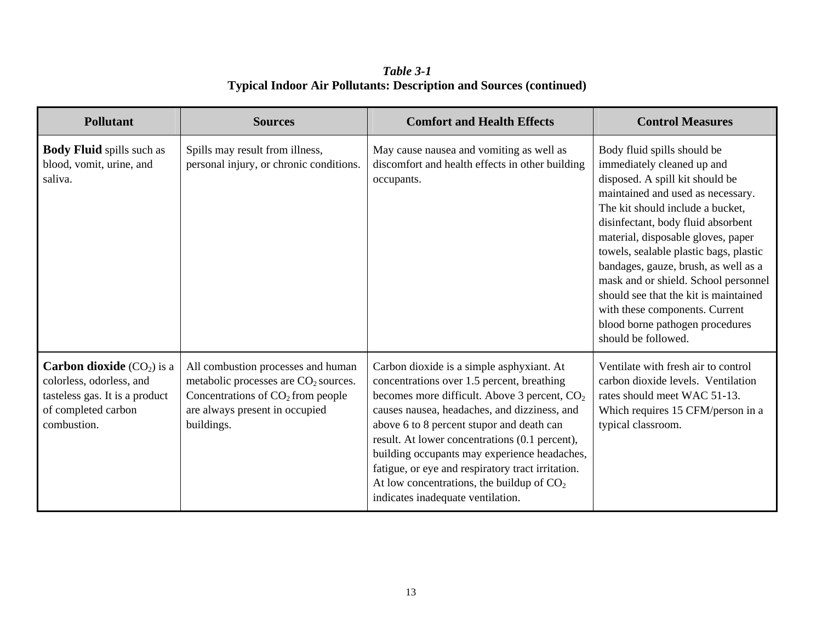*Table 3-1* **Typical Indoor Air Pollutants: Description and Sources (continued)**

| <b>Pollutant</b>                                                                                                                       | <b>Sources</b>                                                                                                                                                                | <b>Comfort and Health Effects</b>                                                                                                                                                                                                                                                                                                                                                                                                                                                           | <b>Control Measures</b>                                                                                                                                                                                                                                                                                                                                                                                                                                                                                          |
|----------------------------------------------------------------------------------------------------------------------------------------|-------------------------------------------------------------------------------------------------------------------------------------------------------------------------------|---------------------------------------------------------------------------------------------------------------------------------------------------------------------------------------------------------------------------------------------------------------------------------------------------------------------------------------------------------------------------------------------------------------------------------------------------------------------------------------------|------------------------------------------------------------------------------------------------------------------------------------------------------------------------------------------------------------------------------------------------------------------------------------------------------------------------------------------------------------------------------------------------------------------------------------------------------------------------------------------------------------------|
| <b>Body Fluid</b> spills such as<br>blood, vomit, urine, and<br>saliva.                                                                | Spills may result from illness,<br>personal injury, or chronic conditions.                                                                                                    | May cause nausea and vomiting as well as<br>discomfort and health effects in other building<br>occupants.                                                                                                                                                                                                                                                                                                                                                                                   | Body fluid spills should be<br>immediately cleaned up and<br>disposed. A spill kit should be<br>maintained and used as necessary.<br>The kit should include a bucket,<br>disinfectant, body fluid absorbent<br>material, disposable gloves, paper<br>towels, sealable plastic bags, plastic<br>bandages, gauze, brush, as well as a<br>mask and or shield. School personnel<br>should see that the kit is maintained<br>with these components. Current<br>blood borne pathogen procedures<br>should be followed. |
| <b>Carbon dioxide</b> $(CO2)$ is a<br>colorless, odorless, and<br>tasteless gas. It is a product<br>of completed carbon<br>combustion. | All combustion processes and human<br>metabolic processes are CO <sub>2</sub> sources.<br>Concentrations of $CO2$ from people<br>are always present in occupied<br>buildings. | Carbon dioxide is a simple asphyxiant. At<br>concentrations over 1.5 percent, breathing<br>becomes more difficult. Above 3 percent, CO <sub>2</sub><br>causes nausea, headaches, and dizziness, and<br>above 6 to 8 percent stupor and death can<br>result. At lower concentrations (0.1 percent),<br>building occupants may experience headaches,<br>fatigue, or eye and respiratory tract irritation.<br>At low concentrations, the buildup of $CO2$<br>indicates inadequate ventilation. | Ventilate with fresh air to control<br>carbon dioxide levels. Ventilation<br>rates should meet WAC 51-13.<br>Which requires 15 CFM/person in a<br>typical classroom.                                                                                                                                                                                                                                                                                                                                             |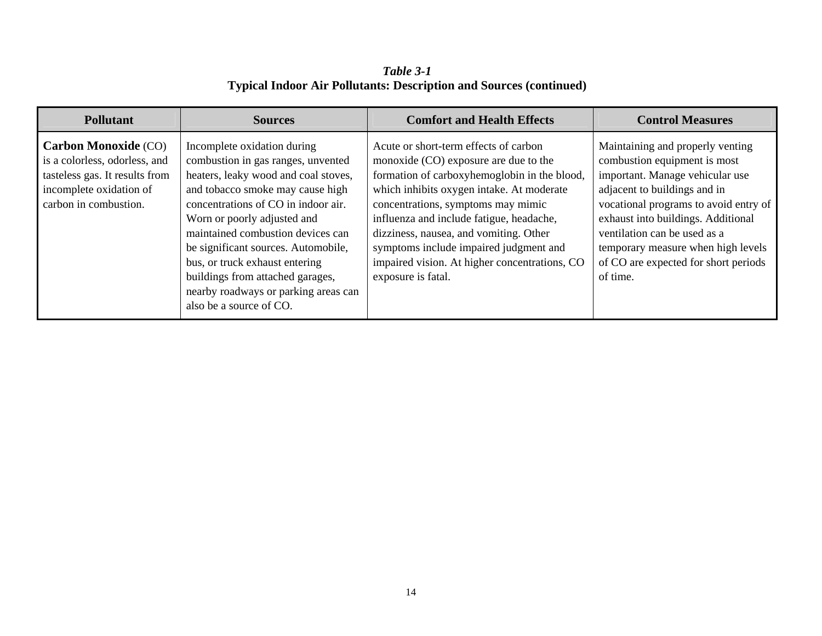*Table 3-1* **Typical Indoor Air Pollutants: Description and Sources (continued)** 

| <b>Pollutant</b>                                                                                                                                   | <b>Sources</b>                                                                                                                                                                                                                                                                                                                                                                                                                           | <b>Comfort and Health Effects</b>                                                                                                                                                                                                                                                                                                                                                                                        | <b>Control Measures</b>                                                                                                                                                                                                                                                                                                                      |
|----------------------------------------------------------------------------------------------------------------------------------------------------|------------------------------------------------------------------------------------------------------------------------------------------------------------------------------------------------------------------------------------------------------------------------------------------------------------------------------------------------------------------------------------------------------------------------------------------|--------------------------------------------------------------------------------------------------------------------------------------------------------------------------------------------------------------------------------------------------------------------------------------------------------------------------------------------------------------------------------------------------------------------------|----------------------------------------------------------------------------------------------------------------------------------------------------------------------------------------------------------------------------------------------------------------------------------------------------------------------------------------------|
| <b>Carbon Monoxide (CO)</b><br>is a colorless, odorless, and<br>tasteless gas. It results from<br>incomplete oxidation of<br>carbon in combustion. | Incomplete oxidation during<br>combustion in gas ranges, unvented<br>heaters, leaky wood and coal stoves,<br>and tobacco smoke may cause high<br>concentrations of CO in indoor air.<br>Worn or poorly adjusted and<br>maintained combustion devices can<br>be significant sources. Automobile,<br>bus, or truck exhaust entering<br>buildings from attached garages,<br>nearby roadways or parking areas can<br>also be a source of CO. | Acute or short-term effects of carbon<br>monoxide (CO) exposure are due to the<br>formation of carboxyhemoglobin in the blood,<br>which inhibits oxygen intake. At moderate<br>concentrations, symptoms may mimic<br>influenza and include fatigue, headache,<br>dizziness, nausea, and vomiting. Other<br>symptoms include impaired judgment and<br>impaired vision. At higher concentrations, CO<br>exposure is fatal. | Maintaining and properly venting<br>combustion equipment is most<br>important. Manage vehicular use<br>adjacent to buildings and in<br>vocational programs to avoid entry of<br>exhaust into buildings. Additional<br>ventilation can be used as a<br>temporary measure when high levels<br>of CO are expected for short periods<br>of time. |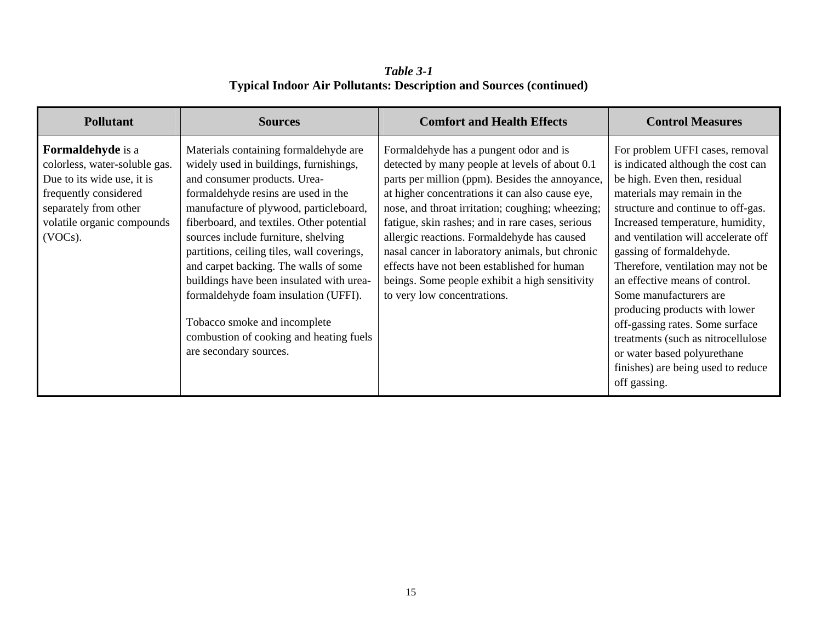*Table 3-1* **Typical Indoor Air Pollutants: Description and Sources (continued)**

| <b>Pollutant</b>                                                                                                                                                                      | <b>Sources</b>                                                                                                                                                                                                                                                                                                                                                                                                                                                                                                                                                       | <b>Comfort and Health Effects</b>                                                                                                                                                                                                                                                                                                                                                                                                                                                                                                        | <b>Control Measures</b>                                                                                                                                                                                                                                                                                                                                                                                                                                                                                                                                                           |
|---------------------------------------------------------------------------------------------------------------------------------------------------------------------------------------|----------------------------------------------------------------------------------------------------------------------------------------------------------------------------------------------------------------------------------------------------------------------------------------------------------------------------------------------------------------------------------------------------------------------------------------------------------------------------------------------------------------------------------------------------------------------|------------------------------------------------------------------------------------------------------------------------------------------------------------------------------------------------------------------------------------------------------------------------------------------------------------------------------------------------------------------------------------------------------------------------------------------------------------------------------------------------------------------------------------------|-----------------------------------------------------------------------------------------------------------------------------------------------------------------------------------------------------------------------------------------------------------------------------------------------------------------------------------------------------------------------------------------------------------------------------------------------------------------------------------------------------------------------------------------------------------------------------------|
| <b>Formaldehyde</b> is a<br>colorless, water-soluble gas.<br>Due to its wide use, it is<br>frequently considered<br>separately from other<br>volatile organic compounds<br>$(VOCs)$ . | Materials containing formaldehyde are<br>widely used in buildings, furnishings,<br>and consumer products. Urea-<br>formaldehyde resins are used in the<br>manufacture of plywood, particleboard,<br>fiberboard, and textiles. Other potential<br>sources include furniture, shelving<br>partitions, ceiling tiles, wall coverings,<br>and carpet backing. The walls of some<br>buildings have been insulated with urea-<br>formaldehyde foam insulation (UFFI).<br>Tobacco smoke and incomplete<br>combustion of cooking and heating fuels<br>are secondary sources. | Formaldehyde has a pungent odor and is<br>detected by many people at levels of about 0.1<br>parts per million (ppm). Besides the annoyance,<br>at higher concentrations it can also cause eye,<br>nose, and throat irritation; coughing; wheezing;<br>fatigue, skin rashes; and in rare cases, serious<br>allergic reactions. Formaldehyde has caused<br>nasal cancer in laboratory animals, but chronic<br>effects have not been established for human<br>beings. Some people exhibit a high sensitivity<br>to very low concentrations. | For problem UFFI cases, removal<br>is indicated although the cost can<br>be high. Even then, residual<br>materials may remain in the<br>structure and continue to off-gas.<br>Increased temperature, humidity,<br>and ventilation will accelerate off<br>gassing of formaldehyde.<br>Therefore, ventilation may not be<br>an effective means of control.<br>Some manufacturers are<br>producing products with lower<br>off-gassing rates. Some surface<br>treatments (such as nitrocellulose<br>or water based polyurethane<br>finishes) are being used to reduce<br>off gassing. |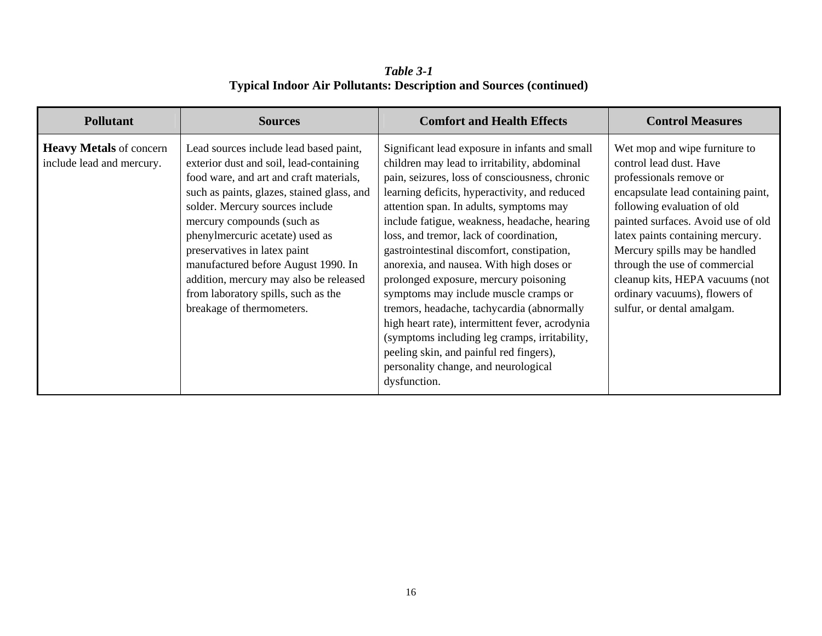*Table 3-1* **Typical Indoor Air Pollutants: Description and Sources (continued)** 

| <b>Pollutant</b>                                            | <b>Sources</b>                                                                                                                                                                                                                                                                                                                                                                                                                                                      | <b>Comfort and Health Effects</b>                                                                                                                                                                                                                                                                                                                                                                                                                                                                                                                                                                                                                                                                                                                                        | <b>Control Measures</b>                                                                                                                                                                                                                                                                                                                                                                                |
|-------------------------------------------------------------|---------------------------------------------------------------------------------------------------------------------------------------------------------------------------------------------------------------------------------------------------------------------------------------------------------------------------------------------------------------------------------------------------------------------------------------------------------------------|--------------------------------------------------------------------------------------------------------------------------------------------------------------------------------------------------------------------------------------------------------------------------------------------------------------------------------------------------------------------------------------------------------------------------------------------------------------------------------------------------------------------------------------------------------------------------------------------------------------------------------------------------------------------------------------------------------------------------------------------------------------------------|--------------------------------------------------------------------------------------------------------------------------------------------------------------------------------------------------------------------------------------------------------------------------------------------------------------------------------------------------------------------------------------------------------|
| <b>Heavy Metals</b> of concern<br>include lead and mercury. | Lead sources include lead based paint,<br>exterior dust and soil, lead-containing<br>food ware, and art and craft materials,<br>such as paints, glazes, stained glass, and<br>solder. Mercury sources include<br>mercury compounds (such as<br>phenylmercuric acetate) used as<br>preservatives in latex paint<br>manufactured before August 1990. In<br>addition, mercury may also be released<br>from laboratory spills, such as the<br>breakage of thermometers. | Significant lead exposure in infants and small<br>children may lead to irritability, abdominal<br>pain, seizures, loss of consciousness, chronic<br>learning deficits, hyperactivity, and reduced<br>attention span. In adults, symptoms may<br>include fatigue, weakness, headache, hearing<br>loss, and tremor, lack of coordination,<br>gastrointestinal discomfort, constipation,<br>anorexia, and nausea. With high doses or<br>prolonged exposure, mercury poisoning<br>symptoms may include muscle cramps or<br>tremors, headache, tachycardia (abnormally<br>high heart rate), intermittent fever, acrodynia<br>(symptoms including leg cramps, irritability,<br>peeling skin, and painful red fingers),<br>personality change, and neurological<br>dysfunction. | Wet mop and wipe furniture to<br>control lead dust. Have<br>professionals remove or<br>encapsulate lead containing paint,<br>following evaluation of old<br>painted surfaces. Avoid use of old<br>latex paints containing mercury.<br>Mercury spills may be handled<br>through the use of commercial<br>cleanup kits, HEPA vacuums (not<br>ordinary vacuums), flowers of<br>sulfur, or dental amalgam. |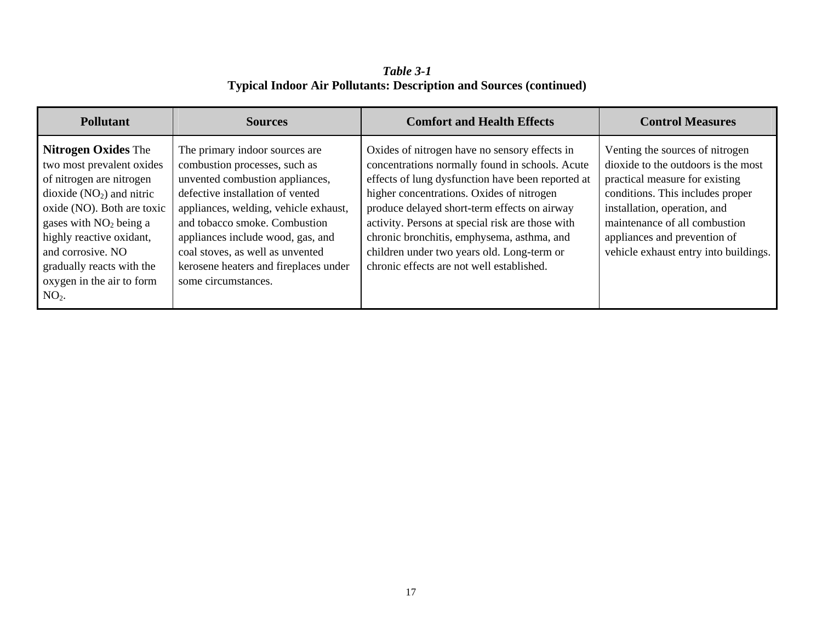*Table 3-1* **Typical Indoor Air Pollutants: Description and Sources (continued)**

| <b>Pollutant</b>                                                                                                                                                                                                                                                                                  | <b>Sources</b>                                                                                                                                                                                                                                                                                                                                            | <b>Comfort and Health Effects</b>                                                                                                                                                                                                                                                                                                                                                                                                               | <b>Control Measures</b>                                                                                                                                                                                                                                                                |
|---------------------------------------------------------------------------------------------------------------------------------------------------------------------------------------------------------------------------------------------------------------------------------------------------|-----------------------------------------------------------------------------------------------------------------------------------------------------------------------------------------------------------------------------------------------------------------------------------------------------------------------------------------------------------|-------------------------------------------------------------------------------------------------------------------------------------------------------------------------------------------------------------------------------------------------------------------------------------------------------------------------------------------------------------------------------------------------------------------------------------------------|----------------------------------------------------------------------------------------------------------------------------------------------------------------------------------------------------------------------------------------------------------------------------------------|
| <b>Nitrogen Oxides The</b><br>two most prevalent oxides<br>of nitrogen are nitrogen<br>dioxide $(NO2)$ and nitric<br>oxide (NO). Both are toxic<br>gases with $NO2$ being a<br>highly reactive oxidant,<br>and corrosive. NO<br>gradually reacts with the<br>oxygen in the air to form<br>$NO2$ . | The primary indoor sources are<br>combustion processes, such as<br>unvented combustion appliances,<br>defective installation of vented<br>appliances, welding, vehicle exhaust,<br>and tobacco smoke. Combustion<br>appliances include wood, gas, and<br>coal stoves, as well as unvented<br>kerosene heaters and fireplaces under<br>some circumstances. | Oxides of nitrogen have no sensory effects in<br>concentrations normally found in schools. Acute<br>effects of lung dysfunction have been reported at<br>higher concentrations. Oxides of nitrogen<br>produce delayed short-term effects on airway<br>activity. Persons at special risk are those with<br>chronic bronchitis, emphysema, asthma, and<br>children under two years old. Long-term or<br>chronic effects are not well established. | Venting the sources of nitrogen<br>dioxide to the outdoors is the most<br>practical measure for existing<br>conditions. This includes proper<br>installation, operation, and<br>maintenance of all combustion<br>appliances and prevention of<br>vehicle exhaust entry into buildings. |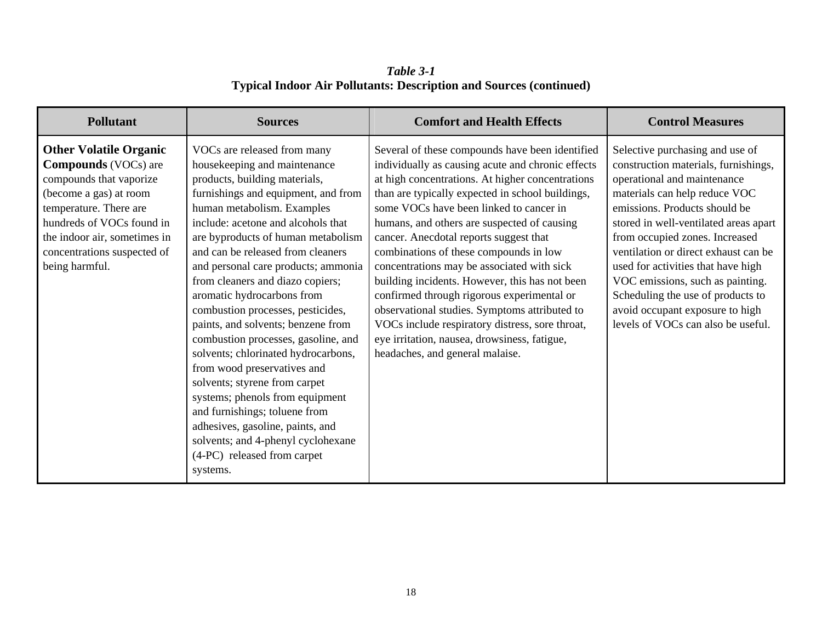*Table 3-1* **Typical Indoor Air Pollutants: Description and Sources (continued)**

| <b>Pollutant</b>                                                                                                                                                                                                                                          | <b>Sources</b>                                                                                                                                                                                                                                                                                                                                                                                                                                                                                                                                                                                                                                                                                                                                                                                                | <b>Comfort and Health Effects</b>                                                                                                                                                                                                                                                                                                                                                                                                                                                                                                                                                                                                                                                                                               | <b>Control Measures</b>                                                                                                                                                                                                                                                                                                                                                                                                                                                             |
|-----------------------------------------------------------------------------------------------------------------------------------------------------------------------------------------------------------------------------------------------------------|---------------------------------------------------------------------------------------------------------------------------------------------------------------------------------------------------------------------------------------------------------------------------------------------------------------------------------------------------------------------------------------------------------------------------------------------------------------------------------------------------------------------------------------------------------------------------------------------------------------------------------------------------------------------------------------------------------------------------------------------------------------------------------------------------------------|---------------------------------------------------------------------------------------------------------------------------------------------------------------------------------------------------------------------------------------------------------------------------------------------------------------------------------------------------------------------------------------------------------------------------------------------------------------------------------------------------------------------------------------------------------------------------------------------------------------------------------------------------------------------------------------------------------------------------------|-------------------------------------------------------------------------------------------------------------------------------------------------------------------------------------------------------------------------------------------------------------------------------------------------------------------------------------------------------------------------------------------------------------------------------------------------------------------------------------|
| <b>Other Volatile Organic</b><br><b>Compounds</b> (VOCs) are<br>compounds that vaporize<br>(become a gas) at room<br>temperature. There are<br>hundreds of VOCs found in<br>the indoor air, sometimes in<br>concentrations suspected of<br>being harmful. | VOCs are released from many<br>housekeeping and maintenance<br>products, building materials,<br>furnishings and equipment, and from<br>human metabolism. Examples<br>include: acetone and alcohols that<br>are byproducts of human metabolism<br>and can be released from cleaners<br>and personal care products; ammonia<br>from cleaners and diazo copiers;<br>aromatic hydrocarbons from<br>combustion processes, pesticides,<br>paints, and solvents; benzene from<br>combustion processes, gasoline, and<br>solvents; chlorinated hydrocarbons,<br>from wood preservatives and<br>solvents; styrene from carpet<br>systems; phenols from equipment<br>and furnishings; toluene from<br>adhesives, gasoline, paints, and<br>solvents; and 4-phenyl cyclohexane<br>(4-PC) released from carpet<br>systems. | Several of these compounds have been identified<br>individually as causing acute and chronic effects<br>at high concentrations. At higher concentrations<br>than are typically expected in school buildings,<br>some VOCs have been linked to cancer in<br>humans, and others are suspected of causing<br>cancer. Anecdotal reports suggest that<br>combinations of these compounds in low<br>concentrations may be associated with sick<br>building incidents. However, this has not been<br>confirmed through rigorous experimental or<br>observational studies. Symptoms attributed to<br>VOCs include respiratory distress, sore throat,<br>eye irritation, nausea, drowsiness, fatigue,<br>headaches, and general malaise. | Selective purchasing and use of<br>construction materials, furnishings,<br>operational and maintenance<br>materials can help reduce VOC<br>emissions. Products should be<br>stored in well-ventilated areas apart<br>from occupied zones. Increased<br>ventilation or direct exhaust can be<br>used for activities that have high<br>VOC emissions, such as painting.<br>Scheduling the use of products to<br>avoid occupant exposure to high<br>levels of VOCs can also be useful. |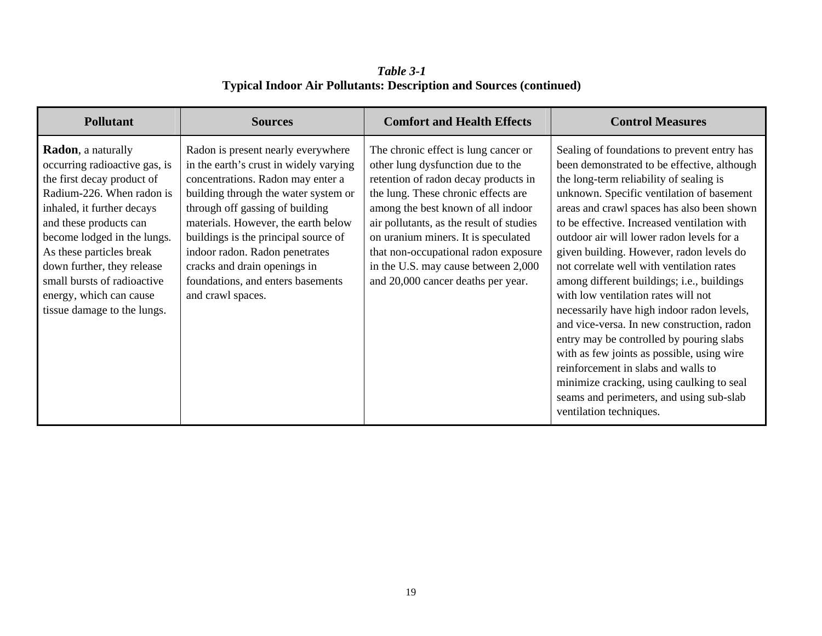*Table 3-1* **Typical Indoor Air Pollutants: Description and Sources (continued)**

| <b>Pollutant</b>                                                                                                                                                                                                                                                                                                                                                 | <b>Sources</b>                                                                                                                                                                                                                                                                                                                                                                                          | <b>Comfort and Health Effects</b>                                                                                                                                                                                                                                                                                                                                                                      | <b>Control Measures</b>                                                                                                                                                                                                                                                                                                                                                                                                                                                                                                                                                                                                                                                                                                                                                                                                                                     |
|------------------------------------------------------------------------------------------------------------------------------------------------------------------------------------------------------------------------------------------------------------------------------------------------------------------------------------------------------------------|---------------------------------------------------------------------------------------------------------------------------------------------------------------------------------------------------------------------------------------------------------------------------------------------------------------------------------------------------------------------------------------------------------|--------------------------------------------------------------------------------------------------------------------------------------------------------------------------------------------------------------------------------------------------------------------------------------------------------------------------------------------------------------------------------------------------------|-------------------------------------------------------------------------------------------------------------------------------------------------------------------------------------------------------------------------------------------------------------------------------------------------------------------------------------------------------------------------------------------------------------------------------------------------------------------------------------------------------------------------------------------------------------------------------------------------------------------------------------------------------------------------------------------------------------------------------------------------------------------------------------------------------------------------------------------------------------|
| <b>Radon</b> , a naturally<br>occurring radioactive gas, is<br>the first decay product of<br>Radium-226. When radon is<br>inhaled, it further decays<br>and these products can<br>become lodged in the lungs.<br>As these particles break<br>down further, they release<br>small bursts of radioactive<br>energy, which can cause<br>tissue damage to the lungs. | Radon is present nearly everywhere<br>in the earth's crust in widely varying<br>concentrations. Radon may enter a<br>building through the water system or<br>through off gassing of building<br>materials. However, the earth below<br>buildings is the principal source of<br>indoor radon. Radon penetrates<br>cracks and drain openings in<br>foundations, and enters basements<br>and crawl spaces. | The chronic effect is lung cancer or<br>other lung dysfunction due to the<br>retention of radon decay products in<br>the lung. These chronic effects are<br>among the best known of all indoor<br>air pollutants, as the result of studies<br>on uranium miners. It is speculated<br>that non-occupational radon exposure<br>in the U.S. may cause between 2,000<br>and 20,000 cancer deaths per year. | Sealing of foundations to prevent entry has<br>been demonstrated to be effective, although<br>the long-term reliability of sealing is<br>unknown. Specific ventilation of basement<br>areas and crawl spaces has also been shown<br>to be effective. Increased ventilation with<br>outdoor air will lower radon levels for a<br>given building. However, radon levels do<br>not correlate well with ventilation rates<br>among different buildings; i.e., buildings<br>with low ventilation rates will not<br>necessarily have high indoor radon levels,<br>and vice-versa. In new construction, radon<br>entry may be controlled by pouring slabs<br>with as few joints as possible, using wire<br>reinforcement in slabs and walls to<br>minimize cracking, using caulking to seal<br>seams and perimeters, and using sub-slab<br>ventilation techniques. |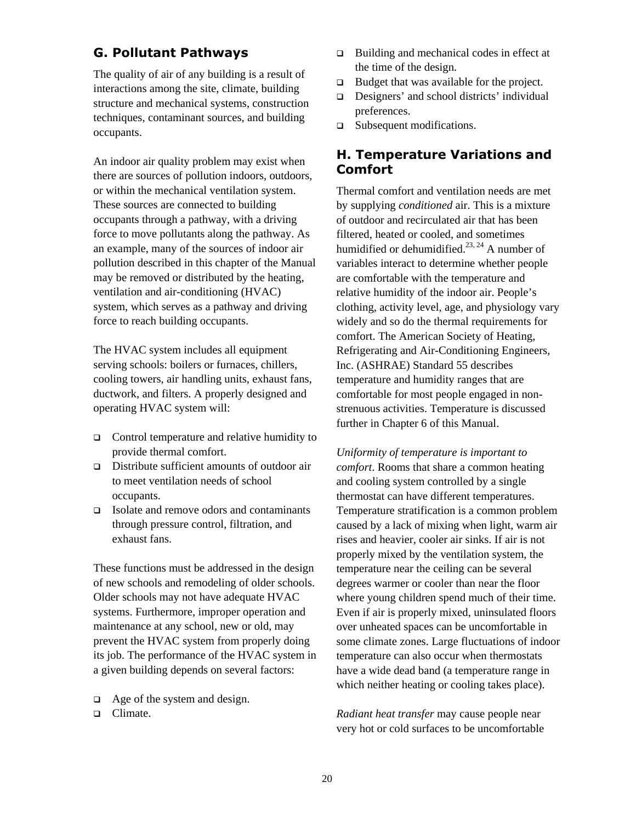#### <span id="page-28-0"></span>**G. Pollutant Pathways**

The quality of air of any building is a result of interactions among the site, climate, building structure and mechanical systems, construction techniques, contaminant sources, and building occupants.

An indoor air quality problem may exist when there are sources of pollution indoors, outdoors, or within the mechanical ventilation system. These sources are connected to building occupants through a pathway, with a driving force to move pollutants along the pathway. As an example, many of the sources of indoor air pollution described in this chapter of the Manual may be removed or distributed by the heating, ventilation and air-conditioning (HVAC) system, which serves as a pathway and driving force to reach building occupants.

The HVAC system includes all equipment serving schools: boilers or furnaces, chillers, cooling towers, air handling units, exhaust fans, ductwork, and filters. A properly designed and operating HVAC system will:

- □ Control temperature and relative humidity to provide thermal comfort.
- Distribute sufficient amounts of outdoor air to meet ventilation needs of school occupants.
- $\Box$  Isolate and remove odors and contaminants through pressure control, filtration, and exhaust fans.

These functions must be addressed in the design of new schools and remodeling of older schools. Older schools may not have adequate HVAC systems. Furthermore, improper operation and maintenance at any school, new or old, may prevent the HVAC system from properly doing its job. The performance of the HVAC system in a given building depends on several factors:

 $\Box$  Age of the system and design.

□ Climate.

- $\Box$  Building and mechanical codes in effect at the time of the design.
- $\Box$  Budget that was available for the project.
- Designers' and school districts' individual preferences.
- □ Subsequent modifications.

#### **H. Temperature Variations and Comfort**

Thermal comfort and ventilation needs are met by supplying *conditioned* air. This is a mixture of outdoor and recirculated air that has been filtered, heated or cooled, and sometimes humidified or dehumidified.<sup>[23,](#page-134-22) 24</sup> A number of variables interact to determine whether people are comfortable with the temperature and relative humidity of the indoor air. People's clothing, activity level, age, and physiology vary widely and so do the thermal requirements for comfort. The American Society of Heating, Refrigerating and Air-Conditioning Engineers, Inc. (ASHRAE) Standard 55 describes temperature and humidity ranges that are comfortable for most people engaged in nonstrenuous activities. Temperature is discussed further in Chapter 6 of this Manual.

*Uniformity of temperature is important to comfort*. Rooms that share a common heating and cooling system controlled by a single thermostat can have different temperatures. Temperature stratification is a common problem caused by a lack of mixing when light, warm air rises and heavier, cooler air sinks. If air is not properly mixed by the ventilation system, the temperature near the ceiling can be several degrees warmer or cooler than near the floor where young children spend much of their time. Even if air is properly mixed, uninsulated floors over unheated spaces can be uncomfortable in some climate zones. Large fluctuations of indoor temperature can also occur when thermostats have a wide dead band (a temperature range in which neither heating or cooling takes place).

*Radiant heat transfer* may cause people near very hot or cold surfaces to be uncomfortable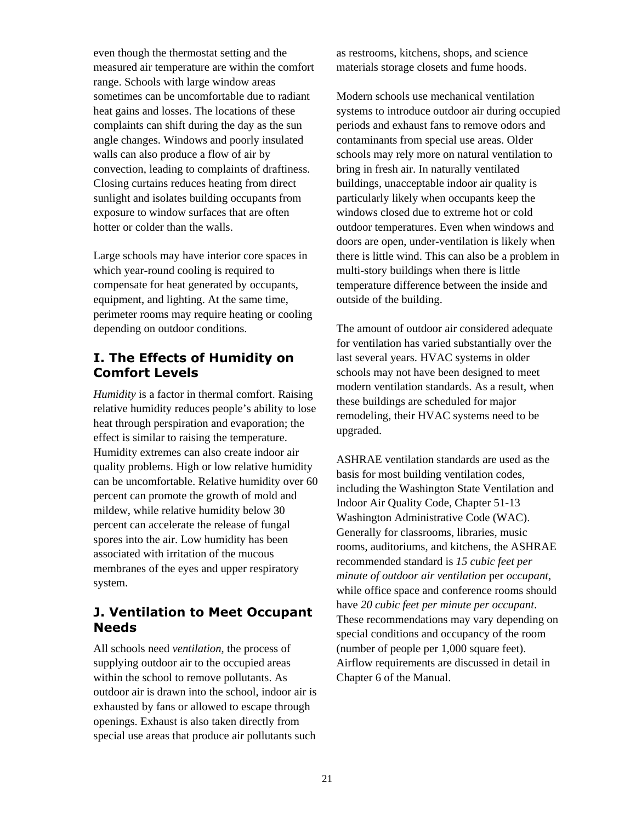<span id="page-29-0"></span>even though the thermostat setting and the measured air temperature are within the comfort range. Schools with large window areas sometimes can be uncomfortable due to radiant heat gains and losses. The locations of these complaints can shift during the day as the sun angle changes. Windows and poorly insulated walls can also produce a flow of air by convection, leading to complaints of draftiness. Closing curtains reduces heating from direct sunlight and isolates building occupants from exposure to window surfaces that are often hotter or colder than the walls.

Large schools may have interior core spaces in which year-round cooling is required to compensate for heat generated by occupants, equipment, and lighting. At the same time, perimeter rooms may require heating or cooling depending on outdoor conditions.

## **I. The Effects of Humidity on Comfort Levels**

*Humidity* is a factor in thermal comfort. Raising relative humidity reduces people's ability to lose heat through perspiration and evaporation; the effect is similar to raising the temperature. Humidity extremes can also create indoor air quality problems. High or low relative humidity can be uncomfortable. Relative humidity over 60 percent can promote the growth of mold and mildew, while relative humidity below 30 percent can accelerate the release of fungal spores into the air. Low humidity has been associated with irritation of the mucous membranes of the eyes and upper respiratory system.

## **J. Ventilation to Meet Occupant Needs**

All schools need *ventilation*, the process of supplying outdoor air to the occupied areas within the school to remove pollutants. As outdoor air is drawn into the school, indoor air is exhausted by fans or allowed to escape through openings. Exhaust is also taken directly from special use areas that produce air pollutants such

as restrooms, kitchens, shops, and science materials storage closets and fume hoods.

Modern schools use mechanical ventilation systems to introduce outdoor air during occupied periods and exhaust fans to remove odors and contaminants from special use areas. Older schools may rely more on natural ventilation to bring in fresh air. In naturally ventilated buildings, unacceptable indoor air quality is particularly likely when occupants keep the windows closed due to extreme hot or cold outdoor temperatures. Even when windows and doors are open, under-ventilation is likely when there is little wind. This can also be a problem in multi-story buildings when there is little temperature difference between the inside and outside of the building.

The amount of outdoor air considered adequate for ventilation has varied substantially over the last several years. HVAC systems in older schools may not have been designed to meet modern ventilation standards. As a result, when these buildings are scheduled for major remodeling, their HVAC systems need to be upgraded.

ASHRAE ventilation standards are used as the basis for most building ventilation codes, including the Washington State Ventilation and Indoor Air Quality Code, Chapter 51-13 Washington Administrative Code (WAC). Generally for classrooms, libraries, music rooms, auditoriums, and kitchens, the ASHRAE recommended standard is *15 cubic feet per minute of outdoor air ventilation* per *occupant*, while office space and conference rooms should have *20 cubic feet per minute per occupant*. These recommendations may vary depending on special conditions and occupancy of the room (number of people per 1,000 square feet). Airflow requirements are discussed in detail in Chapter 6 of the Manual.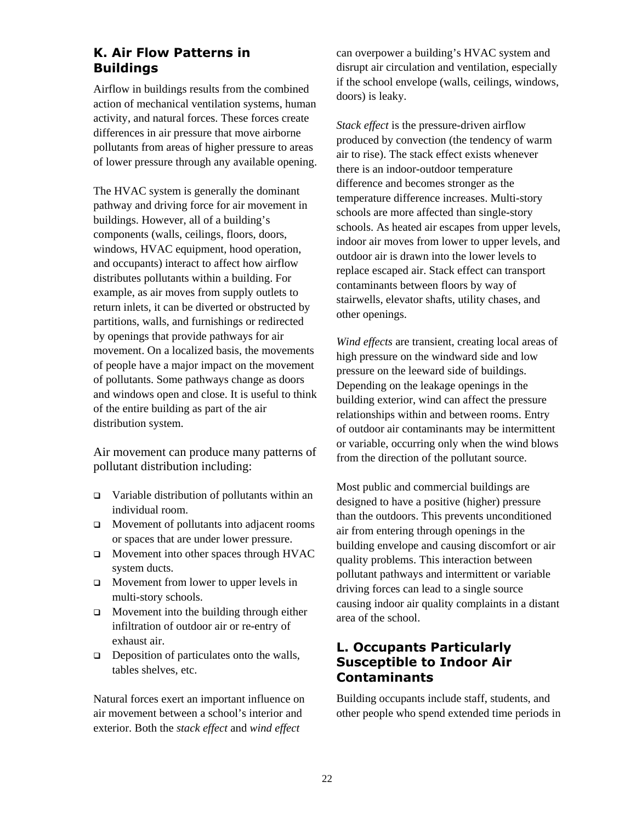### <span id="page-30-0"></span>**K. Air Flow Patterns in Buildings**

Airflow in buildings results from the combined action of mechanical ventilation systems, human activity, and natural forces. These forces create differences in air pressure that move airborne pollutants from areas of higher pressure to areas of lower pressure through any available opening.

The HVAC system is generally the dominant pathway and driving force for air movement in buildings. However, all of a building's components (walls, ceilings, floors, doors, windows, HVAC equipment, hood operation, and occupants) interact to affect how airflow distributes pollutants within a building. For example, as air moves from supply outlets to return inlets, it can be diverted or obstructed by partitions, walls, and furnishings or redirected by openings that provide pathways for air movement. On a localized basis, the movements of people have a major impact on the movement of pollutants. Some pathways change as doors and windows open and close. It is useful to think of the entire building as part of the air distribution system.

Air movement can produce many patterns of pollutant distribution including:

- $\Box$  Variable distribution of pollutants within an individual room.
- Movement of pollutants into adjacent rooms or spaces that are under lower pressure.
- **D** Movement into other spaces through HVAC system ducts.
- $\Box$  Movement from lower to upper levels in multi-story schools.
- $\Box$  Movement into the building through either infiltration of outdoor air or re-entry of exhaust air.
- $\Box$  Deposition of particulates onto the walls, tables shelves, etc.

Natural forces exert an important influence on air movement between a school's interior and exterior. Both the *stack effect* and *wind effect*

can overpower a building's HVAC system and disrupt air circulation and ventilation, especially if the school envelope (walls, ceilings, windows, doors) is leaky.

*Stack effect* is the pressure-driven airflow produced by convection (the tendency of warm air to rise). The stack effect exists whenever there is an indoor-outdoor temperature difference and becomes stronger as the temperature difference increases. Multi-story schools are more affected than single-story schools. As heated air escapes from upper levels, indoor air moves from lower to upper levels, and outdoor air is drawn into the lower levels to replace escaped air. Stack effect can transport contaminants between floors by way of stairwells, elevator shafts, utility chases, and other openings.

*Wind effects* are transient, creating local areas of high pressure on the windward side and low pressure on the leeward side of buildings. Depending on the leakage openings in the building exterior, wind can affect the pressure relationships within and between rooms. Entry of outdoor air contaminants may be intermittent or variable, occurring only when the wind blows from the direction of the pollutant source.

Most public and commercial buildings are designed to have a positive (higher) pressure than the outdoors. This prevents unconditioned air from entering through openings in the building envelope and causing discomfort or air quality problems. This interaction between pollutant pathways and intermittent or variable driving forces can lead to a single source causing indoor air quality complaints in a distant area of the school.

## **L. Occupants Particularly Susceptible to Indoor Air Contaminants**

Building occupants include staff, students, and other people who spend extended time periods in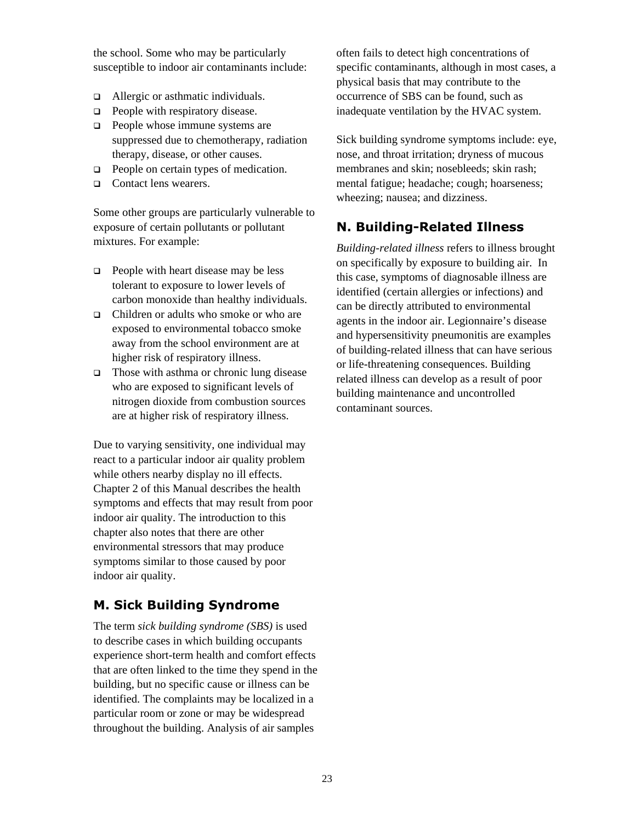<span id="page-31-0"></span>the school. Some who may be particularly susceptible to indoor air contaminants include:

- □ Allergic or asthmatic individuals.
- $\Box$  People with respiratory disease.
- $\Box$  People whose immune systems are suppressed due to chemotherapy, radiation therapy, disease, or other causes.
- **People on certain types of medication.**
- □ Contact lens wearers.

Some other groups are particularly vulnerable to exposure of certain pollutants or pollutant mixtures. For example:

- $\Box$  People with heart disease may be less tolerant to exposure to lower levels of carbon monoxide than healthy individuals.
- Children or adults who smoke or who are exposed to environmental tobacco smoke away from the school environment are at higher risk of respiratory illness.
- $\Box$  Those with asthma or chronic lung disease who are exposed to significant levels of nitrogen dioxide from combustion sources are at higher risk of respiratory illness.

Due to varying sensitivity, one individual may react to a particular indoor air quality problem while others nearby display no ill effects. Chapter 2 of this Manual describes the health symptoms and effects that may result from poor indoor air quality. The introduction to this chapter also notes that there are other environmental stressors that may produce symptoms similar to those caused by poor indoor air quality.

## **M. Sick Building Syndrome**

The term *sick building syndrome (SBS)* is used to describe cases in which building occupants experience short-term health and comfort effects that are often linked to the time they spend in the building, but no specific cause or illness can be identified. The complaints may be localized in a particular room or zone or may be widespread throughout the building. Analysis of air samples

often fails to detect high concentrations of specific contaminants, although in most cases, a physical basis that may contribute to the occurrence of SBS can be found, such as inadequate ventilation by the HVAC system.

Sick building syndrome symptoms include: eye, nose, and throat irritation; dryness of mucous membranes and skin; nosebleeds; skin rash; mental fatigue; headache; cough; hoarseness; wheezing; nausea; and dizziness.

## **N. Building-Related Illness**

*Building-related illness* refers to illness brought on specifically by exposure to building air. In this case, symptoms of diagnosable illness are identified (certain allergies or infections) and can be directly attributed to environmental agents in the indoor air. Legionnaire's disease and hypersensitivity pneumonitis are examples of building-related illness that can have serious or life-threatening consequences. Building related illness can develop as a result of poor building maintenance and uncontrolled contaminant sources.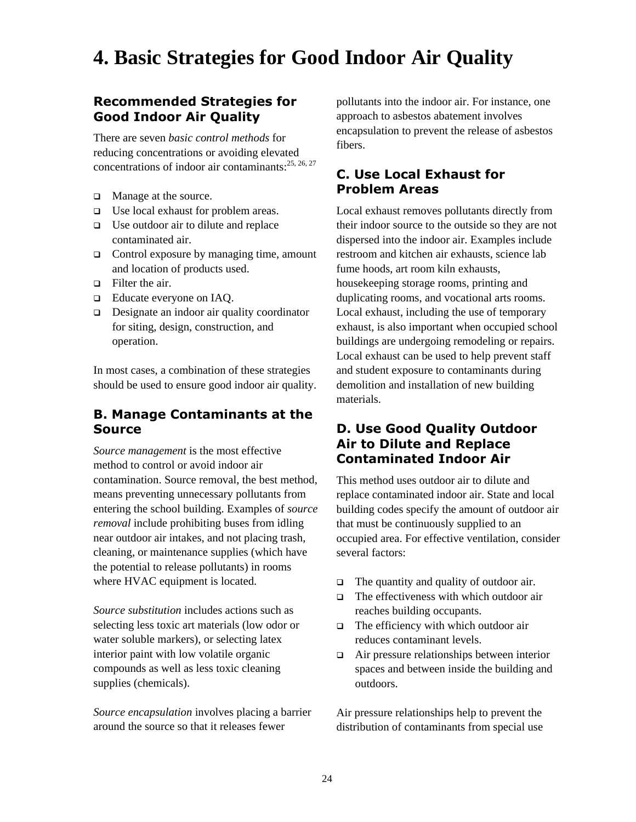# <span id="page-32-0"></span>**4. Basic Strategies for Good Indoor Air Quality**

### **Recommended Strategies for Good Indoor Air Quality**

There are seven *basic control methods* for reducing concentrations or avoiding elevated concentrations of indoor air contaminants:<sup>[25,](#page-134-24) [26,](#page-134-25) 27</sup>

- $\Box$  Manage at the source.
- □ Use local exhaust for problem areas.
- $\Box$  Use outdoor air to dilute and replace contaminated air.
- $\Box$  Control exposure by managing time, amount and location of products used.
- $\Box$  Filter the air.
- □ Educate everyone on IAO.
- □ Designate an indoor air quality coordinator for siting, design, construction, and operation.

In most cases, a combination of these strategies should be used to ensure good indoor air quality.

#### **B. Manage Contaminants at the Source**

*Source management* is the most effective method to control or avoid indoor air contamination. Source removal, the best method, means preventing unnecessary pollutants from entering the school building. Examples of *source removal* include prohibiting buses from idling near outdoor air intakes, and not placing trash, cleaning, or maintenance supplies (which have the potential to release pollutants) in rooms where HVAC equipment is located.

*Source substitution* includes actions such as selecting less toxic art materials (low odor or water soluble markers), or selecting latex interior paint with low volatile organic compounds as well as less toxic cleaning supplies (chemicals).

*Source encapsulation* involves placing a barrier around the source so that it releases fewer

pollutants into the indoor air. For instance, one approach to asbestos abatement involves encapsulation to prevent the release of asbestos fibers.

### **C. Use Local Exhaust for Problem Areas**

Local exhaust removes pollutants directly from their indoor source to the outside so they are not dispersed into the indoor air. Examples include restroom and kitchen air exhausts, science lab fume hoods, art room kiln exhausts, housekeeping storage rooms, printing and duplicating rooms, and vocational arts rooms. Local exhaust, including the use of temporary exhaust, is also important when occupied school buildings are undergoing remodeling or repairs. Local exhaust can be used to help prevent staff and student exposure to contaminants during demolition and installation of new building materials.

#### **D. Use Good Quality Outdoor Air to Dilute and Replace Contaminated Indoor Air**

This method uses outdoor air to dilute and replace contaminated indoor air. State and local building codes specify the amount of outdoor air that must be continuously supplied to an occupied area. For effective ventilation, consider several factors:

- $\Box$  The quantity and quality of outdoor air.
- $\Box$  The effectiveness with which outdoor air reaches building occupants.
- $\Box$  The efficiency with which outdoor air reduces contaminant levels.
- Air pressure relationships between interior spaces and between inside the building and outdoors.

Air pressure relationships help to prevent the distribution of contaminants from special use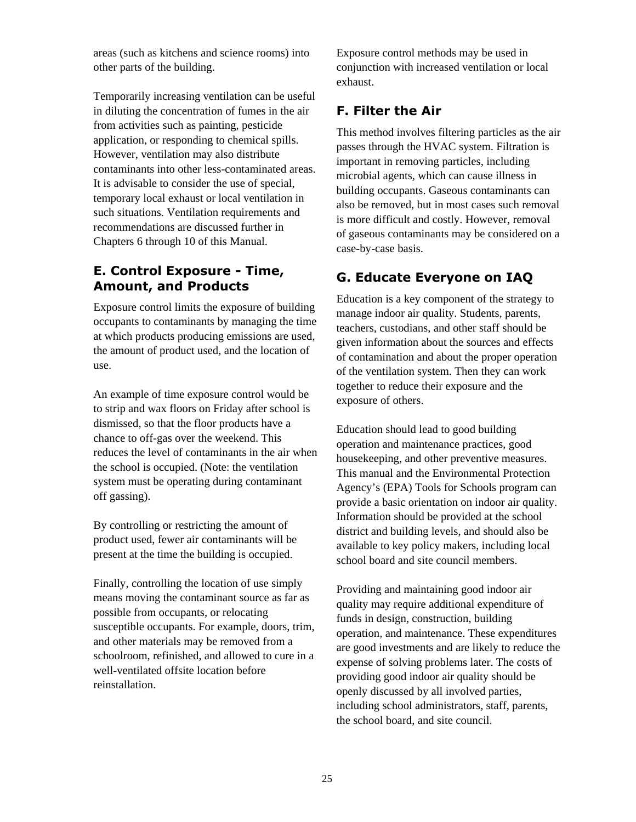<span id="page-33-0"></span>areas (such as kitchens and science rooms) into other parts of the building.

Temporarily increasing ventilation can be useful in diluting the concentration of fumes in the air from activities such as painting, pesticide application, or responding to chemical spills. However, ventilation may also distribute contaminants into other less-contaminated areas. It is advisable to consider the use of special, temporary local exhaust or local ventilation in such situations. Ventilation requirements and recommendations are discussed further in Chapters 6 through 10 of this Manual.

### **E. Control Exposure - Time, Amount, and Products**

Exposure control limits the exposure of building occupants to contaminants by managing the time at which products producing emissions are used, the amount of product used, and the location of use.

An example of time exposure control would be to strip and wax floors on Friday after school is dismissed, so that the floor products have a chance to off-gas over the weekend. This reduces the level of contaminants in the air when the school is occupied. (Note: the ventilation system must be operating during contaminant off gassing).

By controlling or restricting the amount of product used, fewer air contaminants will be present at the time the building is occupied.

Finally, controlling the location of use simply means moving the contaminant source as far as possible from occupants, or relocating susceptible occupants. For example, doors, trim, and other materials may be removed from a schoolroom, refinished, and allowed to cure in a well-ventilated offsite location before reinstallation.

Exposure control methods may be used in conjunction with increased ventilation or local exhaust.

## **F. Filter the Air**

This method involves filtering particles as the air passes through the HVAC system. Filtration is important in removing particles, including microbial agents, which can cause illness in building occupants. Gaseous contaminants can also be removed, but in most cases such removal is more difficult and costly. However, removal of gaseous contaminants may be considered on a case-by-case basis.

## **G. Educate Everyone on IAQ**

Education is a key component of the strategy to manage indoor air quality. Students, parents, teachers, custodians, and other staff should be given information about the sources and effects of contamination and about the proper operation of the ventilation system. Then they can work together to reduce their exposure and the exposure of others.

Education should lead to good building operation and maintenance practices, good housekeeping, and other preventive measures. This manual and the Environmental Protection Agency's (EPA) Tools for Schools program can provide a basic orientation on indoor air quality. Information should be provided at the school district and building levels, and should also be available to key policy makers, including local school board and site council members.

Providing and maintaining good indoor air quality may require additional expenditure of funds in design, construction, building operation, and maintenance. These expenditures are good investments and are likely to reduce the expense of solving problems later. The costs of providing good indoor air quality should be openly discussed by all involved parties, including school administrators, staff, parents, the school board, and site council.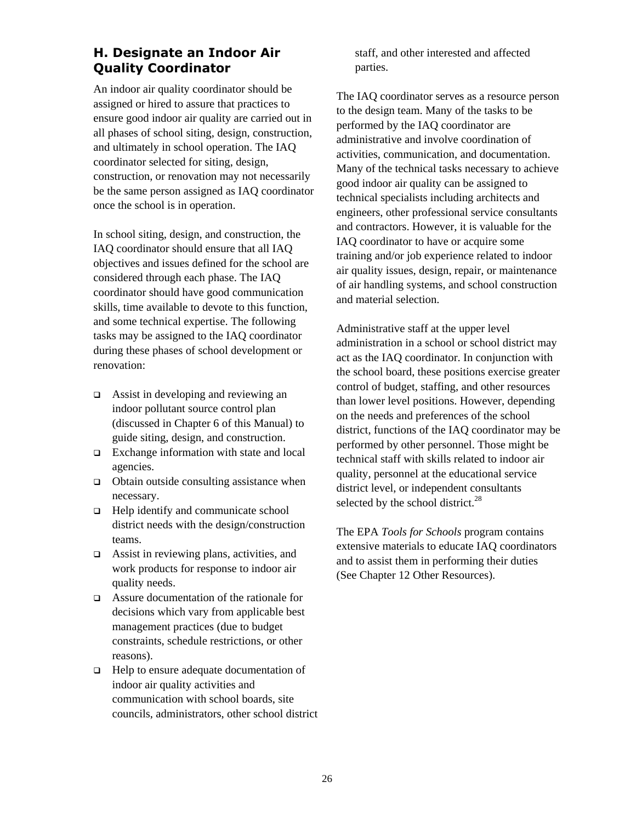### <span id="page-34-0"></span>**H. Designate an Indoor Air Quality Coordinator**

An indoor air quality coordinator should be assigned or hired to assure that practices to ensure good indoor air quality are carried out in all phases of school siting, design, construction, and ultimately in school operation. The IAQ coordinator selected for siting, design, construction, or renovation may not necessarily be the same person assigned as IAQ coordinator once the school is in operation.

In school siting, design, and construction, the IAQ coordinator should ensure that all IAQ objectives and issues defined for the school are considered through each phase. The IAQ coordinator should have good communication skills, time available to devote to this function, and some technical expertise. The following tasks may be assigned to the IAQ coordinator during these phases of school development or renovation:

- □ Assist in developing and reviewing an indoor pollutant source control plan (discussed in Chapter 6 of this Manual) to guide siting, design, and construction.
- □ Exchange information with state and local agencies.
- $\Box$  Obtain outside consulting assistance when necessary.
- $\Box$  Help identify and communicate school district needs with the design/construction teams.
- $\Box$  Assist in reviewing plans, activities, and work products for response to indoor air quality needs.
- Assure documentation of the rationale for decisions which vary from applicable best management practices (due to budget constraints, schedule restrictions, or other reasons).
- $\Box$  Help to ensure adequate documentation of indoor air quality activities and communication with school boards, site councils, administrators, other school district

staff, and other interested and affected parties.

The IAQ coordinator serves as a resource person to the design team. Many of the tasks to be performed by the IAQ coordinator are administrative and involve coordination of activities, communication, and documentation. Many of the technical tasks necessary to achieve good indoor air quality can be assigned to technical specialists including architects and engineers, other professional service consultants and contractors. However, it is valuable for the IAQ coordinator to have or acquire some training and/or job experience related to indoor air quality issues, design, repair, or maintenance of air handling systems, and school construction and material selection.

Administrative staff at the upper level administration in a school or school district may act as the IAQ coordinator. In conjunction with the school board, these positions exercise greater control of budget, staffing, and other resources than lower level positions. However, depending on the needs and preferences of the school district, functions of the IAQ coordinator may be performed by other personnel. Those might be technical staff with skills related to indoor air quality, personnel at the educational service district level, or independent consultants selected by the school district. $^{28}$  $^{28}$  $^{28}$ 

The EPA *Tools for Schools* program contains extensive materials to educate IAQ coordinators and to assist them in performing their duties (See Chapter 12 Other Resources).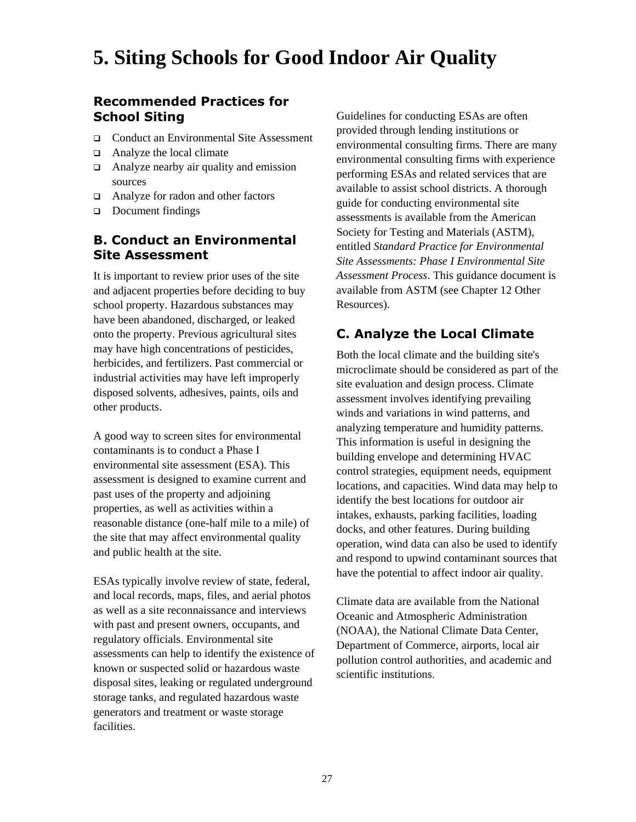## <span id="page-35-0"></span>**5. Siting Schools for Good Indoor Air Quality**

#### **Recommended Practices for School Siting**

- □ Conduct an Environmental Site Assessment
- $\Box$  Analyze the local climate
- $\Box$  Analyze nearby air quality and emission sources
- Analyze for radon and other factors
- Document findings

#### **B. Conduct an Environmental Site Assessment**

It is important to review prior uses of the site and adjacent properties before deciding to buy school property. Hazardous substances may have been abandoned, discharged, or leaked onto the property. Previous agricultural sites may have high concentrations of pesticides, herbicides, and fertilizers. Past commercial or industrial activities may have left improperly disposed solvents, adhesives, paints, oils and other products.

A good way to screen sites for environmental contaminants is to conduct a Phase I environmental site assessment (ESA). This assessment is designed to examine current and past uses of the property and adjoining properties, as well as activities within a reasonable distance (one-half mile to a mile) of the site that may affect environmental quality and public health at the site.

ESAs typically involve review of state, federal, and local records, maps, files, and aerial photos as well as a site reconnaissance and interviews with past and present owners, occupants, and regulatory officials. Environmental site assessments can help to identify the existence of known or suspected solid or hazardous waste disposal sites, leaking or regulated underground storage tanks, and regulated hazardous waste generators and treatment or waste storage facilities.

Guidelines for conducting ESAs are often provided through lending institutions or environmental consulting firms. There are many environmental consulting firms with experience performing ESAs and related services that are available to assist school districts. A thorough guide for conducting environmental site assessments is available from the American Society for Testing and Materials (ASTM), entitled *Standard Practice for Environmental Site Assessments: Phase I Environmental Site Assessment Process*. This guidance document is available from ASTM (see Chapter 12 Other Resources).

#### **C. Analyze the Local Climate**

Both the local climate and the building site's microclimate should be considered as part of the site evaluation and design process. Climate assessment involves identifying prevailing winds and variations in wind patterns, and analyzing temperature and humidity patterns. This information is useful in designing the building envelope and determining HVAC control strategies, equipment needs, equipment locations, and capacities. Wind data may help to identify the best locations for outdoor air intakes, exhausts, parking facilities, loading docks, and other features. During building operation, wind data can also be used to identify and respond to upwind contaminant sources that have the potential to affect indoor air quality.

Climate data are available from the National Oceanic and Atmospheric Administration (NOAA), the National Climate Data Center, Department of Commerce, airports, local air pollution control authorities, and academic and scientific institutions.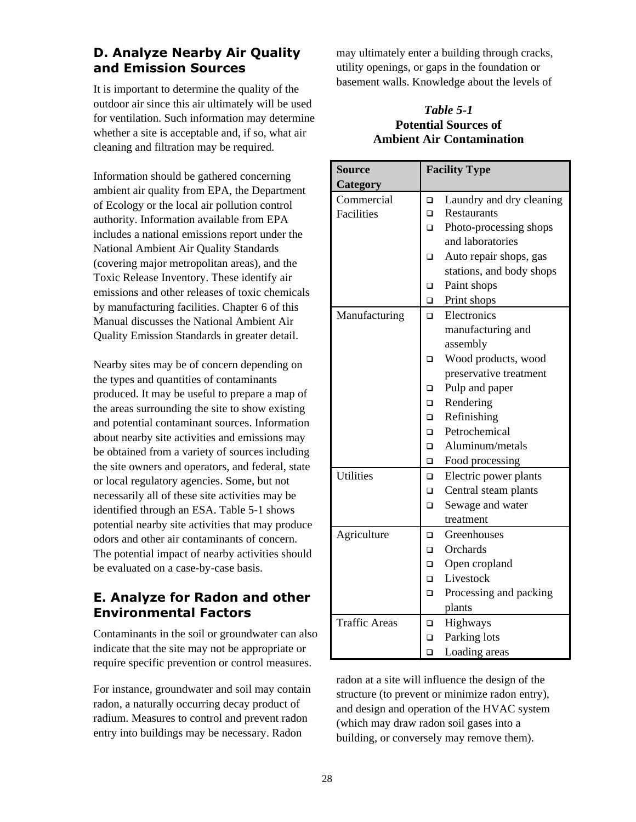# **D. Analyze Nearby Air Quality and Emission Sources**

It is important to determine the quality of the outdoor air since this air ultimately will be used for ventilation. Such information may determine whether a site is acceptable and, if so, what air cleaning and filtration may be required.

Information should be gathered concerning ambient air quality from EPA, the Department of Ecology or the local air pollution control authority. Information available from EPA includes a national emissions report under the National Ambient Air Quality Standards (covering major metropolitan areas), and the Toxic Release Inventory. These identify air emissions and other releases of toxic chemicals by manufacturing facilities. Chapter 6 of this Manual discusses the National Ambient Air Quality Emission Standards in greater detail.

Nearby sites may be of concern depending on the types and quantities of contaminants produced. It may be useful to prepare a map of the areas surrounding the site to show existing and potential contaminant sources. Information about nearby site activities and emissions may be obtained from a variety of sources including the site owners and operators, and federal, state or local regulatory agencies. Some, but not necessarily all of these site activities may be identified through an ESA. Table 5-1 shows potential nearby site activities that may produce odors and other air contaminants of concern. The potential impact of nearby activities should be evaluated on a case-by-case basis.

# **E. Analyze for Radon and other Environmental Factors**

Contaminants in the soil or groundwater can also indicate that the site may not be appropriate or require specific prevention or control measures.

For instance, groundwater and soil may contain radon, a naturally occurring decay product of radium. Measures to control and prevent radon entry into buildings may be necessary. Radon

may ultimately enter a building through cracks, utility openings, or gaps in the foundation or basement walls. Knowledge about the levels of

### *Table 5-1*  **Potential Sources of Ambient Air Contamination**

| <b>Source</b>        | <b>Facility Type</b> |                          |  |
|----------------------|----------------------|--------------------------|--|
| Category             |                      |                          |  |
| Commercial           | $\Box$               | Laundry and dry cleaning |  |
| <b>Facilities</b>    | $\Box$               | <b>Restaurants</b>       |  |
|                      | $\Box$               | Photo-processing shops   |  |
|                      |                      | and laboratories         |  |
|                      | $\Box$               | Auto repair shops, gas   |  |
|                      |                      | stations, and body shops |  |
|                      | o.                   | Paint shops              |  |
|                      | $\Box$               | Print shops              |  |
| Manufacturing        | $\Box$               | Electronics              |  |
|                      |                      | manufacturing and        |  |
|                      |                      | assembly                 |  |
|                      | $\Box$               | Wood products, wood      |  |
|                      |                      | preservative treatment   |  |
|                      | □                    | Pulp and paper           |  |
|                      | $\Box$               | Rendering                |  |
|                      | $\Box$               | Refinishing              |  |
|                      | $\Box$               | Petrochemical            |  |
|                      | $\Box$               | Aluminum/metals          |  |
|                      | o.                   | Food processing          |  |
| <b>Utilities</b>     | o.                   | Electric power plants    |  |
|                      | o.                   | Central steam plants     |  |
|                      | $\Box$               | Sewage and water         |  |
|                      |                      | treatment                |  |
| Agriculture          | $\Box$               | Greenhouses              |  |
|                      | $\Box$               | Orchards                 |  |
|                      | $\Box$               | Open cropland            |  |
|                      | o.                   | Livestock                |  |
|                      | $\Box$               | Processing and packing   |  |
|                      |                      | plants                   |  |
| <b>Traffic Areas</b> | o                    | Highways                 |  |
|                      | O                    | Parking lots             |  |
|                      | $\Box$               | Loading areas            |  |

radon at a site will influence the design of the structure (to prevent or minimize radon entry), and design and operation of the HVAC system (which may draw radon soil gases into a building, or conversely may remove them).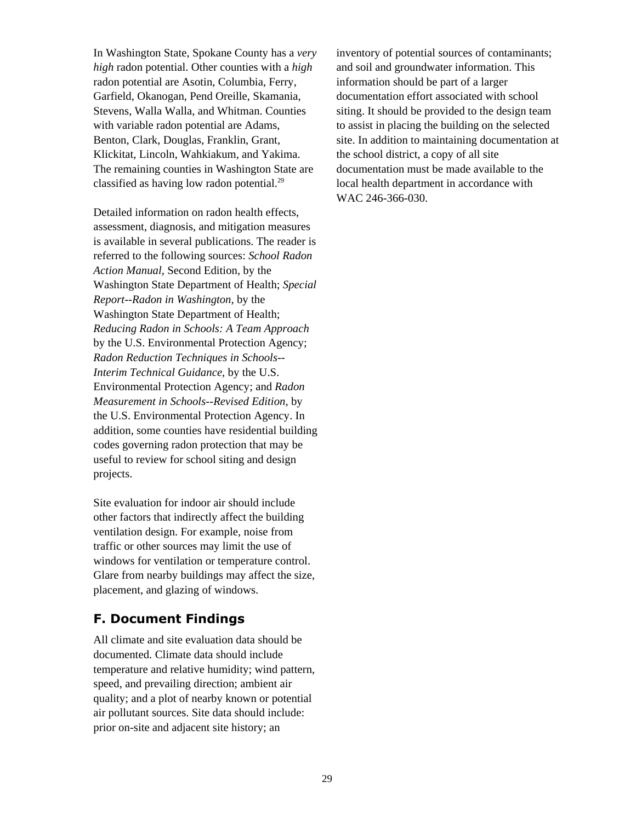In Washington State, Spokane County has a *very high* radon potential. Other counties with a *high* radon potential are Asotin, Columbia, Ferry, Garfield, Okanogan, Pend Oreille, Skamania, Stevens, Walla Walla, and Whitman. Counties with variable radon potential are Adams, Benton, Clark, Douglas, Franklin, Grant, Klickitat, Lincoln, Wahkiakum, and Yakima. The remaining counties in Washington State are classified as having low radon potential. $^{29}$ 

Detailed information on radon health effects, assessment, diagnosis, and mitigation measures is available in several publications. The reader is referred to the following sources: *School Radon Action Manual*, Second Edition, by the Washington State Department of Health; *Special Report--Radon in Washington*, by the Washington State Department of Health; *Reducing Radon in Schools: A Team Approach* by the U.S. Environmental Protection Agency; *Radon Reduction Techniques in Schools-- Interim Technical Guidance*, by the U.S. Environmental Protection Agency; and *Radon Measurement in Schools--Revised Edition*, by the U.S. Environmental Protection Agency. In addition, some counties have residential building codes governing radon protection that may be useful to review for school siting and design projects.

Site evaluation for indoor air should include other factors that indirectly affect the building ventilation design. For example, noise from traffic or other sources may limit the use of windows for ventilation or temperature control. Glare from nearby buildings may affect the size, placement, and glazing of windows.

## **F. Document Findings**

All climate and site evaluation data should be documented. Climate data should include temperature and relative humidity; wind pattern, speed, and prevailing direction; ambient air quality; and a plot of nearby known or potential air pollutant sources. Site data should include: prior on-site and adjacent site history; an

inventory of potential sources of contaminants; and soil and groundwater information. This information should be part of a larger documentation effort associated with school siting. It should be provided to the design team to assist in placing the building on the selected site. In addition to maintaining documentation at the school district, a copy of all site documentation must be made available to the local health department in accordance with WAC 246-366-030.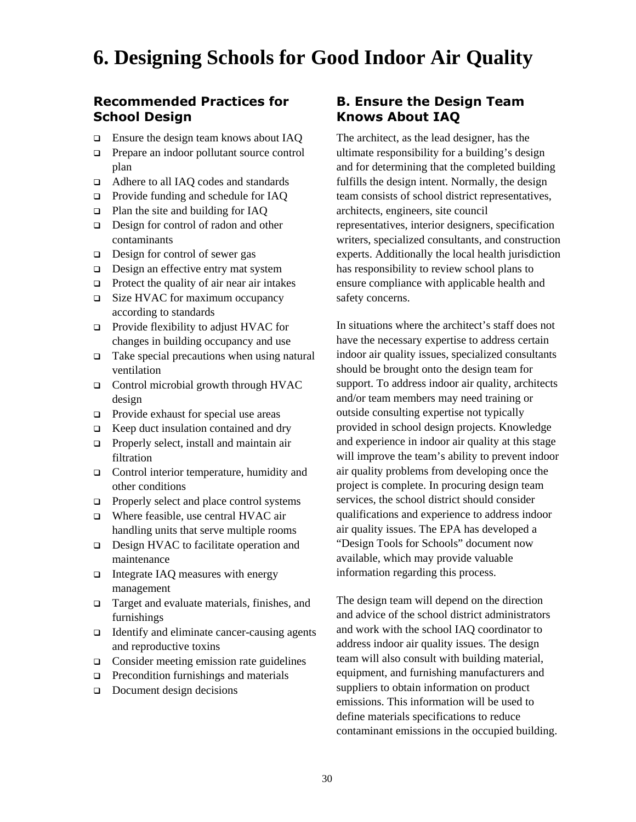# **6. Designing Schools for Good Indoor Air Quality**

### **Recommended Practices for School Design**

- **Ensure the design team knows about IAQ**
- **Prepare an indoor pollutant source control** plan
- □ Adhere to all IAQ codes and standards
- □ Provide funding and schedule for IAQ
- □ Plan the site and building for IAQ
- □ Design for control of radon and other contaminants
- $\Box$  Design for control of sewer gas
- Design an effective entry mat system
- $\Box$  Protect the quality of air near air intakes
- □ Size HVAC for maximum occupancy according to standards
- □ Provide flexibility to adjust HVAC for changes in building occupancy and use
- $\Box$  Take special precautions when using natural ventilation
- □ Control microbial growth through HVAC design
- $\Box$  Provide exhaust for special use areas
- $\Box$  Keep duct insulation contained and dry
- **Properly select, install and maintain air** filtration
- $\Box$  Control interior temperature, humidity and other conditions
- $\Box$  Properly select and place control systems
- □ Where feasible, use central HVAC air handling units that serve multiple rooms
- □ Design HVAC to facilitate operation and maintenance
- $\Box$  Integrate IAQ measures with energy management
- □ Target and evaluate materials, finishes, and furnishings
- $\Box$  Identify and eliminate cancer-causing agents and reproductive toxins
- □ Consider meeting emission rate guidelines
- $\Box$  Precondition furnishings and materials
- Document design decisions

## **B. Ensure the Design Team Knows About IAQ**

The architect, as the lead designer, has the ultimate responsibility for a building's design and for determining that the completed building fulfills the design intent. Normally, the design team consists of school district representatives, architects, engineers, site council representatives, interior designers, specification writers, specialized consultants, and construction experts. Additionally the local health jurisdiction has responsibility to review school plans to ensure compliance with applicable health and safety concerns.

In situations where the architect's staff does not have the necessary expertise to address certain indoor air quality issues, specialized consultants should be brought onto the design team for support. To address indoor air quality, architects and/or team members may need training or outside consulting expertise not typically provided in school design projects. Knowledge and experience in indoor air quality at this stage will improve the team's ability to prevent indoor air quality problems from developing once the project is complete. In procuring design team services, the school district should consider qualifications and experience to address indoor air quality issues. The EPA has developed a "Design Tools for Schools" document now available, which may provide valuable information regarding this process.

The design team will depend on the direction and advice of the school district administrators and work with the school IAQ coordinator to address indoor air quality issues. The design team will also consult with building material, equipment, and furnishing manufacturers and suppliers to obtain information on product emissions. This information will be used to define materials specifications to reduce contaminant emissions in the occupied building.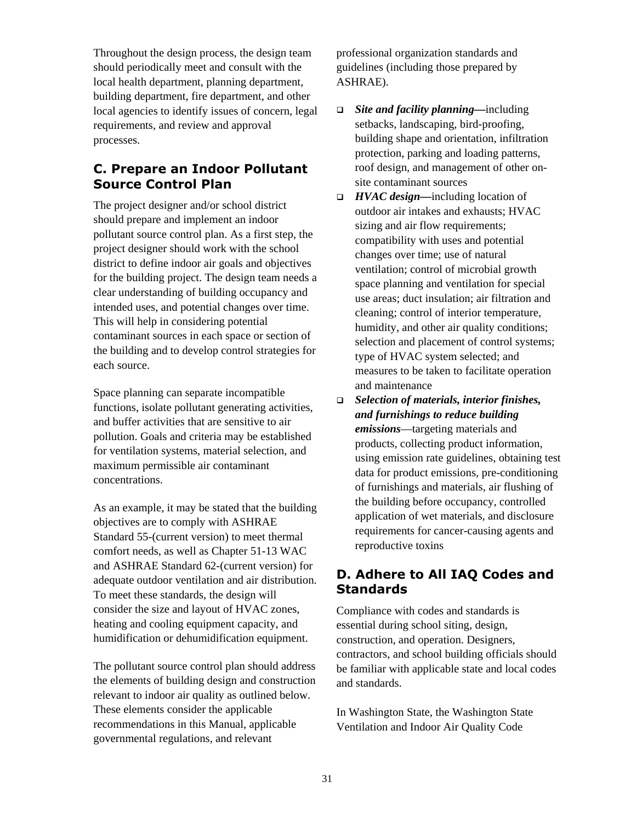Throughout the design process, the design team should periodically meet and consult with the local health department, planning department, building department, fire department, and other local agencies to identify issues of concern, legal requirements, and review and approval processes.

## **C. Prepare an Indoor Pollutant Source Control Plan**

The project designer and/or school district should prepare and implement an indoor pollutant source control plan. As a first step, the project designer should work with the school district to define indoor air goals and objectives for the building project. The design team needs a clear understanding of building occupancy and intended uses, and potential changes over time. This will help in considering potential contaminant sources in each space or section of the building and to develop control strategies for each source.

Space planning can separate incompatible functions, isolate pollutant generating activities, and buffer activities that are sensitive to air pollution. Goals and criteria may be established for ventilation systems, material selection, and maximum permissible air contaminant concentrations.

As an example, it may be stated that the building objectives are to comply with ASHRAE Standard 55-(current version) to meet thermal comfort needs, as well as Chapter 51-13 WAC and ASHRAE Standard 62-(current version) for adequate outdoor ventilation and air distribution. To meet these standards, the design will consider the size and layout of HVAC zones, heating and cooling equipment capacity, and humidification or dehumidification equipment.

The pollutant source control plan should address the elements of building design and construction relevant to indoor air quality as outlined below. These elements consider the applicable recommendations in this Manual, applicable governmental regulations, and relevant

professional organization standards and guidelines (including those prepared by ASHRAE).

- *Site and facility planning—*including setbacks, landscaping, bird-proofing, building shape and orientation, infiltration protection, parking and loading patterns, roof design, and management of other onsite contaminant sources
- *HVAC design—*including location of outdoor air intakes and exhausts; HVAC sizing and air flow requirements; compatibility with uses and potential changes over time; use of natural ventilation; control of microbial growth space planning and ventilation for special use areas; duct insulation; air filtration and cleaning; control of interior temperature, humidity, and other air quality conditions; selection and placement of control systems; type of HVAC system selected; and measures to be taken to facilitate operation and maintenance
- *Selection of materials, interior finishes, and furnishings to reduce building emissions*—targeting materials and products, collecting product information, using emission rate guidelines, obtaining test data for product emissions, pre-conditioning of furnishings and materials, air flushing of the building before occupancy, controlled application of wet materials, and disclosure requirements for cancer-causing agents and reproductive toxins

# **D. Adhere to All IAQ Codes and Standards**

Compliance with codes and standards is essential during school siting, design, construction, and operation. Designers, contractors, and school building officials should be familiar with applicable state and local codes and standards.

In Washington State, the Washington State Ventilation and Indoor Air Quality Code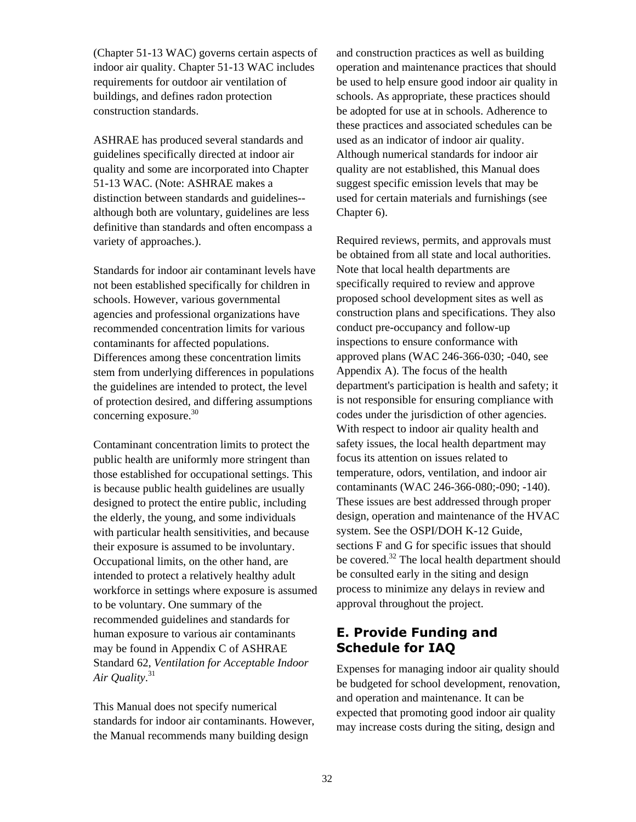(Chapter 51-13 WAC) governs certain aspects of indoor air quality. Chapter 51-13 WAC includes requirements for outdoor air ventilation of buildings, and defines radon protection construction standards.

ASHRAE has produced several standards and guidelines specifically directed at indoor air quality and some are incorporated into Chapter 51-13 WAC. (Note: ASHRAE makes a distinction between standards and guidelines- although both are voluntary, guidelines are less definitive than standards and often encompass a variety of approaches.).

Standards for indoor air contaminant levels have not been established specifically for children in schools. However, various governmental agencies and professional organizations have recommended concentration limits for various contaminants for affected populations. Differences among these concentration limits stem from underlying differences in populations the guidelines are intended to protect, the level of protection desired, and differing assumptions concerning exposure. $30$ 

Contaminant concentration limits to protect the public health are uniformly more stringent than those established for occupational settings. This is because public health guidelines are usually designed to protect the entire public, including the elderly, the young, and some individuals with particular health sensitivities, and because their exposure is assumed to be involuntary. Occupational limits, on the other hand, are intended to protect a relatively healthy adult workforce in settings where exposure is assumed to be voluntary. One summary of the recommended guidelines and standards for human exposure to various air contaminants may be found in Appendix C of ASHRAE Standard 62, *Ventilation for Acceptable Indoor Air Quality*. [31](#page-134-2) 

This Manual does not specify numerical standards for indoor air contaminants. However, the Manual recommends many building design

and construction practices as well as building operation and maintenance practices that should be used to help ensure good indoor air quality in schools. As appropriate, these practices should be adopted for use at in schools. Adherence to these practices and associated schedules can be used as an indicator of indoor air quality. Although numerical standards for indoor air quality are not established, this Manual does suggest specific emission levels that may be used for certain materials and furnishings (see Chapter 6).

Required reviews, permits, and approvals must be obtained from all state and local authorities. Note that local health departments are specifically required to review and approve proposed school development sites as well as construction plans and specifications. They also conduct pre-occupancy and follow-up inspections to ensure conformance with approved plans (WAC 246-366-030; -040, see Appendix A). The focus of the health department's participation is health and safety; it is not responsible for ensuring compliance with codes under the jurisdiction of other agencies. With respect to indoor air quality health and safety issues, the local health department may focus its attention on issues related to temperature, odors, ventilation, and indoor air contaminants (WAC 246-366-080;-090; -140). These issues are best addressed through proper design, operation and maintenance of the HVAC system. See the OSPI/DOH K-12 Guide, sections F and G for specific issues that should be covered.<sup>32</sup> The local health department should be consulted early in the siting and design process to minimize any delays in review and approval throughout the project.

# **E. Provide Funding and Schedule for IAQ**

Expenses for managing indoor air quality should be budgeted for school development, renovation, and operation and maintenance. It can be expected that promoting good indoor air quality may increase costs during the siting, design and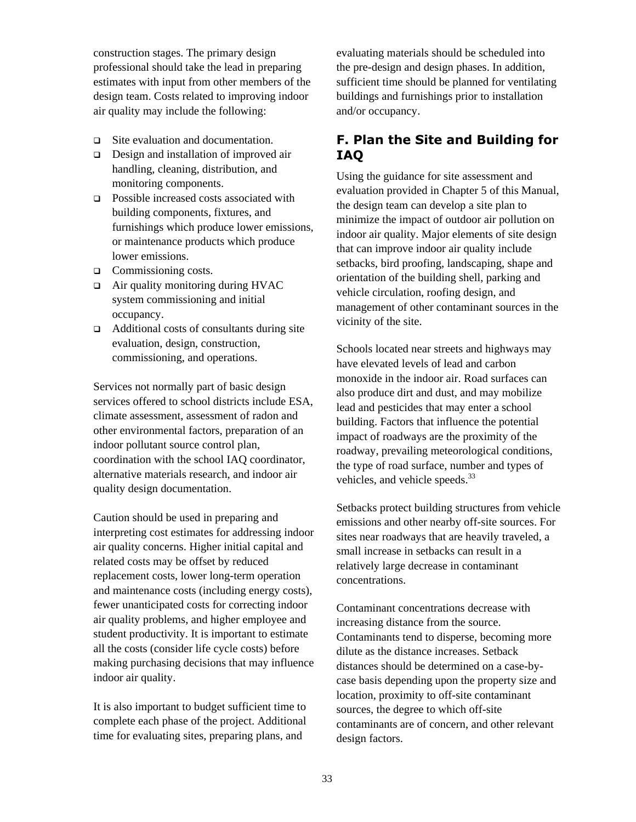construction stages. The primary design professional should take the lead in preparing estimates with input from other members of the design team. Costs related to improving indoor air quality may include the following:

- Site evaluation and documentation.
- □ Design and installation of improved air handling, cleaning, distribution, and monitoring components.
- □ Possible increased costs associated with building components, fixtures, and furnishings which produce lower emissions, or maintenance products which produce lower emissions.
- □ Commissioning costs.
- □ Air quality monitoring during HVAC system commissioning and initial occupancy.
- $\Box$  Additional costs of consultants during site evaluation, design, construction, commissioning, and operations.

Services not normally part of basic design services offered to school districts include ESA, climate assessment, assessment of radon and other environmental factors, preparation of an indoor pollutant source control plan, coordination with the school IAQ coordinator, alternative materials research, and indoor air quality design documentation.

Caution should be used in preparing and interpreting cost estimates for addressing indoor air quality concerns. Higher initial capital and related costs may be offset by reduced replacement costs, lower long-term operation and maintenance costs (including energy costs), fewer unanticipated costs for correcting indoor air quality problems, and higher employee and student productivity. It is important to estimate all the costs (consider life cycle costs) before making purchasing decisions that may influence indoor air quality.

It is also important to budget sufficient time to complete each phase of the project. Additional time for evaluating sites, preparing plans, and

evaluating materials should be scheduled into the pre-design and design phases. In addition, sufficient time should be planned for ventilating buildings and furnishings prior to installation and/or occupancy.

# **F. Plan the Site and Building for IAQ**

Using the guidance for site assessment and evaluation provided in Chapter 5 of this Manual, the design team can develop a site plan to minimize the impact of outdoor air pollution on indoor air quality. Major elements of site design that can improve indoor air quality include setbacks, bird proofing, landscaping, shape and orientation of the building shell, parking and vehicle circulation, roofing design, and management of other contaminant sources in the vicinity of the site.

Schools located near streets and highways may have elevated levels of lead and carbon monoxide in the indoor air. Road surfaces can also produce dirt and dust, and may mobilize lead and pesticides that may enter a school building. Factors that influence the potential impact of roadways are the proximity of the roadway, prevailing meteorological conditions, the type of road surface, number and types of vehicles, and vehicle speeds.<sup>[33](#page-134-4)</sup>

Setbacks protect building structures from vehicle emissions and other nearby off-site sources. For sites near roadways that are heavily traveled, a small increase in setbacks can result in a relatively large decrease in contaminant concentrations.

Contaminant concentrations decrease with increasing distance from the source. Contaminants tend to disperse, becoming more dilute as the distance increases. Setback distances should be determined on a case-bycase basis depending upon the property size and location, proximity to off-site contaminant sources, the degree to which off-site contaminants are of concern, and other relevant design factors.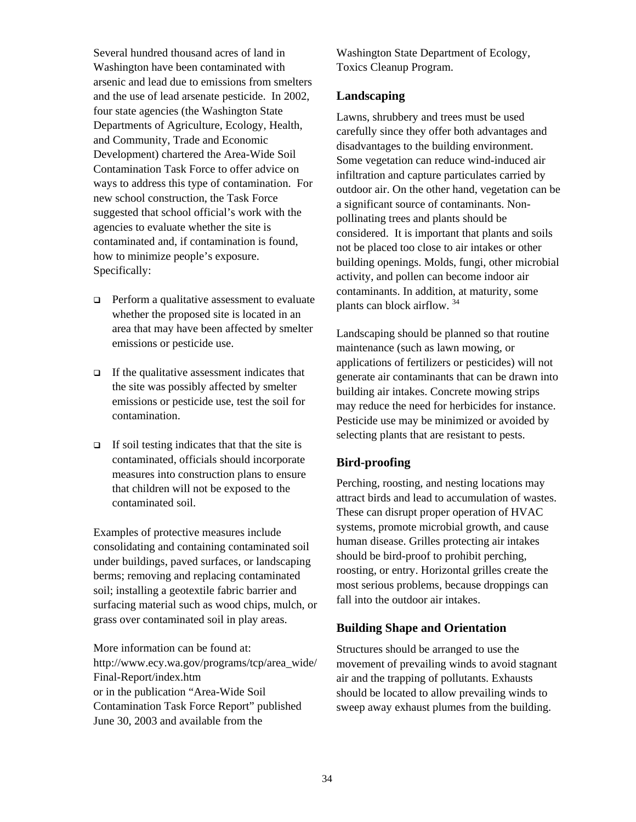Several hundred thousand acres of land in Washington have been contaminated with arsenic and lead due to emissions from smelters and the use of lead arsenate pesticide. In 2002, four state agencies (the Washington State Departments of Agriculture, Ecology, Health, and Community, Trade and Economic Development) chartered the Area-Wide Soil Contamination Task Force to offer advice on ways to address this type of contamination. For new school construction, the Task Force suggested that school official's work with the agencies to evaluate whether the site is contaminated and, if contamination is found, how to minimize people's exposure. Specifically:

- $\Box$  Perform a qualitative assessment to evaluate whether the proposed site is located in an area that may have been affected by smelter emissions or pesticide use.
- $\Box$  If the qualitative assessment indicates that the site was possibly affected by smelter emissions or pesticide use, test the soil for contamination.
- $\Box$  If soil testing indicates that that the site is contaminated, officials should incorporate measures into construction plans to ensure that children will not be exposed to the contaminated soil.

Examples of protective measures include consolidating and containing contaminated soil under buildings, paved surfaces, or landscaping berms; removing and replacing contaminated soil; installing a geotextile fabric barrier and surfacing material such as wood chips, mulch, or grass over contaminated soil in play areas.

More information can be found at: http://www.ecy.wa.gov/programs/tcp/area\_wide/ Final-Report/index.htm or in the publication "Area-Wide Soil Contamination Task Force Report" published June 30, 2003 and available from the

Washington State Department of Ecology, Toxics Cleanup Program.

### **Landscaping**

Lawns, shrubbery and trees must be used carefully since they offer both advantages and disadvantages to the building environment. Some vegetation can reduce wind-induced air infiltration and capture particulates carried by outdoor air. On the other hand, vegetation can be a significant source of contaminants. Nonpollinating trees and plants should be considered. It is important that plants and soils not be placed too close to air intakes or other building openings. Molds, fungi, other microbial activity, and pollen can become indoor air contaminants. In addition, at maturity, some plants can block airflow. [34](#page-134-5) 

Landscaping should be planned so that routine maintenance (such as lawn mowing, or applications of fertilizers or pesticides) will not generate air contaminants that can be drawn into building air intakes. Concrete mowing strips may reduce the need for herbicides for instance. Pesticide use may be minimized or avoided by selecting plants that are resistant to pests.

### **Bird-proofing**

Perching, roosting, and nesting locations may attract birds and lead to accumulation of wastes. These can disrupt proper operation of HVAC systems, promote microbial growth, and cause human disease. Grilles protecting air intakes should be bird-proof to prohibit perching, roosting, or entry. Horizontal grilles create the most serious problems, because droppings can fall into the outdoor air intakes.

### **Building Shape and Orientation**

Structures should be arranged to use the movement of prevailing winds to avoid stagnant air and the trapping of pollutants. Exhausts should be located to allow prevailing winds to sweep away exhaust plumes from the building.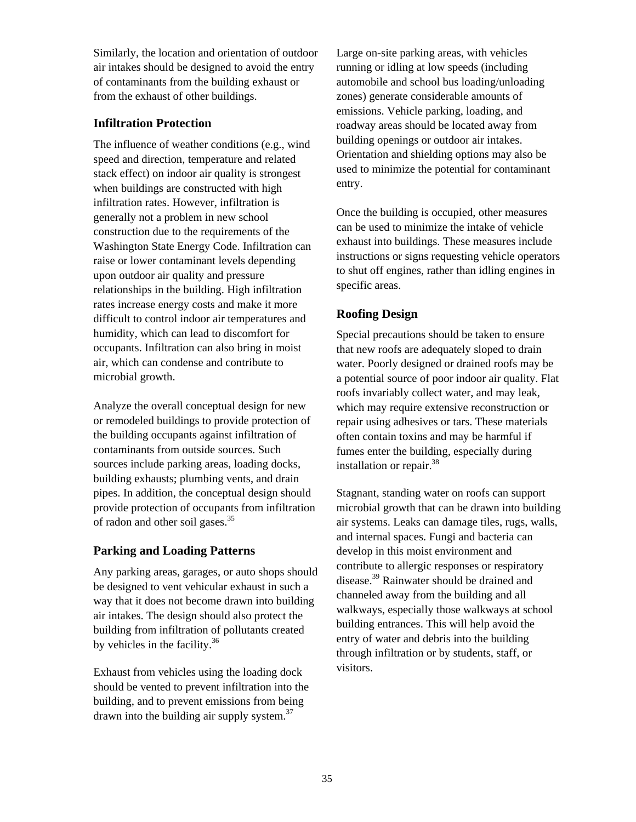Similarly, the location and orientation of outdoor air intakes should be designed to avoid the entry of contaminants from the building exhaust or from the exhaust of other buildings.

### **Infiltration Protection**

The influence of weather conditions (e.g., wind speed and direction, temperature and related stack effect) on indoor air quality is strongest when buildings are constructed with high infiltration rates. However, infiltration is generally not a problem in new school construction due to the requirements of the Washington State Energy Code. Infiltration can raise or lower contaminant levels depending upon outdoor air quality and pressure relationships in the building. High infiltration rates increase energy costs and make it more difficult to control indoor air temperatures and humidity, which can lead to discomfort for occupants. Infiltration can also bring in moist air, which can condense and contribute to microbial growth.

Analyze the overall conceptual design for new or remodeled buildings to provide protection of the building occupants against infiltration of contaminants from outside sources. Such sources include parking areas, loading docks, building exhausts; plumbing vents, and drain pipes. In addition, the conceptual design should provide protection of occupants from infiltration of radon and other soil gases.[35](#page-134-6) 

### **Parking and Loading Patterns**

Any parking areas, garages, or auto shops should be designed to vent vehicular exhaust in such a way that it does not become drawn into building air intakes. The design should also protect the building from infiltration of pollutants created by vehicles in the facility. $36$ 

Exhaust from vehicles using the loading dock should be vented to prevent infiltration into the building, and to prevent emissions from being drawn into the building air supply system.[37](#page-134-8) 

Large on-site parking areas, with vehicles running or idling at low speeds (including automobile and school bus loading/unloading zones) generate considerable amounts of emissions. Vehicle parking, loading, and roadway areas should be located away from building openings or outdoor air intakes. Orientation and shielding options may also be used to minimize the potential for contaminant entry.

Once the building is occupied, other measures can be used to minimize the intake of vehicle exhaust into buildings. These measures include instructions or signs requesting vehicle operators to shut off engines, rather than idling engines in specific areas.

## **Roofing Design**

Special precautions should be taken to ensure that new roofs are adequately sloped to drain water. Poorly designed or drained roofs may be a potential source of poor indoor air quality. Flat roofs invariably collect water, and may leak, which may require extensive reconstruction or repair using adhesives or tars. These materials often contain toxins and may be harmful if fumes enter the building, especially during installation or repair.<sup>[38](#page-134-9)</sup>

Stagnant, standing water on roofs can support microbial growth that can be drawn into building air systems. Leaks can damage tiles, rugs, walls, and internal spaces. Fungi and bacteria can develop in this moist environment and contribute to allergic responses or respiratory disease.<sup>39</sup> Rainwater should be drained and channeled away from the building and all walkways, especially those walkways at school building entrances. This will help avoid the entry of water and debris into the building through infiltration or by students, staff, or visitors.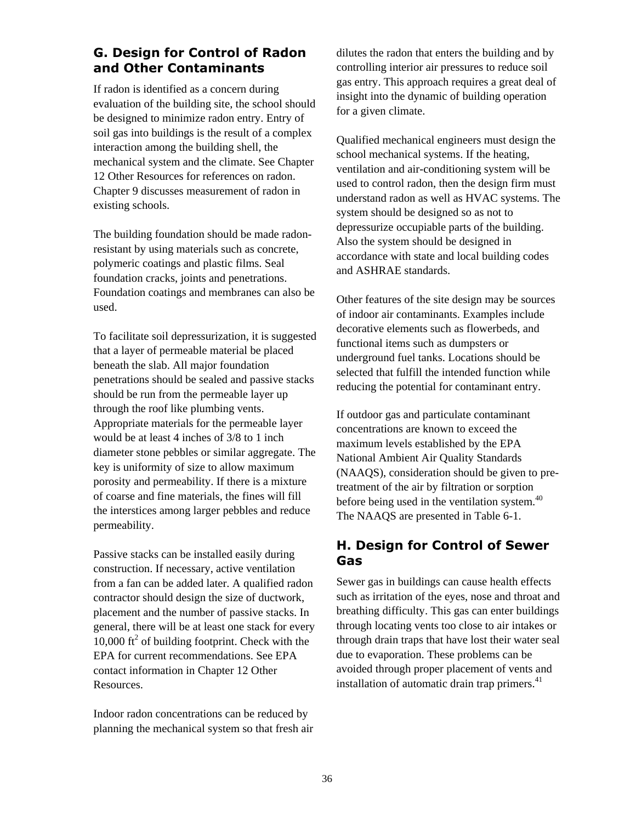# **G. Design for Control of Radon and Other Contaminants**

If radon is identified as a concern during evaluation of the building site, the school should be designed to minimize radon entry. Entry of soil gas into buildings is the result of a complex interaction among the building shell, the mechanical system and the climate. See Chapter 12 Other Resources for references on radon. Chapter 9 discusses measurement of radon in existing schools.

The building foundation should be made radonresistant by using materials such as concrete, polymeric coatings and plastic films. Seal foundation cracks, joints and penetrations. Foundation coatings and membranes can also be used.

To facilitate soil depressurization, it is suggested that a layer of permeable material be placed beneath the slab. All major foundation penetrations should be sealed and passive stacks should be run from the permeable layer up through the roof like plumbing vents. Appropriate materials for the permeable layer would be at least 4 inches of 3/8 to 1 inch diameter stone pebbles or similar aggregate. The key is uniformity of size to allow maximum porosity and permeability. If there is a mixture of coarse and fine materials, the fines will fill the interstices among larger pebbles and reduce permeability.

Passive stacks can be installed easily during construction. If necessary, active ventilation from a fan can be added later. A qualified radon contractor should design the size of ductwork, placement and the number of passive stacks. In general, there will be at least one stack for every  $10,000$  ft<sup>2</sup> of building footprint. Check with the EPA for current recommendations. See EPA contact information in Chapter 12 Other Resources.

Indoor radon concentrations can be reduced by planning the mechanical system so that fresh air dilutes the radon that enters the building and by controlling interior air pressures to reduce soil gas entry. This approach requires a great deal of insight into the dynamic of building operation for a given climate.

Qualified mechanical engineers must design the school mechanical systems. If the heating, ventilation and air-conditioning system will be used to control radon, then the design firm must understand radon as well as HVAC systems. The system should be designed so as not to depressurize occupiable parts of the building. Also the system should be designed in accordance with state and local building codes and ASHRAE standards.

Other features of the site design may be sources of indoor air contaminants. Examples include decorative elements such as flowerbeds, and functional items such as dumpsters or underground fuel tanks. Locations should be selected that fulfill the intended function while reducing the potential for contaminant entry.

If outdoor gas and particulate contaminant concentrations are known to exceed the maximum levels established by the EPA National Ambient Air Quality Standards (NAAQS), consideration should be given to pretreatment of the air by filtration or sorption before being used in the ventilation system.<sup>40</sup> The NAAQS are presented in Table 6-1.

# **H. Design for Control of Sewer Gas**

Sewer gas in buildings can cause health effects such as irritation of the eyes, nose and throat and breathing difficulty. This gas can enter buildings through locating vents too close to air intakes or through drain traps that have lost their water seal due to evaporation. These problems can be avoided through proper placement of vents and installation of automatic drain trap primers.<sup>[41](#page-134-12)</sup>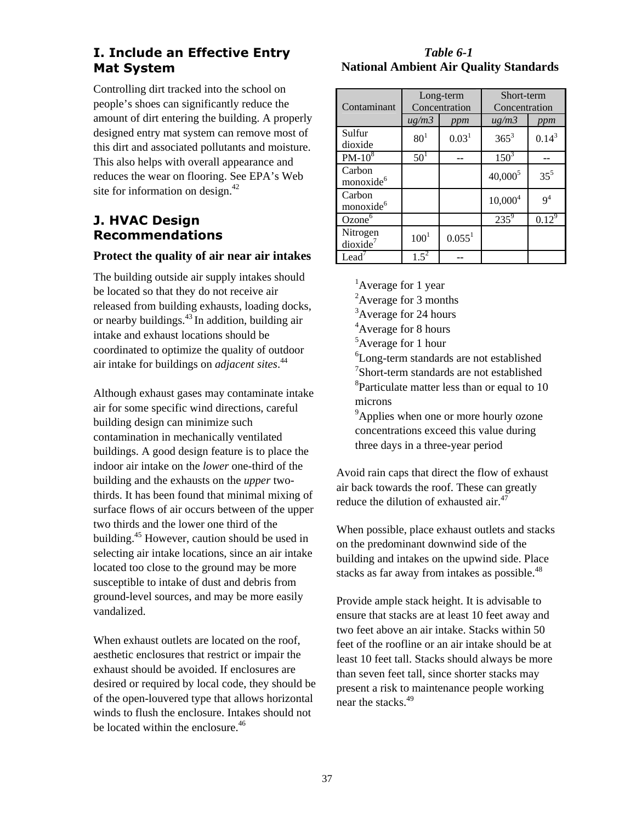# **I. Include an Effective Entry Mat System**

Controlling dirt tracked into the school on people's shoes can significantly reduce the amount of dirt entering the building. A properly designed entry mat system can remove most of this dirt and associated pollutants and moisture. This also helps with overall appearance and reduces the wear on flooring. See EPA's Web site for information on design.<sup>[42](#page-134-13)</sup>

# **J. HVAC Design Recommendations**

### **Protect the quality of air near air intakes**

The building outside air supply intakes should be located so that they do not receive air released from building exhausts, loading docks, or nearby buildings. $43$  In addition, building air intake and exhaust locations should be coordinated to optimize the quality of outdoor air intake for buildings on *adjacent sites*. [44](#page-134-15) 

Although exhaust gases may contaminate intake air for some specific wind directions, careful building design can minimize such contamination in mechanically ventilated buildings. A good design feature is to place the indoor air intake on the *lower* one-third of the building and the exhausts on the *upper* twothirds. It has been found that minimal mixing of surface flows of air occurs between of the upper two thirds and the lower one third of the building.[45](#page-134-16) However, caution should be used in selecting air intake locations, since an air intake located too close to the ground may be more susceptible to intake of dust and debris from ground-level sources, and may be more easily vandalized.

When exhaust outlets are located on the roof, aesthetic enclosures that restrict or impair the exhaust should be avoided. If enclosures are desired or required by local code, they should be of the open-louvered type that allows horizontal winds to flush the enclosure. Intakes should not be located within the enclosure  $46$ 

### *Table 6-1*   **National Ambient Air Quality Standards**

| Contaminant                      | Long-term<br>Concentration |                    | Short-term<br>Concentration |                |
|----------------------------------|----------------------------|--------------------|-----------------------------|----------------|
|                                  | $\mu$ g/m $\lambda$        | ppm                | $\mu$ g/m $\lambda$         | ppm            |
| Sulfur<br>dioxide                | 80 <sup>1</sup>            | $0.03^{1}$         | $365^3$                     | $0.14^3$       |
| $PM-108$                         | 50 <sup>1</sup>            |                    | $150^3$                     |                |
| Carbon<br>monoxide <sup>6</sup>  |                            |                    | $40,000^5$                  | $35^5$         |
| Carbon<br>monoxide <sup>6</sup>  |                            |                    | $10,000^4$                  | 9 <sup>4</sup> |
| Ozone <sup>6</sup>               |                            |                    | $235^9$                     | $0.12^{9}$     |
| Nitrogen<br>dioxide <sup>7</sup> | $100^{1}$                  | 0.055 <sup>1</sup> |                             |                |
| $\text{Lead}^7$                  | $1.5^{2}$                  |                    |                             |                |

<sup>1</sup>Average for 1 year

<sup>2</sup>Average for 3 months

<sup>3</sup>Average for 24 hours

- <sup>4</sup>Average for 8 hours
- <sup>5</sup>Average for 1 hour

6 Long-term standards are not established 7 Short-term standards are not established <sup>8</sup>Particulate matter less than or equal to 10 microns

<sup>9</sup>Applies when one or more hourly ozone concentrations exceed this value during three days in a three-year period

Avoid rain caps that direct the flow of exhaust air back towards the roof. These can greatly reduce the dilution of exhausted air. $47$ 

When possible, place exhaust outlets and stacks on the predominant downwind side of the building and intakes on the upwind side. Place stacks as far away from intakes as possible.<sup>[48](#page-134-18)</sup>

Provide ample stack height. It is advisable to ensure that stacks are at least 10 feet away and two feet above an air intake. Stacks within 50 feet of the roofline or an air intake should be at least 10 feet tall. Stacks should always be more than seven feet tall, since shorter stacks may present a risk to maintenance people working near the stacks<sup>[49](#page-134-19)</sup>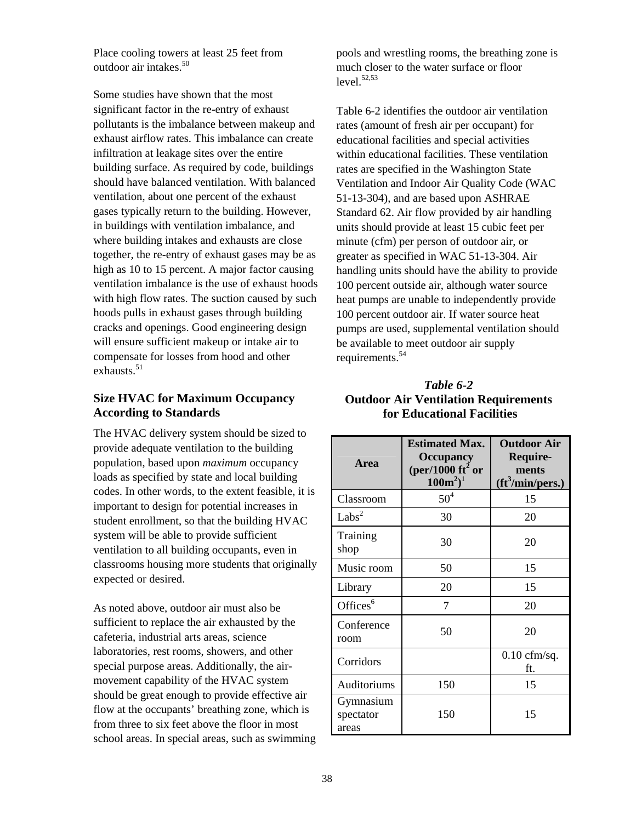Place cooling towers at least 25 feet from outdoor air intakes. $50$ 

Some studies have shown that the most significant factor in the re-entry of exhaust pollutants is the imbalance between makeup and exhaust airflow rates. This imbalance can create infiltration at leakage sites over the entire building surface. As required by code, buildings should have balanced ventilation. With balanced ventilation, about one percent of the exhaust gases typically return to the building. However, in buildings with ventilation imbalance, and where building intakes and exhausts are close together, the re-entry of exhaust gases may be as high as 10 to 15 percent. A major factor causing ventilation imbalance is the use of exhaust hoods with high flow rates. The suction caused by such hoods pulls in exhaust gases through building cracks and openings. Good engineering design will ensure sufficient makeup or intake air to compensate for losses from hood and other exhausts  $51$ 

### **Size HVAC for Maximum Occupancy According to Standards**

The HVAC delivery system should be sized to provide adequate ventilation to the building population, based upon *maximum* occupancy loads as specified by state and local building codes. In other words, to the extent feasible, it is important to design for potential increases in student enrollment, so that the building HVAC system will be able to provide sufficient ventilation to all building occupants, even in classrooms housing more students that originally expected or desired.

As noted above, outdoor air must also be sufficient to replace the air exhausted by the cafeteria, industrial arts areas, science laboratories, rest rooms, showers, and other special purpose areas. Additionally, the airmovement capability of the HVAC system should be great enough to provide effective air flow at the occupants' breathing zone, which is from three to six feet above the floor in most school areas. In special areas, such as swimming

pools and wrestling rooms, the breathing zone is much closer to the water surface or floor  $level.<sup>52,53</sup>$  $level.<sup>52,53</sup>$  $level.<sup>52,53</sup>$ 

Table 6-2 identifies the outdoor air ventilation rates (amount of fresh air per occupant) for educational facilities and special activities within educational facilities. These ventilation rates are specified in the Washington State Ventilation and Indoor Air Quality Code (WAC 51-13-304), and are based upon ASHRAE Standard 62. Air flow provided by air handling units should provide at least 15 cubic feet per minute (cfm) per person of outdoor air, or greater as specified in WAC 51-13-304. Air handling units should have the ability to provide 100 percent outside air, although water source heat pumps are unable to independently provide 100 percent outdoor air. If water source heat pumps are used, supplemental ventilation should be available to meet outdoor air supply requirements.<sup>54</sup>

### *Table 6-2*  **Outdoor Air Ventilation Requirements for Educational Facilities**

| <b>Area</b>                     | <b>Estimated Max.</b><br><b>Occupancy</b><br>(per/1000 ft <sup>2</sup> or<br>$100m^2$ <sup>1</sup> | <b>Outdoor Air</b><br>Require-<br>ments<br>$({\rm ft}^3\!/\mathrm{min/pers.})$ |
|---------------------------------|----------------------------------------------------------------------------------------------------|--------------------------------------------------------------------------------|
| Classroom                       | 50 <sup>4</sup>                                                                                    | 15                                                                             |
| Labs <sup>2</sup>               | 30                                                                                                 | 20                                                                             |
| Training<br>shop                | 30                                                                                                 | 20                                                                             |
| Music room                      | 50                                                                                                 | 15                                                                             |
| Library                         | 20                                                                                                 | 15                                                                             |
| Offices $6$                     | 7                                                                                                  | 20                                                                             |
| Conference<br>room              | 50                                                                                                 | 20                                                                             |
| Corridors                       |                                                                                                    | $0.10$ cfm/sq.<br>ft.                                                          |
| Auditoriums                     | 150                                                                                                | 15                                                                             |
| Gymnasium<br>spectator<br>areas | 150                                                                                                | 15                                                                             |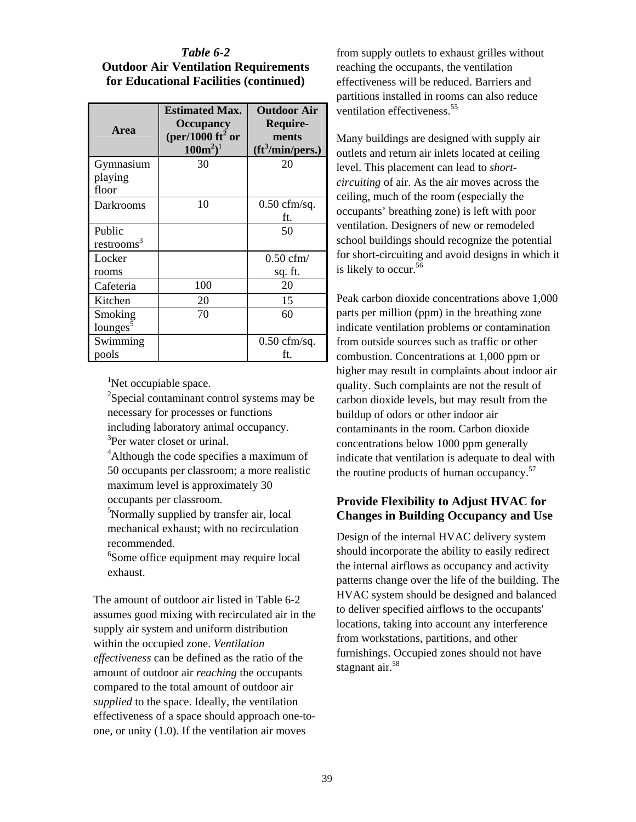### *Table 6-2*  **Outdoor Air Ventilation Requirements for Educational Facilities (continued)**

| <b>Area</b>            | <b>Estimated Max.</b><br><b>Occupancy</b><br>(per/1000 ft <sup>2</sup> or<br>$100m^2$ <sup>1</sup> | <b>Outdoor Air</b><br>Require-<br>ments<br>$({\rm ft}^3\!/\mathrm{min/pers.})$ |
|------------------------|----------------------------------------------------------------------------------------------------|--------------------------------------------------------------------------------|
| Gymnasium              | 30                                                                                                 | 20                                                                             |
| playing<br>floor       |                                                                                                    |                                                                                |
| Darkrooms              | 10                                                                                                 | $0.50$ cfm/sq.                                                                 |
|                        |                                                                                                    | ft.                                                                            |
| Public                 |                                                                                                    | 50                                                                             |
| restrooms <sup>3</sup> |                                                                                                    |                                                                                |
| Locker                 |                                                                                                    | $0.50$ cfm/                                                                    |
| rooms                  |                                                                                                    | sq. ft.                                                                        |
| Cafeteria              | 100                                                                                                | 20                                                                             |
| Kitchen                | 20                                                                                                 | 15                                                                             |
| Smoking                | 70                                                                                                 | 60                                                                             |
| lounges                |                                                                                                    |                                                                                |
| Swimming               |                                                                                                    | $0.50 \text{ cfm/sq}.$                                                         |
| pools                  |                                                                                                    | ft.                                                                            |

<sup>1</sup>Net occupiable space.

<sup>2</sup>Special contaminant control systems may be necessary for processes or functions including laboratory animal occupancy. <sup>3</sup>Per water closet or urinal.

<sup>4</sup>Although the code specifies a maximum of 50 occupants per classroom; a more realistic maximum level is approximately 30 occupants per classroom.

5 Normally supplied by transfer air, local mechanical exhaust; with no recirculation recommended.

6 Some office equipment may require local exhaust.

The amount of outdoor air listed in Table 6-2 assumes good mixing with recirculated air in the supply air system and uniform distribution within the occupied zone. *Ventilation effectiveness* can be defined as the ratio of the amount of outdoor air *reaching* the occupants compared to the total amount of outdoor air *supplied* to the space. Ideally, the ventilation effectiveness of a space should approach one-toone, or unity (1.0). If the ventilation air moves

from supply outlets to exhaust grilles without reaching the occupants, the ventilation effectiveness will be reduced. Barriers and partitions installed in rooms can also reduce ventilation effectiveness.<sup>[55](#page-134-25)</sup>

Many buildings are designed with supply air outlets and return air inlets located at ceiling level. This placement can lead to *shortcircuiting* of air. As the air moves across the ceiling, much of the room (especially the occupants' breathing zone) is left with poor ventilation. Designers of new or remodeled school buildings should recognize the potential for short-circuiting and avoid designs in which it is likely to occur.<sup>56</sup>

Peak carbon dioxide concentrations above 1,000 parts per million (ppm) in the breathing zone indicate ventilation problems or contamination from outside sources such as traffic or other combustion. Concentrations at 1,000 ppm or higher may result in complaints about indoor air quality. Such complaints are not the result of carbon dioxide levels, but may result from the buildup of odors or other indoor air contaminants in the room. Carbon dioxide concentrations below 1000 ppm generally indicate that ventilation is adequate to deal with the routine products of human occupancy.<sup>57</sup>

### **Provide Flexibility to Adjust HVAC for Changes in Building Occupancy and Use**

Design of the internal HVAC delivery system should incorporate the ability to easily redirect the internal airflows as occupancy and activity patterns change over the life of the building. The HVAC system should be designed and balanced to deliver specified airflows to the occupants' locations, taking into account any interference from workstations, partitions, and other furnishings. Occupied zones should not have stagnant air.<sup>58</sup>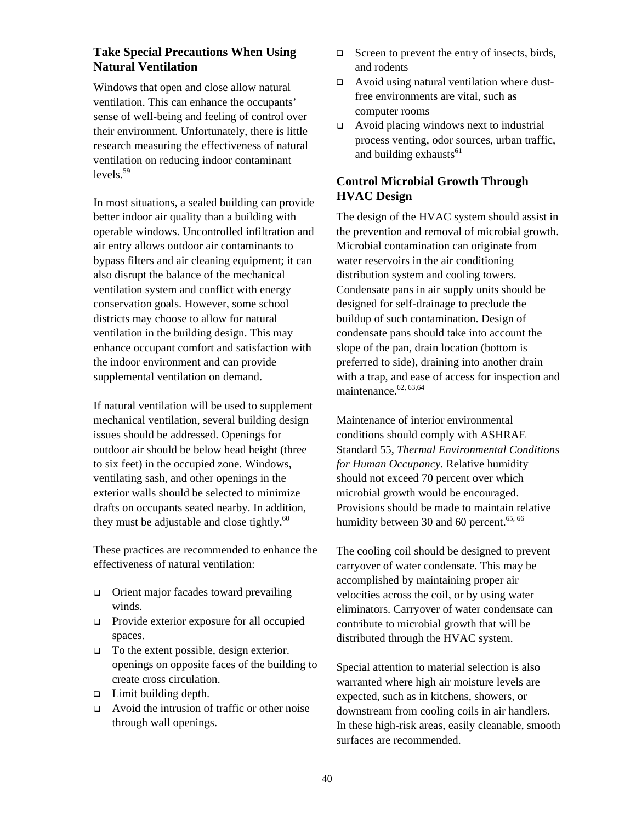### **Take Special Precautions When Using Natural Ventilation**

Windows that open and close allow natural ventilation. This can enhance the occupants' sense of well-being and feeling of control over their environment. Unfortunately, there is little research measuring the effectiveness of natural ventilation on reducing indoor contaminant  $levels<sup>59</sup>$  $levels<sup>59</sup>$  $levels<sup>59</sup>$ 

In most situations, a sealed building can provide better indoor air quality than a building with operable windows. Uncontrolled infiltration and air entry allows outdoor air contaminants to bypass filters and air cleaning equipment; it can also disrupt the balance of the mechanical ventilation system and conflict with energy conservation goals. However, some school districts may choose to allow for natural ventilation in the building design. This may enhance occupant comfort and satisfaction with the indoor environment and can provide supplemental ventilation on demand.

If natural ventilation will be used to supplement mechanical ventilation, several building design issues should be addressed. Openings for outdoor air should be below head height (three to six feet) in the occupied zone. Windows, ventilating sash, and other openings in the exterior walls should be selected to minimize drafts on occupants seated nearby. In addition, they must be adjustable and close tightly. $60$ 

These practices are recommended to enhance the effectiveness of natural ventilation:

- $\Box$  Orient major facades toward prevailing winds.
- **Provide exterior exposure for all occupied** spaces.
- $\Box$  To the extent possible, design exterior. openings on opposite faces of the building to create cross circulation.
- $\Box$  Limit building depth.
- Avoid the intrusion of traffic or other noise through wall openings.
- $\Box$  Screen to prevent the entry of insects, birds, and rodents
- □ Avoid using natural ventilation where dustfree environments are vital, such as computer rooms
- $\Box$  Avoid placing windows next to industrial process venting, odor sources, urban traffic, and building exhausts $61$

### **Control Microbial Growth Through HVAC Design**

The design of the HVAC system should assist in the prevention and removal of microbial growth. Microbial contamination can originate from water reservoirs in the air conditioning distribution system and cooling towers. Condensate pans in air supply units should be designed for self-drainage to preclude the buildup of such contamination. Design of condensate pans should take into account the slope of the pan, drain location (bottom is preferred to side), draining into another drain with a trap, and ease of access for inspection and maintenance. $62, 63,64$  $62, 63,64$  $62, 63,64$ 

Maintenance of interior environmental conditions should comply with ASHRAE Standard 55, *Thermal Environmental Conditions for Human Occupancy.* Relative humidity should not exceed 70 percent over which microbial growth would be encouraged. Provisions should be made to maintain relative humidity between 30 and 60 percent. $65, 66$  $65, 66$ 

The cooling coil should be designed to prevent carryover of water condensate. This may be accomplished by maintaining proper air velocities across the coil, or by using water eliminators. Carryover of water condensate can contribute to microbial growth that will be distributed through the HVAC system.

Special attention to material selection is also warranted where high air moisture levels are expected, such as in kitchens, showers, or downstream from cooling coils in air handlers. In these high-risk areas, easily cleanable, smooth surfaces are recommended.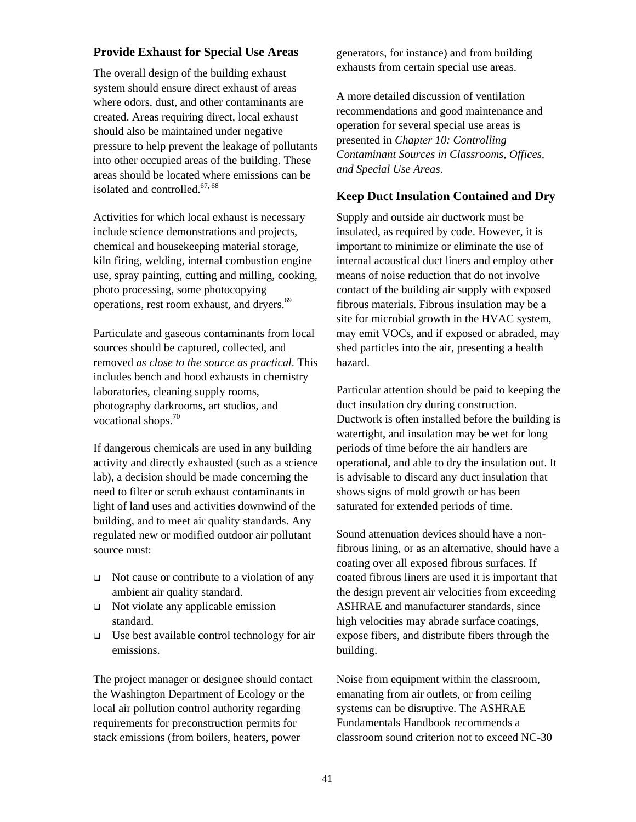#### **Provide Exhaust for Special Use Areas**

The overall design of the building exhaust system should ensure direct exhaust of areas where odors, dust, and other contaminants are created. Areas requiring direct, local exhaust should also be maintained under negative pressure to help prevent the leakage of pollutants into other occupied areas of the building. These areas should be located where emissions can be isolated and controlled. $67,68$  $67,68$ 

Activities for which local exhaust is necessary include science demonstrations and projects, chemical and housekeeping material storage, kiln firing, welding, internal combustion engine use, spray painting, cutting and milling, cooking, photo processing, some photocopying operations, rest room exhaust, and dryers.<sup>[69](#page-134-39)</sup>

Particulate and gaseous contaminants from local sources should be captured, collected, and removed *as close to the source as practical*. This includes bench and hood exhausts in chemistry laboratories, cleaning supply rooms, photography darkrooms, art studios, and vocational shops.<sup>[70](#page-134-40)</sup>

If dangerous chemicals are used in any building activity and directly exhausted (such as a science lab), a decision should be made concerning the need to filter or scrub exhaust contaminants in light of land uses and activities downwind of the building, and to meet air quality standards. Any regulated new or modified outdoor air pollutant source must:

- $\Box$  Not cause or contribute to a violation of any ambient air quality standard.
- $\Box$  Not violate any applicable emission standard.
- $\Box$  Use best available control technology for air emissions.

The project manager or designee should contact the Washington Department of Ecology or the local air pollution control authority regarding requirements for preconstruction permits for stack emissions (from boilers, heaters, power

generators, for instance) and from building exhausts from certain special use areas.

A more detailed discussion of ventilation recommendations and good maintenance and operation for several special use areas is presented in *Chapter 10: Controlling Contaminant Sources in Classrooms, Offices, and Special Use Areas*.

#### **Keep Duct Insulation Contained and Dry**

Supply and outside air ductwork must be insulated, as required by code. However, it is important to minimize or eliminate the use of internal acoustical duct liners and employ other means of noise reduction that do not involve contact of the building air supply with exposed fibrous materials. Fibrous insulation may be a site for microbial growth in the HVAC system, may emit VOCs, and if exposed or abraded, may shed particles into the air, presenting a health hazard.

Particular attention should be paid to keeping the duct insulation dry during construction. Ductwork is often installed before the building is watertight, and insulation may be wet for long periods of time before the air handlers are operational, and able to dry the insulation out. It is advisable to discard any duct insulation that shows signs of mold growth or has been saturated for extended periods of time.

Sound attenuation devices should have a nonfibrous lining, or as an alternative, should have a coating over all exposed fibrous surfaces. If coated fibrous liners are used it is important that the design prevent air velocities from exceeding ASHRAE and manufacturer standards, since high velocities may abrade surface coatings, expose fibers, and distribute fibers through the building.

Noise from equipment within the classroom, emanating from air outlets, or from ceiling systems can be disruptive. The ASHRAE Fundamentals Handbook recommends a classroom sound criterion not to exceed NC-30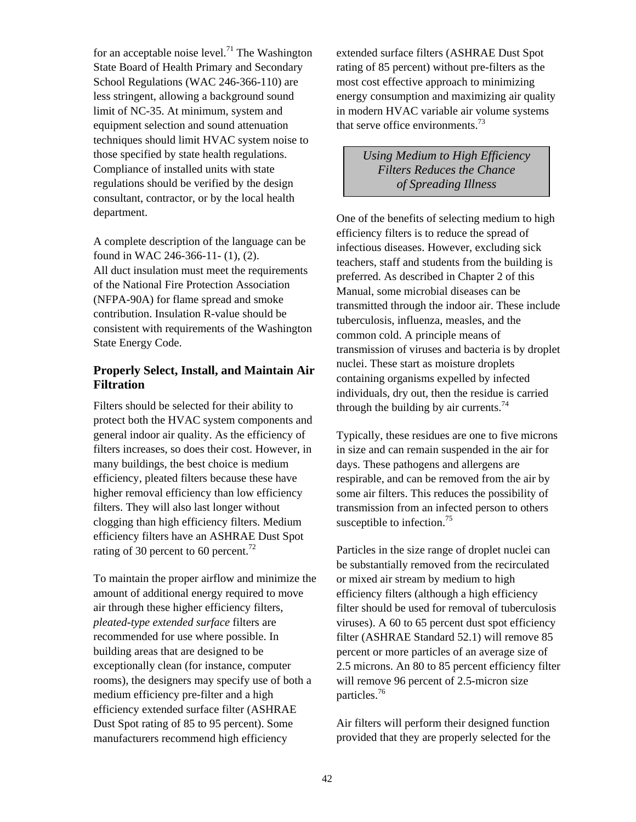for an acceptable noise level.<sup>71</sup> The Washington State Board of Health Primary and Secondary School Regulations (WAC 246-366-110) are less stringent, allowing a background sound limit of NC-35. At minimum, system and equipment selection and sound attenuation techniques should limit HVAC system noise to those specified by state health regulations. Compliance of installed units with state regulations should be verified by the design consultant, contractor, or by the local health department.

A complete description of the language can be found in WAC 246-366-11- (1), (2). All duct insulation must meet the requirements of the National Fire Protection Association (NFPA-90A) for flame spread and smoke contribution. Insulation R-value should be consistent with requirements of the Washington State Energy Code.

### **Properly Select, Install, and Maintain Air Filtration**

Filters should be selected for their ability to protect both the HVAC system components and general indoor air quality. As the efficiency of filters increases, so does their cost. However, in many buildings, the best choice is medium efficiency, pleated filters because these have higher removal efficiency than low efficiency filters. They will also last longer without clogging than high efficiency filters. Medium efficiency filters have an ASHRAE Dust Spot rating of 30 percent to 60 percent.<sup>[72](#page-134-42)</sup>

To maintain the proper airflow and minimize the amount of additional energy required to move air through these higher efficiency filters, *pleated-type extended surface* filters are recommended for use where possible. In building areas that are designed to be exceptionally clean (for instance, computer rooms), the designers may specify use of both a medium efficiency pre-filter and a high efficiency extended surface filter (ASHRAE Dust Spot rating of 85 to 95 percent). Some manufacturers recommend high efficiency

extended surface filters (ASHRAE Dust Spot rating of 85 percent) without pre-filters as the most cost effective approach to minimizing energy consumption and maximizing air quality in modern HVAC variable air volume systems that serve office environments.<sup>[73](#page-134-43)</sup>

> *Using Medium to High Efficiency Filters Reduces the Chance of Spreading Illness*

One of the benefits of selecting medium to high efficiency filters is to reduce the spread of infectious diseases. However, excluding sick teachers, staff and students from the building is preferred. As described in Chapter 2 of this Manual, some microbial diseases can be transmitted through the indoor air. These include tuberculosis, influenza, measles, and the common cold. A principle means of transmission of viruses and bacteria is by droplet nuclei. These start as moisture droplets containing organisms expelled by infected individuals, dry out, then the residue is carried through the building by air currents.<sup>74</sup>

Typically, these residues are one to five microns in size and can remain suspended in the air for days. These pathogens and allergens are respirable, and can be removed from the air by some air filters. This reduces the possibility of transmission from an infected person to others susceptible to infection.<sup>75</sup>

Particles in the size range of droplet nuclei can be substantially removed from the recirculated or mixed air stream by medium to high efficiency filters (although a high efficiency filter should be used for removal of tuberculosis viruses). A 60 to 65 percent dust spot efficiency filter (ASHRAE Standard 52.1) will remove 85 percent or more particles of an average size of 2.5 microns. An 80 to 85 percent efficiency filter will remove 96 percent of 2.5-micron size particles.[76](#page-134-46)

Air filters will perform their designed function provided that they are properly selected for the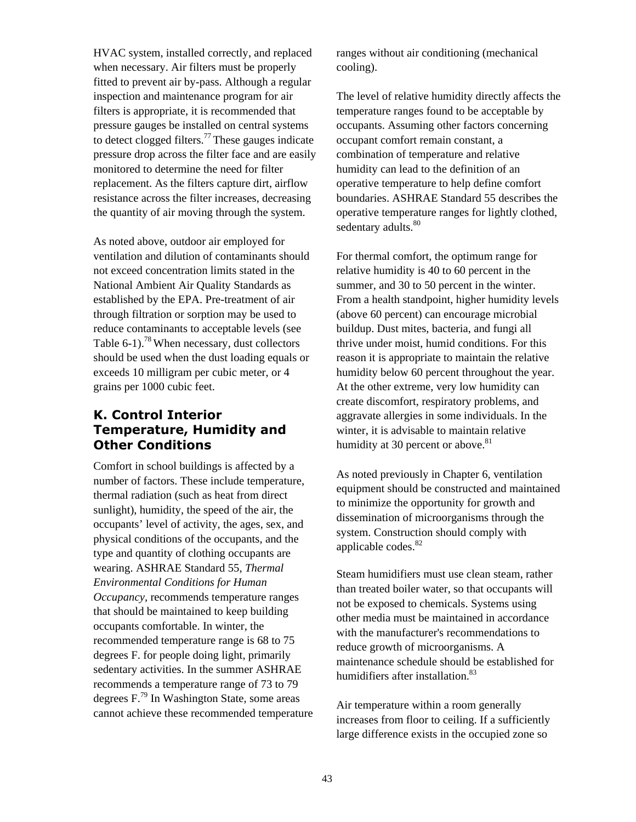HVAC system, installed correctly, and replaced when necessary. Air filters must be properly fitted to prevent air by-pass. Although a regular inspection and maintenance program for air filters is appropriate, it is recommended that pressure gauges be installed on central systems to detect clogged filters.<sup>77</sup> These gauges indicate pressure drop across the filter face and are easily monitored to determine the need for filter replacement. As the filters capture dirt, airflow resistance across the filter increases, decreasing the quantity of air moving through the system.

As noted above, outdoor air employed for ventilation and dilution of contaminants should not exceed concentration limits stated in the National Ambient Air Quality Standards as established by the EPA. Pre-treatment of air through filtration or sorption may be used to reduce contaminants to acceptable levels (see Table 6-1).<sup>78</sup> When necessary, dust collectors should be used when the dust loading equals or exceeds 10 milligram per cubic meter, or 4 grains per 1000 cubic feet.

## **K. Control Interior Temperature, Humidity and Other Conditions**

Comfort in school buildings is affected by a number of factors. These include temperature, thermal radiation (such as heat from direct sunlight), humidity, the speed of the air, the occupants' level of activity, the ages, sex, and physical conditions of the occupants, and the type and quantity of clothing occupants are wearing. ASHRAE Standard 55, *Thermal Environmental Conditions for Human Occupancy*, recommends temperature ranges that should be maintained to keep building occupants comfortable. In winter, the recommended temperature range is 68 to 75 degrees F. for people doing light, primarily sedentary activities. In the summer ASHRAE recommends a temperature range of 73 to 79 degrees  $F<sup>79</sup>$  In Washington State, some areas cannot achieve these recommended temperature ranges without air conditioning (mechanical cooling).

The level of relative humidity directly affects the temperature ranges found to be acceptable by occupants. Assuming other factors concerning occupant comfort remain constant, a combination of temperature and relative humidity can lead to the definition of an operative temperature to help define comfort boundaries. ASHRAE Standard 55 describes the operative temperature ranges for lightly clothed, sedentary adults.<sup>[80](#page-134-50)</sup>

For thermal comfort, the optimum range for relative humidity is 40 to 60 percent in the summer, and 30 to 50 percent in the winter. From a health standpoint, higher humidity levels (above 60 percent) can encourage microbial buildup. Dust mites, bacteria, and fungi all thrive under moist, humid conditions. For this reason it is appropriate to maintain the relative humidity below 60 percent throughout the year. At the other extreme, very low humidity can create discomfort, respiratory problems, and aggravate allergies in some individuals. In the winter, it is advisable to maintain relative humidity at 30 percent or above. $81$ 

As noted previously in Chapter 6, ventilation equipment should be constructed and maintained to minimize the opportunity for growth and dissemination of microorganisms through the system. Construction should comply with applicable codes. $82$ 

Steam humidifiers must use clean steam, rather than treated boiler water, so that occupants will not be exposed to chemicals. Systems using other media must be maintained in accordance with the manufacturer's recommendations to reduce growth of microorganisms. A maintenance schedule should be established for humidifiers after installation.<sup>83</sup>

Air temperature within a room generally increases from floor to ceiling. If a sufficiently large difference exists in the occupied zone so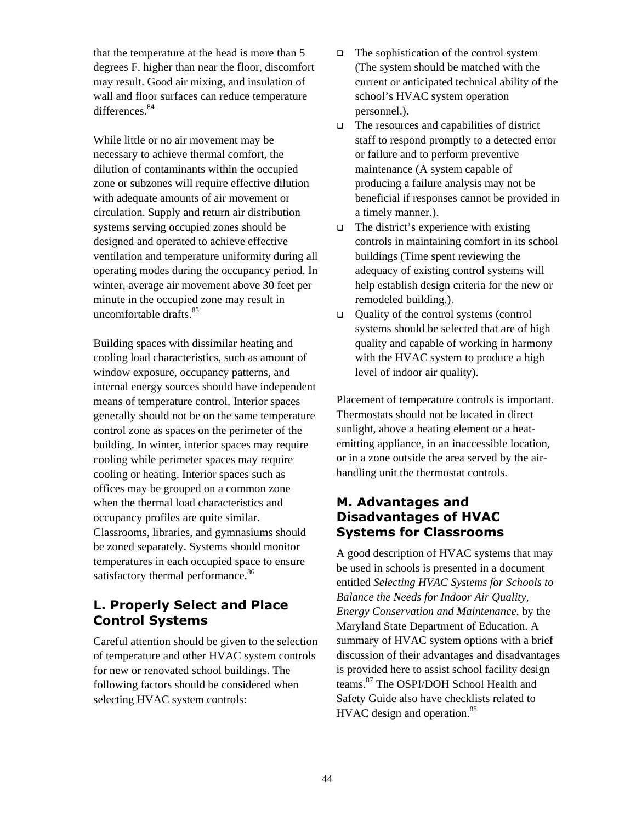that the temperature at the head is more than 5 degrees F. higher than near the floor, discomfort may result. Good air mixing, and insulation of wall and floor surfaces can reduce temperature differences.<sup>[84](#page-134-54)</sup>

While little or no air movement may be necessary to achieve thermal comfort, the dilution of contaminants within the occupied zone or subzones will require effective dilution with adequate amounts of air movement or circulation. Supply and return air distribution systems serving occupied zones should be designed and operated to achieve effective ventilation and temperature uniformity during all operating modes during the occupancy period. In winter, average air movement above 30 feet per minute in the occupied zone may result in uncomfortable drafts.<sup>[85](#page-134-55)</sup>

Building spaces with dissimilar heating and cooling load characteristics, such as amount of window exposure, occupancy patterns, and internal energy sources should have independent means of temperature control. Interior spaces generally should not be on the same temperature control zone as spaces on the perimeter of the building. In winter, interior spaces may require cooling while perimeter spaces may require cooling or heating. Interior spaces such as offices may be grouped on a common zone when the thermal load characteristics and occupancy profiles are quite similar. Classrooms, libraries, and gymnasiums should be zoned separately. Systems should monitor temperatures in each occupied space to ensure satisfactory thermal performance.<sup>[86](#page-134-56)</sup>

# **L. Properly Select and Place Control Systems**

Careful attention should be given to the selection of temperature and other HVAC system controls for new or renovated school buildings. The following factors should be considered when selecting HVAC system controls:

- $\Box$  The sophistication of the control system (The system should be matched with the current or anticipated technical ability of the school's HVAC system operation personnel.).
- $\Box$  The resources and capabilities of district staff to respond promptly to a detected error or failure and to perform preventive maintenance (A system capable of producing a failure analysis may not be beneficial if responses cannot be provided in a timely manner.).
- $\Box$  The district's experience with existing controls in maintaining comfort in its school buildings (Time spent reviewing the adequacy of existing control systems will help establish design criteria for the new or remodeled building.).
- Quality of the control systems (control systems should be selected that are of high quality and capable of working in harmony with the HVAC system to produce a high level of indoor air quality).

Placement of temperature controls is important. Thermostats should not be located in direct sunlight, above a heating element or a heatemitting appliance, in an inaccessible location, or in a zone outside the area served by the airhandling unit the thermostat controls.

## **M. Advantages and Disadvantages of HVAC Systems for Classrooms**

A good description of HVAC systems that may be used in schools is presented in a document entitled *Selecting HVAC Systems for Schools to Balance the Needs for Indoor Air Quality, Energy Conservation and Maintenance*, by the Maryland State Department of Education. A summary of HVAC system options with a brief discussion of their advantages and disadvantages is provided here to assist school facility design teams.[87](#page-134-57) The OSPI/DOH School Health and Safety Guide also have checklists related to HVAC design and operation.<sup>88</sup>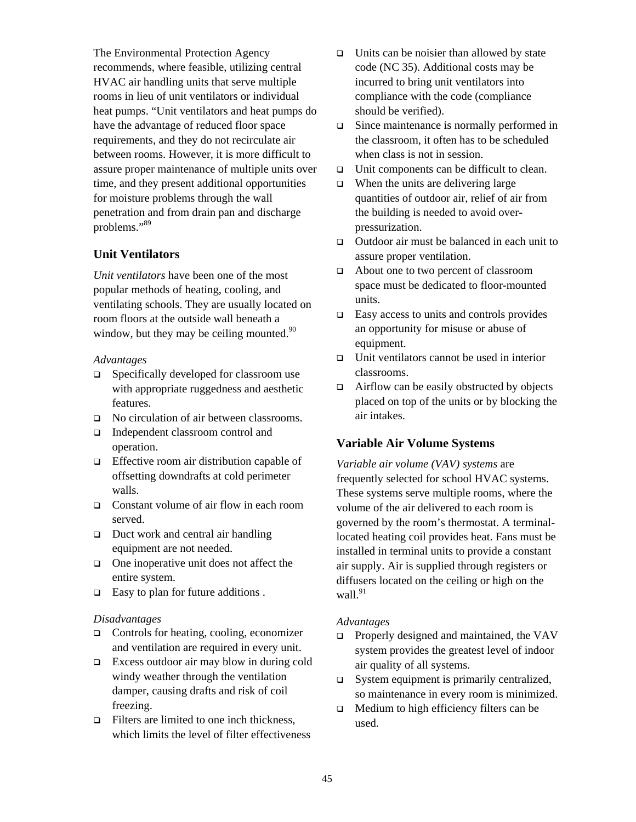The Environmental Protection Agency recommends, where feasible, utilizing central HVAC air handling units that serve multiple rooms in lieu of unit ventilators or individual heat pumps. "Unit ventilators and heat pumps do have the advantage of reduced floor space requirements, and they do not recirculate air between rooms. However, it is more difficult to assure proper maintenance of multiple units over time, and they present additional opportunities for moisture problems through the wall penetration and from drain pan and discharge problems."[89](#page-134-59)

### **Unit Ventilators**

*Unit ventilators* have been one of the most popular methods of heating, cooling, and ventilating schools. They are usually located on room floors at the outside wall beneath a window, but they may be ceiling mounted. $90$ 

#### *Advantages*

- $\Box$  Specifically developed for classroom use with appropriate ruggedness and aesthetic features.
- □ No circulation of air between classrooms.
- Independent classroom control and operation.
- □ Effective room air distribution capable of offsetting downdrafts at cold perimeter walls.
- □ Constant volume of air flow in each room served.
- $\Box$  Duct work and central air handling equipment are not needed.
- $\Box$  One inoperative unit does not affect the entire system.
- □ Easy to plan for future additions .

### *Disadvantages*

- □ Controls for heating, cooling, economizer and ventilation are required in every unit.
- Excess outdoor air may blow in during cold windy weather through the ventilation damper, causing drafts and risk of coil freezing.
- $\Box$  Filters are limited to one inch thickness. which limits the level of filter effectiveness
- $\Box$  Units can be noisier than allowed by state code (NC 35). Additional costs may be incurred to bring unit ventilators into compliance with the code (compliance should be verified).
- □ Since maintenance is normally performed in the classroom, it often has to be scheduled when class is not in session.
- $\Box$  Unit components can be difficult to clean.
- $\Box$  When the units are delivering large quantities of outdoor air, relief of air from the building is needed to avoid overpressurization.
- □ Outdoor air must be balanced in each unit to assure proper ventilation.
- About one to two percent of classroom space must be dedicated to floor-mounted units.
- $\Box$  Easy access to units and controls provides an opportunity for misuse or abuse of equipment.
- Unit ventilators cannot be used in interior classrooms.
- $\Box$  Airflow can be easily obstructed by objects placed on top of the units or by blocking the air intakes.

### **Variable Air Volume Systems**

*Variable air volume (VAV) systems* are frequently selected for school HVAC systems. These systems serve multiple rooms, where the volume of the air delivered to each room is governed by the room's thermostat. A terminallocated heating coil provides heat. Fans must be installed in terminal units to provide a constant air supply. Air is supplied through registers or diffusers located on the ceiling or high on the wall. $91$ 

### *Advantages*

- $\Box$  Properly designed and maintained, the VAV system provides the greatest level of indoor air quality of all systems.
- $\Box$  System equipment is primarily centralized, so maintenance in every room is minimized.
- $\Box$  Medium to high efficiency filters can be used.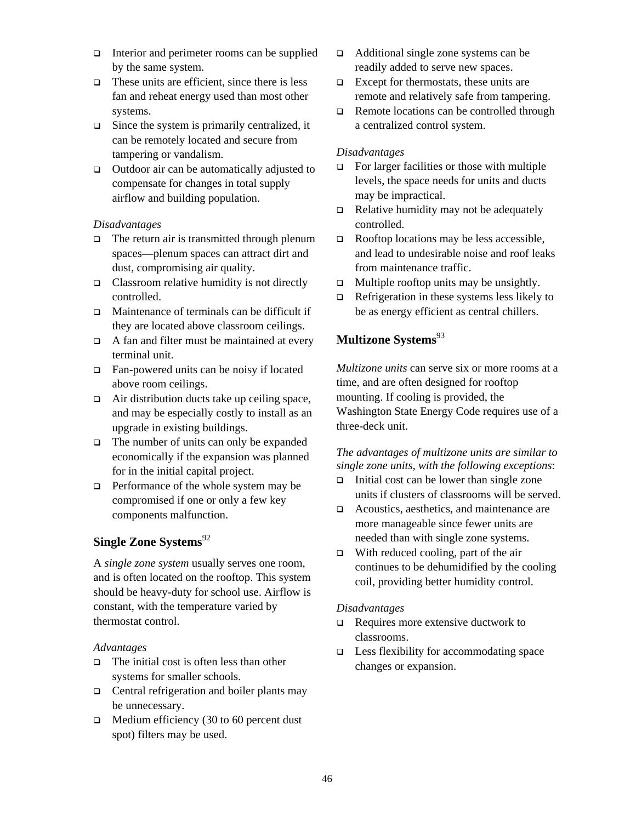- Interior and perimeter rooms can be supplied by the same system.
- $\Box$  These units are efficient, since there is less fan and reheat energy used than most other systems.
- $\Box$  Since the system is primarily centralized, it can be remotely located and secure from tampering or vandalism.
- $\Box$  Outdoor air can be automatically adjusted to compensate for changes in total supply airflow and building population.

#### *Disadvantages*

- $\Box$  The return air is transmitted through plenum spaces—plenum spaces can attract dirt and dust, compromising air quality.
- $\Box$  Classroom relative humidity is not directly controlled.
- $\Box$  Maintenance of terminals can be difficult if they are located above classroom ceilings.
- $\Box$  A fan and filter must be maintained at every terminal unit.
- Fan-powered units can be noisy if located above room ceilings.
- $\Box$  Air distribution ducts take up ceiling space, and may be especially costly to install as an upgrade in existing buildings.
- $\Box$  The number of units can only be expanded economically if the expansion was planned for in the initial capital project.
- $\Box$  Performance of the whole system may be compromised if one or only a few key components malfunction.

# **Single Zone Systems**<sup>[92](#page-134-62)</sup>

A *single zone system* usually serves one room, and is often located on the rooftop. This system should be heavy-duty for school use. Airflow is constant, with the temperature varied by thermostat control.

#### *Advantages*

- $\Box$  The initial cost is often less than other systems for smaller schools.
- $\Box$  Central refrigeration and boiler plants may be unnecessary.
- $\Box$  Medium efficiency (30 to 60 percent dust spot) filters may be used.
- Additional single zone systems can be readily added to serve new spaces.
- $\Box$  Except for thermostats, these units are remote and relatively safe from tampering.
- $\Box$  Remote locations can be controlled through a centralized control system.

### *Disadvantages*

- $\Box$  For larger facilities or those with multiple levels, the space needs for units and ducts may be impractical.
- $\Box$  Relative humidity may not be adequately controlled.
- $\Box$  Rooftop locations may be less accessible, and lead to undesirable noise and roof leaks from maintenance traffic.
- $\Box$  Multiple rooftop units may be unsightly.
- $\Box$  Refrigeration in these systems less likely to be as energy efficient as central chillers.

# **Multizone Systems**[93](#page-134-63)

*Multizone units* can serve six or more rooms at a time, and are often designed for rooftop mounting. If cooling is provided, the Washington State Energy Code requires use of a three-deck unit.

### *The advantages of multizone units are similar to single zone units, with the following exceptions*:

- $\Box$  Initial cost can be lower than single zone units if clusters of classrooms will be served.
- Acoustics, aesthetics, and maintenance are more manageable since fewer units are needed than with single zone systems.
- $\Box$  With reduced cooling, part of the air continues to be dehumidified by the cooling coil, providing better humidity control.

#### *Disadvantages*

- $\Box$  Requires more extensive ductwork to classrooms.
- $\Box$  Less flexibility for accommodating space changes or expansion.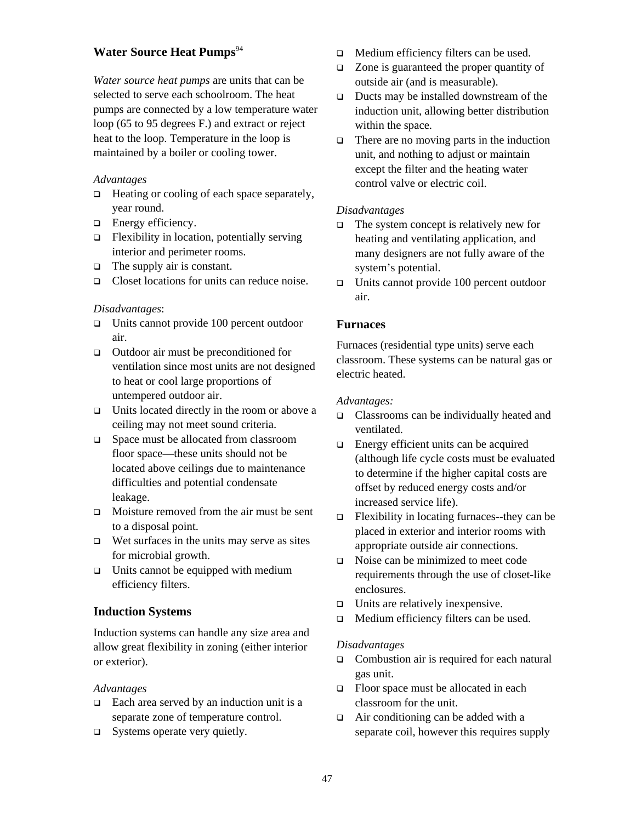### **Water Source Heat Pumps**<sup>[94](#page-134-64)</sup>

*Water source heat pumps* are units that can be selected to serve each schoolroom. The heat pumps are connected by a low temperature water loop (65 to 95 degrees F.) and extract or reject heat to the loop. Temperature in the loop is maintained by a boiler or cooling tower.

#### *Advantages*

- $\Box$  Heating or cooling of each space separately, year round.
- **Energy efficiency.**
- $\Box$  Flexibility in location, potentially serving interior and perimeter rooms.
- $\Box$  The supply air is constant.
- □ Closet locations for units can reduce noise.

#### *Disadvantages*:

- $\Box$  Units cannot provide 100 percent outdoor air.
- $\Box$  Outdoor air must be preconditioned for ventilation since most units are not designed to heat or cool large proportions of untempered outdoor air.
- $\Box$  Units located directly in the room or above a ceiling may not meet sound criteria.
- □ Space must be allocated from classroom floor space—these units should not be located above ceilings due to maintenance difficulties and potential condensate leakage.
- $\Box$  Moisture removed from the air must be sent to a disposal point.
- $\Box$  Wet surfaces in the units may serve as sites for microbial growth.
- $\Box$  Units cannot be equipped with medium efficiency filters.

### **Induction Systems**

Induction systems can handle any size area and allow great flexibility in zoning (either interior or exterior).

#### *Advantages*

- $\Box$  Each area served by an induction unit is a separate zone of temperature control.
- $\Box$  Systems operate very quietly.
- **I.** Medium efficiency filters can be used.
- □ Zone is guaranteed the proper quantity of outside air (and is measurable).
- $\Box$  Ducts may be installed downstream of the induction unit, allowing better distribution within the space.
- $\Box$  There are no moving parts in the induction unit, and nothing to adjust or maintain except the filter and the heating water control valve or electric coil.

### *Disadvantages*

- $\Box$  The system concept is relatively new for heating and ventilating application, and many designers are not fully aware of the system's potential.
- $\Box$  Units cannot provide 100 percent outdoor air.

### **Furnaces**

Furnaces (residential type units) serve each classroom. These systems can be natural gas or electric heated.

#### *Advantages:*

- Classrooms can be individually heated and ventilated.
- $\Box$  Energy efficient units can be acquired (although life cycle costs must be evaluated to determine if the higher capital costs are offset by reduced energy costs and/or increased service life).
- $\Box$  Flexibility in locating furnaces--they can be placed in exterior and interior rooms with appropriate outside air connections.
- Noise can be minimized to meet code requirements through the use of closet-like enclosures.
- $\Box$  Units are relatively inexpensive.
- □ Medium efficiency filters can be used.

#### *Disadvantages*

- □ Combustion air is required for each natural gas unit.
- $\Box$  Floor space must be allocated in each classroom for the unit.
- $\Box$  Air conditioning can be added with a separate coil, however this requires supply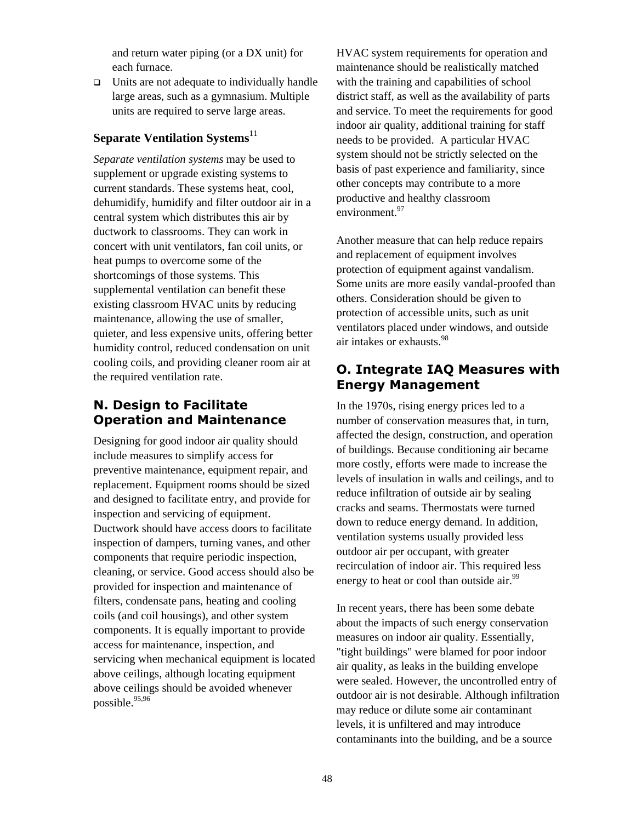and return water piping (or a DX unit) for each furnace.

 $\Box$  Units are not adequate to individually handle large areas, such as a gymnasium. Multiple units are required to serve large areas.

### **Separate Ventilation Systems**<sup>11</sup>

*Separate ventilation systems* may be used to supplement or upgrade existing systems to current standards. These systems heat, cool, dehumidify, humidify and filter outdoor air in a central system which distributes this air by ductwork to classrooms. They can work in concert with unit ventilators, fan coil units, or heat pumps to overcome some of the shortcomings of those systems. This supplemental ventilation can benefit these existing classroom HVAC units by reducing maintenance, allowing the use of smaller, quieter, and less expensive units, offering better humidity control, reduced condensation on unit cooling coils, and providing cleaner room air at the required ventilation rate.

# **N. Design to Facilitate Operation and Maintenance**

Designing for good indoor air quality should include measures to simplify access for preventive maintenance, equipment repair, and replacement. Equipment rooms should be sized and designed to facilitate entry, and provide for inspection and servicing of equipment. Ductwork should have access doors to facilitate inspection of dampers, turning vanes, and other components that require periodic inspection, cleaning, or service. Good access should also be provided for inspection and maintenance of filters, condensate pans, heating and cooling coils (and coil housings), and other system components. It is equally important to provide access for maintenance, inspection, and servicing when mechanical equipment is located above ceilings, although locating equipment above ceilings should be avoided whenever possible.<sup>[95,](#page-134-65)96</sup>

HVAC system requirements for operation and maintenance should be realistically matched with the training and capabilities of school district staff, as well as the availability of parts and service. To meet the requirements for good indoor air quality, additional training for staff needs to be provided. A particular HVAC system should not be strictly selected on the basis of past experience and familiarity, since other concepts may contribute to a more productive and healthy classroom environment.<sup>[97](#page-134-67)</sup>

Another measure that can help reduce repairs and replacement of equipment involves protection of equipment against vandalism. Some units are more easily vandal-proofed than others. Consideration should be given to protection of accessible units, such as unit ventilators placed under windows, and outside air intakes or exhausts.[98](#page-134-68) 

# **O. Integrate IAQ Measures with Energy Management**

In the 1970s, rising energy prices led to a number of conservation measures that, in turn, affected the design, construction, and operation of buildings. Because conditioning air became more costly, efforts were made to increase the levels of insulation in walls and ceilings, and to reduce infiltration of outside air by sealing cracks and seams. Thermostats were turned down to reduce energy demand. In addition, ventilation systems usually provided less outdoor air per occupant, with greater recirculation of indoor air. This required less energy to heat or cool than outside  $air<sup>99</sup>$  $air<sup>99</sup>$  $air<sup>99</sup>$ .

In recent years, there has been some debate about the impacts of such energy conservation measures on indoor air quality. Essentially, "tight buildings" were blamed for poor indoor air quality, as leaks in the building envelope were sealed. However, the uncontrolled entry of outdoor air is not desirable. Although infiltration may reduce or dilute some air contaminant levels, it is unfiltered and may introduce contaminants into the building, and be a source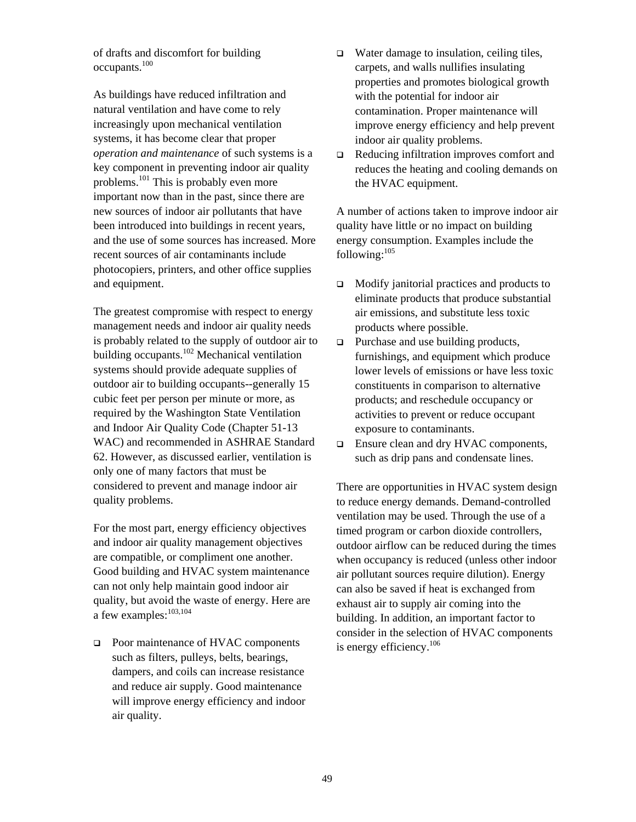of drafts and discomfort for building occupants.[100](#page-134-20)

As buildings have reduced infiltration and natural ventilation and have come to rely increasingly upon mechanical ventilation systems, it has become clear that proper *operation and maintenance* of such systems is a key component in preventing indoor air quality problems.<sup>101</sup> This is probably even more important now than in the past, since there are new sources of indoor air pollutants that have been introduced into buildings in recent years, and the use of some sources has increased. More recent sources of air contaminants include photocopiers, printers, and other office supplies and equipment.

The greatest compromise with respect to energy management needs and indoor air quality needs is probably related to the supply of outdoor air to building occupants.<sup>102</sup> Mechanical ventilation systems should provide adequate supplies of outdoor air to building occupants--generally 15 cubic feet per person per minute or more, as required by the Washington State Ventilation and Indoor Air Quality Code (Chapter 51-13 WAC) and recommended in ASHRAE Standard 62. However, as discussed earlier, ventilation is only one of many factors that must be considered to prevent and manage indoor air quality problems.

For the most part, energy efficiency objectives and indoor air quality management objectives are compatible, or compliment one another. Good building and HVAC system maintenance can not only help maintain good indoor air quality, but avoid the waste of energy. Here are a few examples:<sup>[103,](#page-134-72)104</sup>

□ Poor maintenance of HVAC components such as filters, pulleys, belts, bearings, dampers, and coils can increase resistance and reduce air supply. Good maintenance will improve energy efficiency and indoor air quality.

- □ Water damage to insulation, ceiling tiles, carpets, and walls nullifies insulating properties and promotes biological growth with the potential for indoor air contamination. Proper maintenance will improve energy efficiency and help prevent indoor air quality problems.
- Reducing infiltration improves comfort and reduces the heating and cooling demands on the HVAC equipment.

A number of actions taken to improve indoor air quality have little or no impact on building energy consumption. Examples include the following: $105$ 

- □ Modify janitorial practices and products to eliminate products that produce substantial air emissions, and substitute less toxic products where possible.
- $\Box$  Purchase and use building products, furnishings, and equipment which produce lower levels of emissions or have less toxic constituents in comparison to alternative products; and reschedule occupancy or activities to prevent or reduce occupant exposure to contaminants.
- □ Ensure clean and dry HVAC components, such as drip pans and condensate lines.

There are opportunities in HVAC system design to reduce energy demands. Demand-controlled ventilation may be used. Through the use of a timed program or carbon dioxide controllers, outdoor airflow can be reduced during the times when occupancy is reduced (unless other indoor air pollutant sources require dilution). Energy can also be saved if heat is exchanged from exhaust air to supply air coming into the building. In addition, an important factor to consider in the selection of HVAC components is energy efficiency.<sup>106</sup>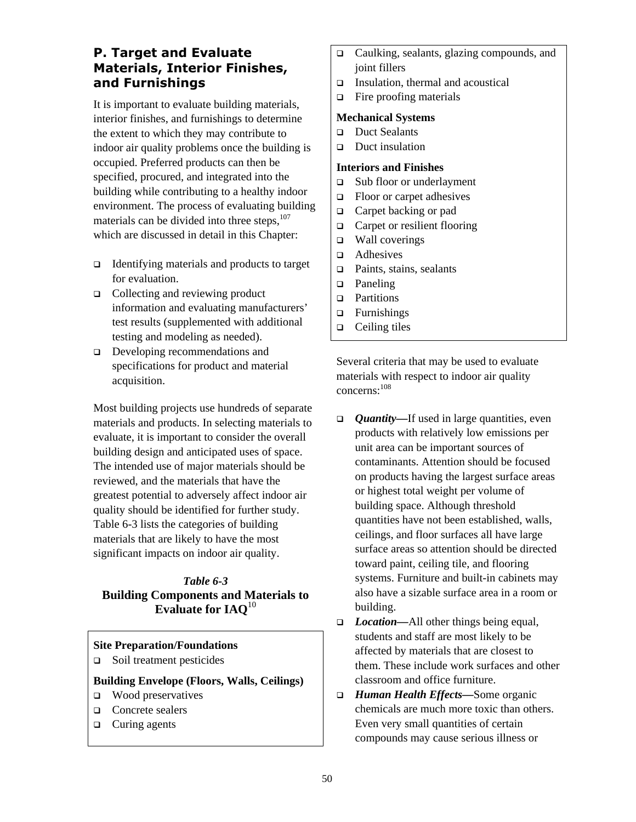# **P. Target and Evaluate Materials, Interior Finishes, and Furnishings**

It is important to evaluate building materials, interior finishes, and furnishings to determine the extent to which they may contribute to indoor air quality problems once the building is occupied. Preferred products can then be specified, procured, and integrated into the building while contributing to a healthy indoor environment. The process of evaluating building materials can be divided into three steps, $107$ which are discussed in detail in this Chapter:

- $\Box$  Identifying materials and products to target for evaluation.
- □ Collecting and reviewing product information and evaluating manufacturers' test results (supplemented with additional testing and modeling as needed).
- Developing recommendations and specifications for product and material acquisition.

Most building projects use hundreds of separate materials and products. In selecting materials to evaluate, it is important to consider the overall building design and anticipated uses of space. The intended use of major materials should be reviewed, and the materials that have the greatest potential to adversely affect indoor air quality should be identified for further study. Table 6-3 lists the categories of building materials that are likely to have the most significant impacts on indoor air quality.

### *Table 6-3*  **Building Components and Materials to Evaluate for IAQ**<sup>10</sup>

### **Site Preparation/Foundations**

 $\Box$  Soil treatment pesticides

#### **Building Envelope (Floors, Walls, Ceilings)**

- □ Wood preservatives
- **Q** Concrete sealers
- $\Box$  Curing agents
- Caulking, sealants, glazing compounds, and joint fillers
- $\Box$  Insulation, thermal and acoustical
- $\Box$  Fire proofing materials

#### **Mechanical Systems**

- Duct Sealants
- Duct insulation

#### **Interiors and Finishes**

- □ Sub floor or underlayment
- $\Box$  Floor or carpet adhesives
- □ Carpet backing or pad
- $\Box$  Carpet or resilient flooring
- □ Wall coverings
- **Q** Adhesives
- $\Box$  Paints, stains, sealants
- **D** Paneling
- **Partitions**
- $\Box$  Furnishings
- $\Box$  Ceiling tiles

Several criteria that may be used to evaluate materials with respect to indoor air quality concerns:[108](#page-134-34)

- *Quantity—*If used in large quantities, even products with relatively low emissions per unit area can be important sources of contaminants. Attention should be focused on products having the largest surface areas or highest total weight per volume of building space. Although threshold quantities have not been established, walls, ceilings, and floor surfaces all have large surface areas so attention should be directed toward paint, ceiling tile, and flooring systems. Furniture and built-in cabinets may also have a sizable surface area in a room or building.
- *Location—*All other things being equal, students and staff are most likely to be affected by materials that are closest to them. These include work surfaces and other classroom and office furniture.
- *Human Health Effects—*Some organic chemicals are much more toxic than others. Even very small quantities of certain compounds may cause serious illness or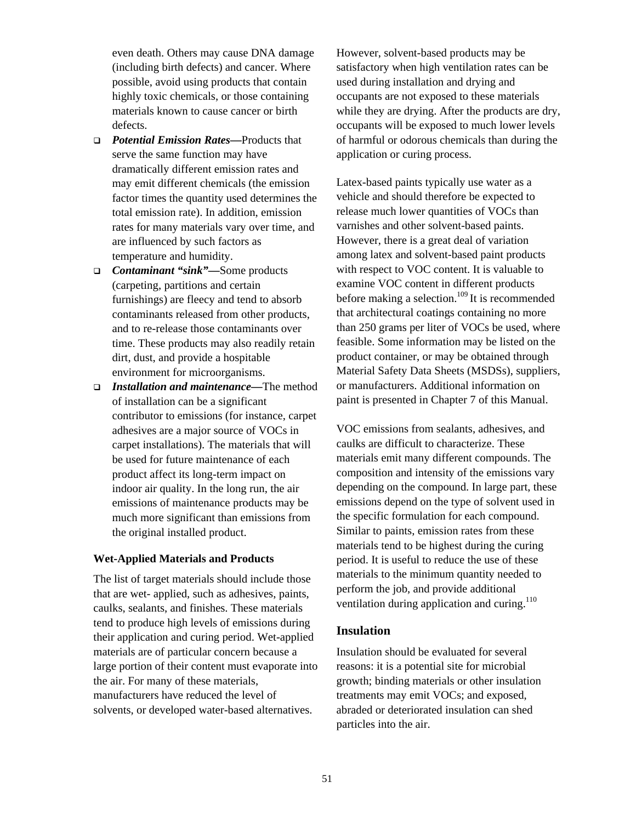even death. Others may cause DNA damage (including birth defects) and cancer. Where possible, avoid using products that contain highly toxic chemicals, or those containing materials known to cause cancer or birth defects.

- *Potential Emission Rates—*Products that serve the same function may have dramatically different emission rates and may emit different chemicals (the emission factor times the quantity used determines the total emission rate). In addition, emission rates for many materials vary over time, and are influenced by such factors as temperature and humidity.
- *Contaminant "sink"—*Some products (carpeting, partitions and certain furnishings) are fleecy and tend to absorb contaminants released from other products, and to re-release those contaminants over time. These products may also readily retain dirt, dust, and provide a hospitable environment for microorganisms.
- *Installation and maintenance—*The method of installation can be a significant contributor to emissions (for instance, carpet adhesives are a major source of VOCs in carpet installations). The materials that will be used for future maintenance of each product affect its long-term impact on indoor air quality. In the long run, the air emissions of maintenance products may be much more significant than emissions from the original installed product.

#### **Wet-Applied Materials and Products**

The list of target materials should include those that are wet- applied, such as adhesives, paints, caulks, sealants, and finishes. These materials tend to produce high levels of emissions during their application and curing period. Wet-applied materials are of particular concern because a large portion of their content must evaporate into the air. For many of these materials, manufacturers have reduced the level of solvents, or developed water-based alternatives.

However, solvent-based products may be satisfactory when high ventilation rates can be used during installation and drying and occupants are not exposed to these materials while they are drying. After the products are dry, occupants will be exposed to much lower levels of harmful or odorous chemicals than during the application or curing process.

Latex-based paints typically use water as a vehicle and should therefore be expected to release much lower quantities of VOCs than varnishes and other solvent-based paints. However, there is a great deal of variation among latex and solvent-based paint products with respect to VOC content. It is valuable to examine VOC content in different products before making a selection.<sup>109</sup> It is recommended that architectural coatings containing no more than 250 grams per liter of VOCs be used, where feasible. Some information may be listed on the product container, or may be obtained through Material Safety Data Sheets (MSDSs), suppliers, or manufacturers. Additional information on paint is presented in Chapter 7 of this Manual.

VOC emissions from sealants, adhesives, and caulks are difficult to characterize. These materials emit many different compounds. The composition and intensity of the emissions vary depending on the compound. In large part, these emissions depend on the type of solvent used in the specific formulation for each compound. Similar to paints, emission rates from these materials tend to be highest during the curing period. It is useful to reduce the use of these materials to the minimum quantity needed to perform the job, and provide additional ventilation during application and curing.<sup>110</sup>

### **Insulation**

Insulation should be evaluated for several reasons: it is a potential site for microbial growth; binding materials or other insulation treatments may emit VOCs; and exposed, abraded or deteriorated insulation can shed particles into the air.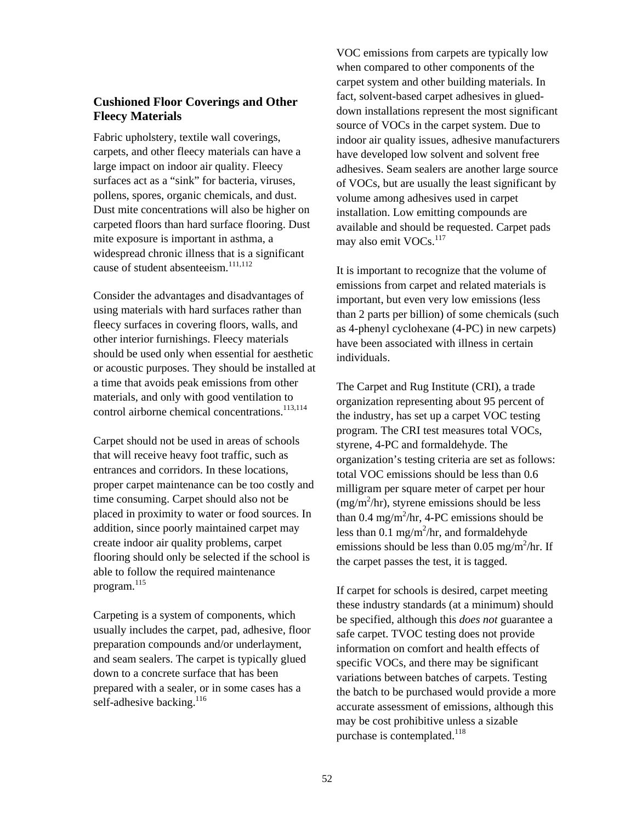### **Cushioned Floor Coverings and Other Fleecy Materials**

Fabric upholstery, textile wall coverings, carpets, and other fleecy materials can have a large impact on indoor air quality. Fleecy surfaces act as a "sink" for bacteria, viruses, pollens, spores, organic chemicals, and dust. Dust mite concentrations will also be higher on carpeted floors than hard surface flooring. Dust mite exposure is important in asthma, a widespread chronic illness that is a significant cause of student absenteeism.<sup>[111,](#page-134-79)112</sup>

Consider the advantages and disadvantages of using materials with hard surfaces rather than fleecy surfaces in covering floors, walls, and other interior furnishings. Fleecy materials should be used only when essential for aesthetic or acoustic purposes. They should be installed at a time that avoids peak emissions from other materials, and only with good ventilation to control airborne chemical concentrations.<sup>[113,](#page-134-81)114</sup>

Carpet should not be used in areas of schools that will receive heavy foot traffic, such as entrances and corridors. In these locations, proper carpet maintenance can be too costly and time consuming. Carpet should also not be placed in proximity to water or food sources. In addition, since poorly maintained carpet may create indoor air quality problems, carpet flooring should only be selected if the school is able to follow the required maintenance program.[115](#page-134-83) 

Carpeting is a system of components, which usually includes the carpet, pad, adhesive, floor preparation compounds and/or underlayment, and seam sealers. The carpet is typically glued down to a concrete surface that has been prepared with a sealer, or in some cases has a self-adhesive backing. $^{116}$ 

VOC emissions from carpets are typically low when compared to other components of the carpet system and other building materials. In fact, solvent-based carpet adhesives in glueddown installations represent the most significant source of VOCs in the carpet system. Due to indoor air quality issues, adhesive manufacturers have developed low solvent and solvent free adhesives. Seam sealers are another large source of VOCs, but are usually the least significant by volume among adhesives used in carpet installation. Low emitting compounds are available and should be requested. Carpet pads may also emit VOCs.<sup>117</sup>

It is important to recognize that the volume of emissions from carpet and related materials is important, but even very low emissions (less than 2 parts per billion) of some chemicals (such as 4-phenyl cyclohexane (4-PC) in new carpets) have been associated with illness in certain individuals.

The Carpet and Rug Institute (CRI), a trade organization representing about 95 percent of the industry, has set up a carpet VOC testing program. The CRI test measures total VOCs, styrene, 4-PC and formaldehyde. The organization's testing criteria are set as follows: total VOC emissions should be less than 0.6 milligram per square meter of carpet per hour  $(mg/m<sup>2</sup>/hr)$ , styrene emissions should be less than 0.4 mg/m<sup>2</sup>/hr, 4-PC emissions should be less than 0.1 mg/m<sup>2</sup>/hr, and formaldehyde emissions should be less than  $0.05$  mg/m<sup>2</sup>/hr. If the carpet passes the test, it is tagged.

If carpet for schools is desired, carpet meeting these industry standards (at a minimum) should be specified, although this *does not* guarantee a safe carpet. TVOC testing does not provide information on comfort and health effects of specific VOCs, and there may be significant variations between batches of carpets. Testing the batch to be purchased would provide a more accurate assessment of emissions, although this may be cost prohibitive unless a sizable purchase is contemplated.<sup>118</sup>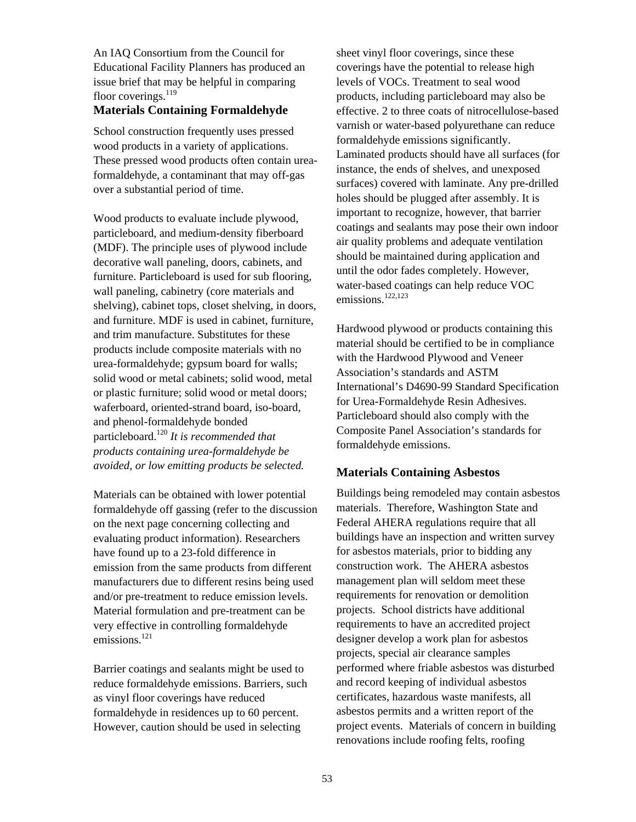An IAQ Consortium from the Council for Educational Facility Planners has produced an issue brief that may be helpful in comparing floor coverings.<sup>[119](#page-134-87)</sup>

#### **Materials Containing Formaldehyde**

School construction frequently uses pressed wood products in a variety of applications. These pressed wood products often contain ureaformaldehyde, a contaminant that may off-gas over a substantial period of time.

Wood products to evaluate include plywood, particleboard, and medium-density fiberboard (MDF). The principle uses of plywood include decorative wall paneling, doors, cabinets, and furniture. Particleboard is used for sub flooring, wall paneling, cabinetry (core materials and shelving), cabinet tops, closet shelving, in doors, and furniture. MDF is used in cabinet, furniture, and trim manufacture. Substitutes for these products include composite materials with no urea-formaldehyde; gypsum board for walls; solid wood or metal cabinets; solid wood, metal or plastic furniture; solid wood or metal doors; waferboard, oriented-strand board, iso-board, and phenol-formaldehyde bonded particleboard.[120](#page-134-88) *It is recommended that products containing urea-formaldehyde be avoided, or low emitting products be selected.*

Materials can be obtained with lower potential formaldehyde off gassing (refer to the discussion on the next page concerning collecting and evaluating product information). Researchers have found up to a 23-fold difference in emission from the same products from different manufacturers due to different resins being used and/or pre-treatment to reduce emission levels. Material formulation and pre-treatment can be very effective in controlling formaldehyde emissions. $^{121}$  $^{121}$  $^{121}$ 

Barrier coatings and sealants might be used to reduce formaldehyde emissions. Barriers, such as vinyl floor coverings have reduced formaldehyde in residences up to 60 percent. However, caution should be used in selecting

sheet vinyl floor coverings, since these coverings have the potential to release high levels of VOCs. Treatment to seal wood products, including particleboard may also be effective. 2 to three coats of nitrocellulose-based varnish or water-based polyurethane can reduce formaldehyde emissions significantly. Laminated products should have all surfaces (for instance, the ends of shelves, and unexposed surfaces) covered with laminate. Any pre-drilled holes should be plugged after assembly. It is important to recognize, however, that barrier coatings and sealants may pose their own indoor air quality problems and adequate ventilation should be maintained during application and until the odor fades completely. However, water-based coatings can help reduce VOC emissions.[122,](#page-134-90)[123](#page-134-91) 

Hardwood plywood or products containing this material should be certified to be in compliance with the Hardwood Plywood and Veneer Association's standards and ASTM International's D4690-99 Standard Specification for Urea-Formaldehyde Resin Adhesives. Particleboard should also comply with the Composite Panel Association's standards for formaldehyde emissions.

#### **Materials Containing Asbestos**

Buildings being remodeled may contain asbestos materials. Therefore, Washington State and Federal AHERA regulations require that all buildings have an inspection and written survey for asbestos materials, prior to bidding any construction work. The AHERA asbestos management plan will seldom meet these requirements for renovation or demolition projects. School districts have additional requirements to have an accredited project designer develop a work plan for asbestos projects, special air clearance samples performed where friable asbestos was disturbed and record keeping of individual asbestos certificates, hazardous waste manifests, all asbestos permits and a written report of the project events. Materials of concern in building renovations include roofing felts, roofing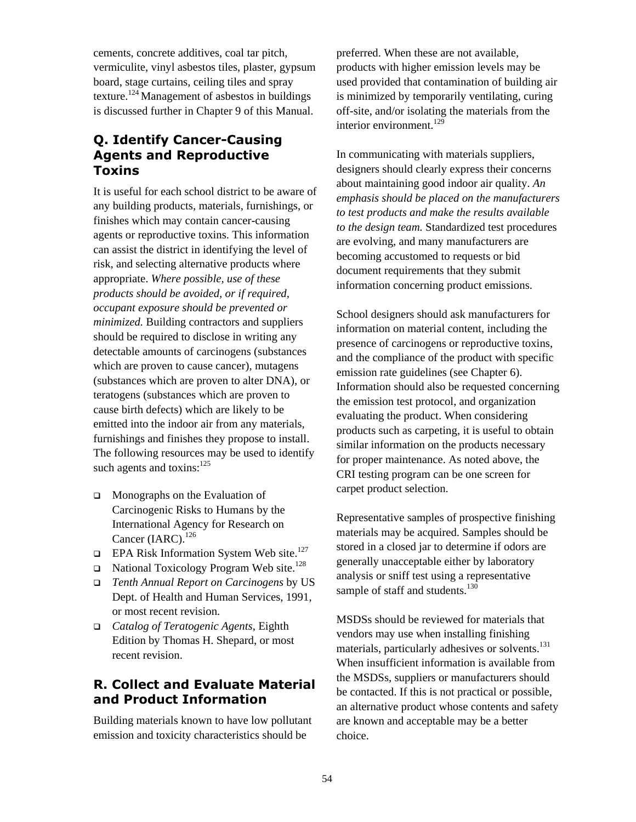cements, concrete additives, coal tar pitch, vermiculite, vinyl asbestos tiles, plaster, gypsum board, stage curtains, ceiling tiles and spray texture.<sup>124</sup> Management of asbestos in buildings is discussed further in Chapter 9 of this Manual.

# **Q. Identify Cancer-Causing Agents and Reproductive Toxins**

It is useful for each school district to be aware of any building products, materials, furnishings, or finishes which may contain cancer-causing agents or reproductive toxins. This information can assist the district in identifying the level of risk, and selecting alternative products where appropriate. *Where possible, use of these products should be avoided, or if required, occupant exposure should be prevented or minimized.* Building contractors and suppliers should be required to disclose in writing any detectable amounts of carcinogens (substances which are proven to cause cancer), mutagens (substances which are proven to alter DNA), or teratogens (substances which are proven to cause birth defects) which are likely to be emitted into the indoor air from any materials, furnishings and finishes they propose to install. The following resources may be used to identify such agents and toxins: $125$ 

- **In Monographs on the Evaluation of** Carcinogenic Risks to Humans by the International Agency for Research on Cancer  $(IARC)$ .<sup>[126](#page-134-94)</sup>
- **EPA Risk Information System Web site.**<sup>[127](#page-134-95)</sup>
- $\Box$  National Toxicology Program Web site.<sup>128</sup>
- *Tenth Annual Report on Carcinogens* by US Dept. of Health and Human Services, 1991, or most recent revision.
- *Catalog of Teratogenic Agents*, Eighth Edition by Thomas H. Shepard, or most recent revision.

### **R. Collect and Evaluate Material and Product Information**

Building materials known to have low pollutant emission and toxicity characteristics should be

preferred. When these are not available, products with higher emission levels may be used provided that contamination of building air is minimized by temporarily ventilating, curing off-site, and/or isolating the materials from the interior environment. $129$ 

In communicating with materials suppliers, designers should clearly express their concerns about maintaining good indoor air quality. *An emphasis should be placed on the manufacturers to test products and make the results available to the design team.* Standardized test procedures are evolving, and many manufacturers are becoming accustomed to requests or bid document requirements that they submit information concerning product emissions.

School designers should ask manufacturers for information on material content, including the presence of carcinogens or reproductive toxins, and the compliance of the product with specific emission rate guidelines (see Chapter 6). Information should also be requested concerning the emission test protocol, and organization evaluating the product. When considering products such as carpeting, it is useful to obtain similar information on the products necessary for proper maintenance. As noted above, the CRI testing program can be one screen for carpet product selection.

Representative samples of prospective finishing materials may be acquired. Samples should be stored in a closed jar to determine if odors are generally unacceptable either by laboratory analysis or sniff test using a representative sample of staff and students.<sup>130</sup>

MSDSs should be reviewed for materials that vendors may use when installing finishing materials, particularly adhesives or solvents.<sup>131</sup> When insufficient information is available from the MSDSs, suppliers or manufacturers should be contacted. If this is not practical or possible, an alternative product whose contents and safety are known and acceptable may be a better choice.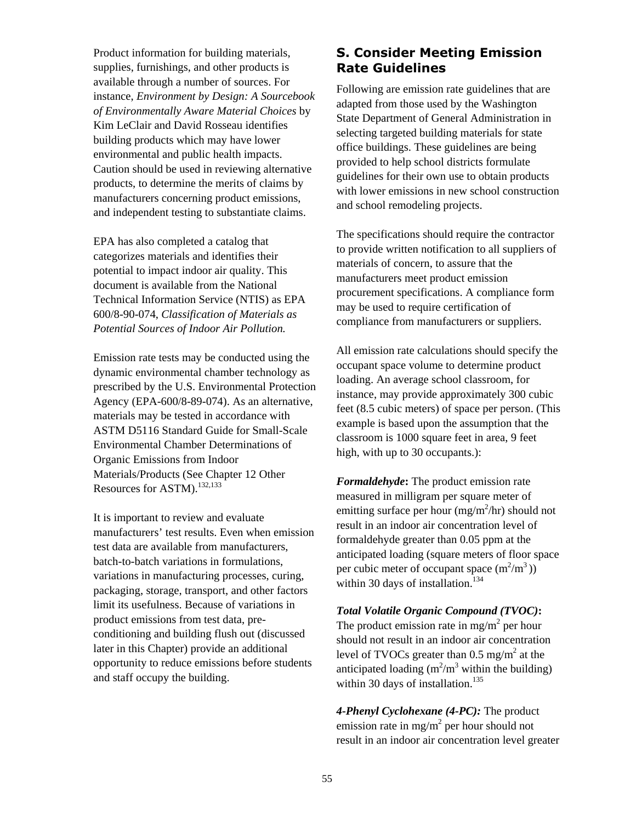Product information for building materials, supplies, furnishings, and other products is available through a number of sources. For instance, *Environment by Design: A Sourcebook of Environmentally Aware Material Choices* by Kim LeClair and David Rosseau identifies building products which may have lower environmental and public health impacts. Caution should be used in reviewing alternative products, to determine the merits of claims by manufacturers concerning product emissions, and independent testing to substantiate claims.

EPA has also completed a catalog that categorizes materials and identifies their potential to impact indoor air quality. This document is available from the National Technical Information Service (NTIS) as EPA 600/8-90-074, *Classification of Materials as Potential Sources of Indoor Air Pollution.*

Emission rate tests may be conducted using the dynamic environmental chamber technology as prescribed by the U.S. Environmental Protection Agency (EPA-600/8-89-074). As an alternative, materials may be tested in accordance with ASTM D5116 Standard Guide for Small-Scale Environmental Chamber Determinations of Organic Emissions from Indoor Materials/Products (See Chapter 12 Other Resources for ASTM).<sup>[132,](#page-134-99)[133](#page-134-100)</sup>

It is important to review and evaluate manufacturers' test results. Even when emission test data are available from manufacturers, batch-to-batch variations in formulations, variations in manufacturing processes, curing, packaging, storage, transport, and other factors limit its usefulness. Because of variations in product emissions from test data, preconditioning and building flush out (discussed later in this Chapter) provide an additional opportunity to reduce emissions before students and staff occupy the building.

# **S. Consider Meeting Emission Rate Guidelines**

Following are emission rate guidelines that are adapted from those used by the Washington State Department of General Administration in selecting targeted building materials for state office buildings. These guidelines are being provided to help school districts formulate guidelines for their own use to obtain products with lower emissions in new school construction and school remodeling projects.

The specifications should require the contractor to provide written notification to all suppliers of materials of concern, to assure that the manufacturers meet product emission procurement specifications. A compliance form may be used to require certification of compliance from manufacturers or suppliers.

All emission rate calculations should specify the occupant space volume to determine product loading. An average school classroom, for instance, may provide approximately 300 cubic feet (8.5 cubic meters) of space per person. (This example is based upon the assumption that the classroom is 1000 square feet in area, 9 feet high, with up to 30 occupants.):

*Formaldehyde***:** The product emission rate measured in milligram per square meter of emitting surface per hour  $(mg/m^2/hr)$  should not result in an indoor air concentration level of formaldehyde greater than 0.05 ppm at the anticipated loading (square meters of floor space per cubic meter of occupant space  $(m^2/m^3)$ ) within 30 days of installation.<sup>134</sup>

### *Total Volatile Organic Compound (TVOC)***:**

The product emission rate in mg/m<sup>2</sup> per hour should not result in an indoor air concentration level of TVOCs greater than  $0.5 \text{ mg/m}^2$  at the anticipated loading  $(m^2/m^3$  within the building) within 30 days of installation.<sup>135</sup>

*4-Phenyl Cyclohexane (4-PC):* The product emission rate in mg/m<sup>2</sup> per hour should not result in an indoor air concentration level greater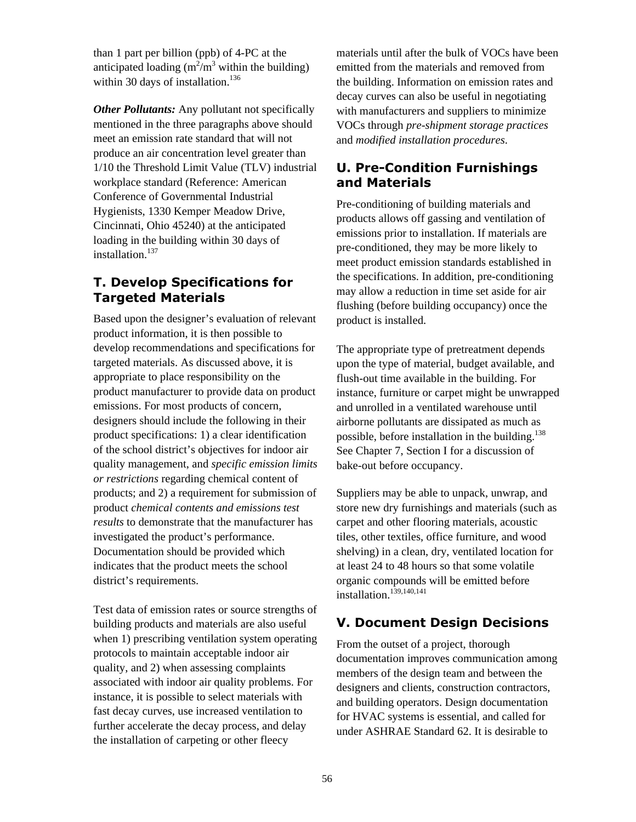than 1 part per billion (ppb) of 4-PC at the anticipated loading  $(m^2/m^3$  within the building) within 30 days of installation. $136$ 

*Other Pollutants:* Any pollutant not specifically mentioned in the three paragraphs above should meet an emission rate standard that will not produce an air concentration level greater than 1/10 the Threshold Limit Value (TLV) industrial workplace standard (Reference: American Conference of Governmental Industrial Hygienists, 1330 Kemper Meadow Drive, Cincinnati, Ohio 45240) at the anticipated loading in the building within 30 days of installation.<sup>[137](#page-134-103)</sup>

# **T. Develop Specifications for Targeted Materials**

Based upon the designer's evaluation of relevant product information, it is then possible to develop recommendations and specifications for targeted materials. As discussed above, it is appropriate to place responsibility on the product manufacturer to provide data on product emissions. For most products of concern, designers should include the following in their product specifications: 1) a clear identification of the school district's objectives for indoor air quality management, and *specific emission limits or restrictions* regarding chemical content of products; and 2) a requirement for submission of product *chemical contents and emissions test results* to demonstrate that the manufacturer has investigated the product's performance. Documentation should be provided which indicates that the product meets the school district's requirements.

Test data of emission rates or source strengths of building products and materials are also useful when 1) prescribing ventilation system operating protocols to maintain acceptable indoor air quality, and 2) when assessing complaints associated with indoor air quality problems. For instance, it is possible to select materials with fast decay curves, use increased ventilation to further accelerate the decay process, and delay the installation of carpeting or other fleecy

materials until after the bulk of VOCs have been emitted from the materials and removed from the building. Information on emission rates and decay curves can also be useful in negotiating with manufacturers and suppliers to minimize VOCs through *pre-shipment storage practices* and *modified installation procedures*.

# **U. Pre-Condition Furnishings and Materials**

Pre-conditioning of building materials and products allows off gassing and ventilation of emissions prior to installation. If materials are pre-conditioned, they may be more likely to meet product emission standards established in the specifications. In addition, pre-conditioning may allow a reduction in time set aside for air flushing (before building occupancy) once the product is installed.

The appropriate type of pretreatment depends upon the type of material, budget available, and flush-out time available in the building. For instance, furniture or carpet might be unwrapped and unrolled in a ventilated warehouse until airborne pollutants are dissipated as much as possible, before installation in the building.<sup>138</sup> See Chapter 7, Section I for a discussion of bake-out before occupancy.

Suppliers may be able to unpack, unwrap, and store new dry furnishings and materials (such as carpet and other flooring materials, acoustic tiles, other textiles, office furniture, and wood shelving) in a clean, dry, ventilated location for at least 24 to 48 hours so that some volatile organic compounds will be emitted before installation. $139,140,141$  $139,140,141$  $139,140,141$ 

# **V. Document Design Decisions**

From the outset of a project, thorough documentation improves communication among members of the design team and between the designers and clients, construction contractors, and building operators. Design documentation for HVAC systems is essential, and called for under ASHRAE Standard 62. It is desirable to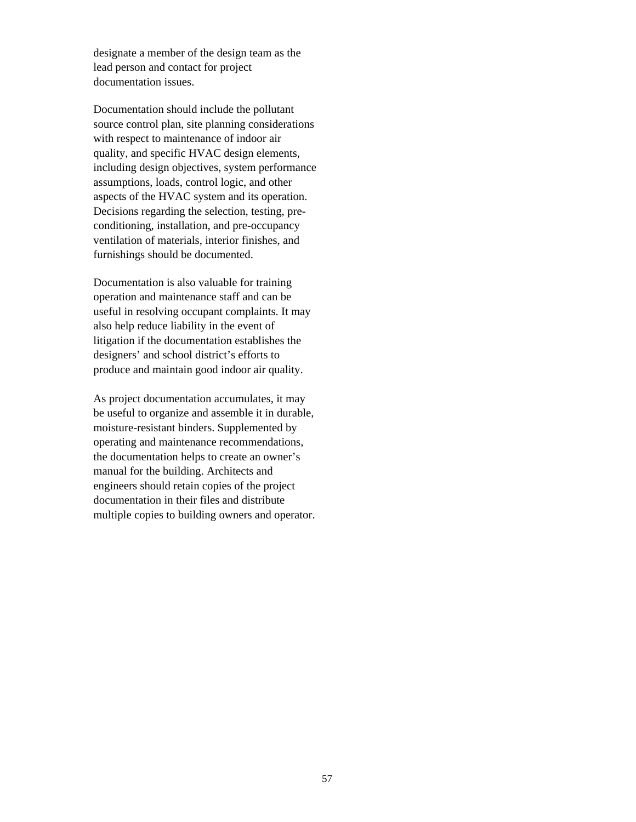designate a member of the design team as the lead person and contact for project documentation issues.

Documentation should include the pollutant source control plan, site planning considerations with respect to maintenance of indoor air quality, and specific HVAC design elements, including design objectives, system performance assumptions, loads, control logic, and other aspects of the HVAC system and its operation. Decisions regarding the selection, testing, preconditioning, installation, and pre-occupancy ventilation of materials, interior finishes, and furnishings should be documented.

Documentation is also valuable for training operation and maintenance staff and can be useful in resolving occupant complaints. It may also help reduce liability in the event of litigation if the documentation establishes the designers' and school district's efforts to produce and maintain good indoor air quality.

As project documentation accumulates, it may be useful to organize and assemble it in durable, moisture-resistant binders. Supplemented by operating and maintenance recommendations, the documentation helps to create an owner's manual for the building. Architects and engineers should retain copies of the project documentation in their files and distribute multiple copies to building owners and operator.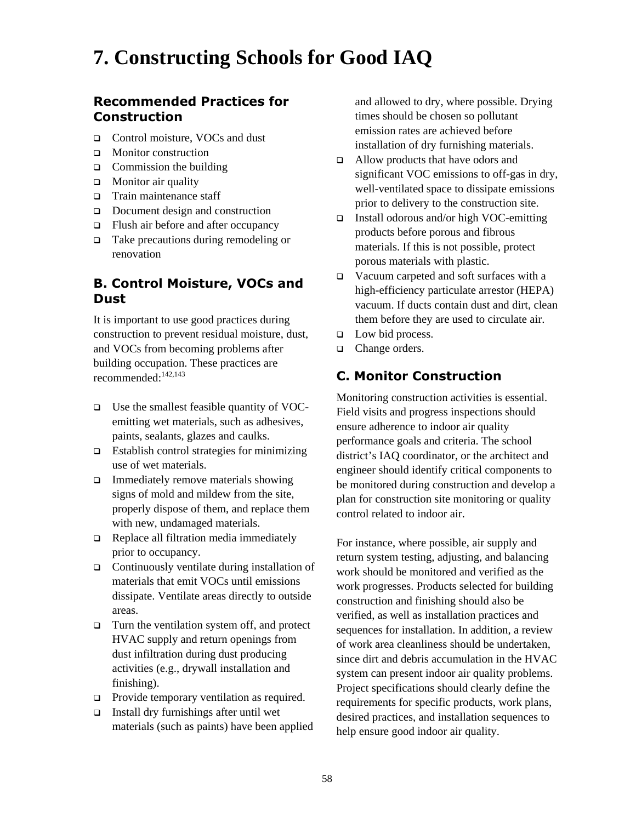# **7. Constructing Schools for Good IAQ**

# **Recommended Practices for Construction**

- □ Control moisture, VOCs and dust
- **I** Monitor construction
- $\Box$  Commission the building
- $\Box$  Monitor air quality
- $\Box$  Train maintenance staff
- $\Box$  Document design and construction
- $\Box$  Flush air before and after occupancy
- □ Take precautions during remodeling or renovation

# **B. Control Moisture, VOCs and Dust**

It is important to use good practices during construction to prevent residual moisture, dust, and VOCs from becoming problems after building occupation. These practices are recommended:<sup>142,[143](#page-134-109)</sup>

- $\Box$  Use the smallest feasible quantity of VOCemitting wet materials, such as adhesives, paints, sealants, glazes and caulks.
- $\Box$  Establish control strategies for minimizing use of wet materials.
- $\Box$  Immediately remove materials showing signs of mold and mildew from the site, properly dispose of them, and replace them with new, undamaged materials.
- Replace all filtration media immediately prior to occupancy.
- $\Box$  Continuously ventilate during installation of materials that emit VOCs until emissions dissipate. Ventilate areas directly to outside areas.
- $\Box$  Turn the ventilation system off, and protect HVAC supply and return openings from dust infiltration during dust producing activities (e.g., drywall installation and finishing).
- **Provide temporary ventilation as required.**
- Install dry furnishings after until wet materials (such as paints) have been applied

and allowed to dry, where possible. Drying times should be chosen so pollutant emission rates are achieved before installation of dry furnishing materials.

- □ Allow products that have odors and significant VOC emissions to off-gas in dry, well-ventilated space to dissipate emissions prior to delivery to the construction site.
- $\Box$  Install odorous and/or high VOC-emitting products before porous and fibrous materials. If this is not possible, protect porous materials with plastic.
- Vacuum carpeted and soft surfaces with a high-efficiency particulate arrestor (HEPA) vacuum. If ducts contain dust and dirt, clean them before they are used to circulate air.
- $\Box$  Low bid process.
- □ Change orders.

# **C. Monitor Construction**

Monitoring construction activities is essential. Field visits and progress inspections should ensure adherence to indoor air quality performance goals and criteria. The school district's IAQ coordinator, or the architect and engineer should identify critical components to be monitored during construction and develop a plan for construction site monitoring or quality control related to indoor air.

For instance, where possible, air supply and return system testing, adjusting, and balancing work should be monitored and verified as the work progresses. Products selected for building construction and finishing should also be verified, as well as installation practices and sequences for installation. In addition, a review of work area cleanliness should be undertaken, since dirt and debris accumulation in the HVAC system can present indoor air quality problems. Project specifications should clearly define the requirements for specific products, work plans, desired practices, and installation sequences to help ensure good indoor air quality.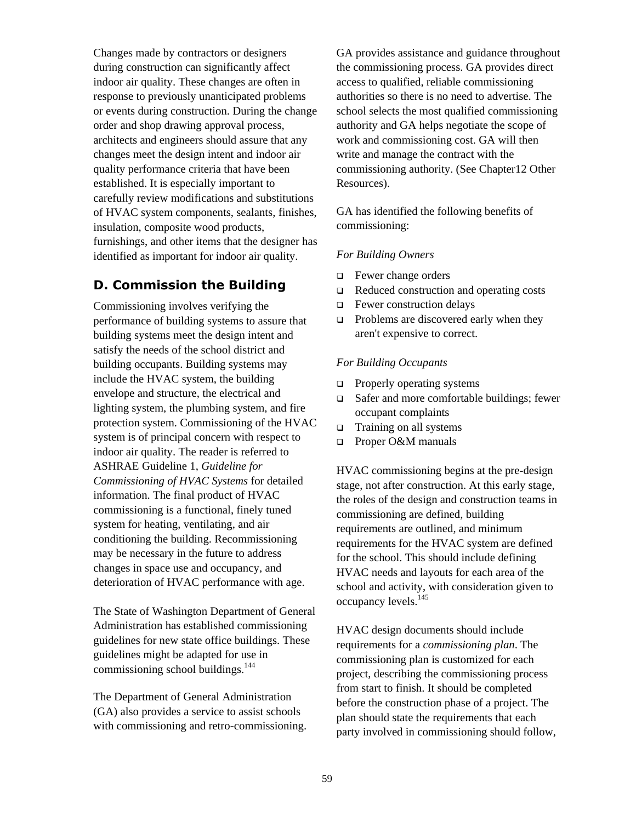Changes made by contractors or designers during construction can significantly affect indoor air quality. These changes are often in response to previously unanticipated problems or events during construction. During the change order and shop drawing approval process, architects and engineers should assure that any changes meet the design intent and indoor air quality performance criteria that have been established. It is especially important to carefully review modifications and substitutions of HVAC system components, sealants, finishes, insulation, composite wood products, furnishings, and other items that the designer has identified as important for indoor air quality.

# **D. Commission the Building**

Commissioning involves verifying the performance of building systems to assure that building systems meet the design intent and satisfy the needs of the school district and building occupants. Building systems may include the HVAC system, the building envelope and structure, the electrical and lighting system, the plumbing system, and fire protection system. Commissioning of the HVAC system is of principal concern with respect to indoor air quality. The reader is referred to ASHRAE Guideline 1, *Guideline for Commissioning of HVAC Systems* for detailed information. The final product of HVAC commissioning is a functional, finely tuned system for heating, ventilating, and air conditioning the building. Recommissioning may be necessary in the future to address changes in space use and occupancy, and deterioration of HVAC performance with age.

The State of Washington Department of General Administration has established commissioning guidelines for new state office buildings. These guidelines might be adapted for use in commissioning school buildings.<sup>[144](#page-134-110)</sup>

The Department of General Administration (GA) also provides a service to assist schools with commissioning and retro-commissioning. GA provides assistance and guidance throughout the commissioning process. GA provides direct access to qualified, reliable commissioning authorities so there is no need to advertise. The school selects the most qualified commissioning authority and GA helps negotiate the scope of work and commissioning cost. GA will then write and manage the contract with the commissioning authority. (See Chapter12 Other Resources).

GA has identified the following benefits of commissioning:

#### *For Building Owners*

- □ Fewer change orders
- $\Box$  Reduced construction and operating costs
- **EXECUTE:** Fewer construction delays
- $\Box$  Problems are discovered early when they aren't expensive to correct.

#### *For Building Occupants*

- $\Box$  Properly operating systems
- $\Box$  Safer and more comfortable buildings; fewer occupant complaints
- $\Box$  Training on all systems
- □ Proper O&M manuals

HVAC commissioning begins at the pre-design stage, not after construction. At this early stage, the roles of the design and construction teams in commissioning are defined, building requirements are outlined, and minimum requirements for the HVAC system are defined for the school. This should include defining HVAC needs and layouts for each area of the school and activity, with consideration given to occupancy levels.[145](#page-134-111) 

HVAC design documents should include requirements for a *commissioning plan*. The commissioning plan is customized for each project, describing the commissioning process from start to finish. It should be completed before the construction phase of a project. The plan should state the requirements that each party involved in commissioning should follow,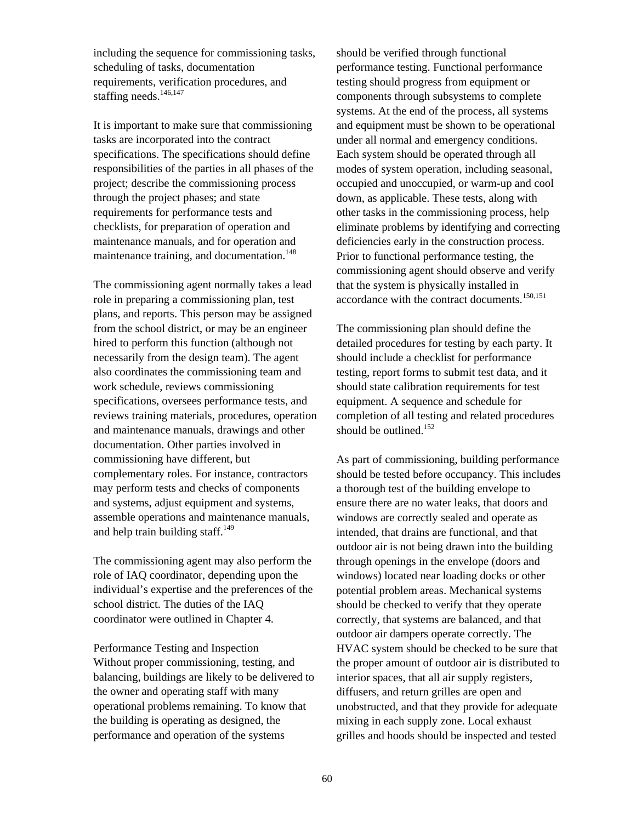including the sequence for commissioning tasks, scheduling of tasks, documentation requirements, verification procedures, and staffing needs.<sup>[146,](#page-134-112)[147](#page-134-87)</sup>

It is important to make sure that commissioning tasks are incorporated into the contract specifications. The specifications should define responsibilities of the parties in all phases of the project; describe the commissioning process through the project phases; and state requirements for performance tests and checklists, for preparation of operation and maintenance manuals, and for operation and maintenance training, and documentation.<sup>[148](#page-134-113)</sup>

The commissioning agent normally takes a lead role in preparing a commissioning plan, test plans, and reports. This person may be assigned from the school district, or may be an engineer hired to perform this function (although not necessarily from the design team). The agent also coordinates the commissioning team and work schedule, reviews commissioning specifications, oversees performance tests, and reviews training materials, procedures, operation and maintenance manuals, drawings and other documentation. Other parties involved in commissioning have different, but complementary roles. For instance, contractors may perform tests and checks of components and systems, adjust equipment and systems, assemble operations and maintenance manuals, and help train building staff. $^{149}$  $^{149}$  $^{149}$ 

The commissioning agent may also perform the role of IAQ coordinator, depending upon the individual's expertise and the preferences of the school district. The duties of the IAQ coordinator were outlined in Chapter 4.

Performance Testing and Inspection Without proper commissioning, testing, and balancing, buildings are likely to be delivered to the owner and operating staff with many operational problems remaining. To know that the building is operating as designed, the performance and operation of the systems

should be verified through functional performance testing. Functional performance testing should progress from equipment or components through subsystems to complete systems. At the end of the process, all systems and equipment must be shown to be operational under all normal and emergency conditions. Each system should be operated through all modes of system operation, including seasonal, occupied and unoccupied, or warm-up and cool down, as applicable. These tests, along with other tasks in the commissioning process, help eliminate problems by identifying and correcting deficiencies early in the construction process. Prior to functional performance testing, the commissioning agent should observe and verify that the system is physically installed in accordance with the contract documents.[150,](#page-134-115)[151](#page-134-116)

The commissioning plan should define the detailed procedures for testing by each party. It should include a checklist for performance testing, report forms to submit test data, and it should state calibration requirements for test equipment. A sequence and schedule for completion of all testing and related procedures should be outlined.<sup>152</sup>

As part of commissioning, building performance should be tested before occupancy. This includes a thorough test of the building envelope to ensure there are no water leaks, that doors and windows are correctly sealed and operate as intended, that drains are functional, and that outdoor air is not being drawn into the building through openings in the envelope (doors and windows) located near loading docks or other potential problem areas. Mechanical systems should be checked to verify that they operate correctly, that systems are balanced, and that outdoor air dampers operate correctly. The HVAC system should be checked to be sure that the proper amount of outdoor air is distributed to interior spaces, that all air supply registers, diffusers, and return grilles are open and unobstructed, and that they provide for adequate mixing in each supply zone. Local exhaust grilles and hoods should be inspected and tested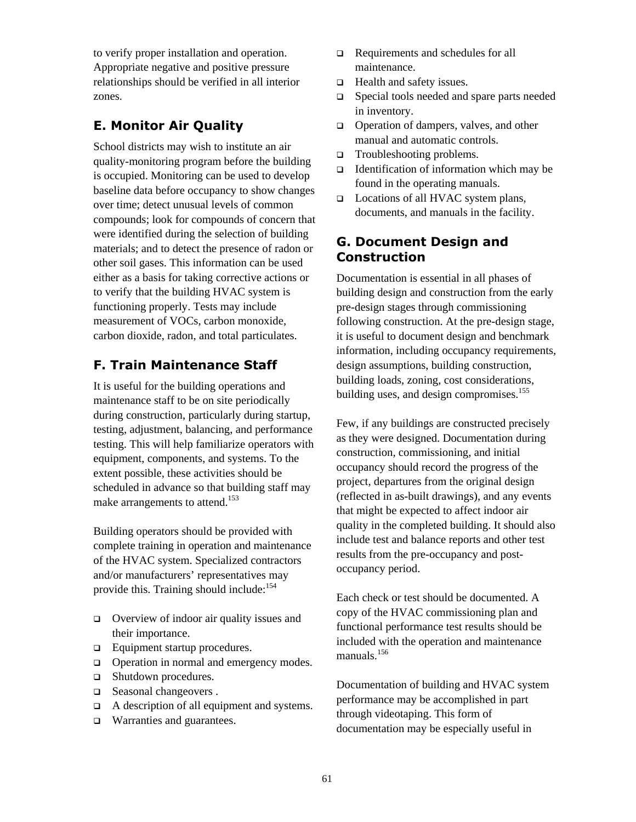to verify proper installation and operation. Appropriate negative and positive pressure relationships should be verified in all interior zones.

# **E. Monitor Air Quality**

School districts may wish to institute an air quality-monitoring program before the building is occupied. Monitoring can be used to develop baseline data before occupancy to show changes over time; detect unusual levels of common compounds; look for compounds of concern that were identified during the selection of building materials; and to detect the presence of radon or other soil gases. This information can be used either as a basis for taking corrective actions or to verify that the building HVAC system is functioning properly. Tests may include measurement of VOCs, carbon monoxide, carbon dioxide, radon, and total particulates.

# **F. Train Maintenance Staff**

It is useful for the building operations and maintenance staff to be on site periodically during construction, particularly during startup, testing, adjustment, balancing, and performance testing. This will help familiarize operators with equipment, components, and systems. To the extent possible, these activities should be scheduled in advance so that building staff may make arrangements to attend.<sup>[153](#page-134-118)</sup>

Building operators should be provided with complete training in operation and maintenance of the HVAC system. Specialized contractors and/or manufacturers' representatives may provide this. Training should include: $154$ 

- □ Overview of indoor air quality issues and their importance.
- $\Box$  Equipment startup procedures.
- □ Operation in normal and emergency modes.
- □ Shutdown procedures.
- □ Seasonal changeovers.
- $\Box$  A description of all equipment and systems.
- □ Warranties and guarantees.
- **Q** Requirements and schedules for all maintenance.
- $\Box$  Health and safety issues.
- □ Special tools needed and spare parts needed in inventory.
- □ Operation of dampers, valves, and other manual and automatic controls.
- □ Troubleshooting problems.
- $\Box$  Identification of information which may be found in the operating manuals.
- □ Locations of all HVAC system plans, documents, and manuals in the facility.

# **G. Document Design and Construction**

Documentation is essential in all phases of building design and construction from the early pre-design stages through commissioning following construction. At the pre-design stage, it is useful to document design and benchmark information, including occupancy requirements, design assumptions, building construction, building loads, zoning, cost considerations, building uses, and design compromises.<sup>155</sup>

Few, if any buildings are constructed precisely as they were designed. Documentation during construction, commissioning, and initial occupancy should record the progress of the project, departures from the original design (reflected in as-built drawings), and any events that might be expected to affect indoor air quality in the completed building. It should also include test and balance reports and other test results from the pre-occupancy and postoccupancy period.

Each check or test should be documented. A copy of the HVAC commissioning plan and functional performance test results should be included with the operation and maintenance manuals $156$ 

Documentation of building and HVAC system performance may be accomplished in part through videotaping. This form of documentation may be especially useful in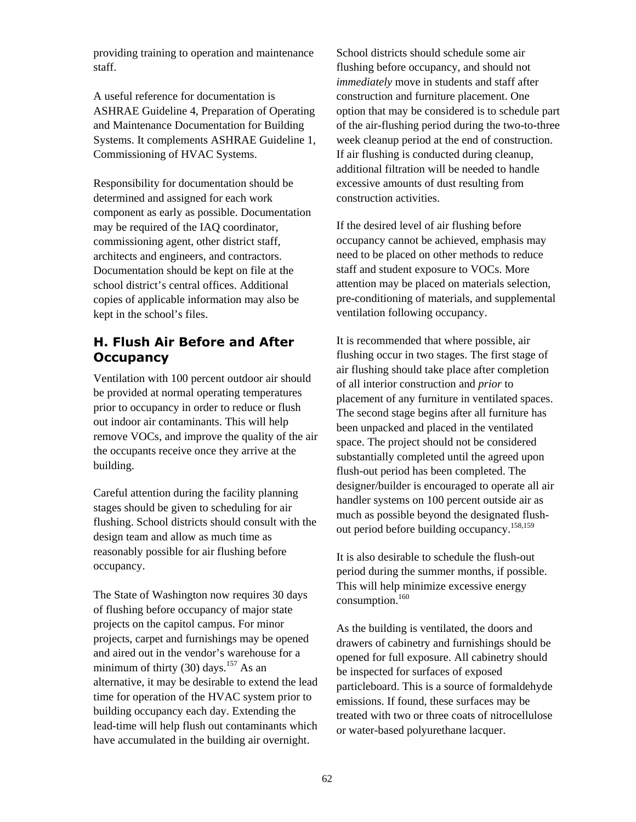providing training to operation and maintenance staff.

A useful reference for documentation is ASHRAE Guideline 4, Preparation of Operating and Maintenance Documentation for Building Systems. It complements ASHRAE Guideline 1, Commissioning of HVAC Systems.

Responsibility for documentation should be determined and assigned for each work component as early as possible. Documentation may be required of the IAQ coordinator, commissioning agent, other district staff, architects and engineers, and contractors. Documentation should be kept on file at the school district's central offices. Additional copies of applicable information may also be kept in the school's files.

# **H. Flush Air Before and After Occupancy**

Ventilation with 100 percent outdoor air should be provided at normal operating temperatures prior to occupancy in order to reduce or flush out indoor air contaminants. This will help remove VOCs, and improve the quality of the air the occupants receive once they arrive at the building.

Careful attention during the facility planning stages should be given to scheduling for air flushing. School districts should consult with the design team and allow as much time as reasonably possible for air flushing before occupancy.

The State of Washington now requires 30 days of flushing before occupancy of major state projects on the capitol campus. For minor projects, carpet and furnishings may be opened and aired out in the vendor's warehouse for a minimum of thirty (30) days.<sup>157</sup> As an alternative, it may be desirable to extend the lead time for operation of the HVAC system prior to building occupancy each day. Extending the lead-time will help flush out contaminants which have accumulated in the building air overnight.

School districts should schedule some air flushing before occupancy, and should not *immediately* move in students and staff after construction and furniture placement. One option that may be considered is to schedule part of the air-flushing period during the two-to-three week cleanup period at the end of construction. If air flushing is conducted during cleanup, additional filtration will be needed to handle excessive amounts of dust resulting from construction activities.

If the desired level of air flushing before occupancy cannot be achieved, emphasis may need to be placed on other methods to reduce staff and student exposure to VOCs. More attention may be placed on materials selection, pre-conditioning of materials, and supplemental ventilation following occupancy.

It is recommended that where possible, air flushing occur in two stages. The first stage of air flushing should take place after completion of all interior construction and *prior* to placement of any furniture in ventilated spaces. The second stage begins after all furniture has been unpacked and placed in the ventilated space. The project should not be considered substantially completed until the agreed upon flush-out period has been completed. The designer/builder is encouraged to operate all air handler systems on 100 percent outside air as much as possible beyond the designated flushout period before building occupancy.[158,](#page-134-123)[159](#page-134-124)

It is also desirable to schedule the flush-out period during the summer months, if possible. This will help minimize excessive energy consumption. $160$ 

As the building is ventilated, the doors and drawers of cabinetry and furnishings should be opened for full exposure. All cabinetry should be inspected for surfaces of exposed particleboard. This is a source of formaldehyde emissions. If found, these surfaces may be treated with two or three coats of nitrocellulose or water-based polyurethane lacquer.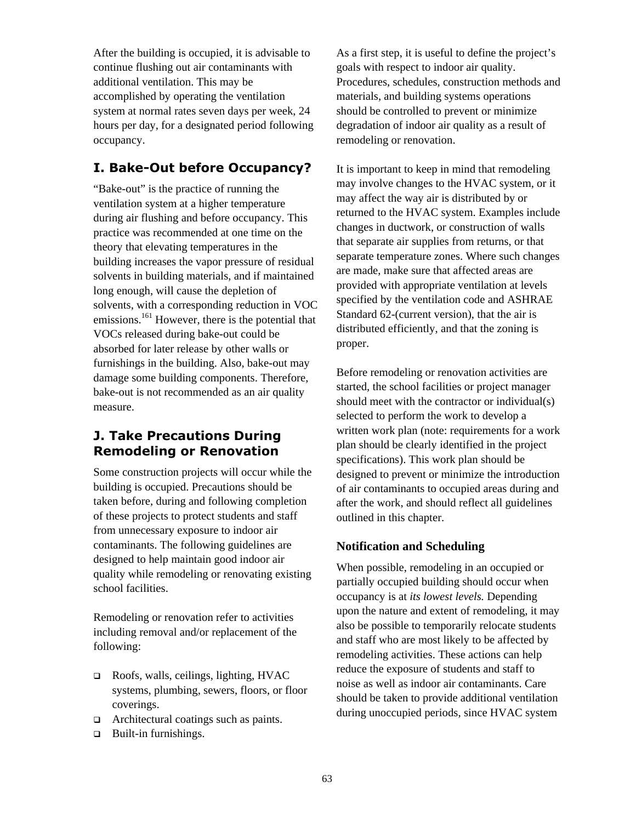After the building is occupied, it is advisable to continue flushing out air contaminants with additional ventilation. This may be accomplished by operating the ventilation system at normal rates seven days per week, 24 hours per day, for a designated period following occupancy.

# **I. Bake-Out before Occupancy?**

"Bake-out" is the practice of running the ventilation system at a higher temperature during air flushing and before occupancy. This practice was recommended at one time on the theory that elevating temperatures in the building increases the vapor pressure of residual solvents in building materials, and if maintained long enough, will cause the depletion of solvents, with a corresponding reduction in VOC emissions.<sup>161</sup> However, there is the potential that VOCs released during bake-out could be absorbed for later release by other walls or furnishings in the building. Also, bake-out may damage some building components. Therefore, bake-out is not recommended as an air quality measure.

# **J. Take Precautions During Remodeling or Renovation**

Some construction projects will occur while the building is occupied. Precautions should be taken before, during and following completion of these projects to protect students and staff from unnecessary exposure to indoor air contaminants. The following guidelines are designed to help maintain good indoor air quality while remodeling or renovating existing school facilities.

Remodeling or renovation refer to activities including removal and/or replacement of the following:

- Roofs, walls, ceilings, lighting, HVAC systems, plumbing, sewers, floors, or floor coverings.
- □ Architectural coatings such as paints.
- $\Box$  Built-in furnishings.

As a first step, it is useful to define the project's goals with respect to indoor air quality. Procedures, schedules, construction methods and materials, and building systems operations should be controlled to prevent or minimize degradation of indoor air quality as a result of remodeling or renovation.

It is important to keep in mind that remodeling may involve changes to the HVAC system, or it may affect the way air is distributed by or returned to the HVAC system. Examples include changes in ductwork, or construction of walls that separate air supplies from returns, or that separate temperature zones. Where such changes are made, make sure that affected areas are provided with appropriate ventilation at levels specified by the ventilation code and ASHRAE Standard 62-(current version), that the air is distributed efficiently, and that the zoning is proper.

Before remodeling or renovation activities are started, the school facilities or project manager should meet with the contractor or individual(s) selected to perform the work to develop a written work plan (note: requirements for a work plan should be clearly identified in the project specifications). This work plan should be designed to prevent or minimize the introduction of air contaminants to occupied areas during and after the work, and should reflect all guidelines outlined in this chapter.

### **Notification and Scheduling**

When possible, remodeling in an occupied or partially occupied building should occur when occupancy is at *its lowest levels.* Depending upon the nature and extent of remodeling, it may also be possible to temporarily relocate students and staff who are most likely to be affected by remodeling activities. These actions can help reduce the exposure of students and staff to noise as well as indoor air contaminants. Care should be taken to provide additional ventilation during unoccupied periods, since HVAC system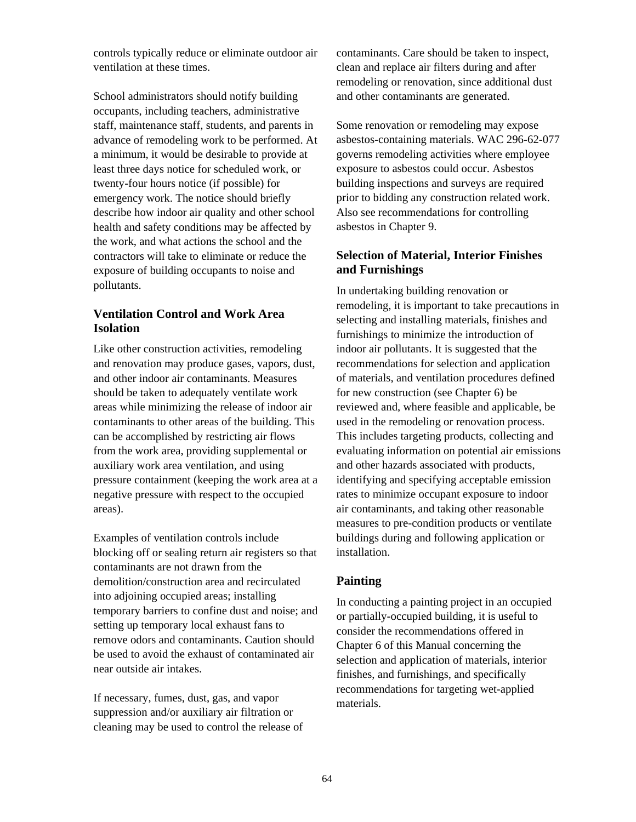controls typically reduce or eliminate outdoor air ventilation at these times.

School administrators should notify building occupants, including teachers, administrative staff, maintenance staff, students, and parents in advance of remodeling work to be performed. At a minimum, it would be desirable to provide at least three days notice for scheduled work, or twenty-four hours notice (if possible) for emergency work. The notice should briefly describe how indoor air quality and other school health and safety conditions may be affected by the work, and what actions the school and the contractors will take to eliminate or reduce the exposure of building occupants to noise and pollutants.

## **Ventilation Control and Work Area Isolation**

Like other construction activities, remodeling and renovation may produce gases, vapors, dust, and other indoor air contaminants. Measures should be taken to adequately ventilate work areas while minimizing the release of indoor air contaminants to other areas of the building. This can be accomplished by restricting air flows from the work area, providing supplemental or auxiliary work area ventilation, and using pressure containment (keeping the work area at a negative pressure with respect to the occupied areas).

Examples of ventilation controls include blocking off or sealing return air registers so that contaminants are not drawn from the demolition/construction area and recirculated into adjoining occupied areas; installing temporary barriers to confine dust and noise; and setting up temporary local exhaust fans to remove odors and contaminants. Caution should be used to avoid the exhaust of contaminated air near outside air intakes.

If necessary, fumes, dust, gas, and vapor suppression and/or auxiliary air filtration or cleaning may be used to control the release of contaminants. Care should be taken to inspect, clean and replace air filters during and after remodeling or renovation, since additional dust and other contaminants are generated.

Some renovation or remodeling may expose asbestos-containing materials. WAC 296-62-077 governs remodeling activities where employee exposure to asbestos could occur. Asbestos building inspections and surveys are required prior to bidding any construction related work. Also see recommendations for controlling asbestos in Chapter 9.

#### **Selection of Material, Interior Finishes and Furnishings**

In undertaking building renovation or remodeling, it is important to take precautions in selecting and installing materials, finishes and furnishings to minimize the introduction of indoor air pollutants. It is suggested that the recommendations for selection and application of materials, and ventilation procedures defined for new construction (see Chapter 6) be reviewed and, where feasible and applicable, be used in the remodeling or renovation process. This includes targeting products, collecting and evaluating information on potential air emissions and other hazards associated with products, identifying and specifying acceptable emission rates to minimize occupant exposure to indoor air contaminants, and taking other reasonable measures to pre-condition products or ventilate buildings during and following application or installation.

## **Painting**

In conducting a painting project in an occupied or partially-occupied building, it is useful to consider the recommendations offered in Chapter 6 of this Manual concerning the selection and application of materials, interior finishes, and furnishings, and specifically recommendations for targeting wet-applied materials.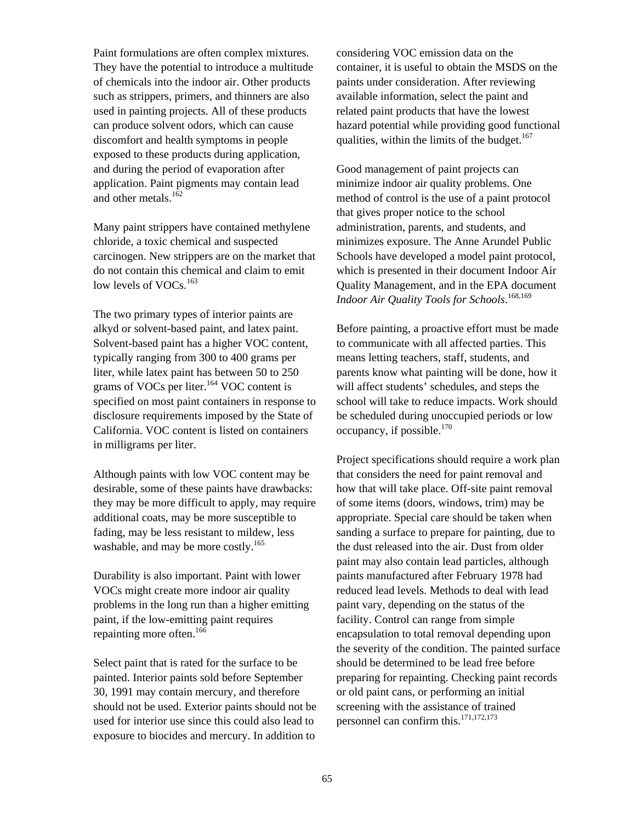Paint formulations are often complex mixtures. They have the potential to introduce a multitude of chemicals into the indoor air. Other products such as strippers, primers, and thinners are also used in painting projects. All of these products can produce solvent odors, which can cause discomfort and health symptoms in people exposed to these products during application, and during the period of evaporation after application. Paint pigments may contain lead and other metals.<sup>162</sup>

Many paint strippers have contained methylene chloride, a toxic chemical and suspected carcinogen. New strippers are on the market that do not contain this chemical and claim to emit low levels of VOCs.<sup>[163](#page-134-1)</sup>

The two primary types of interior paints are alkyd or solvent-based paint, and latex paint. Solvent-based paint has a higher VOC content, typically ranging from 300 to 400 grams per liter, while latex paint has between 50 to 250 grams of VOCs per liter.<sup>164</sup> VOC content is specified on most paint containers in response to disclosure requirements imposed by the State of California. VOC content is listed on containers in milligrams per liter.

Although paints with low VOC content may be desirable, some of these paints have drawbacks: they may be more difficult to apply, may require additional coats, may be more susceptible to fading, may be less resistant to mildew, less washable, and may be more costly.<sup>[165](#page-134-3)</sup>

Durability is also important. Paint with lower VOCs might create more indoor air quality problems in the long run than a higher emitting paint, if the low-emitting paint requires repainting more often.<sup>166</sup>

Select paint that is rated for the surface to be painted. Interior paints sold before September 30, 1991 may contain mercury, and therefore should not be used. Exterior paints should not be used for interior use since this could also lead to exposure to biocides and mercury. In addition to

considering VOC emission data on the container, it is useful to obtain the MSDS on the paints under consideration. After reviewing available information, select the paint and related paint products that have the lowest hazard potential while providing good functional qualities, within the limits of the budget. $167$ 

Good management of paint projects can minimize indoor air quality problems. One method of control is the use of a paint protocol that gives proper notice to the school administration, parents, and students, and minimizes exposure. The Anne Arundel Public Schools have developed a model paint protocol, which is presented in their document Indoor Air Quality Management, and in the EPA document *Indoor Air Quality Tools for Schools*. [168,](#page-134-6)[169](#page-134-7)

Before painting, a proactive effort must be made to communicate with all affected parties. This means letting teachers, staff, students, and parents know what painting will be done, how it will affect students' schedules, and steps the school will take to reduce impacts. Work should be scheduled during unoccupied periods or low occupancy, if possible.<sup>[170](#page-134-8)</sup>

Project specifications should require a work plan that considers the need for paint removal and how that will take place. Off-site paint removal of some items (doors, windows, trim) may be appropriate. Special care should be taken when sanding a surface to prepare for painting, due to the dust released into the air. Dust from older paint may also contain lead particles, although paints manufactured after February 1978 had reduced lead levels. Methods to deal with lead paint vary, depending on the status of the facility. Control can range from simple encapsulation to total removal depending upon the severity of the condition. The painted surface should be determined to be lead free before preparing for repainting. Checking paint records or old paint cans, or performing an initial screening with the assistance of trained personnel can confirm this.<sup>[171,](#page-134-9)[172,](#page-134-10)[173](#page-134-11)</sup>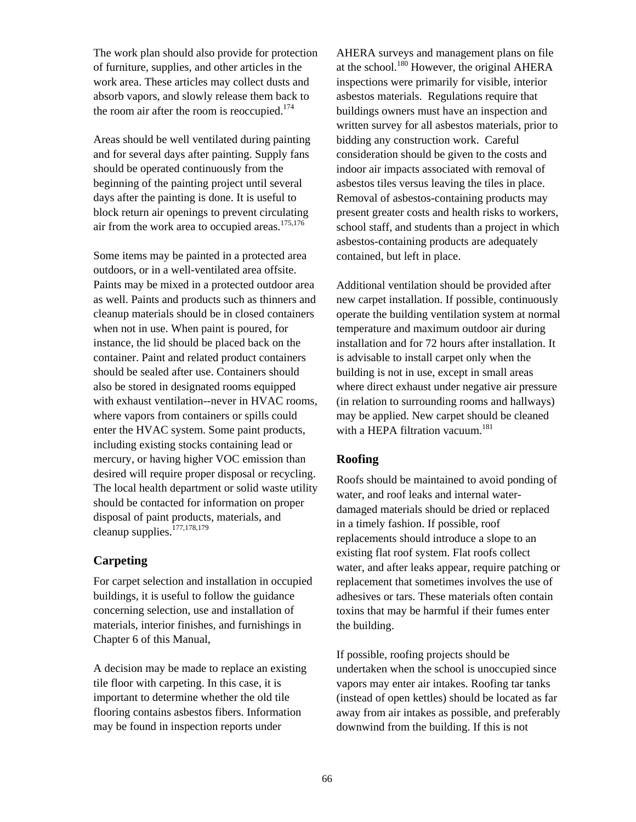The work plan should also provide for protection of furniture, supplies, and other articles in the work area. These articles may collect dusts and absorb vapors, and slowly release them back to the room air after the room is reoccupied.<sup>174</sup>

Areas should be well ventilated during painting and for several days after painting. Supply fans should be operated continuously from the beginning of the painting project until several days after the painting is done. It is useful to block return air openings to prevent circulating air from the work area to occupied areas. $175,176$  $175,176$ 

Some items may be painted in a protected area outdoors, or in a well-ventilated area offsite. Paints may be mixed in a protected outdoor area as well. Paints and products such as thinners and cleanup materials should be in closed containers when not in use. When paint is poured, for instance, the lid should be placed back on the container. Paint and related product containers should be sealed after use. Containers should also be stored in designated rooms equipped with exhaust ventilation--never in HVAC rooms, where vapors from containers or spills could enter the HVAC system. Some paint products, including existing stocks containing lead or mercury, or having higher VOC emission than desired will require proper disposal or recycling. The local health department or solid waste utility should be contacted for information on proper disposal of paint products, materials, and cleanup supplies.<sup>[177,](#page-134-15)[178,](#page-134-16)179</sup>

#### **Carpeting**

For carpet selection and installation in occupied buildings, it is useful to follow the guidance concerning selection, use and installation of materials, interior finishes, and furnishings in Chapter 6 of this Manual,

A decision may be made to replace an existing tile floor with carpeting. In this case, it is important to determine whether the old tile flooring contains asbestos fibers. Information may be found in inspection reports under

AHERA surveys and management plans on file at the school.<sup>180</sup> However, the original AHERA inspections were primarily for visible, interior asbestos materials. Regulations require that buildings owners must have an inspection and written survey for all asbestos materials, prior to bidding any construction work. Careful consideration should be given to the costs and indoor air impacts associated with removal of asbestos tiles versus leaving the tiles in place. Removal of asbestos-containing products may present greater costs and health risks to workers, school staff, and students than a project in which asbestos-containing products are adequately contained, but left in place.

Additional ventilation should be provided after new carpet installation. If possible, continuously operate the building ventilation system at normal temperature and maximum outdoor air during installation and for 72 hours after installation. It is advisable to install carpet only when the building is not in use, except in small areas where direct exhaust under negative air pressure (in relation to surrounding rooms and hallways) may be applied. New carpet should be cleaned with a HEPA filtration vacuum.<sup>181</sup>

#### **Roofing**

Roofs should be maintained to avoid ponding of water, and roof leaks and internal waterdamaged materials should be dried or replaced in a timely fashion. If possible, roof replacements should introduce a slope to an existing flat roof system. Flat roofs collect water, and after leaks appear, require patching or replacement that sometimes involves the use of adhesives or tars. These materials often contain toxins that may be harmful if their fumes enter the building.

If possible, roofing projects should be undertaken when the school is unoccupied since vapors may enter air intakes. Roofing tar tanks (instead of open kettles) should be located as far away from air intakes as possible, and preferably downwind from the building. If this is not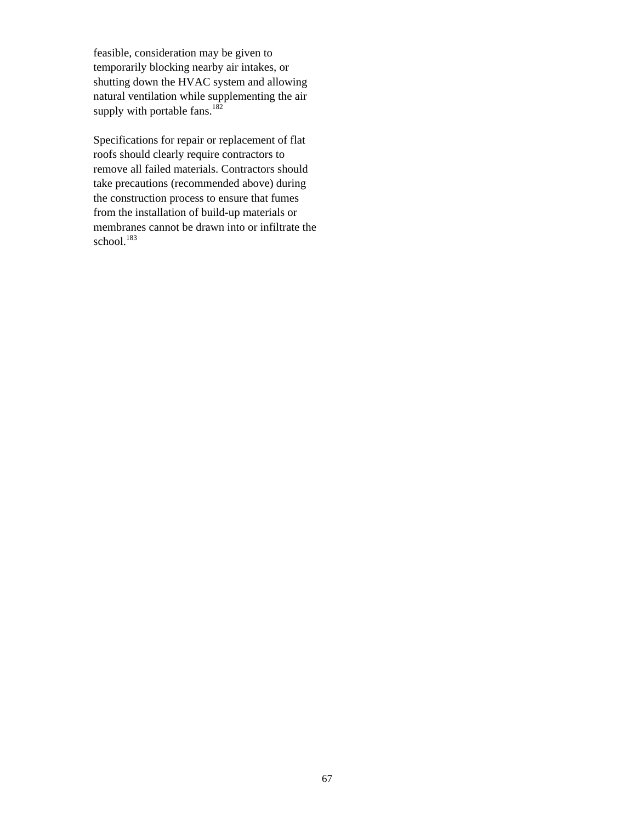feasible, consideration may be given to temporarily blocking nearby air intakes, or shutting down the HVAC system and allowing natural ventilation while supplementing the air supply with portable fans. $182$ 

Specifications for repair or replacement of flat roofs should clearly require contractors to remove all failed materials. Contractors should take precautions (recommended above) during the construction process to ensure that fumes from the installation of build-up materials or membranes cannot be drawn into or infiltrate the school.<sup>183</sup>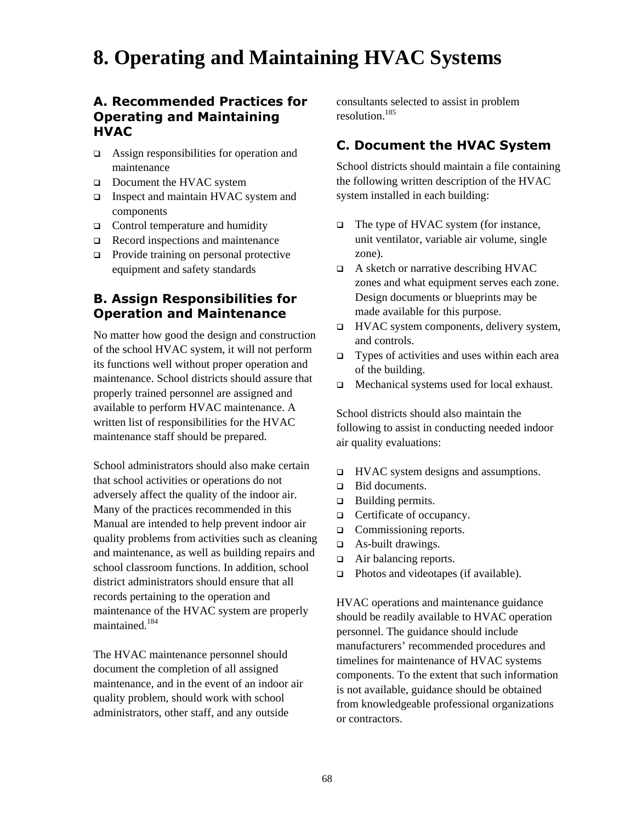# **8. Operating and Maintaining HVAC Systems**

## **A. Recommended Practices for Operating and Maintaining HVAC**

- □ Assign responsibilities for operation and maintenance
- Document the HVAC system
- □ Inspect and maintain HVAC system and components
- $\Box$  Control temperature and humidity
- $\Box$  Record inspections and maintenance
- □ Provide training on personal protective equipment and safety standards

# **B. Assign Responsibilities for Operation and Maintenance**

No matter how good the design and construction of the school HVAC system, it will not perform its functions well without proper operation and maintenance. School districts should assure that properly trained personnel are assigned and available to perform HVAC maintenance. A written list of responsibilities for the HVAC maintenance staff should be prepared.

School administrators should also make certain that school activities or operations do not adversely affect the quality of the indoor air. Many of the practices recommended in this Manual are intended to help prevent indoor air quality problems from activities such as cleaning and maintenance, as well as building repairs and school classroom functions. In addition, school district administrators should ensure that all records pertaining to the operation and maintenance of the HVAC system are properly maintained<sup>184</sup>

The HVAC maintenance personnel should document the completion of all assigned maintenance, and in the event of an indoor air quality problem, should work with school administrators, other staff, and any outside

consultants selected to assist in problem resolution.[185](#page-134-22)

# **C. Document the HVAC System**

School districts should maintain a file containing the following written description of the HVAC system installed in each building:

- $\Box$  The type of HVAC system (for instance, unit ventilator, variable air volume, single zone).
- □ A sketch or narrative describing HVAC zones and what equipment serves each zone. Design documents or blueprints may be made available for this purpose.
- $\Box$  HVAC system components, delivery system, and controls.
- $\Box$  Types of activities and uses within each area of the building.
- □ Mechanical systems used for local exhaust.

School districts should also maintain the following to assist in conducting needed indoor air quality evaluations:

- $\Box$  HVAC system designs and assumptions.
- **Bid documents.**
- $\Box$  Building permits.
- □ Certificate of occupancy.
- □ Commissioning reports.
- □ As-built drawings.
- □ Air balancing reports.
- $\Box$  Photos and videotapes (if available).

HVAC operations and maintenance guidance should be readily available to HVAC operation personnel. The guidance should include manufacturers' recommended procedures and timelines for maintenance of HVAC systems components. To the extent that such information is not available, guidance should be obtained from knowledgeable professional organizations or contractors.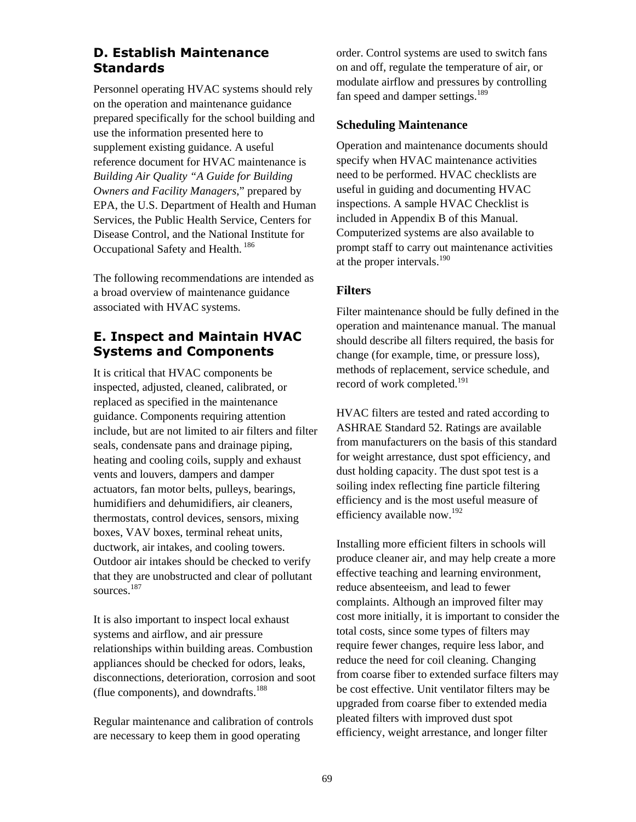## **D. Establish Maintenance Standards**

Personnel operating HVAC systems should rely on the operation and maintenance guidance prepared specifically for the school building and use the information presented here to supplement existing guidance. A useful reference document for HVAC maintenance is *Building Air Quality "A Guide for Building Owners and Facility Managers*," prepared by EPA, the U.S. Department of Health and Human Services, the Public Health Service, Centers for Disease Control, and the National Institute for Occupational Safety and Health.<sup>[186](#page-134-23)</sup>

The following recommendations are intended as a broad overview of maintenance guidance associated with HVAC systems.

# **E. Inspect and Maintain HVAC Systems and Components**

It is critical that HVAC components be inspected, adjusted, cleaned, calibrated, or replaced as specified in the maintenance guidance. Components requiring attention include, but are not limited to air filters and filter seals, condensate pans and drainage piping, heating and cooling coils, supply and exhaust vents and louvers, dampers and damper actuators, fan motor belts, pulleys, bearings, humidifiers and dehumidifiers, air cleaners, thermostats, control devices, sensors, mixing boxes, VAV boxes, terminal reheat units, ductwork, air intakes, and cooling towers. Outdoor air intakes should be checked to verify that they are unobstructed and clear of pollutant sources.<sup>[187](#page-134-24)</sup>

It is also important to inspect local exhaust systems and airflow, and air pressure relationships within building areas. Combustion appliances should be checked for odors, leaks, disconnections, deterioration, corrosion and soot (flue components), and downdrafts. $188$ 

Regular maintenance and calibration of controls are necessary to keep them in good operating

order. Control systems are used to switch fans on and off, regulate the temperature of air, or modulate airflow and pressures by controlling fan speed and damper settings.<sup>[189](#page-134-26)</sup>

#### **Scheduling Maintenance**

Operation and maintenance documents should specify when HVAC maintenance activities need to be performed. HVAC checklists are useful in guiding and documenting HVAC inspections. A sample HVAC Checklist is included in Appendix B of this Manual. Computerized systems are also available to prompt staff to carry out maintenance activities at the proper intervals.<sup>[190](#page-134-27)</sup>

## **Filters**

Filter maintenance should be fully defined in the operation and maintenance manual. The manual should describe all filters required, the basis for change (for example, time, or pressure loss), methods of replacement, service schedule, and record of work completed.<sup>[191](#page-134-28)</sup>

HVAC filters are tested and rated according to ASHRAE Standard 52. Ratings are available from manufacturers on the basis of this standard for weight arrestance, dust spot efficiency, and dust holding capacity. The dust spot test is a soiling index reflecting fine particle filtering efficiency and is the most useful measure of efficiency available now.[192](#page-134-29)

Installing more efficient filters in schools will produce cleaner air, and may help create a more effective teaching and learning environment, reduce absenteeism, and lead to fewer complaints. Although an improved filter may cost more initially, it is important to consider the total costs, since some types of filters may require fewer changes, require less labor, and reduce the need for coil cleaning. Changing from coarse fiber to extended surface filters may be cost effective. Unit ventilator filters may be upgraded from coarse fiber to extended media pleated filters with improved dust spot efficiency, weight arrestance, and longer filter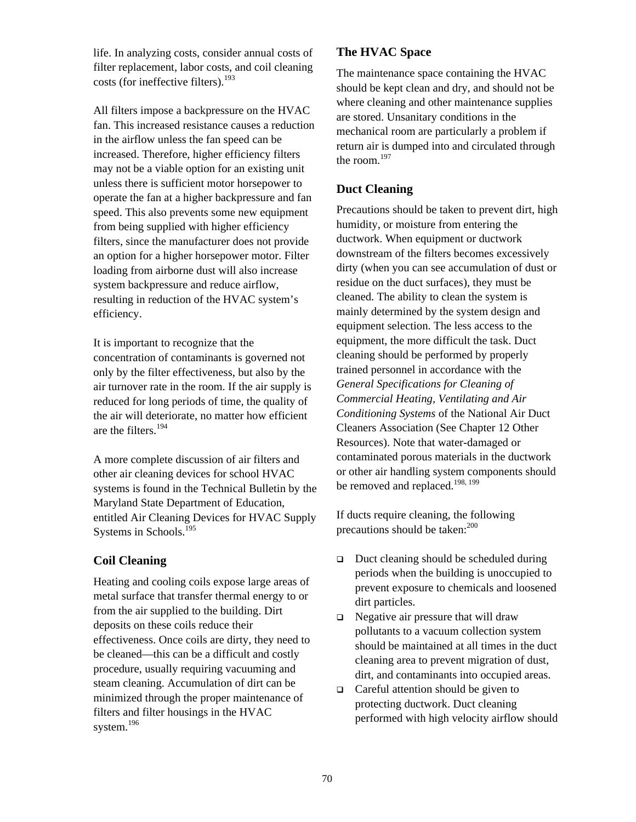life. In analyzing costs, consider annual costs of filter replacement, labor costs, and coil cleaning costs (for ineffective filters). $193$ 

All filters impose a backpressure on the HVAC fan. This increased resistance causes a reduction in the airflow unless the fan speed can be increased. Therefore, higher efficiency filters may not be a viable option for an existing unit unless there is sufficient motor horsepower to operate the fan at a higher backpressure and fan speed. This also prevents some new equipment from being supplied with higher efficiency filters, since the manufacturer does not provide an option for a higher horsepower motor. Filter loading from airborne dust will also increase system backpressure and reduce airflow, resulting in reduction of the HVAC system's efficiency.

It is important to recognize that the concentration of contaminants is governed not only by the filter effectiveness, but also by the air turnover rate in the room. If the air supply is reduced for long periods of time, the quality of the air will deteriorate, no matter how efficient are the filters.[194](#page-134-31)

A more complete discussion of air filters and other air cleaning devices for school HVAC systems is found in the Technical Bulletin by the Maryland State Department of Education, entitled Air Cleaning Devices for HVAC Supply Systems in Schools.<sup>195</sup>

# **Coil Cleaning**

Heating and cooling coils expose large areas of metal surface that transfer thermal energy to or from the air supplied to the building. Dirt deposits on these coils reduce their effectiveness. Once coils are dirty, they need to be cleaned—this can be a difficult and costly procedure, usually requiring vacuuming and steam cleaning. Accumulation of dirt can be minimized through the proper maintenance of filters and filter housings in the HVAC system.<sup>[196](#page-134-33)</sup>

## **The HVAC Space**

The maintenance space containing the HVAC should be kept clean and dry, and should not be where cleaning and other maintenance supplies are stored. Unsanitary conditions in the mechanical room are particularly a problem if return air is dumped into and circulated through the room. $197$ 

## **Duct Cleaning**

Precautions should be taken to prevent dirt, high humidity, or moisture from entering the ductwork. When equipment or ductwork downstream of the filters becomes excessively dirty (when you can see accumulation of dust or residue on the duct surfaces), they must be cleaned. The ability to clean the system is mainly determined by the system design and equipment selection. The less access to the equipment, the more difficult the task. Duct cleaning should be performed by properly trained personnel in accordance with the *General Specifications for Cleaning of Commercial Heating, Ventilating and Air Conditioning Systems* of the National Air Duct Cleaners Association (See Chapter 12 Other Resources). Note that water-damaged or contaminated porous materials in the ductwork or other air handling system components should be removed and replaced.<sup>198, 199</sup>

If ducts require cleaning, the following precautions should be taken: $200$ 

- $\Box$  Duct cleaning should be scheduled during periods when the building is unoccupied to prevent exposure to chemicals and loosened dirt particles.
- $\Box$  Negative air pressure that will draw pollutants to a vacuum collection system should be maintained at all times in the duct cleaning area to prevent migration of dust, dirt, and contaminants into occupied areas.
- $\Box$  Careful attention should be given to protecting ductwork. Duct cleaning performed with high velocity airflow should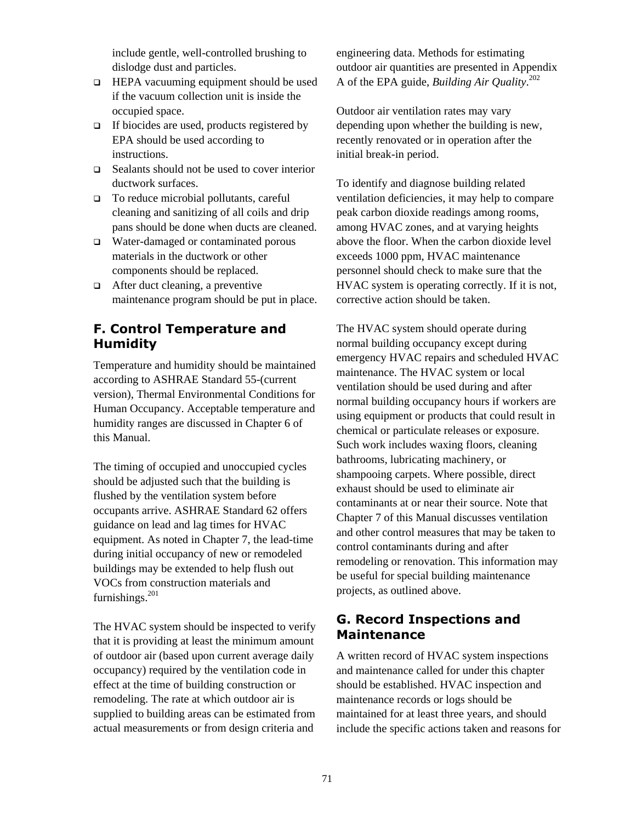include gentle, well-controlled brushing to dislodge dust and particles.

- HEPA vacuuming equipment should be used if the vacuum collection unit is inside the occupied space.
- $\Box$  If biocides are used, products registered by EPA should be used according to instructions.
- Sealants should not be used to cover interior ductwork surfaces.
- □ To reduce microbial pollutants, careful cleaning and sanitizing of all coils and drip pans should be done when ducts are cleaned.
- □ Water-damaged or contaminated porous materials in the ductwork or other components should be replaced.
- After duct cleaning, a preventive maintenance program should be put in place.

# **F. Control Temperature and Humidity**

Temperature and humidity should be maintained according to ASHRAE Standard 55-(current version), Thermal Environmental Conditions for Human Occupancy. Acceptable temperature and humidity ranges are discussed in Chapter 6 of this Manual.

The timing of occupied and unoccupied cycles should be adjusted such that the building is flushed by the ventilation system before occupants arrive. ASHRAE Standard 62 offers guidance on lead and lag times for HVAC equipment. As noted in Chapter 7, the lead-time during initial occupancy of new or remodeled buildings may be extended to help flush out VOCs from construction materials and furnishings. $201$ 

The HVAC system should be inspected to verify that it is providing at least the minimum amount of outdoor air (based upon current average daily occupancy) required by the ventilation code in effect at the time of building construction or remodeling. The rate at which outdoor air is supplied to building areas can be estimated from actual measurements or from design criteria and

engineering data. Methods for estimating outdoor air quantities are presented in Appendix A of the EPA guide, *Building Air Quality*. [202](#page-134-39)

Outdoor air ventilation rates may vary depending upon whether the building is new, recently renovated or in operation after the initial break-in period.

To identify and diagnose building related ventilation deficiencies, it may help to compare peak carbon dioxide readings among rooms, among HVAC zones, and at varying heights above the floor. When the carbon dioxide level exceeds 1000 ppm, HVAC maintenance personnel should check to make sure that the HVAC system is operating correctly. If it is not, corrective action should be taken.

The HVAC system should operate during normal building occupancy except during emergency HVAC repairs and scheduled HVAC maintenance. The HVAC system or local ventilation should be used during and after normal building occupancy hours if workers are using equipment or products that could result in chemical or particulate releases or exposure. Such work includes waxing floors, cleaning bathrooms, lubricating machinery, or shampooing carpets. Where possible, direct exhaust should be used to eliminate air contaminants at or near their source. Note that Chapter 7 of this Manual discusses ventilation and other control measures that may be taken to control contaminants during and after remodeling or renovation. This information may be useful for special building maintenance projects, as outlined above.

# **G. Record Inspections and Maintenance**

A written record of HVAC system inspections and maintenance called for under this chapter should be established. HVAC inspection and maintenance records or logs should be maintained for at least three years, and should include the specific actions taken and reasons for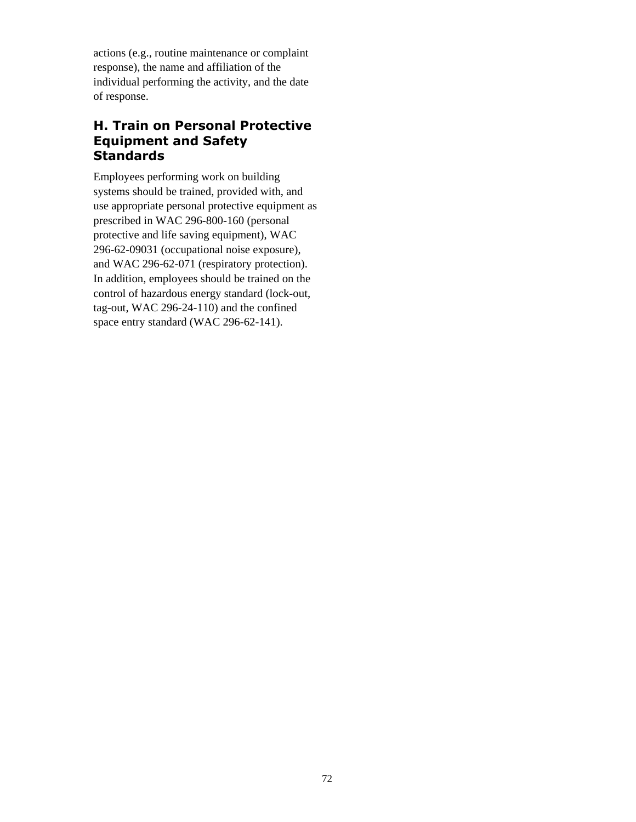actions (e.g., routine maintenance or complaint response), the name and affiliation of the individual performing the activity, and the date of response.

# **H. Train on Personal Protective Equipment and Safety Standards**

Employees performing work on building systems should be trained, provided with, and use appropriate personal protective equipment as prescribed in WAC 296-800-160 (personal protective and life saving equipment), WAC 296-62-09031 (occupational noise exposure), and WAC 296-62-071 (respiratory protection). In addition, employees should be trained on the control of hazardous energy standard (lock-out, tag-out, WAC 296-24-110) and the confined space entry standard (WAC 296-62-141).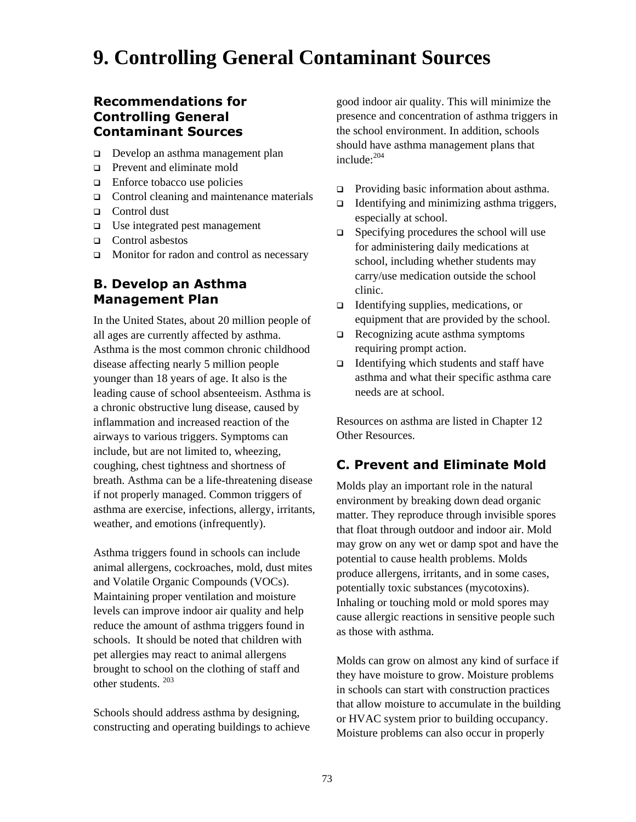# **9. Controlling General Contaminant Sources**

# **Recommendations for Controlling General Contaminant Sources**

- Develop an asthma management plan
- **Prevent and eliminate mold**
- $\Box$  Enforce tobacco use policies
- $\Box$  Control cleaning and maintenance materials
- □ Control dust
- $\Box$  Use integrated pest management
- □ Control asbestos
- $\Box$  Monitor for radon and control as necessary

# **B. Develop an Asthma Management Plan**

In the United States, about 20 million people of all ages are currently affected by asthma. Asthma is the most common chronic childhood disease affecting nearly 5 million people younger than 18 years of age. It also is the leading cause of school absenteeism. Asthma is a chronic obstructive lung disease, caused by inflammation and increased reaction of the airways to various triggers. Symptoms can include, but are not limited to, wheezing, coughing, chest tightness and shortness of breath. Asthma can be a life-threatening disease if not properly managed. Common triggers of asthma are exercise, infections, allergy, irritants, weather, and emotions (infrequently).

Asthma triggers found in schools can include animal allergens, cockroaches, mold, dust mites and Volatile Organic Compounds (VOCs). Maintaining proper ventilation and moisture levels can improve indoor air quality and help reduce the amount of asthma triggers found in schools. It should be noted that children with pet allergies may react to animal allergens brought to school on the clothing of staff and other students. [203](#page-134-40)

Schools should address asthma by designing, constructing and operating buildings to achieve

good indoor air quality. This will minimize the presence and concentration of asthma triggers in the school environment. In addition, schools should have asthma management plans that include:[204](#page-134-41)

- $\Box$  Providing basic information about asthma.
- Identifying and minimizing asthma triggers, especially at school.
- $\Box$  Specifying procedures the school will use for administering daily medications at school, including whether students may carry/use medication outside the school clinic.
- $\Box$  Identifying supplies, medications, or equipment that are provided by the school.
- $\Box$  Recognizing acute asthma symptoms requiring prompt action.
- Identifying which students and staff have asthma and what their specific asthma care needs are at school.

Resources on asthma are listed in Chapter 12 Other Resources.

# **C. Prevent and Eliminate Mold**

Molds play an important role in the natural environment by breaking down dead organic matter. They reproduce through invisible spores that float through outdoor and indoor air. Mold may grow on any wet or damp spot and have the potential to cause health problems. Molds produce allergens, irritants, and in some cases, potentially toxic substances (mycotoxins). Inhaling or touching mold or mold spores may cause allergic reactions in sensitive people such as those with asthma.

Molds can grow on almost any kind of surface if they have moisture to grow. Moisture problems in schools can start with construction practices that allow moisture to accumulate in the building or HVAC system prior to building occupancy. Moisture problems can also occur in properly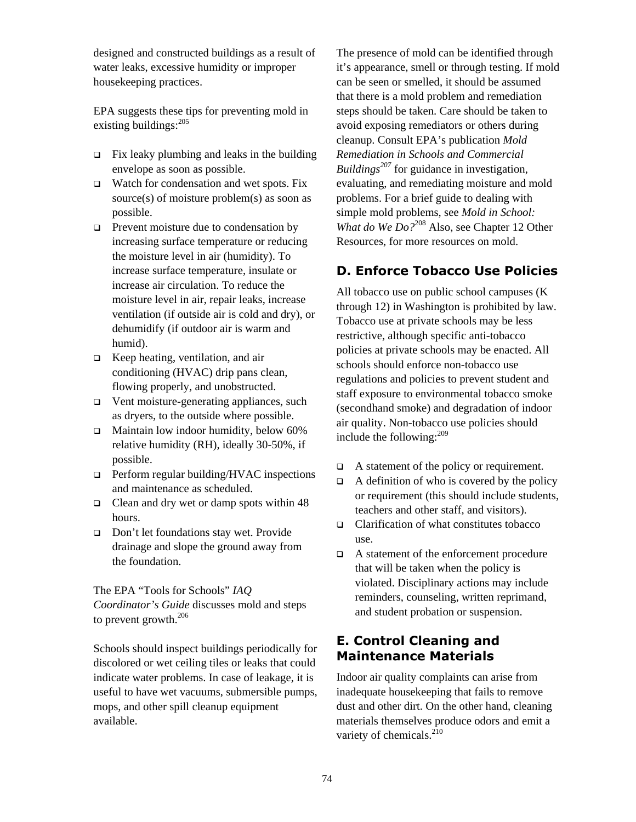designed and constructed buildings as a result of water leaks, excessive humidity or improper housekeeping practices.

EPA suggests these tips for preventing mold in existing buildings: $^{205}$  $^{205}$  $^{205}$ 

- $\Box$  Fix leaky plumbing and leaks in the building envelope as soon as possible.
- $\Box$  Watch for condensation and wet spots. Fix source(s) of moisture problem(s) as soon as possible.
- $\Box$  Prevent moisture due to condensation by increasing surface temperature or reducing the moisture level in air (humidity). To increase surface temperature, insulate or increase air circulation. To reduce the moisture level in air, repair leaks, increase ventilation (if outside air is cold and dry), or dehumidify (if outdoor air is warm and humid).
- $\Box$  Keep heating, ventilation, and air conditioning (HVAC) drip pans clean, flowing properly, and unobstructed.
- □ Vent moisture-generating appliances, such as dryers, to the outside where possible.
- $\Box$  Maintain low indoor humidity, below 60% relative humidity (RH), ideally 30-50%, if possible.
- $\Box$  Perform regular building/HVAC inspections and maintenance as scheduled.
- $\Box$  Clean and dry wet or damp spots within 48 hours.
- □ Don't let foundations stay wet. Provide drainage and slope the ground away from the foundation.

The EPA "Tools for Schools" *IAQ Coordinator's Guide* discusses mold and steps to prevent growth. $206$ 

Schools should inspect buildings periodically for discolored or wet ceiling tiles or leaks that could indicate water problems. In case of leakage, it is useful to have wet vacuums, submersible pumps, mops, and other spill cleanup equipment available.

The presence of mold can be identified through it's appearance, smell or through testing. If mold can be seen or smelled, it should be assumed that there is a mold problem and remediation steps should be taken. Care should be taken to avoid exposing remediators or others during cleanup. Consult EPA's publication *Mold Remediation in Schools and Commercial Buildings*<sup>207</sup> for guidance in investigation, evaluating, and remediating moisture and mold problems. For a brief guide to dealing with simple mold problems, see *Mold in School: What do We Do*?<sup>208</sup> Also, see Chapter 12 Other Resources, for more resources on mold.

# **D. Enforce Tobacco Use Policies**

All tobacco use on public school campuses (K through 12) in Washington is prohibited by law. Tobacco use at private schools may be less restrictive, although specific anti-tobacco policies at private schools may be enacted. All schools should enforce non-tobacco use regulations and policies to prevent student and staff exposure to environmental tobacco smoke (secondhand smoke) and degradation of indoor air quality. Non-tobacco use policies should include the following: $^{209}$ 

- A statement of the policy or requirement.
- $\Box$  A definition of who is covered by the policy or requirement (this should include students, teachers and other staff, and visitors).
- $\Box$  Clarification of what constitutes tobacco use.
- A statement of the enforcement procedure that will be taken when the policy is violated. Disciplinary actions may include reminders, counseling, written reprimand, and student probation or suspension.

# **E. Control Cleaning and Maintenance Materials**

Indoor air quality complaints can arise from inadequate housekeeping that fails to remove dust and other dirt. On the other hand, cleaning materials themselves produce odors and emit a variety of chemicals. $^{210}$  $^{210}$  $^{210}$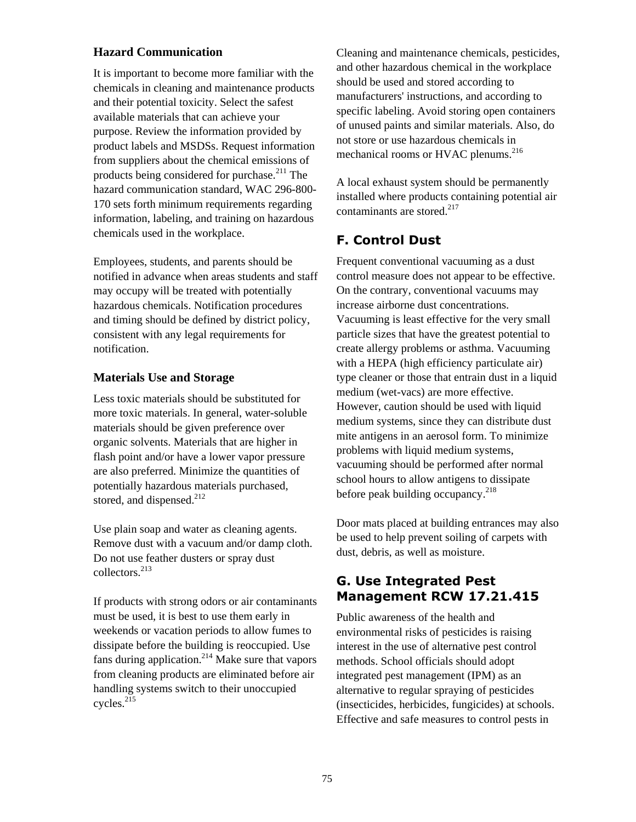#### **Hazard Communication**

It is important to become more familiar with the chemicals in cleaning and maintenance products and their potential toxicity. Select the safest available materials that can achieve your purpose. Review the information provided by product labels and MSDSs. Request information from suppliers about the chemical emissions of products being considered for purchase.<sup>211</sup> The hazard communication standard, WAC 296-800- 170 sets forth minimum requirements regarding information, labeling, and training on hazardous chemicals used in the workplace.

Employees, students, and parents should be notified in advance when areas students and staff may occupy will be treated with potentially hazardous chemicals. Notification procedures and timing should be defined by district policy, consistent with any legal requirements for notification.

#### **Materials Use and Storage**

Less toxic materials should be substituted for more toxic materials. In general, water-soluble materials should be given preference over organic solvents. Materials that are higher in flash point and/or have a lower vapor pressure are also preferred. Minimize the quantities of potentially hazardous materials purchased, stored, and dispensed. $^{212}$  $^{212}$  $^{212}$ 

Use plain soap and water as cleaning agents. Remove dust with a vacuum and/or damp cloth. Do not use feather dusters or spray dust collectors.[213](#page-134-50)

If products with strong odors or air contaminants must be used, it is best to use them early in weekends or vacation periods to allow fumes to dissipate before the building is reoccupied. Use fans during application.<sup>214</sup> Make sure that vapors from cleaning products are eliminated before air handling systems switch to their unoccupied cycles.<sup>[215](#page-134-52)</sup>

Cleaning and maintenance chemicals, pesticides, and other hazardous chemical in the workplace should be used and stored according to manufacturers' instructions, and according to specific labeling. Avoid storing open containers of unused paints and similar materials. Also, do not store or use hazardous chemicals in mechanical rooms or HVAC plenums.<sup>[216](#page-134-53)</sup>

A local exhaust system should be permanently installed where products containing potential air contaminants are stored.<sup>217</sup>

# **F. Control Dust**

Frequent conventional vacuuming as a dust control measure does not appear to be effective. On the contrary, conventional vacuums may increase airborne dust concentrations. Vacuuming is least effective for the very small particle sizes that have the greatest potential to create allergy problems or asthma. Vacuuming with a HEPA (high efficiency particulate air) type cleaner or those that entrain dust in a liquid medium (wet-vacs) are more effective. However, caution should be used with liquid medium systems, since they can distribute dust mite antigens in an aerosol form. To minimize problems with liquid medium systems, vacuuming should be performed after normal school hours to allow antigens to dissipate before peak building occupancy. $^{218}$ 

Door mats placed at building entrances may also be used to help prevent soiling of carpets with dust, debris, as well as moisture.

# **G. Use Integrated Pest Management RCW 17.21.415**

Public awareness of the health and environmental risks of pesticides is raising interest in the use of alternative pest control methods. School officials should adopt integrated pest management (IPM) as an alternative to regular spraying of pesticides (insecticides, herbicides, fungicides) at schools. Effective and safe measures to control pests in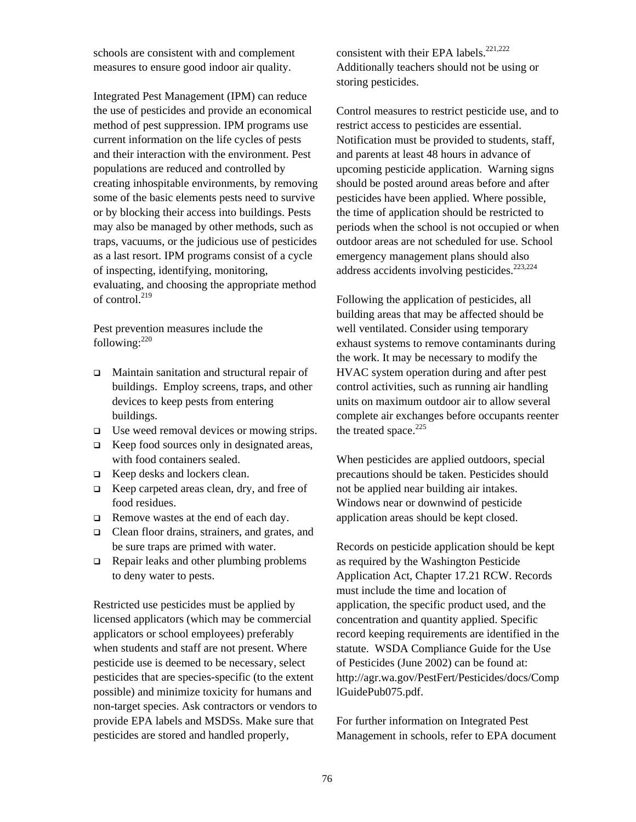schools are consistent with and complement measures to ensure good indoor air quality.

Integrated Pest Management (IPM) can reduce the use of pesticides and provide an economical method of pest suppression. IPM programs use current information on the life cycles of pests and their interaction with the environment. Pest populations are reduced and controlled by creating inhospitable environments, by removing some of the basic elements pests need to survive or by blocking their access into buildings. Pests may also be managed by other methods, such as traps, vacuums, or the judicious use of pesticides as a last resort. IPM programs consist of a cycle of inspecting, identifying, monitoring, evaluating, and choosing the appropriate method of control.<sup>219</sup>

Pest prevention measures include the following: $220$ 

- Maintain sanitation and structural repair of buildings. Employ screens, traps, and other devices to keep pests from entering buildings.
- $\Box$  Use weed removal devices or mowing strips.
- $\Box$  Keep food sources only in designated areas, with food containers sealed.
- □ Keep desks and lockers clean.
- $\Box$  Keep carpeted areas clean, dry, and free of food residues.
- $\Box$  Remove wastes at the end of each day.
- □ Clean floor drains, strainers, and grates, and be sure traps are primed with water.
- $\Box$  Repair leaks and other plumbing problems to deny water to pests.

Restricted use pesticides must be applied by licensed applicators (which may be commercial applicators or school employees) preferably when students and staff are not present. Where pesticide use is deemed to be necessary, select pesticides that are species-specific (to the extent possible) and minimize toxicity for humans and non-target species. Ask contractors or vendors to provide EPA labels and MSDSs. Make sure that pesticides are stored and handled properly,

consistent with their EPA labels. $^{221,222}$  $^{221,222}$  $^{221,222}$ Additionally teachers should not be using or storing pesticides.

Control measures to restrict pesticide use, and to restrict access to pesticides are essential. Notification must be provided to students, staff, and parents at least 48 hours in advance of upcoming pesticide application. Warning signs should be posted around areas before and after pesticides have been applied. Where possible, the time of application should be restricted to periods when the school is not occupied or when outdoor areas are not scheduled for use. School emergency management plans should also address accidents involving pesticides.<sup>[223,](#page-134-60)[224](#page-134-61)</sup>

Following the application of pesticides, all building areas that may be affected should be well ventilated. Consider using temporary exhaust systems to remove contaminants during the work. It may be necessary to modify the HVAC system operation during and after pest control activities, such as running air handling units on maximum outdoor air to allow several complete air exchanges before occupants reenter the treated space. $225$ 

When pesticides are applied outdoors, special precautions should be taken. Pesticides should not be applied near building air intakes. Windows near or downwind of pesticide application areas should be kept closed.

Records on pesticide application should be kept as required by the Washington Pesticide Application Act, Chapter 17.21 RCW. Records must include the time and location of application, the specific product used, and the concentration and quantity applied. Specific record keeping requirements are identified in the statute. WSDA Compliance Guide for the Use of Pesticides (June 2002) can be found at: http://agr.wa.gov/PestFert/Pesticides/docs/Comp lGuidePub075.pdf.

For further information on Integrated Pest Management in schools, refer to EPA document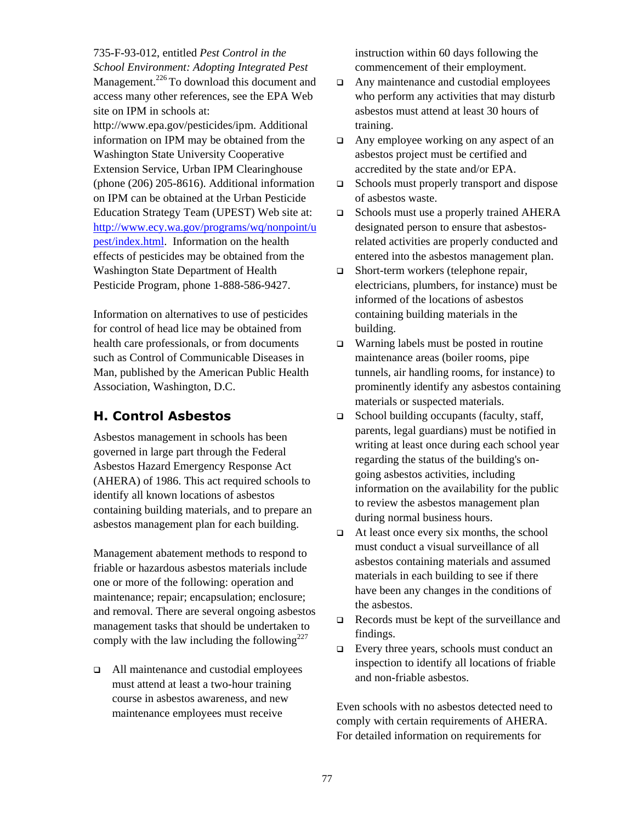735-F-93-012, entitled *Pest Control in the School Environment: Adopting Integrated Pest*  Management.<sup>226</sup> To download this document and access many other references, see the EPA Web site on IPM in schools at:

[http://www.epa.gov/pesticides/ipm.](http://www.epa.gov/pesticides/ipm) Additional information on IPM may be obtained from the Washington State University Cooperative Extension Service, Urban IPM Clearinghouse (phone (206) 205-8616). Additional information on IPM can be obtained at the Urban Pesticide Education Strategy Team (UPEST) Web site at: [http://www.ecy.wa.gov/programs/wq/nonpoint/u](http://www.ecy.wa.gov/programs/wq/nonpoint/upest/index.html) [pest/index.html](http://www.ecy.wa.gov/programs/wq/nonpoint/upest/index.html). Information on the health effects of pesticides may be obtained from the Washington State Department of Health Pesticide Program, phone 1-888-586-9427.

Information on alternatives to use of pesticides for control of head lice may be obtained from health care professionals, or from documents such as Control of Communicable Diseases in Man, published by the American Public Health Association, Washington, D.C.

# **H. Control Asbestos**

Asbestos management in schools has been governed in large part through the Federal Asbestos Hazard Emergency Response Act (AHERA) of 1986. This act required schools to identify all known locations of asbestos containing building materials, and to prepare an asbestos management plan for each building.

Management abatement methods to respond to friable or hazardous asbestos materials include one or more of the following: operation and maintenance; repair; encapsulation; enclosure; and removal. There are several ongoing asbestos management tasks that should be undertaken to comply with the law including the following<sup>227</sup>

 All maintenance and custodial employees must attend at least a two-hour training course in asbestos awareness, and new maintenance employees must receive

instruction within 60 days following the commencement of their employment.

- □ Any maintenance and custodial employees who perform any activities that may disturb asbestos must attend at least 30 hours of training.
- $\Box$  Any employee working on any aspect of an asbestos project must be certified and accredited by the state and/or EPA.
- □ Schools must properly transport and dispose of asbestos waste.
- □ Schools must use a properly trained AHERA designated person to ensure that asbestosrelated activities are properly conducted and entered into the asbestos management plan.
- □ Short-term workers (telephone repair, electricians, plumbers, for instance) must be informed of the locations of asbestos containing building materials in the building.
- $\Box$  Warning labels must be posted in routine maintenance areas (boiler rooms, pipe tunnels, air handling rooms, for instance) to prominently identify any asbestos containing materials or suspected materials.
- $\Box$  School building occupants (faculty, staff, parents, legal guardians) must be notified in writing at least once during each school year regarding the status of the building's ongoing asbestos activities, including information on the availability for the public to review the asbestos management plan during normal business hours.
- $\Box$  At least once every six months, the school must conduct a visual surveillance of all asbestos containing materials and assumed materials in each building to see if there have been any changes in the conditions of the asbestos.
- Records must be kept of the surveillance and findings.
- $\Box$  Every three years, schools must conduct an inspection to identify all locations of friable and non-friable asbestos.

Even schools with no asbestos detected need to comply with certain requirements of AHERA. For detailed information on requirements for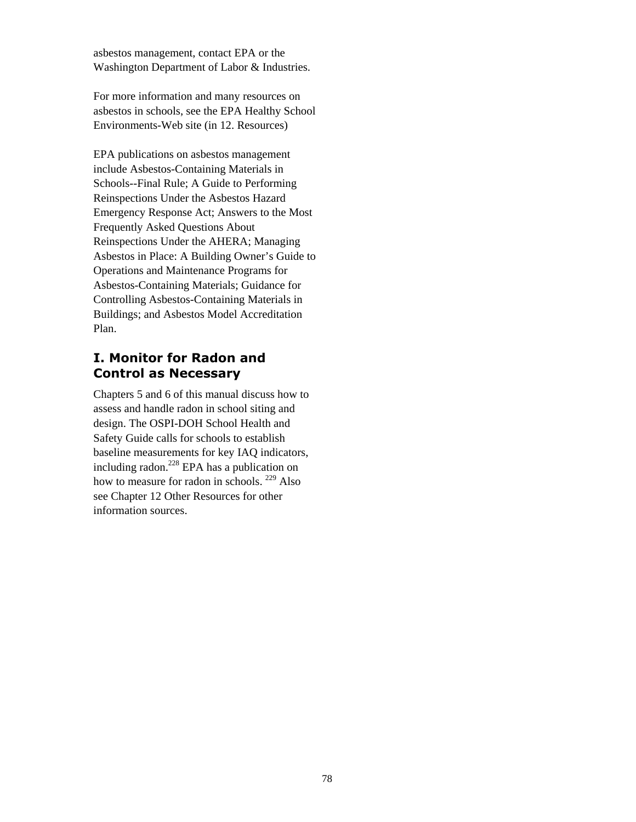asbestos management, contact EPA or the Washington Department of Labor & Industries.

For more information and many resources on asbestos in schools, see the EPA Healthy School Environments-Web site (in 12. Resources)

EPA publications on asbestos management include Asbestos-Containing Materials in Schools--Final Rule; A Guide to Performing Reinspections Under the Asbestos Hazard Emergency Response Act; Answers to the Most Frequently Asked Questions About Reinspections Under the AHERA; Managing Asbestos in Place: A Building Owner's Guide to Operations and Maintenance Programs for Asbestos-Containing Materials; Guidance for Controlling Asbestos-Containing Materials in Buildings; and Asbestos Model Accreditation Plan.

# **I. Monitor for Radon and Control as Necessary**

Chapters 5 and 6 of this manual discuss how to assess and handle radon in school siting and design. The OSPI-DOH School Health and Safety Guide calls for schools to establish baseline measurements for key IAQ indicators, including radon. $^{228}$  EPA has a publication on how to measure for radon in schools. <sup>229</sup> Also see Chapter 12 Other Resources for other information sources.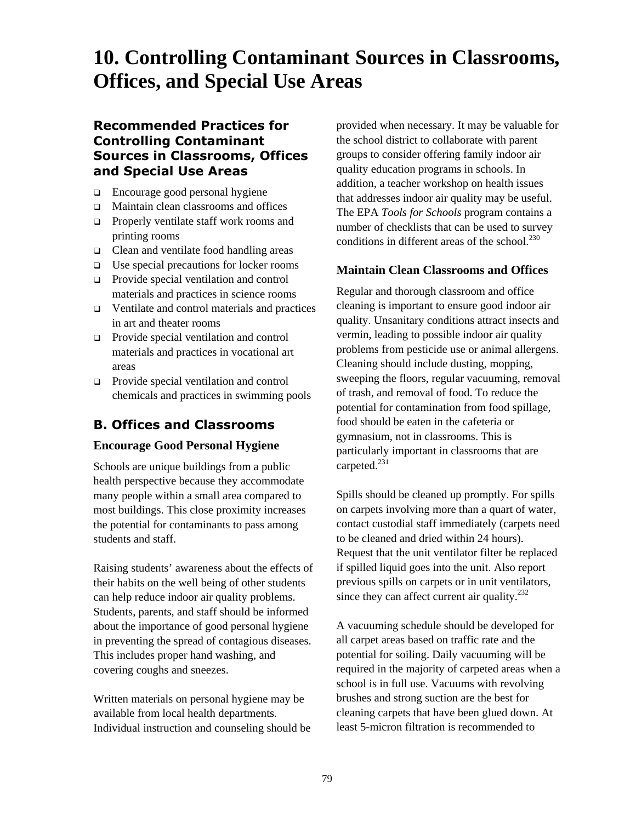# **10. Controlling Contaminant Sources in Classrooms, Offices, and Special Use Areas**

## **Recommended Practices for Controlling Contaminant Sources in Classrooms, Offices and Special Use Areas**

- □ Encourage good personal hygiene
- □ Maintain clean classrooms and offices
- **Properly ventilate staff work rooms and** printing rooms
- □ Clean and ventilate food handling areas
- $\Box$  Use special precautions for locker rooms
- **Provide special ventilation and control** materials and practices in science rooms
- Ventilate and control materials and practices in art and theater rooms
- **Provide special ventilation and control** materials and practices in vocational art areas
- **Provide special ventilation and control** chemicals and practices in swimming pools

# **B. Offices and Classrooms**

#### **Encourage Good Personal Hygiene**

Schools are unique buildings from a public health perspective because they accommodate many people within a small area compared to most buildings. This close proximity increases the potential for contaminants to pass among students and staff.

Raising students' awareness about the effects of their habits on the well being of other students can help reduce indoor air quality problems. Students, parents, and staff should be informed about the importance of good personal hygiene in preventing the spread of contagious diseases. This includes proper hand washing, and covering coughs and sneezes.

Written materials on personal hygiene may be available from local health departments. Individual instruction and counseling should be

provided when necessary. It may be valuable for the school district to collaborate with parent groups to consider offering family indoor air quality education programs in schools. In addition, a teacher workshop on health issues that addresses indoor air quality may be useful. The EPA *Tools for Schools* program contains a number of checklists that can be used to survey conditions in different areas of the school. $^{230}$  $^{230}$  $^{230}$ 

## **Maintain Clean Classrooms and Offices**

Regular and thorough classroom and office cleaning is important to ensure good indoor air quality. Unsanitary conditions attract insects and vermin, leading to possible indoor air quality problems from pesticide use or animal allergens. Cleaning should include dusting, mopping, sweeping the floors, regular vacuuming, removal of trash, and removal of food. To reduce the potential for contamination from food spillage, food should be eaten in the cafeteria or gymnasium, not in classrooms. This is particularly important in classrooms that are carpeted.<sup>231</sup>

Spills should be cleaned up promptly. For spills on carpets involving more than a quart of water, contact custodial staff immediately (carpets need to be cleaned and dried within 24 hours). Request that the unit ventilator filter be replaced if spilled liquid goes into the unit. Also report previous spills on carpets or in unit ventilators, since they can affect current air quality.<sup>232</sup>

A vacuuming schedule should be developed for all carpet areas based on traffic rate and the potential for soiling. Daily vacuuming will be required in the majority of carpeted areas when a school is in full use. Vacuums with revolving brushes and strong suction are the best for cleaning carpets that have been glued down. At least 5-micron filtration is recommended to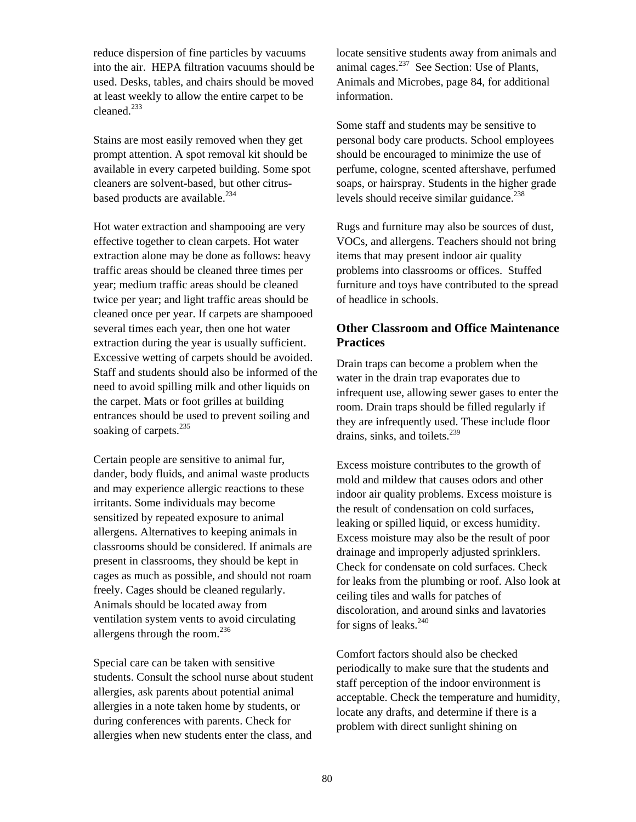reduce dispersion of fine particles by vacuums into the air. HEPA filtration vacuums should be used. Desks, tables, and chairs should be moved at least weekly to allow the entire carpet to be  $cleaned.<sup>233</sup>$ 

Stains are most easily removed when they get prompt attention. A spot removal kit should be available in every carpeted building. Some spot cleaners are solvent-based, but other citrusbased products are available.<sup>234</sup>

Hot water extraction and shampooing are very effective together to clean carpets. Hot water extraction alone may be done as follows: heavy traffic areas should be cleaned three times per year; medium traffic areas should be cleaned twice per year; and light traffic areas should be cleaned once per year. If carpets are shampooed several times each year, then one hot water extraction during the year is usually sufficient. Excessive wetting of carpets should be avoided. Staff and students should also be informed of the need to avoid spilling milk and other liquids on the carpet. Mats or foot grilles at building entrances should be used to prevent soiling and soaking of carpets.<sup>[235](#page-134-31)</sup>

Certain people are sensitive to animal fur, dander, body fluids, and animal waste products and may experience allergic reactions to these irritants. Some individuals may become sensitized by repeated exposure to animal allergens. Alternatives to keeping animals in classrooms should be considered. If animals are present in classrooms, they should be kept in cages as much as possible, and should not roam freely. Cages should be cleaned regularly. Animals should be located away from ventilation system vents to avoid circulating allergens through the room. $^{236}$ 

Special care can be taken with sensitive students. Consult the school nurse about student allergies, ask parents about potential animal allergies in a note taken home by students, or during conferences with parents. Check for allergies when new students enter the class, and

locate sensitive students away from animals and animal cages. $^{237}$  See Section: Use of Plants, Animals and Microbes, page 84, for additional information.

Some staff and students may be sensitive to personal body care products. School employees should be encouraged to minimize the use of perfume, cologne, scented aftershave, perfumed soaps, or hairspray. Students in the higher grade levels should receive similar guidance. $238$ 

Rugs and furniture may also be sources of dust, VOCs, and allergens. Teachers should not bring items that may present indoor air quality problems into classrooms or offices. Stuffed furniture and toys have contributed to the spread of headlice in schools.

#### **Other Classroom and Office Maintenance Practices**

Drain traps can become a problem when the water in the drain trap evaporates due to infrequent use, allowing sewer gases to enter the room. Drain traps should be filled regularly if they are infrequently used. These include floor drains, sinks, and toilets.<sup>239</sup>

Excess moisture contributes to the growth of mold and mildew that causes odors and other indoor air quality problems. Excess moisture is the result of condensation on cold surfaces, leaking or spilled liquid, or excess humidity. Excess moisture may also be the result of poor drainage and improperly adjusted sprinklers. Check for condensate on cold surfaces. Check for leaks from the plumbing or roof. Also look at ceiling tiles and walls for patches of discoloration, and around sinks and lavatories for signs of leaks. $240$ 

Comfort factors should also be checked periodically to make sure that the students and staff perception of the indoor environment is acceptable. Check the temperature and humidity, locate any drafts, and determine if there is a problem with direct sunlight shining on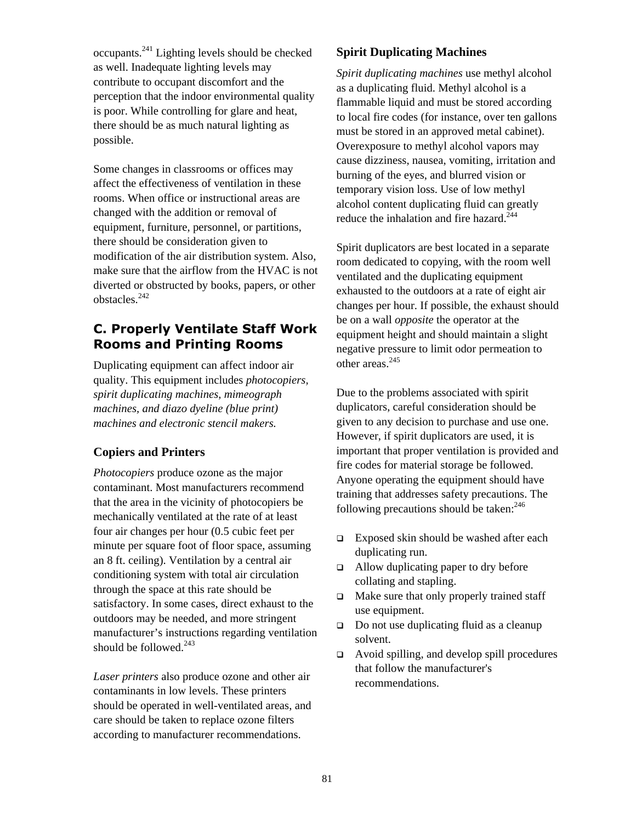occupants.[241](#page-134-76) Lighting levels should be checked as well. Inadequate lighting levels may contribute to occupant discomfort and the perception that the indoor environmental quality is poor. While controlling for glare and heat, there should be as much natural lighting as possible.

Some changes in classrooms or offices may affect the effectiveness of ventilation in these rooms. When office or instructional areas are changed with the addition or removal of equipment, furniture, personnel, or partitions, there should be consideration given to modification of the air distribution system. Also, make sure that the airflow from the HVAC is not diverted or obstructed by books, papers, or other obstacles.[242](#page-134-77)

# **C. Properly Ventilate Staff Work Rooms and Printing Rooms**

Duplicating equipment can affect indoor air quality. This equipment includes *photocopiers, spirit duplicating machines, mimeograph machines, and diazo dyeline (blue print) machines and electronic stencil makers.*

## **Copiers and Printers**

*Photocopiers* produce ozone as the major contaminant. Most manufacturers recommend that the area in the vicinity of photocopiers be mechanically ventilated at the rate of at least four air changes per hour (0.5 cubic feet per minute per square foot of floor space, assuming an 8 ft. ceiling). Ventilation by a central air conditioning system with total air circulation through the space at this rate should be satisfactory. In some cases, direct exhaust to the outdoors may be needed, and more stringent manufacturer's instructions regarding ventilation should be followed. $243$ 

*Laser printers* also produce ozone and other air contaminants in low levels. These printers should be operated in well-ventilated areas, and care should be taken to replace ozone filters according to manufacturer recommendations.

## **Spirit Duplicating Machines**

*Spirit duplicating machines* use methyl alcohol as a duplicating fluid. Methyl alcohol is a flammable liquid and must be stored according to local fire codes (for instance, over ten gallons must be stored in an approved metal cabinet). Overexposure to methyl alcohol vapors may cause dizziness, nausea, vomiting, irritation and burning of the eyes, and blurred vision or temporary vision loss. Use of low methyl alcohol content duplicating fluid can greatly reduce the inhalation and fire hazard. $244$ 

Spirit duplicators are best located in a separate room dedicated to copying, with the room well ventilated and the duplicating equipment exhausted to the outdoors at a rate of eight air changes per hour. If possible, the exhaust should be on a wall *opposite* the operator at the equipment height and should maintain a slight negative pressure to limit odor permeation to other areas.<sup>245</sup>

Due to the problems associated with spirit duplicators, careful consideration should be given to any decision to purchase and use one. However, if spirit duplicators are used, it is important that proper ventilation is provided and fire codes for material storage be followed. Anyone operating the equipment should have training that addresses safety precautions. The following precautions should be taken: $246$ 

- $\Box$  Exposed skin should be washed after each duplicating run.
- $\Box$  Allow duplicating paper to dry before collating and stapling.
- $\Box$  Make sure that only properly trained staff use equipment.
- $\Box$  Do not use duplicating fluid as a cleanup solvent.
- $\Box$  Avoid spilling, and develop spill procedures that follow the manufacturer's recommendations.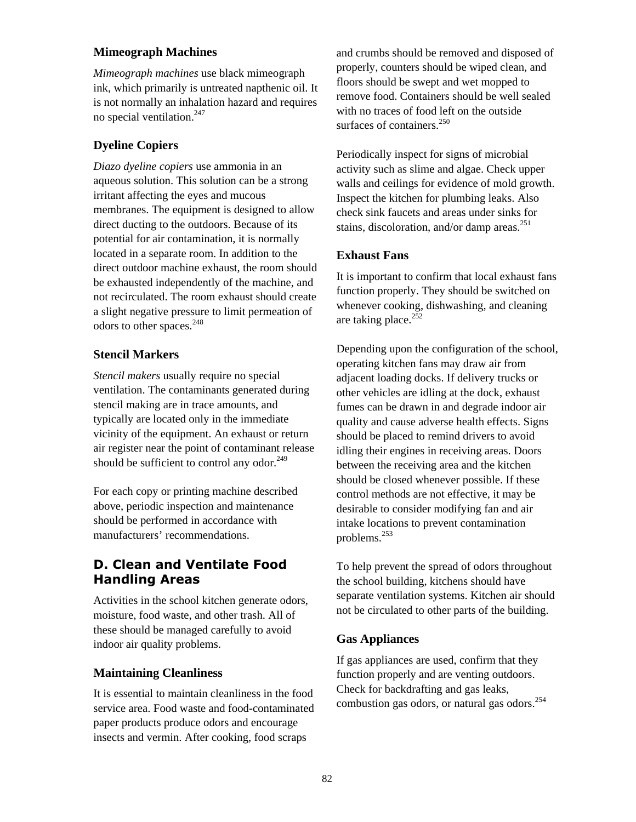#### **Mimeograph Machines**

*Mimeograph machines* use black mimeograph ink, which primarily is untreated napthenic oil. It is not normally an inhalation hazard and requires no special ventilation.[247](#page-134-82) 

## **Dyeline Copiers**

*Diazo dyeline copiers* use ammonia in an aqueous solution. This solution can be a strong irritant affecting the eyes and mucous membranes. The equipment is designed to allow direct ducting to the outdoors. Because of its potential for air contamination, it is normally located in a separate room. In addition to the direct outdoor machine exhaust, the room should be exhausted independently of the machine, and not recirculated. The room exhaust should create a slight negative pressure to limit permeation of odors to other spaces.<sup>[248](#page-134-83)</sup>

#### **Stencil Markers**

*Stencil makers* usually require no special ventilation. The contaminants generated during stencil making are in trace amounts, and typically are located only in the immediate vicinity of the equipment. An exhaust or return air register near the point of contaminant release should be sufficient to control any odor. $^{249}$ 

For each copy or printing machine described above, periodic inspection and maintenance should be performed in accordance with manufacturers' recommendations.

# **D. Clean and Ventilate Food Handling Areas**

Activities in the school kitchen generate odors, moisture, food waste, and other trash. All of these should be managed carefully to avoid indoor air quality problems.

#### **Maintaining Cleanliness**

It is essential to maintain cleanliness in the food service area. Food waste and food-contaminated paper products produce odors and encourage insects and vermin. After cooking, food scraps

and crumbs should be removed and disposed of properly, counters should be wiped clean, and floors should be swept and wet mopped to remove food. Containers should be well sealed with no traces of food left on the outside surfaces of containers.<sup>250</sup>

Periodically inspect for signs of microbial activity such as slime and algae. Check upper walls and ceilings for evidence of mold growth. Inspect the kitchen for plumbing leaks. Also check sink faucets and areas under sinks for stains, discoloration, and/or damp areas. $^{251}$  $^{251}$  $^{251}$ 

#### **Exhaust Fans**

It is important to confirm that local exhaust fans function properly. They should be switched on whenever cooking, dishwashing, and cleaning are taking place. $252$ 

Depending upon the configuration of the school, operating kitchen fans may draw air from adjacent loading docks. If delivery trucks or other vehicles are idling at the dock, exhaust fumes can be drawn in and degrade indoor air quality and cause adverse health effects. Signs should be placed to remind drivers to avoid idling their engines in receiving areas. Doors between the receiving area and the kitchen should be closed whenever possible. If these control methods are not effective, it may be desirable to consider modifying fan and air intake locations to prevent contamination problems.[253](#page-134-88)

To help prevent the spread of odors throughout the school building, kitchens should have separate ventilation systems. Kitchen air should not be circulated to other parts of the building.

#### **Gas Appliances**

If gas appliances are used, confirm that they function properly and are venting outdoors. Check for backdrafting and gas leaks, combustion gas odors, or natural gas odors.<sup>[254](#page-134-89)</sup>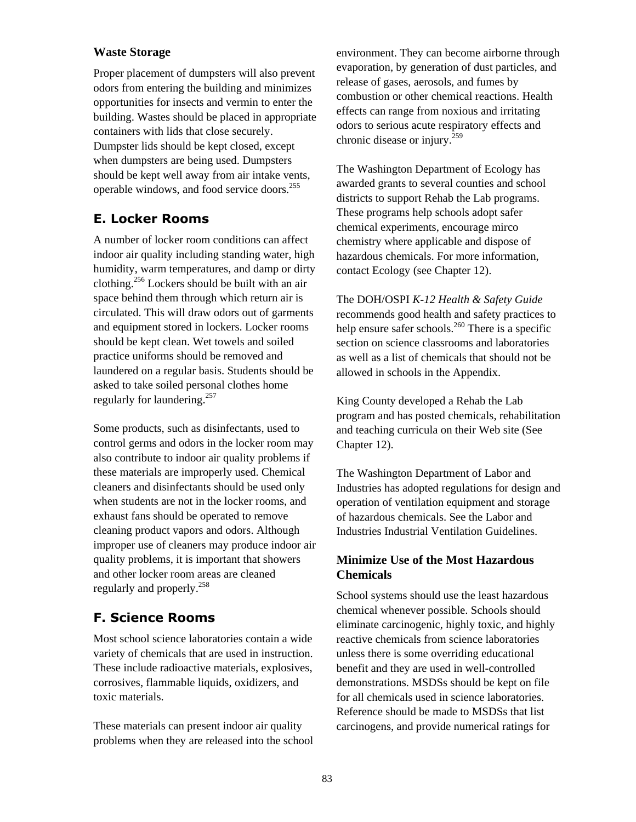#### **Waste Storage**

Proper placement of dumpsters will also prevent odors from entering the building and minimizes opportunities for insects and vermin to enter the building. Wastes should be placed in appropriate containers with lids that close securely. Dumpster lids should be kept closed, except when dumpsters are being used. Dumpsters should be kept well away from air intake vents, operable windows, and food service doors.<sup>255</sup>

# **E. Locker Rooms**

A number of locker room conditions can affect indoor air quality including standing water, high humidity, warm temperatures, and damp or dirty clothing.[256](#page-134-91) Lockers should be built with an air space behind them through which return air is circulated. This will draw odors out of garments and equipment stored in lockers. Locker rooms should be kept clean. Wet towels and soiled practice uniforms should be removed and laundered on a regular basis. Students should be asked to take soiled personal clothes home regularly for laundering.[257](#page-134-92) 

Some products, such as disinfectants, used to control germs and odors in the locker room may also contribute to indoor air quality problems if these materials are improperly used. Chemical cleaners and disinfectants should be used only when students are not in the locker rooms, and exhaust fans should be operated to remove cleaning product vapors and odors. Although improper use of cleaners may produce indoor air quality problems, it is important that showers and other locker room areas are cleaned regularly and properly.<sup>258</sup>

# **F. Science Rooms**

Most school science laboratories contain a wide variety of chemicals that are used in instruction. These include radioactive materials, explosives, corrosives, flammable liquids, oxidizers, and toxic materials.

These materials can present indoor air quality problems when they are released into the school

environment. They can become airborne through evaporation, by generation of dust particles, and release of gases, aerosols, and fumes by combustion or other chemical reactions. Health effects can range from noxious and irritating odors to serious acute respiratory effects and chronic disease or injury.[259](#page-134-94) 

The Washington Department of Ecology has awarded grants to several counties and school districts to support Rehab the Lab programs. These programs help schools adopt safer chemical experiments, encourage mirco chemistry where applicable and dispose of hazardous chemicals. For more information, contact Ecology (see Chapter 12).

The DOH/OSPI *K-12 Health & Safety Guide* recommends good health and safety practices to help ensure safer schools.<sup>260</sup> There is a specific section on science classrooms and laboratories as well as a list of chemicals that should not be allowed in schools in the Appendix.

King County developed a Rehab the Lab program and has posted chemicals, rehabilitation and teaching curricula on their Web site (See Chapter 12).

The Washington Department of Labor and Industries has adopted regulations for design and operation of ventilation equipment and storage of hazardous chemicals. See the Labor and Industries Industrial Ventilation Guidelines.

#### **Minimize Use of the Most Hazardous Chemicals**

School systems should use the least hazardous chemical whenever possible. Schools should eliminate carcinogenic, highly toxic, and highly reactive chemicals from science laboratories unless there is some overriding educational benefit and they are used in well-controlled demonstrations. MSDSs should be kept on file for all chemicals used in science laboratories. Reference should be made to MSDSs that list carcinogens, and provide numerical ratings for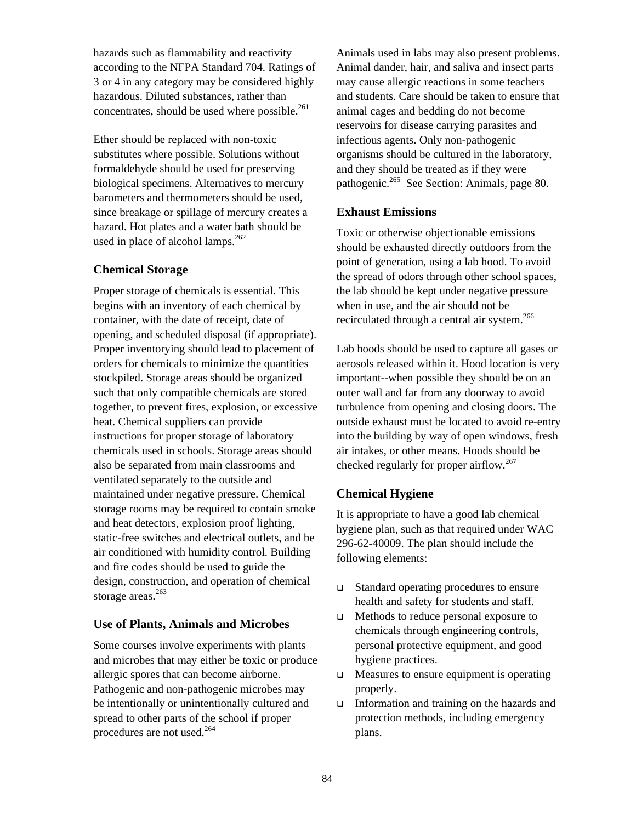hazards such as flammability and reactivity according to the NFPA Standard 704. Ratings of 3 or 4 in any category may be considered highly hazardous. Diluted substances, rather than concentrates, should be used where possible.<sup>261</sup>

Ether should be replaced with non-toxic substitutes where possible. Solutions without formaldehyde should be used for preserving biological specimens. Alternatives to mercury barometers and thermometers should be used, since breakage or spillage of mercury creates a hazard. Hot plates and a water bath should be used in place of alcohol lamps. $262$ 

#### **Chemical Storage**

Proper storage of chemicals is essential. This begins with an inventory of each chemical by container, with the date of receipt, date of opening, and scheduled disposal (if appropriate). Proper inventorying should lead to placement of orders for chemicals to minimize the quantities stockpiled. Storage areas should be organized such that only compatible chemicals are stored together, to prevent fires, explosion, or excessive heat. Chemical suppliers can provide instructions for proper storage of laboratory chemicals used in schools. Storage areas should also be separated from main classrooms and ventilated separately to the outside and maintained under negative pressure. Chemical storage rooms may be required to contain smoke and heat detectors, explosion proof lighting, static-free switches and electrical outlets, and be air conditioned with humidity control. Building and fire codes should be used to guide the design, construction, and operation of chemical storage areas. $263$ 

#### **Use of Plants, Animals and Microbes**

Some courses involve experiments with plants and microbes that may either be toxic or produce allergic spores that can become airborne. Pathogenic and non-pathogenic microbes may be intentionally or unintentionally cultured and spread to other parts of the school if proper procedures are not used.[264](#page-134-33)

Animals used in labs may also present problems. Animal dander, hair, and saliva and insect parts may cause allergic reactions in some teachers and students. Care should be taken to ensure that animal cages and bedding do not become reservoirs for disease carrying parasites and infectious agents. Only non-pathogenic organisms should be cultured in the laboratory, and they should be treated as if they were pathogenic.<sup>265</sup> See Section: Animals, page 80.

#### **Exhaust Emissions**

Toxic or otherwise objectionable emissions should be exhausted directly outdoors from the point of generation, using a lab hood. To avoid the spread of odors through other school spaces, the lab should be kept under negative pressure when in use, and the air should not be recirculated through a central air system.<sup>266</sup>

Lab hoods should be used to capture all gases or aerosols released within it. Hood location is very important--when possible they should be on an outer wall and far from any doorway to avoid turbulence from opening and closing doors. The outside exhaust must be located to avoid re-entry into the building by way of open windows, fresh air intakes, or other means. Hoods should be checked regularly for proper airflow.<sup>[267](#page-134-99)</sup>

## **Chemical Hygiene**

It is appropriate to have a good lab chemical hygiene plan, such as that required under WAC 296-62-40009. The plan should include the following elements:

- Standard operating procedures to ensure health and safety for students and staff.
- Methods to reduce personal exposure to chemicals through engineering controls, personal protective equipment, and good hygiene practices.
- $\Box$  Measures to ensure equipment is operating properly.
- $\Box$  Information and training on the hazards and protection methods, including emergency plans.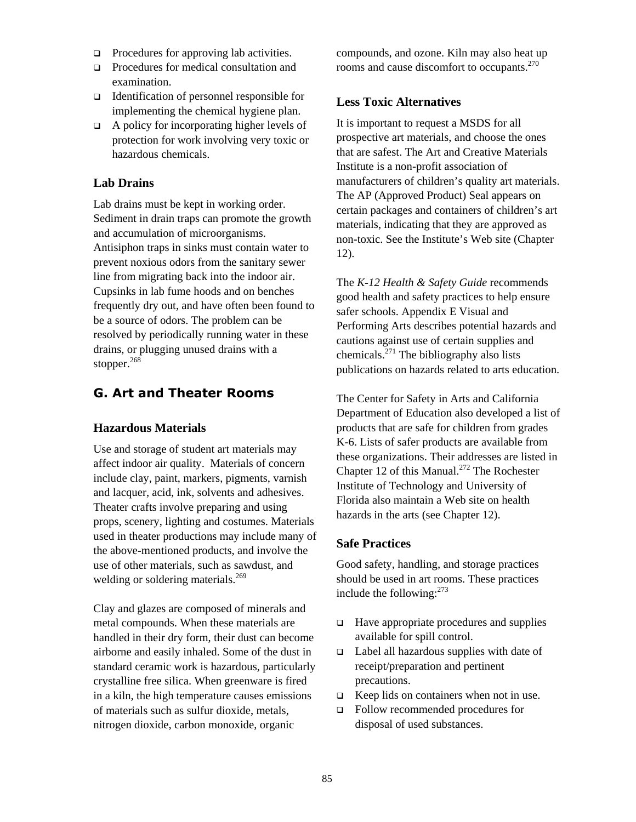- $\Box$  Procedures for approving lab activities.
- □ Procedures for medical consultation and examination.
- Identification of personnel responsible for implementing the chemical hygiene plan.
- $\Box$  A policy for incorporating higher levels of protection for work involving very toxic or hazardous chemicals.

#### **Lab Drains**

Lab drains must be kept in working order. Sediment in drain traps can promote the growth and accumulation of microorganisms. Antisiphon traps in sinks must contain water to prevent noxious odors from the sanitary sewer line from migrating back into the indoor air. Cupsinks in lab fume hoods and on benches frequently dry out, and have often been found to be a source of odors. The problem can be resolved by periodically running water in these drains, or plugging unused drains with a stopper. $268$ 

# **G. Art and Theater Rooms**

#### **Hazardous Materials**

Use and storage of student art materials may affect indoor air quality. Materials of concern include clay, paint, markers, pigments, varnish and lacquer, acid, ink, solvents and adhesives. Theater crafts involve preparing and using props, scenery, lighting and costumes. Materials used in theater productions may include many of the above-mentioned products, and involve the use of other materials, such as sawdust, and welding or soldering materials.<sup>[269](#page-134-101)</sup>

Clay and glazes are composed of minerals and metal compounds. When these materials are handled in their dry form, their dust can become airborne and easily inhaled. Some of the dust in standard ceramic work is hazardous, particularly crystalline free silica. When greenware is fired in a kiln, the high temperature causes emissions of materials such as sulfur dioxide, metals, nitrogen dioxide, carbon monoxide, organic

compounds, and ozone. Kiln may also heat up rooms and cause discomfort to occupants.<sup>270</sup>

#### **Less Toxic Alternatives**

It is important to request a MSDS for all prospective art materials, and choose the ones that are safest. The Art and Creative Materials Institute is a non-profit association of manufacturers of children's quality art materials. The AP (Approved Product) Seal appears on certain packages and containers of children's art materials, indicating that they are approved as non-toxic. See the Institute's Web site (Chapter 12).

The *K-12 Health & Safety Guide* recommends good health and safety practices to help ensure safer schools. Appendix E Visual and Performing Arts describes potential hazards and cautions against use of certain supplies and chemicals. $^{271}$  The bibliography also lists publications on hazards related to arts education.

The Center for Safety in Arts and California Department of Education also developed a list of products that are safe for children from grades K-6. Lists of safer products are available from these organizations. Their addresses are listed in Chapter 12 of this Manual.<sup>272</sup> The Rochester Institute of Technology and University of Florida also maintain a Web site on health hazards in the arts (see Chapter 12).

#### **Safe Practices**

Good safety, handling, and storage practices should be used in art rooms. These practices include the following: $273$ 

- $\Box$  Have appropriate procedures and supplies available for spill control.
- $\Box$  Label all hazardous supplies with date of receipt/preparation and pertinent precautions.
- $\Box$  Keep lids on containers when not in use.
- Follow recommended procedures for disposal of used substances.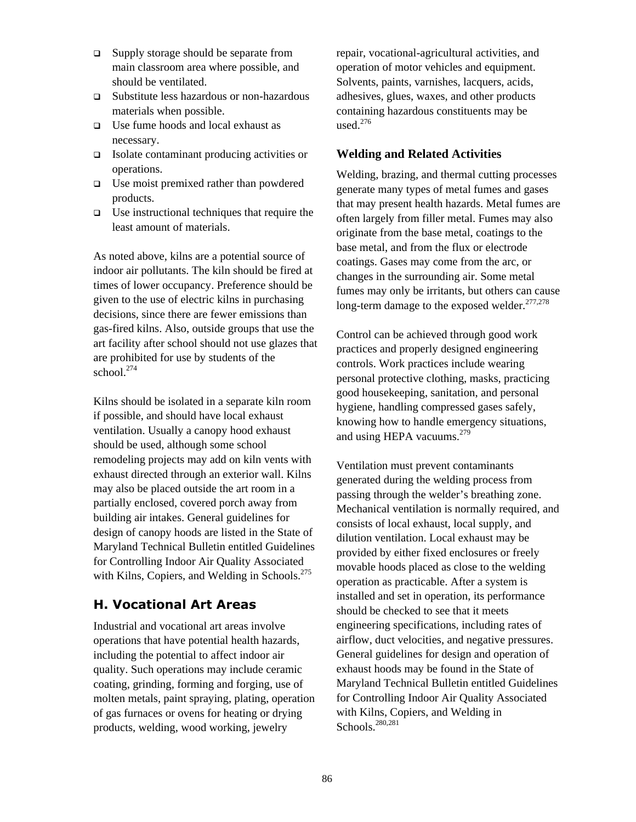- $\square$  Supply storage should be separate from main classroom area where possible, and should be ventilated.
- Substitute less hazardous or non-hazardous materials when possible.
- Use fume hoods and local exhaust as necessary.
- Isolate contaminant producing activities or operations.
- $\Box$  Use moist premixed rather than powdered products.
- $\Box$  Use instructional techniques that require the least amount of materials.

As noted above, kilns are a potential source of indoor air pollutants. The kiln should be fired at times of lower occupancy. Preference should be given to the use of electric kilns in purchasing decisions, since there are fewer emissions than gas-fired kilns. Also, outside groups that use the art facility after school should not use glazes that are prohibited for use by students of the school.<sup>274</sup>

Kilns should be isolated in a separate kiln room if possible, and should have local exhaust ventilation. Usually a canopy hood exhaust should be used, although some school remodeling projects may add on kiln vents with exhaust directed through an exterior wall. Kilns may also be placed outside the art room in a partially enclosed, covered porch away from building air intakes. General guidelines for design of canopy hoods are listed in the State of Maryland Technical Bulletin entitled Guidelines for Controlling Indoor Air Quality Associated with Kilns, Copiers, and Welding in Schools.<sup>[275](#page-134-107)</sup>

## **H. Vocational Art Areas**

Industrial and vocational art areas involve operations that have potential health hazards, including the potential to affect indoor air quality. Such operations may include ceramic coating, grinding, forming and forging, use of molten metals, paint spraying, plating, operation of gas furnaces or ovens for heating or drying products, welding, wood working, jewelry

repair, vocational-agricultural activities, and operation of motor vehicles and equipment. Solvents, paints, varnishes, lacquers, acids, adhesives, glues, waxes, and other products containing hazardous constituents may be used. $276$ 

#### **Welding and Related Activities**

Welding, brazing, and thermal cutting processes generate many types of metal fumes and gases that may present health hazards. Metal fumes are often largely from filler metal. Fumes may also originate from the base metal, coatings to the base metal, and from the flux or electrode coatings. Gases may come from the arc, or changes in the surrounding air. Some metal fumes may only be irritants, but others can cause long-term damage to the exposed welder.<sup>277,278</sup>

Control can be achieved through good work practices and properly designed engineering controls. Work practices include wearing personal protective clothing, masks, practicing good housekeeping, sanitation, and personal hygiene, handling compressed gases safely, knowing how to handle emergency situations, and using HEPA vacuums.<sup>279</sup>

Ventilation must prevent contaminants generated during the welding process from passing through the welder's breathing zone. Mechanical ventilation is normally required, and consists of local exhaust, local supply, and dilution ventilation. Local exhaust may be provided by either fixed enclosures or freely movable hoods placed as close to the welding operation as practicable. After a system is installed and set in operation, its performance should be checked to see that it meets engineering specifications, including rates of airflow, duct velocities, and negative pressures. General guidelines for design and operation of exhaust hoods may be found in the State of Maryland Technical Bulletin entitled Guidelines for Controlling Indoor Air Quality Associated with Kilns, Copiers, and Welding in Schools.<sup>[280,](#page-134-112)[281](#page-134-47)</sup>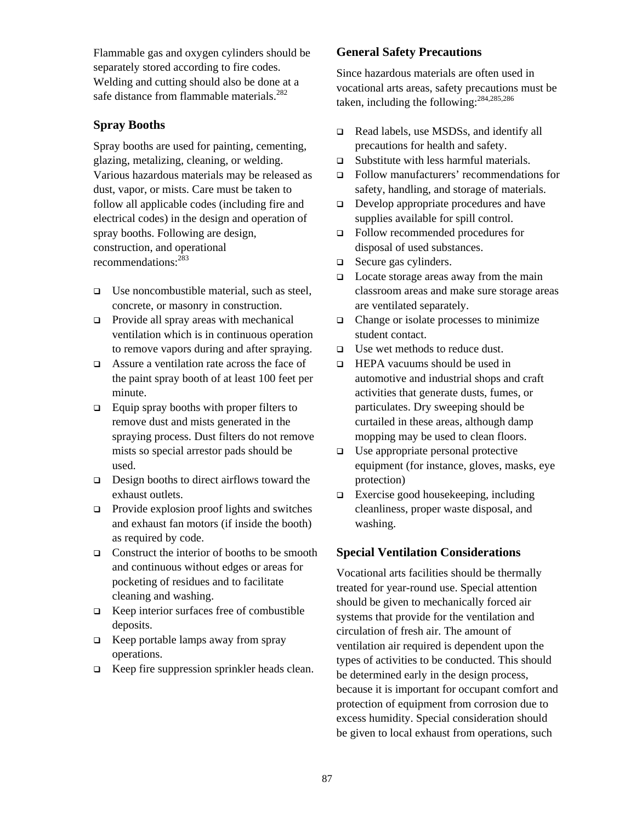Flammable gas and oxygen cylinders should be separately stored according to fire codes. Welding and cutting should also be done at a safe distance from flammable materials.<sup>282</sup>

#### **Spray Booths**

Spray booths are used for painting, cementing, glazing, metalizing, cleaning, or welding. Various hazardous materials may be released as dust, vapor, or mists. Care must be taken to follow all applicable codes (including fire and electrical codes) in the design and operation of spray booths. Following are design, construction, and operational recommendations:<sup>283</sup>

- $\Box$  Use noncombustible material, such as steel, concrete, or masonry in construction.
- $\Box$  Provide all spray areas with mechanical ventilation which is in continuous operation to remove vapors during and after spraying.
- Assure a ventilation rate across the face of the paint spray booth of at least 100 feet per minute.
- $\Box$  Equip spray booths with proper filters to remove dust and mists generated in the spraying process. Dust filters do not remove mists so special arrestor pads should be used.
- $\Box$  Design booths to direct airflows toward the exhaust outlets.
- $\Box$  Provide explosion proof lights and switches and exhaust fan motors (if inside the booth) as required by code.
- $\Box$  Construct the interior of booths to be smooth and continuous without edges or areas for pocketing of residues and to facilitate cleaning and washing.
- $\Box$  Keep interior surfaces free of combustible deposits.
- $\Box$  Keep portable lamps away from spray operations.
- $\Box$  Keep fire suppression sprinkler heads clean.

#### **General Safety Precautions**

Since hazardous materials are often used in vocational arts areas, safety precautions must be taken, including the following:[284,](#page-134-115)[285,](#page-134-116)[286](#page-134-117) 

- Read labels, use MSDSs, and identify all precautions for health and safety.
- □ Substitute with less harmful materials.
- Follow manufacturers' recommendations for safety, handling, and storage of materials.
- Develop appropriate procedures and have supplies available for spill control.
- Follow recommended procedures for disposal of used substances.
- □ Secure gas cylinders.
- $\Box$  Locate storage areas away from the main classroom areas and make sure storage areas are ventilated separately.
- $\Box$  Change or isolate processes to minimize student contact.
- $\Box$  Use wet methods to reduce dust.
- □ HEPA vacuums should be used in automotive and industrial shops and craft activities that generate dusts, fumes, or particulates. Dry sweeping should be curtailed in these areas, although damp mopping may be used to clean floors.
- $\Box$  Use appropriate personal protective equipment (for instance, gloves, masks, eye protection)
- $\Box$  Exercise good housekeeping, including cleanliness, proper waste disposal, and washing.

## **Special Ventilation Considerations**

Vocational arts facilities should be thermally treated for year-round use. Special attention should be given to mechanically forced air systems that provide for the ventilation and circulation of fresh air. The amount of ventilation air required is dependent upon the types of activities to be conducted. This should be determined early in the design process, because it is important for occupant comfort and protection of equipment from corrosion due to excess humidity. Special consideration should be given to local exhaust from operations, such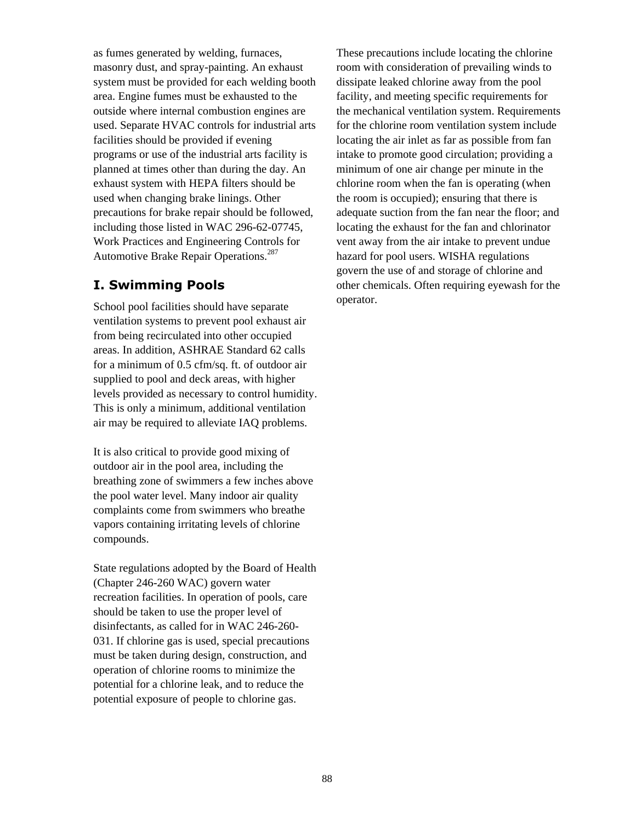as fumes generated by welding, furnaces, masonry dust, and spray-painting. An exhaust system must be provided for each welding booth area. Engine fumes must be exhausted to the outside where internal combustion engines are used. Separate HVAC controls for industrial arts facilities should be provided if evening programs or use of the industrial arts facility is planned at times other than during the day. An exhaust system with HEPA filters should be used when changing brake linings. Other precautions for brake repair should be followed, including those listed in WAC 296-62-07745, Work Practices and Engineering Controls for Automotive Brake Repair Operations.<sup>[287](#page-134-118)</sup>

# **I. Swimming Pools**

School pool facilities should have separate ventilation systems to prevent pool exhaust air from being recirculated into other occupied areas. In addition, ASHRAE Standard 62 calls for a minimum of 0.5 cfm/sq. ft. of outdoor air supplied to pool and deck areas, with higher levels provided as necessary to control humidity. This is only a minimum, additional ventilation air may be required to alleviate IAQ problems.

It is also critical to provide good mixing of outdoor air in the pool area, including the breathing zone of swimmers a few inches above the pool water level. Many indoor air quality complaints come from swimmers who breathe vapors containing irritating levels of chlorine compounds.

State regulations adopted by the Board of Health (Chapter 246-260 WAC) govern water recreation facilities. In operation of pools, care should be taken to use the proper level of disinfectants, as called for in WAC 246-260- 031. If chlorine gas is used, special precautions must be taken during design, construction, and operation of chlorine rooms to minimize the potential for a chlorine leak, and to reduce the potential exposure of people to chlorine gas.

These precautions include locating the chlorine room with consideration of prevailing winds to dissipate leaked chlorine away from the pool facility, and meeting specific requirements for the mechanical ventilation system. Requirements for the chlorine room ventilation system include locating the air inlet as far as possible from fan intake to promote good circulation; providing a minimum of one air change per minute in the chlorine room when the fan is operating (when the room is occupied); ensuring that there is adequate suction from the fan near the floor; and locating the exhaust for the fan and chlorinator vent away from the air intake to prevent undue hazard for pool users. WISHA regulations govern the use of and storage of chlorine and other chemicals. Often requiring eyewash for the operator.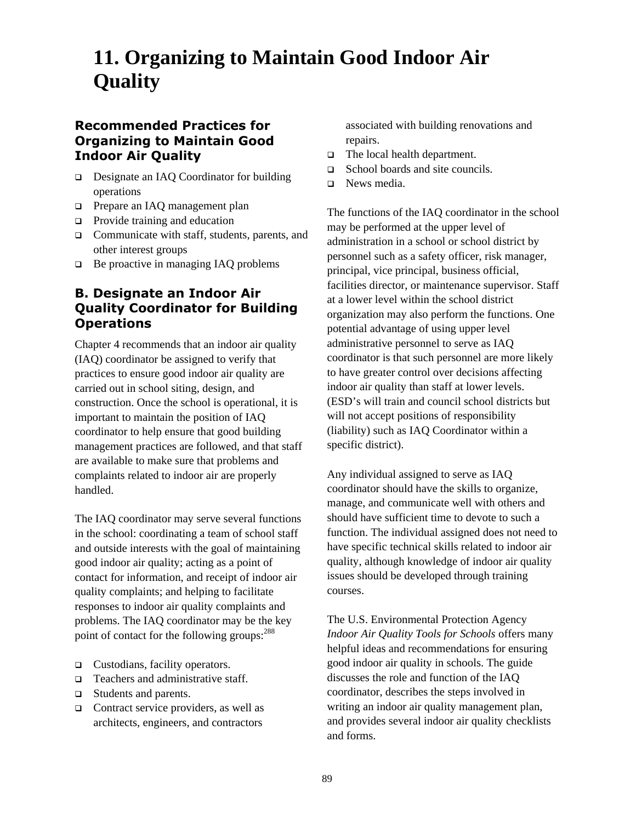# **11. Organizing to Maintain Good Indoor Air Quality**

# **Recommended Practices for Organizing to Maintain Good Indoor Air Quality**

- Designate an IAQ Coordinator for building operations
- **D** Prepare an IAQ management plan
- $\Box$  Provide training and education
- $\Box$  Communicate with staff, students, parents, and other interest groups
- $\Box$  Be proactive in managing IAQ problems

# **B. Designate an Indoor Air Quality Coordinator for Building Operations**

Chapter 4 recommends that an indoor air quality (IAQ) coordinator be assigned to verify that practices to ensure good indoor air quality are carried out in school siting, design, and construction. Once the school is operational, it is important to maintain the position of IAQ coordinator to help ensure that good building management practices are followed, and that staff are available to make sure that problems and complaints related to indoor air are properly handled.

The IAQ coordinator may serve several functions in the school: coordinating a team of school staff and outside interests with the goal of maintaining good indoor air quality; acting as a point of contact for information, and receipt of indoor air quality complaints; and helping to facilitate responses to indoor air quality complaints and problems. The IAQ coordinator may be the key point of contact for the following groups:<sup>288</sup>

- □ Custodians, facility operators.
- $\Box$  Teachers and administrative staff.
- Students and parents.
- $\Box$  Contract service providers, as well as architects, engineers, and contractors

associated with building renovations and repairs.

- □ The local health department.
- □ School boards and site councils.
- □ News media.

The functions of the IAQ coordinator in the school may be performed at the upper level of administration in a school or school district by personnel such as a safety officer, risk manager, principal, vice principal, business official, facilities director, or maintenance supervisor. Staff at a lower level within the school district organization may also perform the functions. One potential advantage of using upper level administrative personnel to serve as IAQ coordinator is that such personnel are more likely to have greater control over decisions affecting indoor air quality than staff at lower levels. (ESD's will train and council school districts but will not accept positions of responsibility (liability) such as IAQ Coordinator within a specific district).

Any individual assigned to serve as IAQ coordinator should have the skills to organize, manage, and communicate well with others and should have sufficient time to devote to such a function. The individual assigned does not need to have specific technical skills related to indoor air quality, although knowledge of indoor air quality issues should be developed through training courses.

The U.S. Environmental Protection Agency *Indoor Air Quality Tools for Schools* offers many helpful ideas and recommendations for ensuring good indoor air quality in schools. The guide discusses the role and function of the IAQ coordinator, describes the steps involved in writing an indoor air quality management plan, and provides several indoor air quality checklists and forms.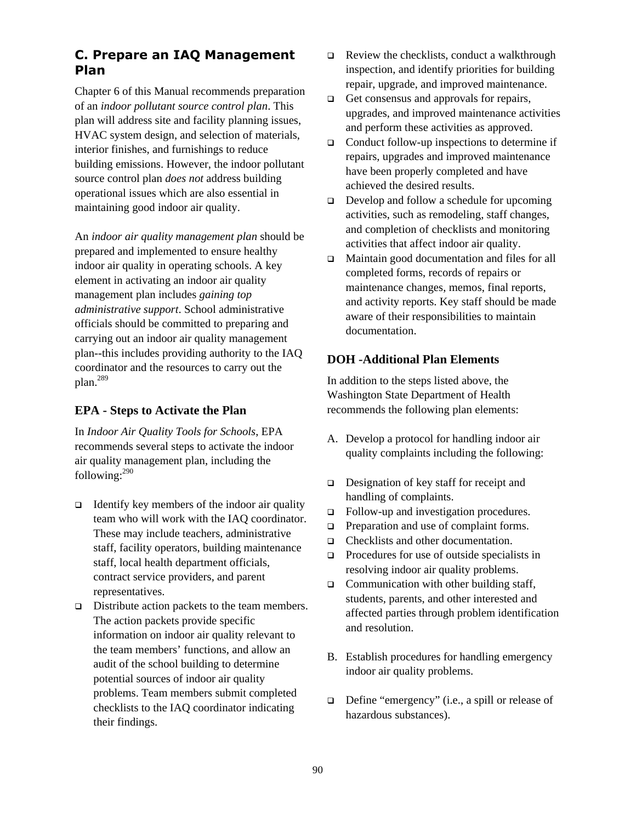# **C. Prepare an IAQ Management Plan**

Chapter 6 of this Manual recommends preparation of an *indoor pollutant source control plan*. This plan will address site and facility planning issues, HVAC system design, and selection of materials, interior finishes, and furnishings to reduce building emissions. However, the indoor pollutant source control plan *does not* address building operational issues which are also essential in maintaining good indoor air quality.

An *indoor air quality management plan* should be prepared and implemented to ensure healthy indoor air quality in operating schools. A key element in activating an indoor air quality management plan includes *gaining top administrative support*. School administrative officials should be committed to preparing and carrying out an indoor air quality management plan--this includes providing authority to the IAQ coordinator and the resources to carry out the plan.[289](#page-134-120)

## **EPA - Steps to Activate the Plan**

In *Indoor Air Quality Tools for Schools*, EPA recommends several steps to activate the indoor air quality management plan, including the following: $290$ 

- $\Box$  Identify key members of the indoor air quality team who will work with the IAQ coordinator. These may include teachers, administrative staff, facility operators, building maintenance staff, local health department officials, contract service providers, and parent representatives.
- $\Box$  Distribute action packets to the team members. The action packets provide specific information on indoor air quality relevant to the team members' functions, and allow an audit of the school building to determine potential sources of indoor air quality problems. Team members submit completed checklists to the IAQ coordinator indicating their findings.
- $\Box$  Review the checklists, conduct a walkthrough inspection, and identify priorities for building repair, upgrade, and improved maintenance.
- $\Box$  Get consensus and approvals for repairs, upgrades, and improved maintenance activities and perform these activities as approved.
- □ Conduct follow-up inspections to determine if repairs, upgrades and improved maintenance have been properly completed and have achieved the desired results.
- $\Box$  Develop and follow a schedule for upcoming activities, such as remodeling, staff changes, and completion of checklists and monitoring activities that affect indoor air quality.
- Maintain good documentation and files for all completed forms, records of repairs or maintenance changes, memos, final reports, and activity reports. Key staff should be made aware of their responsibilities to maintain documentation.

#### **DOH -Additional Plan Elements**

In addition to the steps listed above, the Washington State Department of Health recommends the following plan elements:

- A. Develop a protocol for handling indoor air quality complaints including the following:
- $\Box$  Designation of key staff for receipt and handling of complaints.
- Follow-up and investigation procedures.
- $\Box$  Preparation and use of complaint forms.
- □ Checklists and other documentation.
- $\Box$  Procedures for use of outside specialists in resolving indoor air quality problems.
- $\Box$  Communication with other building staff, students, parents, and other interested and affected parties through problem identification and resolution.
- B. Establish procedures for handling emergency indoor air quality problems.
- Define "emergency" (i.e., a spill or release of hazardous substances).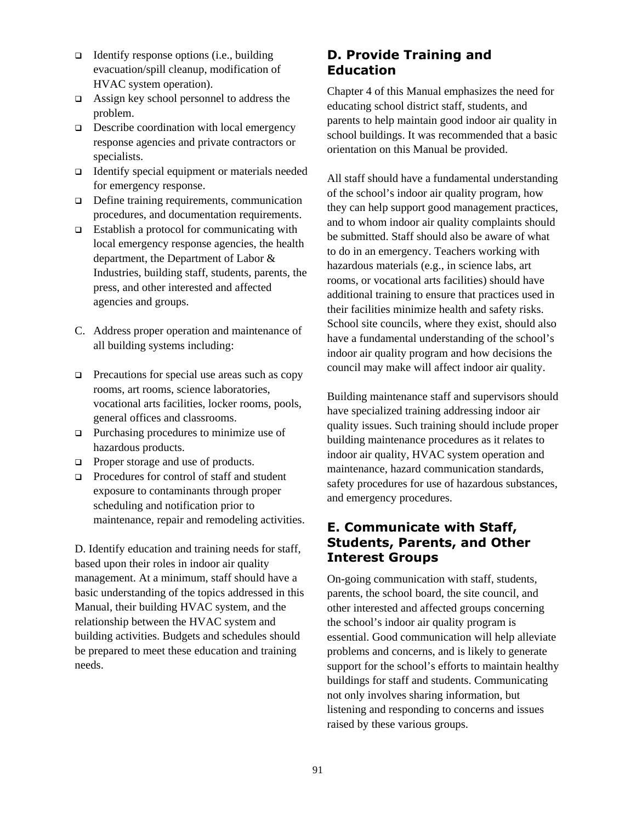- $\Box$  Identify response options (i.e., building evacuation/spill cleanup, modification of HVAC system operation).
- $\Box$  Assign key school personnel to address the problem.
- $\Box$  Describe coordination with local emergency response agencies and private contractors or specialists.
- $\Box$  Identify special equipment or materials needed for emergency response.
- $\Box$  Define training requirements, communication procedures, and documentation requirements.
- $\Box$  Establish a protocol for communicating with local emergency response agencies, the health department, the Department of Labor & Industries, building staff, students, parents, the press, and other interested and affected agencies and groups.
- C. Address proper operation and maintenance of all building systems including:
- $\Box$  Precautions for special use areas such as copy rooms, art rooms, science laboratories, vocational arts facilities, locker rooms, pools, general offices and classrooms.
- $\Box$  Purchasing procedures to minimize use of hazardous products.
- $\Box$  Proper storage and use of products.
- $\Box$  Procedures for control of staff and student exposure to contaminants through proper scheduling and notification prior to maintenance, repair and remodeling activities.

D. Identify education and training needs for staff, based upon their roles in indoor air quality management. At a minimum, staff should have a basic understanding of the topics addressed in this Manual, their building HVAC system, and the relationship between the HVAC system and building activities. Budgets and schedules should be prepared to meet these education and training needs.

# **D. Provide Training and Education**

Chapter 4 of this Manual emphasizes the need for educating school district staff, students, and parents to help maintain good indoor air quality in school buildings. It was recommended that a basic orientation on this Manual be provided.

All staff should have a fundamental understanding of the school's indoor air quality program, how they can help support good management practices, and to whom indoor air quality complaints should be submitted. Staff should also be aware of what to do in an emergency. Teachers working with hazardous materials (e.g., in science labs, art rooms, or vocational arts facilities) should have additional training to ensure that practices used in their facilities minimize health and safety risks. School site councils, where they exist, should also have a fundamental understanding of the school's indoor air quality program and how decisions the council may make will affect indoor air quality.

Building maintenance staff and supervisors should have specialized training addressing indoor air quality issues. Such training should include proper building maintenance procedures as it relates to indoor air quality, HVAC system operation and maintenance, hazard communication standards, safety procedures for use of hazardous substances, and emergency procedures.

# **E. Communicate with Staff, Students, Parents, and Other Interest Groups**

On-going communication with staff, students, parents, the school board, the site council, and other interested and affected groups concerning the school's indoor air quality program is essential. Good communication will help alleviate problems and concerns, and is likely to generate support for the school's efforts to maintain healthy buildings for staff and students. Communicating not only involves sharing information, but listening and responding to concerns and issues raised by these various groups.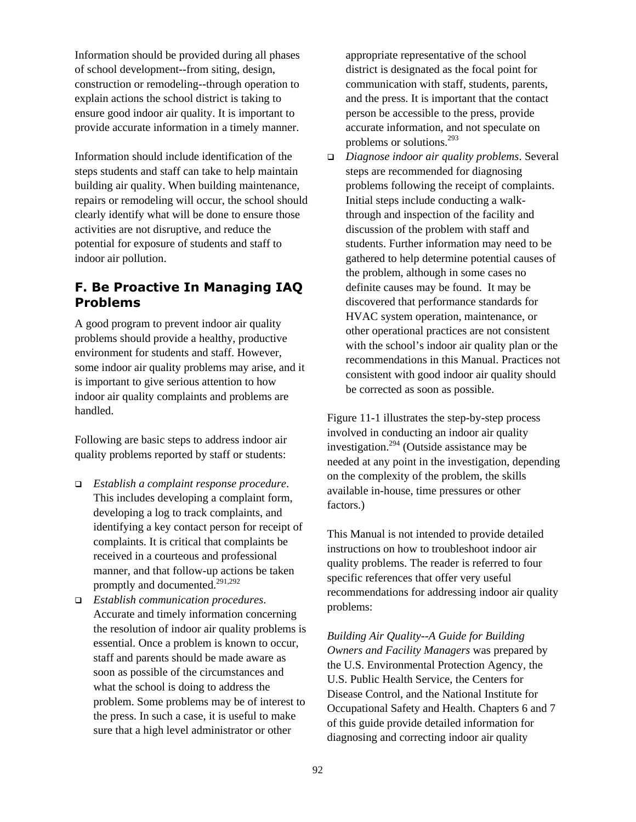Information should be provided during all phases of school development--from siting, design, construction or remodeling--through operation to explain actions the school district is taking to ensure good indoor air quality. It is important to provide accurate information in a timely manner.

Information should include identification of the steps students and staff can take to help maintain building air quality. When building maintenance, repairs or remodeling will occur, the school should clearly identify what will be done to ensure those activities are not disruptive, and reduce the potential for exposure of students and staff to indoor air pollution.

# **F. Be Proactive In Managing IAQ Problems**

A good program to prevent indoor air quality problems should provide a healthy, productive environment for students and staff. However, some indoor air quality problems may arise, and it is important to give serious attention to how indoor air quality complaints and problems are handled.

Following are basic steps to address indoor air quality problems reported by staff or students:

- *Establish a complaint response procedure*. This includes developing a complaint form, developing a log to track complaints, and identifying a key contact person for receipt of complaints. It is critical that complaints be received in a courteous and professional manner, and that follow-up actions be taken promptly and documented.<sup>[291,](#page-134-122)[292](#page-134-123)</sup>
- *Establish communication procedures*. Accurate and timely information concerning the resolution of indoor air quality problems is essential. Once a problem is known to occur, staff and parents should be made aware as soon as possible of the circumstances and what the school is doing to address the problem. Some problems may be of interest to the press. In such a case, it is useful to make sure that a high level administrator or other

appropriate representative of the school district is designated as the focal point for communication with staff, students, parents, and the press. It is important that the contact person be accessible to the press, provide accurate information, and not speculate on problems or solutions.[293](#page-134-124)

 *Diagnose indoor air quality problems*. Several steps are recommended for diagnosing problems following the receipt of complaints. Initial steps include conducting a walkthrough and inspection of the facility and discussion of the problem with staff and students. Further information may need to be gathered to help determine potential causes of the problem, although in some cases no definite causes may be found. It may be discovered that performance standards for HVAC system operation, maintenance, or other operational practices are not consistent with the school's indoor air quality plan or the recommendations in this Manual. Practices not consistent with good indoor air quality should be corrected as soon as possible.

Figure 11-1 illustrates the step-by-step process involved in conducting an indoor air quality investigation[.294 \(](#page-134-125)Outside assistance may be needed at any point in the investigation, depending on the complexity of the problem, the skills available in-house, time pressures or other factors.)

This Manual is not intended to provide detailed instructions on how to troubleshoot indoor air quality problems. The reader is referred to four specific references that offer very useful recommendations for addressing indoor air quality problems:

*Building Air Quality--A Guide for Building Owners and Facility Managers* was prepared by the U.S. Environmental Protection Agency, the U.S. Public Health Service, the Centers for Disease Control, and the National Institute for Occupational Safety and Health. Chapters 6 and 7 of this guide provide detailed information for diagnosing and correcting indoor air quality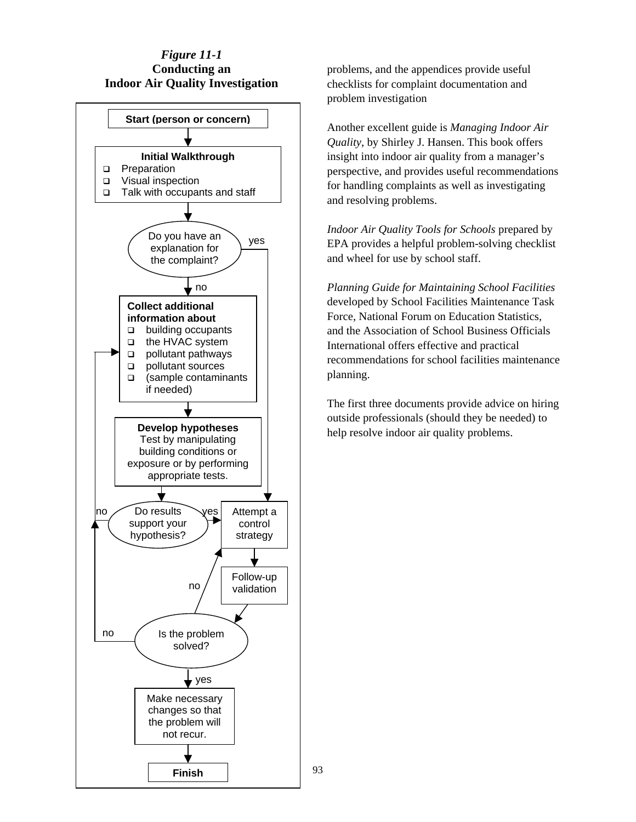#### *Figure 11-1* **Conducting an Indoor Air Quality Investigation**



93

problems, and the appendices provide useful checklists for complaint documentation and problem investigation

Another excellent guide is *Managing Indoor Air Quality*, by Shirley J. Hansen. This book offers insight into indoor air quality from a manager's perspective, and provides useful recommendations for handling complaints as well as investigating and resolving problems.

*Indoor Air Quality Tools for Schools* prepared by EPA provides a helpful problem-solving checklist and wheel for use by school staff.

*Planning Guide for Maintaining School Facilities* developed by School Facilities Maintenance Task Force, National Forum on Education Statistics, and the Association of School Business Officials International offers effective and practical recommendations for school facilities maintenance planning.

The first three documents provide advice on hiring outside professionals (should they be needed) to help resolve indoor air quality problems.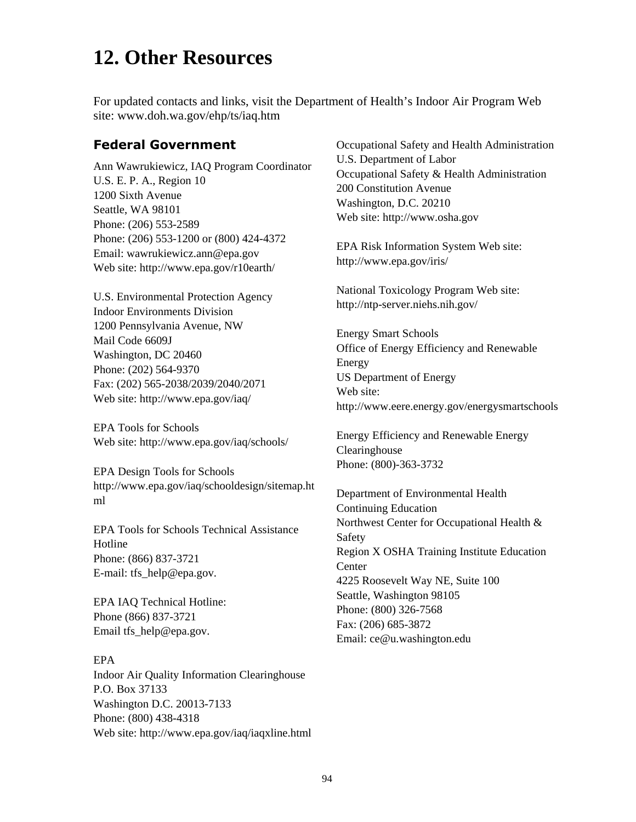# **12. Other Resources**

For updated contacts and links, visit the Department of Health's Indoor Air Program Web site: www.doh.wa.gov/ehp/ts/iaq.htm

#### **Federal Government**

Ann Wawrukiewicz, IAQ Program Coordinator U.S. E. P. A., Region 10 1200 Sixth Avenue Seattle, WA 98101 Phone: (206) 553-2589 Phone: (206) 553-1200 or (800) 424-4372 Email: wawrukiewicz.ann@epa.gov Web site: http://www.epa.gov/r10earth/

U.S. Environmental Protection Agency Indoor Environments Division 1200 Pennsylvania Avenue, NW Mail Code 6609J Washington, DC 20460 Phone: (202) 564-9370 Fax: (202) 565-2038/2039/2040/2071 Web site: http://www.epa.gov/iaq/

EPA Tools for Schools Web site: http://www.epa.gov/iaq/schools/

EPA Design Tools for Schools http://www.epa.gov/iaq/schooldesign/sitemap.ht ml

EPA Tools for Schools Technical Assistance Hotline Phone: (866) 837-3721 E-mail: tfs\_help@epa.gov.

EPA IAQ Technical Hotline: Phone (866) 837-3721 Email tfs\_help@epa.gov.

#### EPA

Indoor Air Quality Information Clearinghouse P.O. Box 37133 Washington D.C. 20013-7133 Phone: (800) 438-4318 Web site: http://www.epa.gov/iaq/iaqxline.html Occupational Safety and Health Administration U.S. Department of Labor Occupational Safety & Health Administration 200 Constitution Avenue Washington, D.C. 20210 Web site: http://www.osha.gov

EPA Risk Information System Web site: http://www.epa.gov/iris/

National Toxicology Program Web site: http://ntp-server.niehs.nih.gov/

Energy Smart Schools Office of Energy Efficiency and Renewable Energy US Department of Energy Web site: http://www.eere.energy.gov/energysmartschools

Energy Efficiency and Renewable Energy Clearinghouse Phone: (800)-363-3732

Department of Environmental Health Continuing Education Northwest Center for Occupational Health & Safety Region X OSHA Training Institute Education **Center** 4225 Roosevelt Way NE, Suite 100 Seattle, Washington 98105 Phone: (800) 326-7568 Fax: (206) 685-3872 Email: ce@u.washington.edu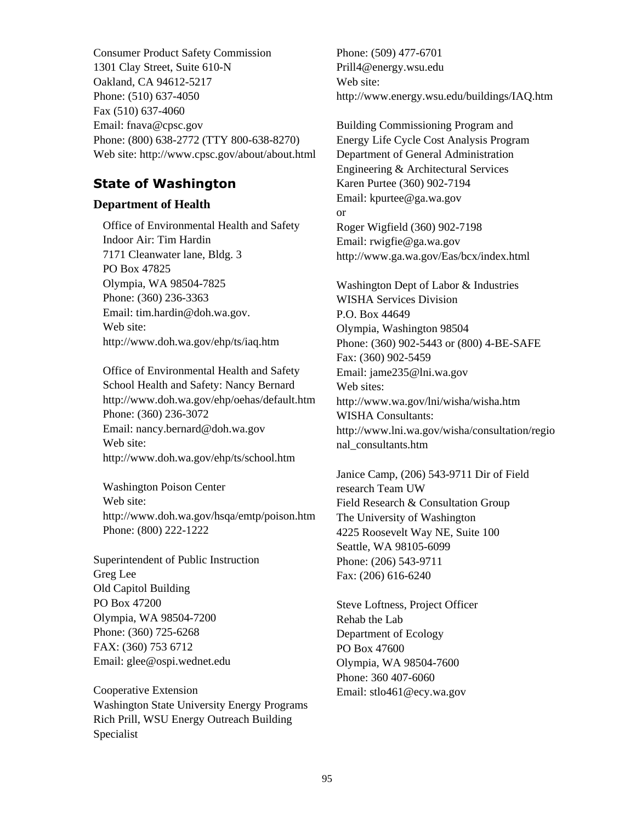Consumer Product Safety Commission 1301 Clay Street, Suite 610-N Oakland, CA 94612-5217 Phone: (510) 637-4050 Fax (510) 637-4060 Email: fnava@cpsc.gov Phone: (800) 638-2772 (TTY 800-638-8270) Web site: http://www.cpsc.gov/about/about.html

# **State of Washington**

#### **Department of Health**

Office of Environmental Health and Safety Indoor Air: Tim Hardin 7171 Cleanwater lane, Bldg. 3 PO Box 47825 Olympia, WA 98504-7825 Phone: (360) 236-3363 Email: tim.hardin@doh.wa.gov. Web site: http://www.doh.wa.gov/ehp/ts/iaq.htm

Office of Environmental Health and Safety School Health and Safety: Nancy Bernard http://www.doh.wa.gov/ehp/oehas/default.htm Phone: (360) 236-3072 Email: nancy.bernard@doh.wa.gov Web site: http://www.doh.wa.gov/ehp/ts/school.htm

Washington Poison Center Web site: http://www.doh.wa.gov/hsqa/emtp/poison.htm Phone: (800) 222-1222

Superintendent of Public Instruction Greg Lee Old Capitol Building PO Box 47200 Olympia, WA 98504-7200 Phone: (360) 725-6268 FAX: (360) 753 6712 Email: glee@ospi.wednet.edu

Cooperative Extension Washington State University Energy Programs Rich Prill, WSU Energy Outreach Building Specialist

Phone: (509) 477-6701 Prill4@energy.wsu.edu Web site: http://www.energy.wsu.edu/buildings/IAQ.htm

Building Commissioning Program and Energy Life Cycle Cost Analysis Program Department of General Administration Engineering & Architectural Services Karen Purtee (360) 902-7194 Email: kpurtee@ga.wa.gov or Roger Wigfield (360) 902-7198 Email: [rwigfie@ga.wa.gov](mailto:rwigfie@ga.wa.gov)  http://www.ga.wa.gov/Eas/bcx/index.html

Washington Dept of Labor & Industries WISHA Services Division P.O. Box 44649 Olympia, Washington 98504 Phone: (360) 902-5443 or (800) 4-BE-SAFE Fax: (360) 902-5459 Email: jame235@lni.wa.gov Web sites: http://www.wa.gov/lni/wisha/wisha.htm WISHA Consultants: http://www.lni.wa.gov/wisha/consultation/regio nal\_consultants.htm

Janice Camp, (206) 543-9711 Dir of Field research Team UW Field Research & Consultation Group The University of Washington 4225 Roosevelt Way NE, Suite 100 Seattle, WA 98105-6099 Phone: (206) 543-9711 Fax: (206) 616-6240

Steve Loftness, Project Officer Rehab the Lab Department of Ecology PO Box 47600 Olympia, WA 98504-7600 Phone: 360 407-6060 Email: stlo461@ecy.wa.gov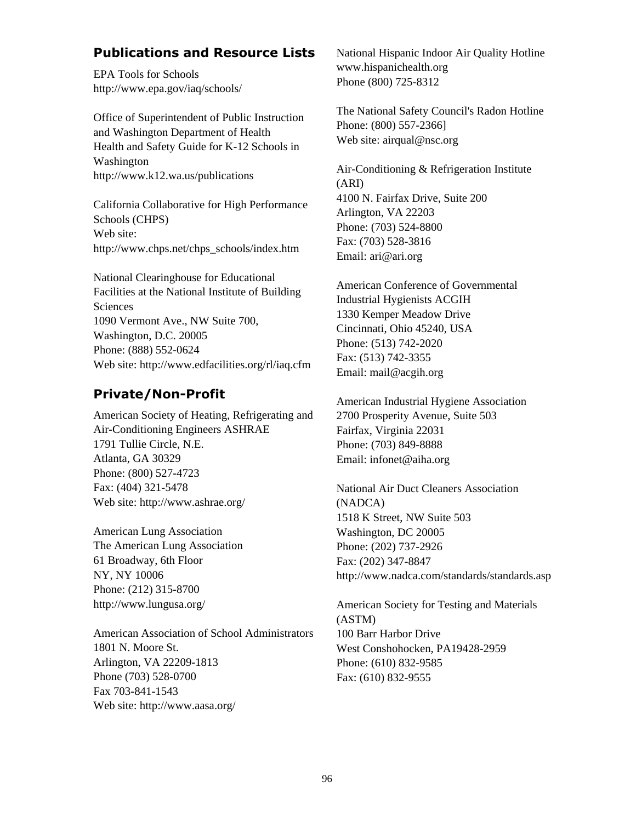# **Publications and Resource Lists**

EPA Tools for Schools http://www.epa.gov/iaq/schools/

Office of Superintendent of Public Instruction and Washington Department of Health Health and Safety Guide for K-12 Schools in Washington http://www.k12.wa.us/publications

California Collaborative for High Performance Schools (CHPS) Web site: http://www.chps.net/chps\_schools/index.htm

National Clearinghouse for Educational Facilities at the National Institute of Building Sciences 1090 Vermont Ave., NW Suite 700, Washington, D.C. 20005 Phone: (888) 552-0624 Web site: http://www.edfacilities.org/rl/iaq.cfm

## **Private/Non-Profit**

American Society of Heating, Refrigerating and Air-Conditioning Engineers ASHRAE 1791 Tullie Circle, N.E. Atlanta, GA 30329 Phone: (800) 527-4723 Fax: (404) 321-5478 Web site: http://www.ashrae.org/

American Lung Association The American Lung Association 61 Broadway, 6th Floor NY, NY 10006 Phone: (212) 315-8700 http://www.lungusa.org/

American Association of School Administrators 1801 N. Moore St. Arlington, VA 22209-1813 Phone (703) 528-0700 Fax 703-841-1543 Web site: http://www.aasa.org/

National Hispanic Indoor Air Quality Hotline www.hispanichealth.org Phone (800) 725-8312

The National Safety Council's Radon Hotline Phone: (800) 557-2366] Web site: airqual@nsc.org

Air-Conditioning & Refrigeration Institute (ARI) 4100 N. Fairfax Drive, Suite 200 Arlington, VA 22203 Phone: (703) 524-8800 Fax: (703) 528-3816 Email: ari@ari.org

American Conference of Governmental Industrial Hygienists ACGIH 1330 Kemper Meadow Drive Cincinnati, Ohio 45240, USA Phone: (513) 742-2020 Fax: (513) 742-3355 Email: mail@acgih.org

American Industrial Hygiene Association 2700 Prosperity Avenue, Suite 503 Fairfax, Virginia 22031 Phone: (703) 849-8888 Email: infonet@aiha.org

National Air Duct Cleaners Association (NADCA) 1518 K Street, NW Suite 503 Washington, DC 20005 Phone: (202) 737-2926 Fax: (202) 347-8847 http://www.nadca.com/standards/standards.asp

American Society for Testing and Materials (ASTM) 100 Barr Harbor Drive West Conshohocken, PA19428-2959 Phone: (610) 832-9585 Fax: (610) 832-9555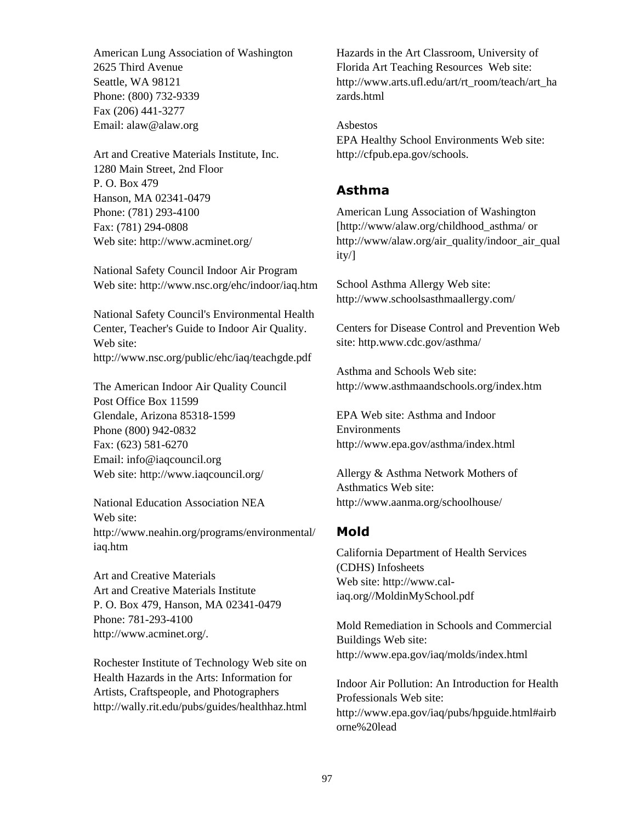American Lung Association of Washington 2625 Third Avenue Seattle, WA 98121 Phone: (800) 732-9339 Fax (206) 441-3277 Email: alaw@alaw.org

Art and Creative Materials Institute, Inc. 1280 Main Street, 2nd Floor P. O. Box 479 Hanson, MA 02341-0479 Phone: (781) 293-4100 Fax: (781) 294-0808 Web site: http://www.acminet.org/

National Safety Council Indoor Air Program Web site: http://www.nsc.org/ehc/indoor/iaq.htm

National Safety Council's Environmental Health Center, Teacher's Guide to Indoor Air Quality. Web site: http://www.nsc.org/public/ehc/iaq/teachgde.pdf

The American Indoor Air Quality Council Post Office Box 11599 Glendale, Arizona 85318-1599 Phone (800) 942-0832 Fax: (623) 581-6270 Email: info@iaqcouncil.org Web site: http://www.iaqcouncil.org/

National Education Association NEA Web site: http://www.neahin.org/programs/environmental/ iaq.htm

Art and Creative Materials Art and Creative Materials Institute P. O. Box 479, Hanson, MA 02341-0479 Phone: 781-293-4100 <http://www.acminet.org/>.

Rochester Institute of Technology Web site on Health Hazards in the Arts: Information for Artists, Craftspeople, and Photographers http://wally.rit.edu/pubs/guides/healthhaz.html

Hazards in the Art Classroom, University of Florida Art Teaching Resources Web site: http://www.arts.ufl.edu/art/rt\_room/teach/art\_ha zards.html

Asbestos EPA Healthy School Environments Web site: http://cfpub.epa.gov/schools.

## **Asthma**

American Lung Association of Washington [http://www/alaw.org/childhood\_asthma/ or [http://www/alaw.org/air\\_quality/indoor\\_air\\_qual](http://www/alaw.org/air_quality/indoor_air_quality/) [ity/\]](http://www/alaw.org/air_quality/indoor_air_quality/)

School Asthma Allergy Web site: http://www.schoolsasthmaallergy.com/

Centers for Disease Control and Prevention Web site: http.www.cdc.gov/asthma/

Asthma and Schools Web site: http://www.asthmaandschools.org/index.htm

EPA Web site: Asthma and Indoor Environments http://www.epa.gov/asthma/index.html

Allergy & Asthma Network Mothers of Asthmatics Web site: http://www.aanma.org/schoolhouse/

## **Mold**

California Department of Health Services (CDHS) Infosheets Web site: http://www.caliaq.org//MoldinMySchool.pdf

Mold Remediation in Schools and Commercial Buildings Web site: http://www.epa.gov/iaq/molds/index.html

Indoor Air Pollution: An Introduction for Health Professionals Web site: http://www.epa.gov/iaq/pubs/hpguide.html#airb orne%20lead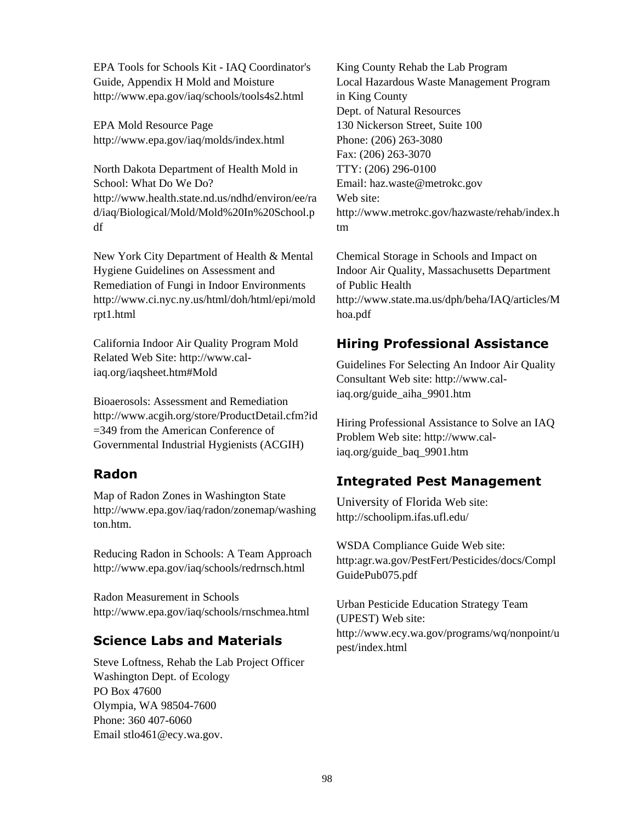EPA Tools for Schools Kit - IAQ Coordinator's Guide, Appendix H Mold and Moisture http://www.epa.gov/iaq/schools/tools4s2.html

EPA Mold Resource Page http://www.epa.gov/iaq/molds/index.html

North Dakota Department of Health Mold in School: What Do We Do? http://www.health.state.nd.us/ndhd/environ/ee/ra d/iaq/Biological/Mold/Mold%20In%20School.p df

New York City Department of Health & Mental Hygiene Guidelines on Assessment and Remediation of Fungi in Indoor Environments http://www.ci.nyc.ny.us/html/doh/html/epi/mold rpt1.html

California Indoor Air Quality Program Mold Related Web Site: [http://www.cal](http://www.cal-iaq.org/iaqsheet.htm)[iaq.org/iaqsheet.htm#Mold](http://www.cal-iaq.org/iaqsheet.htm)

Bioaerosols: Assessment and Remediation http://www.acgih.org/store/ProductDetail.cfm?id =349 from the American Conference of Governmental Industrial Hygienists (ACGIH)

# **Radon**

Map of Radon Zones in Washington State http://www.epa.gov/iaq/radon/zonemap/washing ton.htm.

Reducing Radon in Schools: A Team Approach http://www.epa.gov/iaq/schools/redrnsch.html

Radon Measurement in Schools http://www.epa.gov/iaq/schools/rnschmea.html

# **Science Labs and Materials**

Steve Loftness, Rehab the Lab Project Officer Washington Dept. of Ecology PO Box 47600 Olympia, WA 98504-7600 Phone: 360 407-6060 Email stlo461@ecy.wa.gov.

King County Rehab the Lab Program Local Hazardous Waste Management Program in King County Dept. of Natural Resources 130 Nickerson Street, Suite 100 Phone: (206) 263-3080 Fax: (206) 263-3070 TTY: (206) 296-0100 Email: haz.waste@metrokc.gov Web site: http://www.metrokc.gov/hazwaste/rehab/index.h tm

Chemical Storage in Schools and Impact on Indoor Air Quality, Massachusetts Department of Public Health http://www.state.ma.us/dph/beha/IAQ/articles/M hoa.pdf

# **Hiring Professional Assistance**

Guidelines For Selecting An Indoor Air Quality Consultant Web site: http://www.caliaq.org/guide\_aiha\_9901.htm

Hiring Professional Assistance to Solve an IAQ Problem Web site: http://www.caliaq.org/guide\_baq\_9901.htm

# **Integrated Pest Management**

University of Florida Web site: http://schoolipm.ifas.ufl.edu/

WSDA Compliance Guide Web site: http:agr.wa.gov/PestFert/Pesticides/docs/Compl GuidePub075.pdf

Urban Pesticide Education Strategy Team (UPEST) Web site: http://www.ecy.wa.gov/programs/wq/nonpoint/u pest/index.html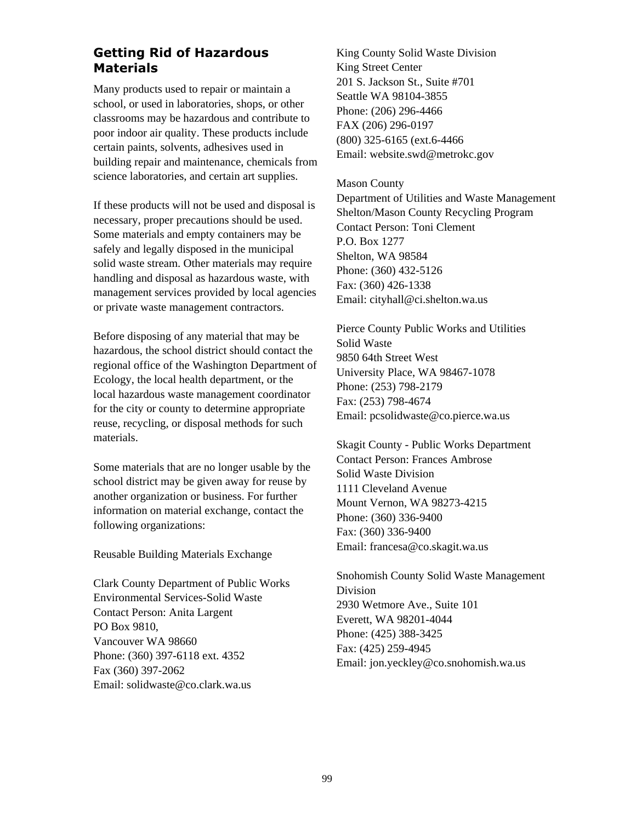# **Getting Rid of Hazardous Materials**

Many products used to repair or maintain a school, or used in laboratories, shops, or other classrooms may be hazardous and contribute to poor indoor air quality. These products include certain paints, solvents, adhesives used in building repair and maintenance, chemicals from science laboratories, and certain art supplies.

If these products will not be used and disposal is necessary, proper precautions should be used. Some materials and empty containers may be safely and legally disposed in the municipal solid waste stream. Other materials may require handling and disposal as hazardous waste, with management services provided by local agencies or private waste management contractors.

Before disposing of any material that may be hazardous, the school district should contact the regional office of the Washington Department of Ecology, the local health department, or the local hazardous waste management coordinator for the city or county to determine appropriate reuse, recycling, or disposal methods for such materials.

Some materials that are no longer usable by the school district may be given away for reuse by another organization or business. For further information on material exchange, contact the following organizations:

Reusable Building Materials Exchange

Clark County Department of Public Works Environmental Services-Solid Waste Contact Person: Anita Largent PO Box 9810, Vancouver WA 98660 Phone: (360) 397-6118 ext. 4352 Fax (360) 397-2062 Email: solidwaste@co.clark.wa.us

King County Solid Waste Division King Street Center 201 S. Jackson St., Suite #701 Seattle WA 98104-3855 Phone: (206) 296-4466 FAX (206) 296-0197 (800) 325-6165 (ext.6-4466 Email: website.swd@metrokc.gov

#### Mason County

Department of Utilities and Waste Management Shelton/Mason County Recycling Program Contact Person: Toni Clement P.O. Box 1277 Shelton, WA 98584 Phone: (360) 432-5126 Fax: (360) 426-1338 Email: cityhall@ci.shelton.wa.us

Pierce County Public Works and Utilities Solid Waste 9850 64th Street West University Place, WA 98467-1078 Phone: (253) 798-2179 Fax: (253) 798-4674 Email: pcsolidwaste@co.pierce.wa.us

Skagit County - Public Works Department Contact Person: Frances Ambrose Solid Waste Division 1111 Cleveland Avenue Mount Vernon, WA 98273-4215 Phone: (360) 336-9400 Fax: (360) 336-9400 Email: francesa@co.skagit.wa.us

Snohomish County Solid Waste Management Division 2930 Wetmore Ave., Suite 101 Everett, WA 98201-4044 Phone: (425) 388-3425 Fax: (425) 259-4945 Email: jon.yeckley@co.snohomish.wa.us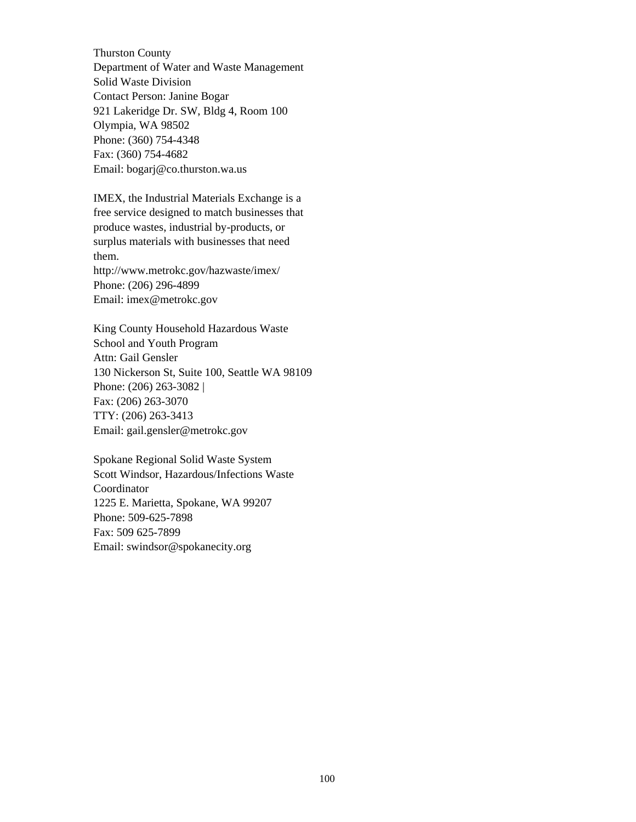Thurston County Department of Water and Waste Management Solid Waste Division Contact Person: Janine Bogar 921 Lakeridge Dr. SW, Bldg 4, Room 100 Olympia, WA 98502 Phone: (360) 754-4348 Fax: (360) 754-4682 Email: bogarj@co.thurston.wa.us

IMEX, the Industrial Materials Exchange is a free service designed to match businesses that produce wastes, industrial by-products, or surplus materials with businesses that need them. http://www.metrokc.gov/hazwaste/imex/ Phone: (206) 296-4899

Email: imex@metrokc.gov

King County Household Hazardous Waste School and Youth Program Attn: Gail Gensler 130 Nickerson St, Suite 100, Seattle WA 98109 Phone: (206) 263-3082 | Fax: (206) 263-3070 TTY: (206) 263-3413 Email: gail.gensler@metrokc.gov

Spokane Regional Solid Waste System Scott Windsor, Hazardous/Infections Waste Coordinator 1225 E. Marietta, Spokane, WA 99207 Phone: 509-625-7898 Fax: 509 625-7899 Email: swindsor@spokanecity.org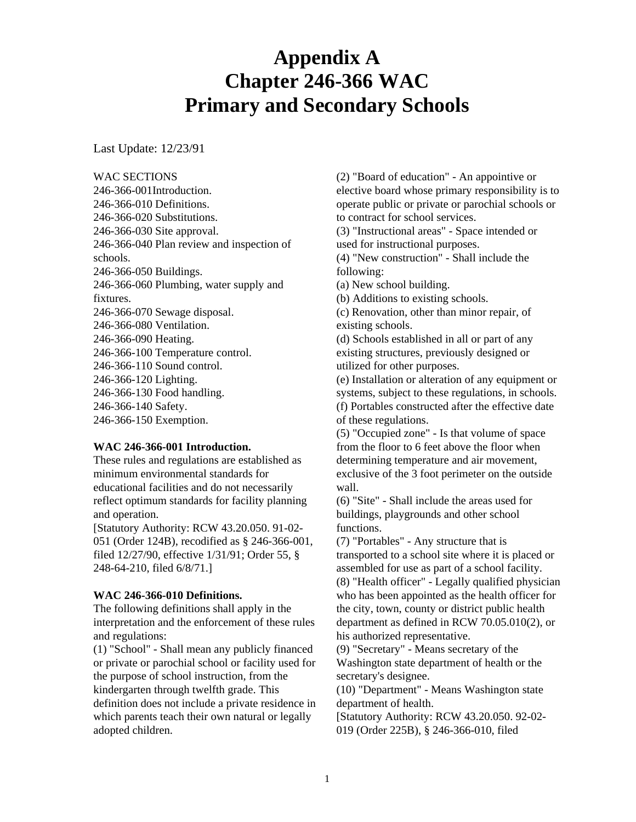### **Appendix A Chapter 246-366 WAC Primary and Secondary Schools**

Last Update: 12/23/91

WAC SECTIONS

246-366-001Introduction. 246-366-010 Definitions. 246-366-020 Substitutions. 246-366-030 Site approval. 246-366-040 Plan review and inspection of schools. 246-366-050 Buildings. 246-366-060 Plumbing, water supply and fixtures. 246-366-070 Sewage disposal. 246-366-080 Ventilation. 246-366-090 Heating. 246-366-100 Temperature control. 246-366-110 Sound control. 246-366-120 Lighting. 246-366-130 Food handling. 246-366-140 Safety. 246-366-150 Exemption.

### **WAC 246-366-001 Introduction.**

These rules and regulations are established as minimum environmental standards for educational facilities and do not necessarily reflect optimum standards for facility planning and operation.

[Statutory Authority: RCW 43.20.050. 91-02- 051 (Order 124B), recodified as § 246-366-001, filed 12/27/90, effective 1/31/91; Order 55, § 248-64-210, filed 6/8/71.]

### **WAC 246-366-010 Definitions.**

The following definitions shall apply in the interpretation and the enforcement of these rules and regulations:

(1) "School" - Shall mean any publicly financed or private or parochial school or facility used for the purpose of school instruction, from the kindergarten through twelfth grade. This definition does not include a private residence in which parents teach their own natural or legally adopted children.

(2) "Board of education" - An appointive or elective board whose primary responsibility is to operate public or private or parochial schools or to contract for school services.

(3) "Instructional areas" - Space intended or used for instructional purposes.

(4) "New construction" - Shall include the following:

(a) New school building.

(b) Additions to existing schools.

(c) Renovation, other than minor repair, of existing schools.

(d) Schools established in all or part of any existing structures, previously designed or utilized for other purposes.

(e) Installation or alteration of any equipment or systems, subject to these regulations, in schools. (f) Portables constructed after the effective date of these regulations.

(5) "Occupied zone" - Is that volume of space from the floor to 6 feet above the floor when determining temperature and air movement, exclusive of the 3 foot perimeter on the outside wall.

(6) "Site" - Shall include the areas used for buildings, playgrounds and other school functions.

(7) "Portables" - Any structure that is transported to a school site where it is placed or assembled for use as part of a school facility. (8) "Health officer" - Legally qualified physician who has been appointed as the health officer for the city, town, county or district public health department as defined in RCW 70.05.010(2), or his authorized representative.

(9) "Secretary" - Means secretary of the Washington state department of health or the secretary's designee.

(10) "Department" - Means Washington state department of health.

[Statutory Authority: RCW 43.20.050. 92-02- 019 (Order 225B), § 246-366-010, filed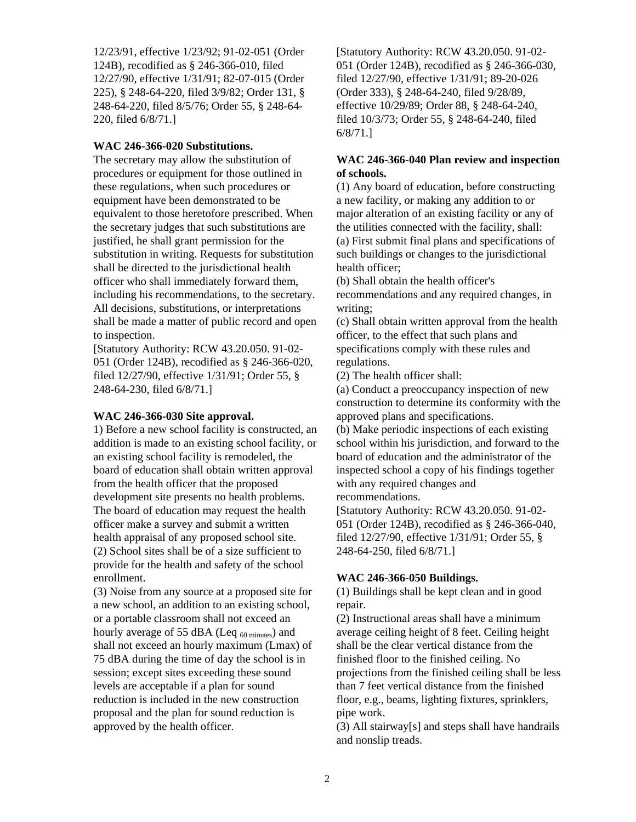12/23/91, effective 1/23/92; 91-02-051 (Order 124B), recodified as § 246-366-010, filed 12/27/90, effective 1/31/91; 82-07-015 (Order 225), § 248-64-220, filed 3/9/82; Order 131, § 248-64-220, filed 8/5/76; Order 55, § 248-64- 220, filed 6/8/71.]

### **WAC 246-366-020 Substitutions.**

The secretary may allow the substitution of procedures or equipment for those outlined in these regulations, when such procedures or equipment have been demonstrated to be equivalent to those heretofore prescribed. When the secretary judges that such substitutions are justified, he shall grant permission for the substitution in writing. Requests for substitution shall be directed to the jurisdictional health officer who shall immediately forward them, including his recommendations, to the secretary. All decisions, substitutions, or interpretations shall be made a matter of public record and open to inspection.

[Statutory Authority: RCW 43.20.050. 91-02- 051 (Order 124B), recodified as § 246-366-020, filed 12/27/90, effective 1/31/91; Order 55, § 248-64-230, filed 6/8/71.]

#### **WAC 246-366-030 Site approval.**

1) Before a new school facility is constructed, an addition is made to an existing school facility, or an existing school facility is remodeled, the board of education shall obtain written approval from the health officer that the proposed development site presents no health problems. The board of education may request the health officer make a survey and submit a written health appraisal of any proposed school site. (2) School sites shall be of a size sufficient to provide for the health and safety of the school enrollment.

(3) Noise from any source at a proposed site for a new school, an addition to an existing school, or a portable classroom shall not exceed an hourly average of 55 dBA (Leq  $_{60 \text{ minutes}}$ ) and shall not exceed an hourly maximum (Lmax) of 75 dBA during the time of day the school is in session; except sites exceeding these sound levels are acceptable if a plan for sound reduction is included in the new construction proposal and the plan for sound reduction is approved by the health officer.

[Statutory Authority: RCW 43.20.050. 91-02- 051 (Order 124B), recodified as § 246-366-030, filed 12/27/90, effective 1/31/91; 89-20-026 (Order 333), § 248-64-240, filed 9/28/89, effective 10/29/89; Order 88, § 248-64-240, filed 10/3/73; Order 55, § 248-64-240, filed 6/8/71.]

### **WAC 246-366-040 Plan review and inspection of schools.**

(1) Any board of education, before constructing a new facility, or making any addition to or major alteration of an existing facility or any of the utilities connected with the facility, shall: (a) First submit final plans and specifications of such buildings or changes to the jurisdictional health officer;

(b) Shall obtain the health officer's recommendations and any required changes, in writing;

(c) Shall obtain written approval from the health officer, to the effect that such plans and specifications comply with these rules and regulations.

(2) The health officer shall:

(a) Conduct a preoccupancy inspection of new construction to determine its conformity with the approved plans and specifications.

(b) Make periodic inspections of each existing school within his jurisdiction, and forward to the board of education and the administrator of the inspected school a copy of his findings together with any required changes and recommendations.

[Statutory Authority: RCW 43.20.050. 91-02- 051 (Order 124B), recodified as § 246-366-040, filed 12/27/90, effective 1/31/91; Order 55, § 248-64-250, filed 6/8/71.]

### **WAC 246-366-050 Buildings.**

(1) Buildings shall be kept clean and in good repair.

(2) Instructional areas shall have a minimum average ceiling height of 8 feet. Ceiling height shall be the clear vertical distance from the finished floor to the finished ceiling. No projections from the finished ceiling shall be less than 7 feet vertical distance from the finished floor, e.g., beams, lighting fixtures, sprinklers, pipe work.

(3) All stairway[s] and steps shall have handrails and nonslip treads.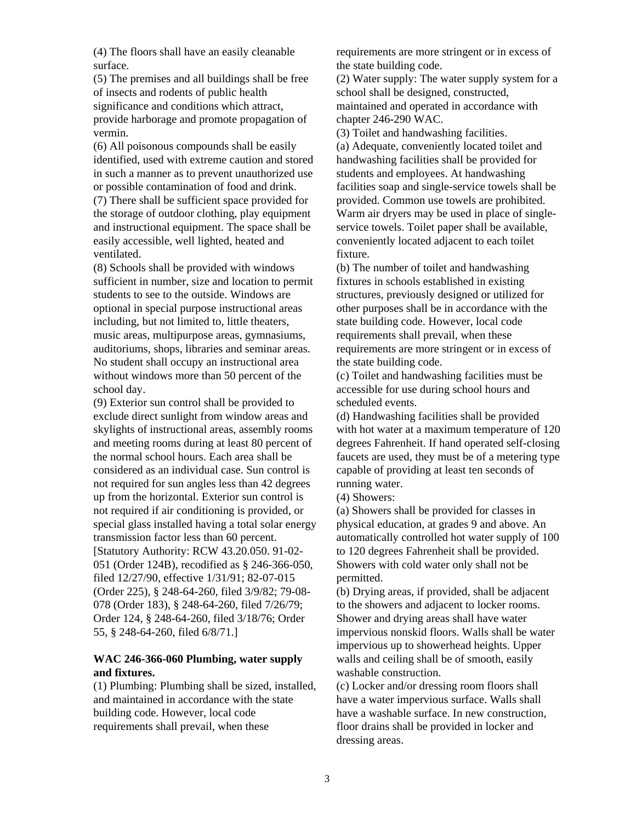(4) The floors shall have an easily cleanable surface.

(5) The premises and all buildings shall be free of insects and rodents of public health significance and conditions which attract, provide harborage and promote propagation of vermin.

(6) All poisonous compounds shall be easily identified, used with extreme caution and stored in such a manner as to prevent unauthorized use or possible contamination of food and drink.

(7) There shall be sufficient space provided for the storage of outdoor clothing, play equipment and instructional equipment. The space shall be easily accessible, well lighted, heated and ventilated.

(8) Schools shall be provided with windows sufficient in number, size and location to permit students to see to the outside. Windows are optional in special purpose instructional areas including, but not limited to, little theaters, music areas, multipurpose areas, gymnasiums, auditoriums, shops, libraries and seminar areas. No student shall occupy an instructional area without windows more than 50 percent of the school day.

(9) Exterior sun control shall be provided to exclude direct sunlight from window areas and skylights of instructional areas, assembly rooms and meeting rooms during at least 80 percent of the normal school hours. Each area shall be considered as an individual case. Sun control is not required for sun angles less than 42 degrees up from the horizontal. Exterior sun control is not required if air conditioning is provided, or special glass installed having a total solar energy transmission factor less than 60 percent. [Statutory Authority: RCW 43.20.050. 91-02- 051 (Order 124B), recodified as § 246-366-050, filed 12/27/90, effective 1/31/91; 82-07-015 (Order 225), § 248-64-260, filed 3/9/82; 79-08- 078 (Order 183), § 248-64-260, filed 7/26/79; Order 124, § 248-64-260, filed 3/18/76; Order 55, § 248-64-260, filed 6/8/71.]

### **WAC 246-366-060 Plumbing, water supply and fixtures.**

(1) Plumbing: Plumbing shall be sized, installed, and maintained in accordance with the state building code. However, local code requirements shall prevail, when these

requirements are more stringent or in excess of the state building code.

(2) Water supply: The water supply system for a school shall be designed, constructed, maintained and operated in accordance with chapter 246-290 WAC.

(3) Toilet and handwashing facilities. (a) Adequate, conveniently located toilet and handwashing facilities shall be provided for students and employees. At handwashing facilities soap and single-service towels shall be provided. Common use towels are prohibited. Warm air dryers may be used in place of singleservice towels. Toilet paper shall be available, conveniently located adjacent to each toilet fixture.

(b) The number of toilet and handwashing fixtures in schools established in existing structures, previously designed or utilized for other purposes shall be in accordance with the state building code. However, local code requirements shall prevail, when these requirements are more stringent or in excess of the state building code.

(c) Toilet and handwashing facilities must be accessible for use during school hours and scheduled events.

(d) Handwashing facilities shall be provided with hot water at a maximum temperature of 120 degrees Fahrenheit. If hand operated self-closing faucets are used, they must be of a metering type capable of providing at least ten seconds of running water.

(4) Showers:

(a) Showers shall be provided for classes in physical education, at grades 9 and above. An automatically controlled hot water supply of 100 to 120 degrees Fahrenheit shall be provided. Showers with cold water only shall not be permitted.

(b) Drying areas, if provided, shall be adjacent to the showers and adjacent to locker rooms. Shower and drying areas shall have water impervious nonskid floors. Walls shall be water impervious up to showerhead heights. Upper walls and ceiling shall be of smooth, easily washable construction.

(c) Locker and/or dressing room floors shall have a water impervious surface. Walls shall have a washable surface. In new construction, floor drains shall be provided in locker and dressing areas.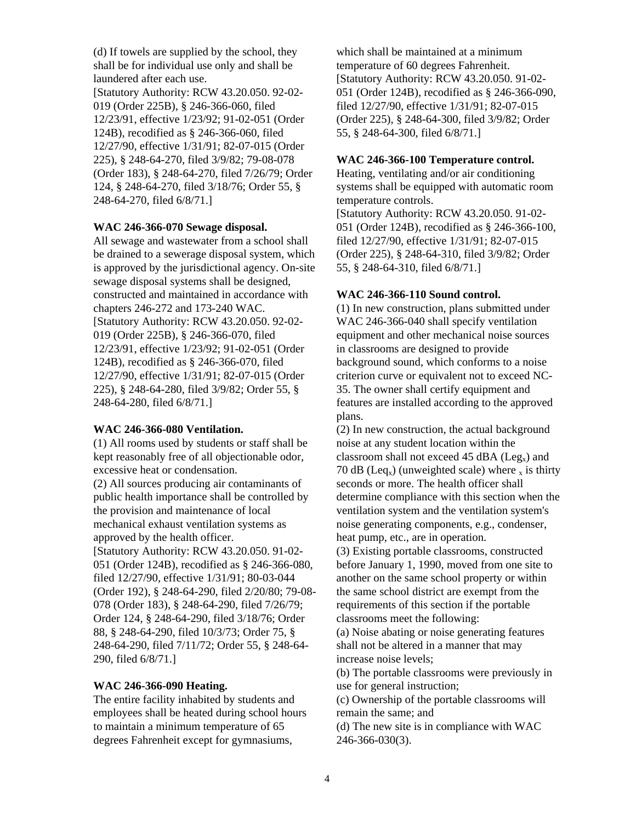(d) If towels are supplied by the school, they shall be for individual use only and shall be laundered after each use. [Statutory Authority: RCW 43.20.050. 92-02- 019 (Order 225B), § 246-366-060, filed 12/23/91, effective 1/23/92; 91-02-051 (Order 124B), recodified as § 246-366-060, filed 12/27/90, effective 1/31/91; 82-07-015 (Order 225), § 248-64-270, filed 3/9/82; 79-08-078 (Order 183), § 248-64-270, filed 7/26/79; Order 124, § 248-64-270, filed 3/18/76; Order 55, § 248-64-270, filed 6/8/71.]

### **WAC 246-366-070 Sewage disposal.**

All sewage and wastewater from a school shall be drained to a sewerage disposal system, which is approved by the jurisdictional agency. On-site sewage disposal systems shall be designed, constructed and maintained in accordance with chapters 246-272 and 173-240 WAC. [Statutory Authority: RCW 43.20.050. 92-02- 019 (Order 225B), § 246-366-070, filed 12/23/91, effective 1/23/92; 91-02-051 (Order 124B), recodified as § 246-366-070, filed 12/27/90, effective 1/31/91; 82-07-015 (Order 225), § 248-64-280, filed 3/9/82; Order 55, § 248-64-280, filed 6/8/71.]

### **WAC 246-366-080 Ventilation.**

(1) All rooms used by students or staff shall be kept reasonably free of all objectionable odor, excessive heat or condensation. (2) All sources producing air contaminants of public health importance shall be controlled by the provision and maintenance of local mechanical exhaust ventilation systems as approved by the health officer. [Statutory Authority: RCW 43.20.050. 91-02- 051 (Order 124B), recodified as § 246-366-080, filed 12/27/90, effective 1/31/91; 80-03-044 (Order 192), § 248-64-290, filed 2/20/80; 79-08- 078 (Order 183), § 248-64-290, filed 7/26/79; Order 124, § 248-64-290, filed 3/18/76; Order 88, § 248-64-290, filed 10/3/73; Order 75, § 248-64-290, filed 7/11/72; Order 55, § 248-64- 290, filed 6/8/71.]

### **WAC 246-366-090 Heating.**

The entire facility inhabited by students and employees shall be heated during school hours to maintain a minimum temperature of 65 degrees Fahrenheit except for gymnasiums,

which shall be maintained at a minimum temperature of 60 degrees Fahrenheit. [Statutory Authority: RCW 43.20.050. 91-02- 051 (Order 124B), recodified as § 246-366-090, filed 12/27/90, effective 1/31/91; 82-07-015 (Order 225), § 248-64-300, filed 3/9/82; Order 55, § 248-64-300, filed 6/8/71.]

### **WAC 246-366-100 Temperature control.**

Heating, ventilating and/or air conditioning systems shall be equipped with automatic room temperature controls.

[Statutory Authority: RCW 43.20.050. 91-02- 051 (Order 124B), recodified as § 246-366-100, filed 12/27/90, effective 1/31/91; 82-07-015 (Order 225), § 248-64-310, filed 3/9/82; Order 55, § 248-64-310, filed 6/8/71.]

### **WAC 246-366-110 Sound control.**

(1) In new construction, plans submitted under WAC 246-366-040 shall specify ventilation equipment and other mechanical noise sources in classrooms are designed to provide background sound, which conforms to a noise criterion curve or equivalent not to exceed NC-35. The owner shall certify equipment and features are installed according to the approved plans.

(2) In new construction, the actual background noise at any student location within the classroom shall not exceed 45 dBA ( $Leg_x$ ) and 70 dB (Leq<sub>x</sub>) (unweighted scale) where  $\frac{x}{x}$  is thirty seconds or more. The health officer shall determine compliance with this section when the ventilation system and the ventilation system's noise generating components, e.g., condenser, heat pump, etc., are in operation.

(3) Existing portable classrooms, constructed before January 1, 1990, moved from one site to another on the same school property or within the same school district are exempt from the requirements of this section if the portable classrooms meet the following:

(a) Noise abating or noise generating features shall not be altered in a manner that may increase noise levels;

(b) The portable classrooms were previously in use for general instruction;

(c) Ownership of the portable classrooms will remain the same; and

(d) The new site is in compliance with WAC 246-366-030(3).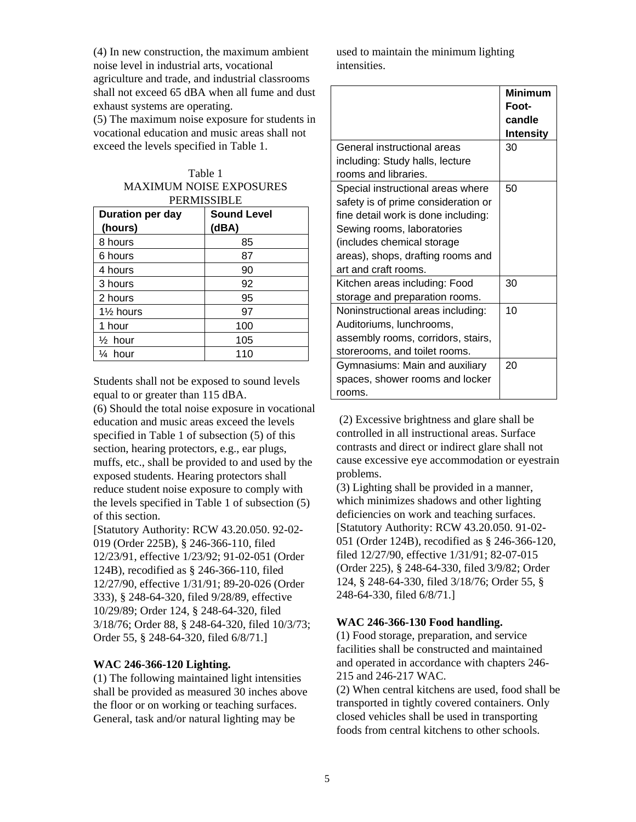(4) In new construction, the maximum ambient noise level in industrial arts, vocational agriculture and trade, and industrial classrooms shall not exceed 65 dBA when all fume and dust exhaust systems are operating.

(5) The maximum noise exposure for students in vocational education and music areas shall not exceed the levels specified in Table 1.

| Table 1                        |
|--------------------------------|
| <b>MAXIMUM NOISE EXPOSURES</b> |
| осранссірі с                   |

| <b>PERMISSIBLE</b>   |                    |  |  |  |  |  |
|----------------------|--------------------|--|--|--|--|--|
| Duration per day     | <b>Sound Level</b> |  |  |  |  |  |
| (hours)              | (dBA)              |  |  |  |  |  |
| 8 hours              | 85                 |  |  |  |  |  |
| 6 hours              | 87                 |  |  |  |  |  |
| 4 hours              | 90                 |  |  |  |  |  |
| 3 hours              | 92                 |  |  |  |  |  |
| 2 hours              | 95                 |  |  |  |  |  |
| $1\frac{1}{2}$ hours | 97                 |  |  |  |  |  |
| 1 hour               | 100                |  |  |  |  |  |
| $\frac{1}{2}$ hour   | 105                |  |  |  |  |  |
| hour                 | 110                |  |  |  |  |  |

Students shall not be exposed to sound levels equal to or greater than 115 dBA.

(6) Should the total noise exposure in vocational education and music areas exceed the levels specified in Table 1 of subsection (5) of this section, hearing protectors, e.g., ear plugs, muffs, etc., shall be provided to and used by the exposed students. Hearing protectors shall reduce student noise exposure to comply with the levels specified in Table 1 of subsection (5) of this section.

[Statutory Authority: RCW 43.20.050. 92-02- 019 (Order 225B), § 246-366-110, filed 12/23/91, effective 1/23/92; 91-02-051 (Order 124B), recodified as § 246-366-110, filed 12/27/90, effective 1/31/91; 89-20-026 (Order 333), § 248-64-320, filed 9/28/89, effective 10/29/89; Order 124, § 248-64-320, filed 3/18/76; Order 88, § 248-64-320, filed 10/3/73; Order 55, § 248-64-320, filed 6/8/71.]

### **WAC 246-366-120 Lighting.**

(1) The following maintained light intensities shall be provided as measured 30 inches above the floor or on working or teaching surfaces. General, task and/or natural lighting may be

used to maintain the minimum lighting intensities.

|                                     | <b>Minimum</b><br>Foot-<br>candle<br><b>Intensity</b> |
|-------------------------------------|-------------------------------------------------------|
| General instructional areas         | 30                                                    |
| including: Study halls, lecture     |                                                       |
| rooms and libraries.                |                                                       |
| Special instructional areas where   | 50                                                    |
| safety is of prime consideration or |                                                       |
| fine detail work is done including: |                                                       |
| Sewing rooms, laboratories          |                                                       |
| (includes chemical storage          |                                                       |
| areas), shops, drafting rooms and   |                                                       |
| art and craft rooms.                |                                                       |
| Kitchen areas including: Food       | 30                                                    |
| storage and preparation rooms.      |                                                       |
| Noninstructional areas including:   | 10                                                    |
| Auditoriums, lunchrooms,            |                                                       |
| assembly rooms, corridors, stairs,  |                                                       |
| storerooms, and toilet rooms.       |                                                       |
| Gymnasiums: Main and auxiliary      | 20                                                    |
| spaces, shower rooms and locker     |                                                       |
| rooms.                              |                                                       |

 (2) Excessive brightness and glare shall be controlled in all instructional areas. Surface contrasts and direct or indirect glare shall not cause excessive eye accommodation or eyestrain problems.

(3) Lighting shall be provided in a manner, which minimizes shadows and other lighting deficiencies on work and teaching surfaces. [Statutory Authority: RCW 43.20.050. 91-02- 051 (Order 124B), recodified as § 246-366-120, filed 12/27/90, effective 1/31/91; 82-07-015 (Order 225), § 248-64-330, filed 3/9/82; Order 124, § 248-64-330, filed 3/18/76; Order 55, § 248-64-330, filed 6/8/71.]

### **WAC 246-366-130 Food handling.**

(1) Food storage, preparation, and service facilities shall be constructed and maintained and operated in accordance with chapters 246- 215 and 246-217 WAC.

(2) When central kitchens are used, food shall be transported in tightly covered containers. Only closed vehicles shall be used in transporting foods from central kitchens to other schools.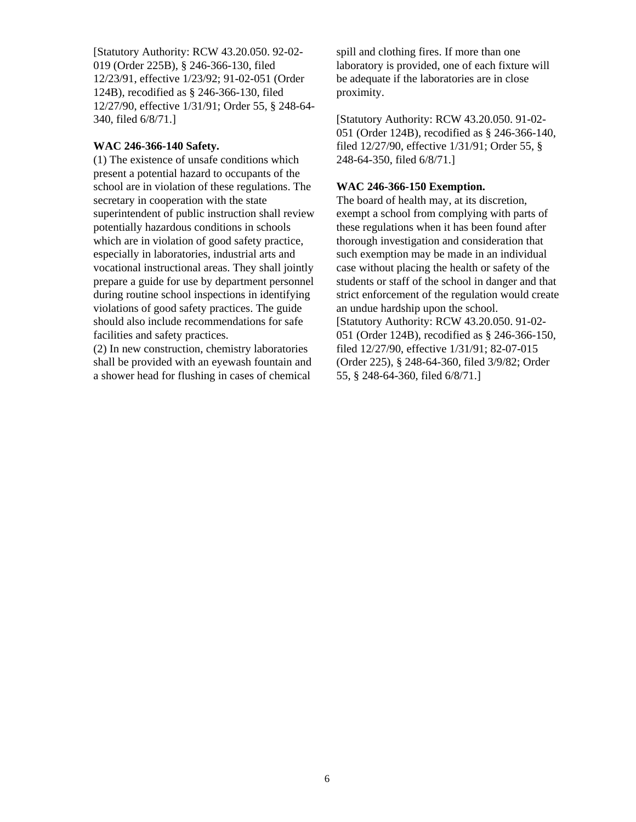[Statutory Authority: RCW 43.20.050. 92-02- 019 (Order 225B), § 246-366-130, filed 12/23/91, effective 1/23/92; 91-02-051 (Order 124B), recodified as § 246-366-130, filed 12/27/90, effective 1/31/91; Order 55, § 248-64- 340, filed 6/8/71.]

### **WAC 246-366-140 Safety.**

(1) The existence of unsafe conditions which present a potential hazard to occupants of the school are in violation of these regulations. The secretary in cooperation with the state superintendent of public instruction shall review potentially hazardous conditions in schools which are in violation of good safety practice, especially in laboratories, industrial arts and vocational instructional areas. They shall jointly prepare a guide for use by department personnel during routine school inspections in identifying violations of good safety practices. The guide should also include recommendations for safe facilities and safety practices.

(2) In new construction, chemistry laboratories shall be provided with an eyewash fountain and a shower head for flushing in cases of chemical

spill and clothing fires. If more than one laboratory is provided, one of each fixture will be adequate if the laboratories are in close proximity.

[Statutory Authority: RCW 43.20.050. 91-02- 051 (Order 124B), recodified as § 246-366-140, filed 12/27/90, effective 1/31/91; Order 55, § 248-64-350, filed 6/8/71.]

### **WAC 246-366-150 Exemption.**

The board of health may, at its discretion, exempt a school from complying with parts of these regulations when it has been found after thorough investigation and consideration that such exemption may be made in an individual case without placing the health or safety of the students or staff of the school in danger and that strict enforcement of the regulation would create an undue hardship upon the school. [Statutory Authority: RCW 43.20.050. 91-02- 051 (Order 124B), recodified as § 246-366-150, filed 12/27/90, effective 1/31/91; 82-07-015 (Order 225), § 248-64-360, filed 3/9/82; Order 55, § 248-64-360, filed 6/8/71.]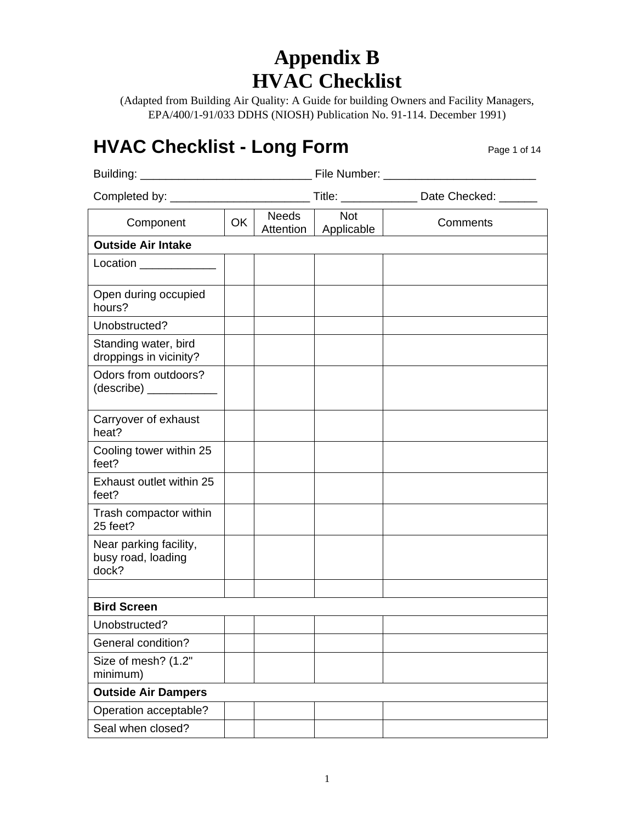## **Appendix B HVAC Checklist**

(Adapted from Building Air Quality: A Guide for building Owners and Facility Managers, EPA/400/1-91/033 DDHS (NIOSH) Publication No. 91-114. December 1991)

### **HVAC Checklist - Long Form Page 1 of 14**

|                                                       |    |                           |                          | Title: _______________ Date Checked: _______ |
|-------------------------------------------------------|----|---------------------------|--------------------------|----------------------------------------------|
| Component                                             | OK | <b>Needs</b><br>Attention | <b>Not</b><br>Applicable | Comments                                     |
| <b>Outside Air Intake</b>                             |    |                           |                          |                                              |
| Location ______________                               |    |                           |                          |                                              |
| Open during occupied<br>hours?                        |    |                           |                          |                                              |
| Unobstructed?                                         |    |                           |                          |                                              |
| Standing water, bird<br>droppings in vicinity?        |    |                           |                          |                                              |
| Odors from outdoors?                                  |    |                           |                          |                                              |
| Carryover of exhaust<br>heat?                         |    |                           |                          |                                              |
| Cooling tower within 25<br>feet?                      |    |                           |                          |                                              |
| Exhaust outlet within 25<br>feet?                     |    |                           |                          |                                              |
| Trash compactor within<br>25 feet?                    |    |                           |                          |                                              |
| Near parking facility,<br>busy road, loading<br>dock? |    |                           |                          |                                              |
|                                                       |    |                           |                          |                                              |
| <b>Bird Screen</b>                                    |    |                           |                          |                                              |
| Unobstructed?                                         |    |                           |                          |                                              |
| <b>General condition?</b>                             |    |                           |                          |                                              |
| Size of mesh? (1.2"<br>minimum)                       |    |                           |                          |                                              |
| <b>Outside Air Dampers</b>                            |    |                           |                          |                                              |
| Operation acceptable?                                 |    |                           |                          |                                              |
| Seal when closed?                                     |    |                           |                          |                                              |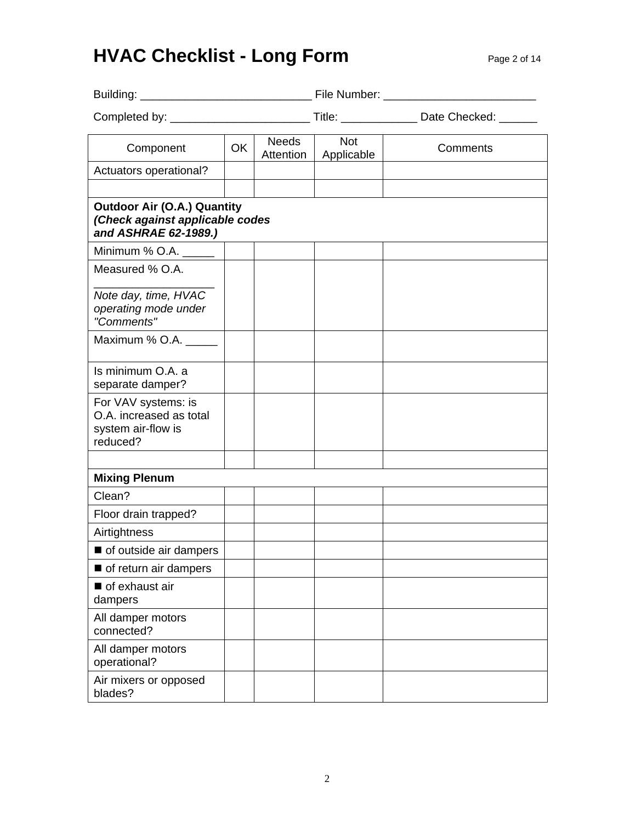# **HVAC Checklist - Long Form Page 2 of 14**

|                                                                                               |    |                    |                          | Title: __________________ Date Checked: _______ |
|-----------------------------------------------------------------------------------------------|----|--------------------|--------------------------|-------------------------------------------------|
| Component                                                                                     | OK | Needs<br>Attention | <b>Not</b><br>Applicable | Comments                                        |
| Actuators operational?                                                                        |    |                    |                          |                                                 |
| <b>Outdoor Air (O.A.) Quantity</b><br>(Check against applicable codes<br>and ASHRAE 62-1989.) |    |                    |                          |                                                 |
| Minimum % O.A.                                                                                |    |                    |                          |                                                 |
| Measured % O.A.                                                                               |    |                    |                          |                                                 |
| Note day, time, HVAC<br>operating mode under<br>"Comments"                                    |    |                    |                          |                                                 |
| Maximum % O.A.                                                                                |    |                    |                          |                                                 |
| Is minimum O.A. a<br>separate damper?                                                         |    |                    |                          |                                                 |
| For VAV systems: is<br>O.A. increased as total<br>system air-flow is<br>reduced?              |    |                    |                          |                                                 |
|                                                                                               |    |                    |                          |                                                 |
| <b>Mixing Plenum</b><br>Clean?                                                                |    |                    |                          |                                                 |
| Floor drain trapped?                                                                          |    |                    |                          |                                                 |
| Airtightness                                                                                  |    |                    |                          |                                                 |
| of outside air dampers                                                                        |    |                    |                          |                                                 |
| of return air dampers                                                                         |    |                    |                          |                                                 |
| of exhaust air<br>dampers                                                                     |    |                    |                          |                                                 |
| All damper motors<br>connected?                                                               |    |                    |                          |                                                 |
| All damper motors<br>operational?                                                             |    |                    |                          |                                                 |
| Air mixers or opposed<br>blades?                                                              |    |                    |                          |                                                 |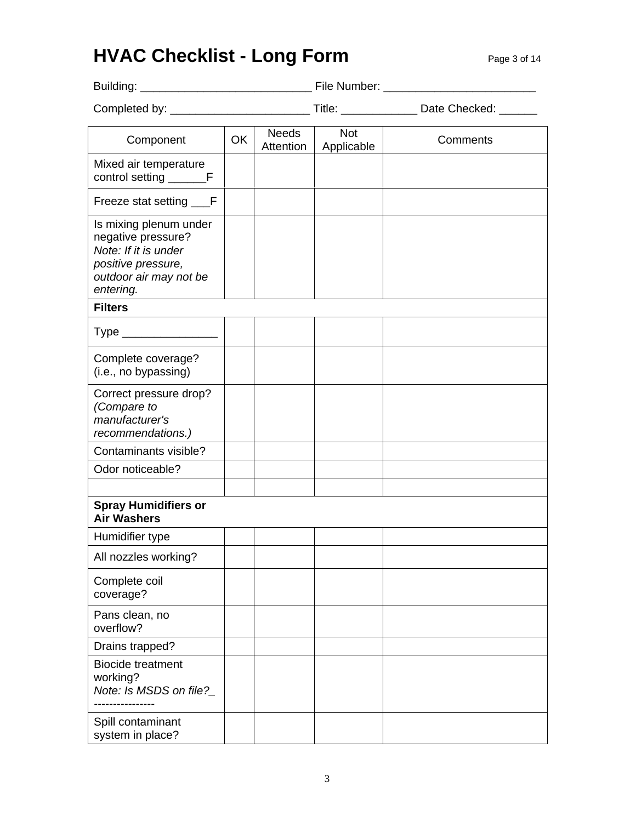## **HVAC Checklist - Long Form** Page 3 of 14

| Building:                                                                                                                         |           |                           | File Number:             |          |
|-----------------------------------------------------------------------------------------------------------------------------------|-----------|---------------------------|--------------------------|----------|
|                                                                                                                                   |           |                           |                          |          |
| Component                                                                                                                         | <b>OK</b> | <b>Needs</b><br>Attention | <b>Not</b><br>Applicable | Comments |
| Mixed air temperature<br>control setting _________F                                                                               |           |                           |                          |          |
| Freeze stat setting ___F                                                                                                          |           |                           |                          |          |
| Is mixing plenum under<br>negative pressure?<br>Note: If it is under<br>positive pressure,<br>outdoor air may not be<br>entering. |           |                           |                          |          |
| <b>Filters</b>                                                                                                                    |           |                           |                          |          |
| Type ____________________                                                                                                         |           |                           |                          |          |
| Complete coverage?<br>(i.e., no bypassing)                                                                                        |           |                           |                          |          |
| Correct pressure drop?<br>(Compare to<br>manufacturer's<br>recommendations.)                                                      |           |                           |                          |          |
| Contaminants visible?                                                                                                             |           |                           |                          |          |
| Odor noticeable?                                                                                                                  |           |                           |                          |          |
|                                                                                                                                   |           |                           |                          |          |
| <b>Spray Humidifiers or</b><br><b>Air Washers</b>                                                                                 |           |                           |                          |          |
| Humidifier type                                                                                                                   |           |                           |                          |          |
| All nozzles working?                                                                                                              |           |                           |                          |          |
| Complete coil<br>coverage?                                                                                                        |           |                           |                          |          |
| Pans clean, no<br>overflow?                                                                                                       |           |                           |                          |          |
| Drains trapped?                                                                                                                   |           |                           |                          |          |
| <b>Biocide treatment</b><br>working?<br>Note: Is MSDS on file?                                                                    |           |                           |                          |          |
| Spill contaminant<br>system in place?                                                                                             |           |                           |                          |          |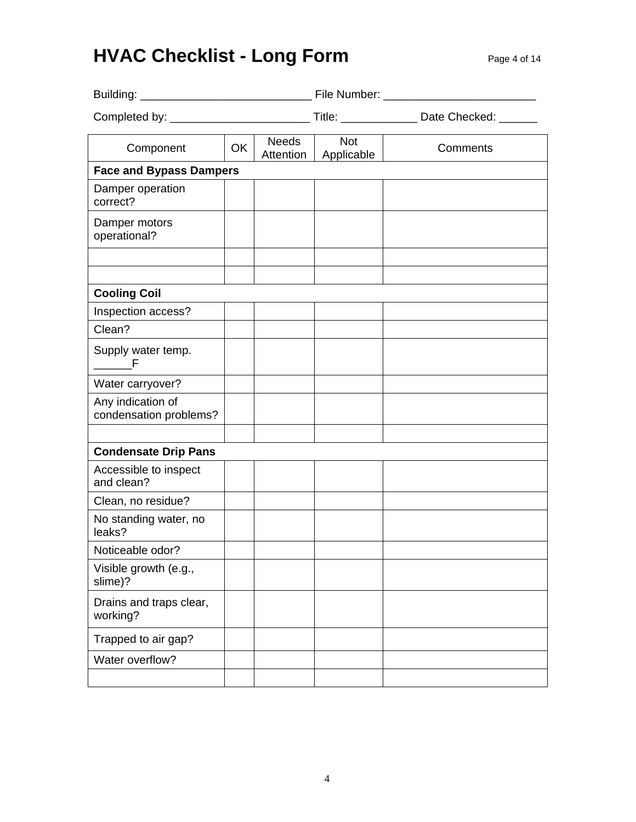# **HVAC Checklist - Long Form** Page 4 of 14

| Component                                   | OK | <b>Needs</b><br>Attention | Not<br>Applicable | Comments |
|---------------------------------------------|----|---------------------------|-------------------|----------|
| <b>Face and Bypass Dampers</b>              |    |                           |                   |          |
| Damper operation<br>correct?                |    |                           |                   |          |
| Damper motors<br>operational?               |    |                           |                   |          |
|                                             |    |                           |                   |          |
| <b>Cooling Coil</b>                         |    |                           |                   |          |
| Inspection access?                          |    |                           |                   |          |
| Clean?                                      |    |                           |                   |          |
| Supply water temp.<br>in F                  |    |                           |                   |          |
| Water carryover?                            |    |                           |                   |          |
| Any indication of<br>condensation problems? |    |                           |                   |          |
| <b>Condensate Drip Pans</b>                 |    |                           |                   |          |
| Accessible to inspect<br>and clean?         |    |                           |                   |          |
| Clean, no residue?                          |    |                           |                   |          |
| No standing water, no<br>leaks?             |    |                           |                   |          |
| Noticeable odor?                            |    |                           |                   |          |
| Visible growth (e.g.,<br>slime)?            |    |                           |                   |          |
| Drains and traps clear,<br>working?         |    |                           |                   |          |
| Trapped to air gap?                         |    |                           |                   |          |
| Water overflow?                             |    |                           |                   |          |
|                                             |    |                           |                   |          |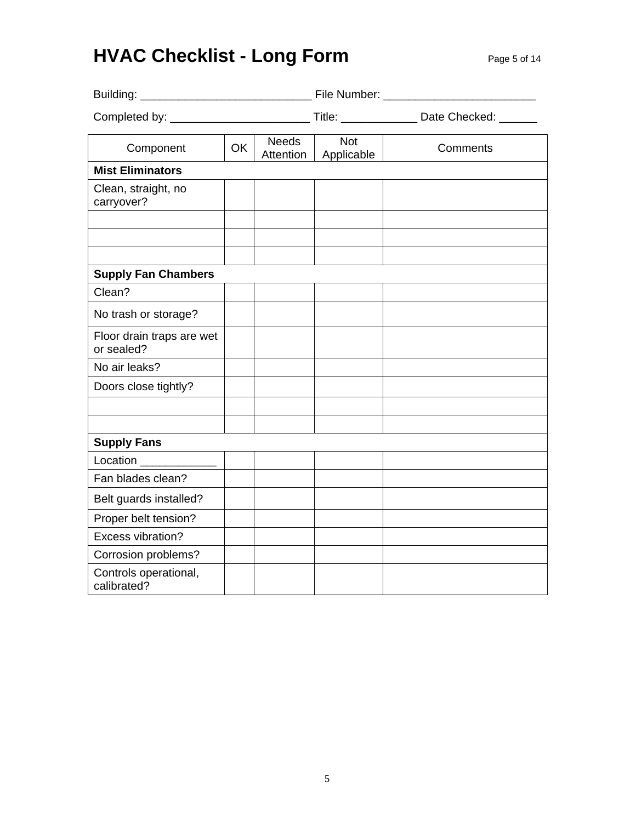# **HVAC Checklist - Long Form Page 5 of 14**

| Component                               | OK | <b>Needs</b><br>Attention | Not<br>Applicable | Comments |  |
|-----------------------------------------|----|---------------------------|-------------------|----------|--|
| <b>Mist Eliminators</b>                 |    |                           |                   |          |  |
| Clean, straight, no<br>carryover?       |    |                           |                   |          |  |
|                                         |    |                           |                   |          |  |
|                                         |    |                           |                   |          |  |
| <b>Supply Fan Chambers</b>              |    |                           |                   |          |  |
| Clean?                                  |    |                           |                   |          |  |
| No trash or storage?                    |    |                           |                   |          |  |
| Floor drain traps are wet<br>or sealed? |    |                           |                   |          |  |
| No air leaks?                           |    |                           |                   |          |  |
| Doors close tightly?                    |    |                           |                   |          |  |
|                                         |    |                           |                   |          |  |
|                                         |    |                           |                   |          |  |
| <b>Supply Fans</b>                      |    |                           |                   |          |  |
| Location                                |    |                           |                   |          |  |
| Fan blades clean?                       |    |                           |                   |          |  |
| Belt guards installed?                  |    |                           |                   |          |  |
| Proper belt tension?                    |    |                           |                   |          |  |
| <b>Excess vibration?</b>                |    |                           |                   |          |  |
| Corrosion problems?                     |    |                           |                   |          |  |
| Controls operational,<br>calibrated?    |    |                           |                   |          |  |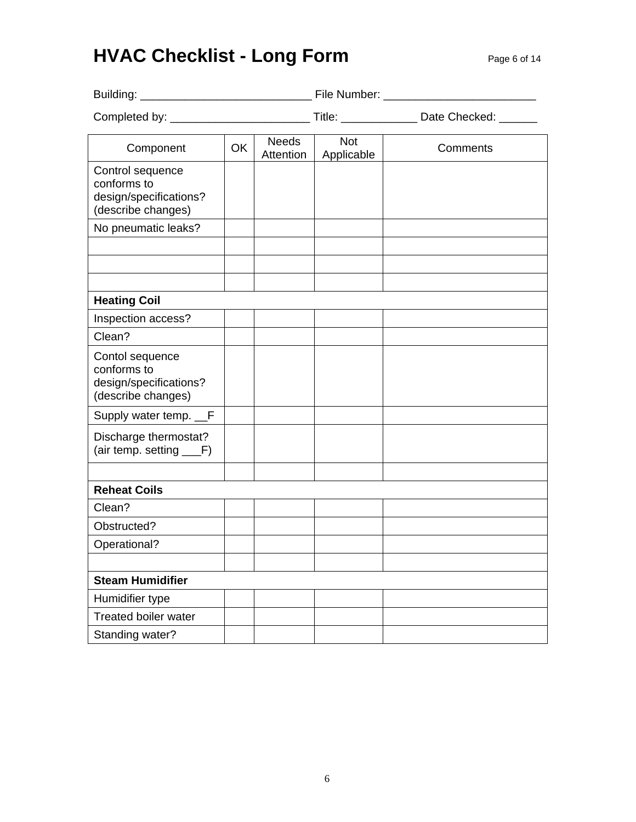# **HVAC Checklist - Long Form Page 6 of 14**

| Component                                                                       | OK | <b>Needs</b><br>Attention | <b>Not</b><br>Applicable | Comments |  |
|---------------------------------------------------------------------------------|----|---------------------------|--------------------------|----------|--|
| Control sequence<br>conforms to<br>design/specifications?<br>(describe changes) |    |                           |                          |          |  |
| No pneumatic leaks?                                                             |    |                           |                          |          |  |
|                                                                                 |    |                           |                          |          |  |
| <b>Heating Coil</b>                                                             |    |                           |                          |          |  |
| Inspection access?                                                              |    |                           |                          |          |  |
| Clean?                                                                          |    |                           |                          |          |  |
| Contol sequence<br>conforms to<br>design/specifications?<br>(describe changes)  |    |                           |                          |          |  |
| Supply water temp. __F                                                          |    |                           |                          |          |  |
| Discharge thermostat?<br>(air temp. setting ___F)                               |    |                           |                          |          |  |
|                                                                                 |    |                           |                          |          |  |
| <b>Reheat Coils</b>                                                             |    |                           |                          |          |  |
| Clean?                                                                          |    |                           |                          |          |  |
| Obstructed?                                                                     |    |                           |                          |          |  |
| Operational?                                                                    |    |                           |                          |          |  |
|                                                                                 |    |                           |                          |          |  |
| <b>Steam Humidifier</b>                                                         |    |                           |                          |          |  |
| Humidifier type                                                                 |    |                           |                          |          |  |
| <b>Treated boiler water</b>                                                     |    |                           |                          |          |  |
| Standing water?                                                                 |    |                           |                          |          |  |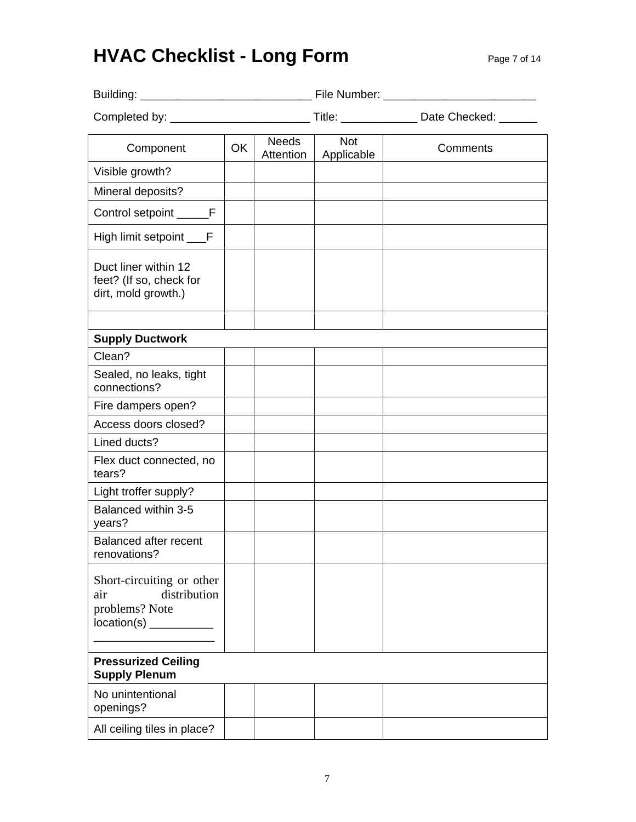# **HVAC Checklist - Long Form Page 7 of 14**

| Component                                                              | OK | Needs<br>Attention | Not<br>Applicable | Comments |
|------------------------------------------------------------------------|----|--------------------|-------------------|----------|
| Visible growth?                                                        |    |                    |                   |          |
| Mineral deposits?                                                      |    |                    |                   |          |
| Control setpoint ______F                                               |    |                    |                   |          |
| High limit setpoint ___F                                               |    |                    |                   |          |
| Duct liner within 12<br>feet? (If so, check for<br>dirt, mold growth.) |    |                    |                   |          |
| <b>Supply Ductwork</b>                                                 |    |                    |                   |          |
| Clean?                                                                 |    |                    |                   |          |
| Sealed, no leaks, tight<br>connections?                                |    |                    |                   |          |
| Fire dampers open?                                                     |    |                    |                   |          |
| Access doors closed?                                                   |    |                    |                   |          |
| Lined ducts?                                                           |    |                    |                   |          |
| Flex duct connected, no<br>tears?                                      |    |                    |                   |          |
| Light troffer supply?                                                  |    |                    |                   |          |
| Balanced within 3-5<br>years?                                          |    |                    |                   |          |
| <b>Balanced after recent</b><br>renovations?                           |    |                    |                   |          |
| Short-circuiting or other<br>distribution<br>air<br>problems? Note     |    |                    |                   |          |
| <b>Pressurized Ceiling</b><br><b>Supply Plenum</b>                     |    |                    |                   |          |
| No unintentional<br>openings?                                          |    |                    |                   |          |
| All ceiling tiles in place?                                            |    |                    |                   |          |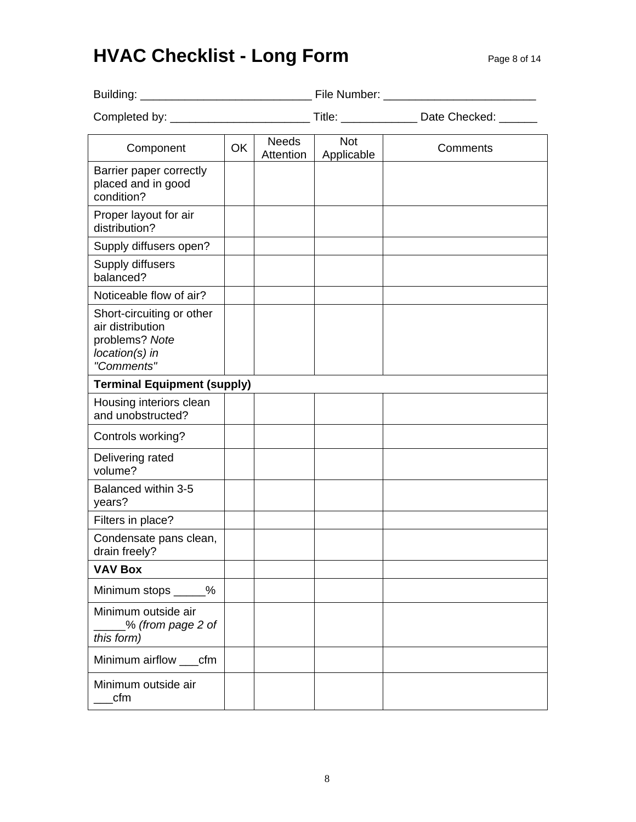# **HVAC Checklist - Long Form Page 8 of 14**

| Component                                                                                       | OK | <b>Needs</b><br>Attention | <b>Not</b><br>Applicable | Comments |
|-------------------------------------------------------------------------------------------------|----|---------------------------|--------------------------|----------|
| Barrier paper correctly<br>placed and in good<br>condition?                                     |    |                           |                          |          |
| Proper layout for air<br>distribution?                                                          |    |                           |                          |          |
| Supply diffusers open?                                                                          |    |                           |                          |          |
| Supply diffusers<br>balanced?                                                                   |    |                           |                          |          |
| Noticeable flow of air?                                                                         |    |                           |                          |          |
| Short-circuiting or other<br>air distribution<br>problems? Note<br>location(s) in<br>"Comments" |    |                           |                          |          |
| <b>Terminal Equipment (supply)</b>                                                              |    |                           |                          |          |
| Housing interiors clean<br>and unobstructed?                                                    |    |                           |                          |          |
| Controls working?                                                                               |    |                           |                          |          |
| Delivering rated<br>volume?                                                                     |    |                           |                          |          |
| Balanced within 3-5<br>years?                                                                   |    |                           |                          |          |
| Filters in place?                                                                               |    |                           |                          |          |
| Condensate pans clean,<br>drain freely?                                                         |    |                           |                          |          |
| <b>VAV Box</b>                                                                                  |    |                           |                          |          |
| Minimum stops _____%                                                                            |    |                           |                          |          |
| Minimum outside air<br>_% (from page 2 of<br>this form)                                         |    |                           |                          |          |
| Minimum airflow ___cfm                                                                          |    |                           |                          |          |
| Minimum outside air<br>cfm                                                                      |    |                           |                          |          |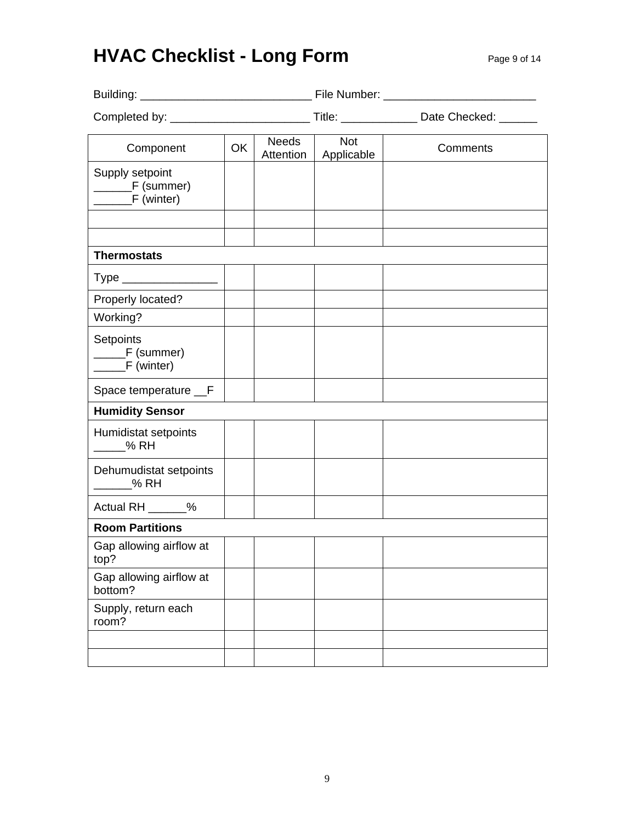## **HVAC Checklist - Long Form Page 9 of 14**

| Component                          | <b>OK</b> | Needs<br>Attention | <b>Not</b><br>Applicable | Comments |
|------------------------------------|-----------|--------------------|--------------------------|----------|
| Supply setpoint                    |           |                    |                          |          |
| <b>Thermostats</b>                 |           |                    |                          |          |
| Type ____________________          |           |                    |                          |          |
| Properly located?                  |           |                    |                          |          |
| Working?                           |           |                    |                          |          |
| Setpoints<br>______F (summer)      |           |                    |                          |          |
| Space temperature __F              |           |                    |                          |          |
| <b>Humidity Sensor</b>             |           |                    |                          |          |
| Humidistat setpoints<br>% RH       |           |                    |                          |          |
| Dehumudistat setpoints<br>% RH     |           |                    |                          |          |
| Actual RH ______%                  |           |                    |                          |          |
| <b>Room Partitions</b>             |           |                    |                          |          |
| Gap allowing airflow at<br>top?    |           |                    |                          |          |
| Gap allowing airflow at<br>bottom? |           |                    |                          |          |
| Supply, return each<br>room?       |           |                    |                          |          |
|                                    |           |                    |                          |          |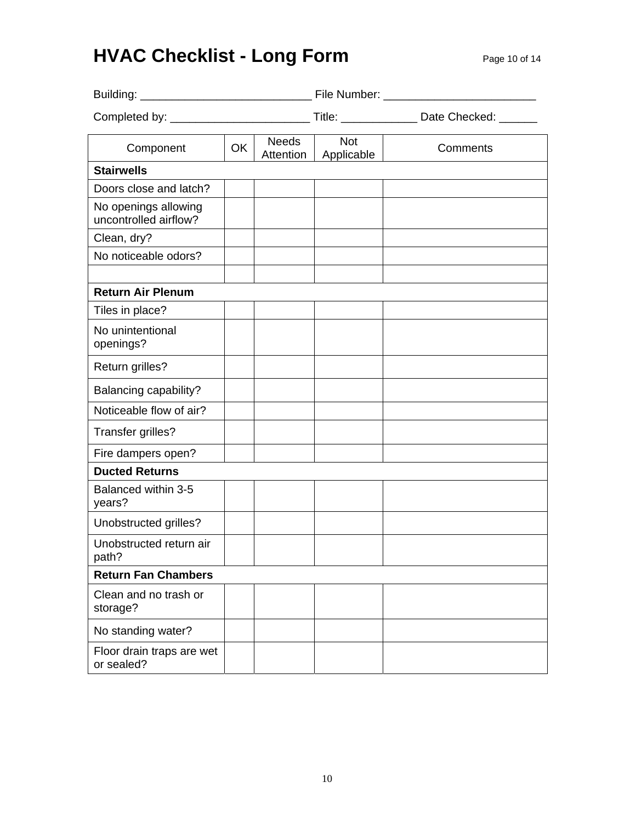# **HVAC Checklist - Long Form Page 10 of 14**

| Component                                     | <b>OK</b> | <b>Needs</b><br>Attention | <b>Not</b><br>Applicable | Comments |
|-----------------------------------------------|-----------|---------------------------|--------------------------|----------|
| <b>Stairwells</b>                             |           |                           |                          |          |
| Doors close and latch?                        |           |                           |                          |          |
| No openings allowing<br>uncontrolled airflow? |           |                           |                          |          |
| Clean, dry?                                   |           |                           |                          |          |
| No noticeable odors?                          |           |                           |                          |          |
|                                               |           |                           |                          |          |
| <b>Return Air Plenum</b>                      |           |                           |                          |          |
| Tiles in place?                               |           |                           |                          |          |
| No unintentional<br>openings?                 |           |                           |                          |          |
| Return grilles?                               |           |                           |                          |          |
| Balancing capability?                         |           |                           |                          |          |
| Noticeable flow of air?                       |           |                           |                          |          |
| Transfer grilles?                             |           |                           |                          |          |
| Fire dampers open?                            |           |                           |                          |          |
| <b>Ducted Returns</b>                         |           |                           |                          |          |
| Balanced within 3-5<br>years?                 |           |                           |                          |          |
| Unobstructed grilles?                         |           |                           |                          |          |
| Unobstructed return air<br>path?              |           |                           |                          |          |
| <b>Return Fan Chambers</b>                    |           |                           |                          |          |
| Clean and no trash or<br>storage?             |           |                           |                          |          |
| No standing water?                            |           |                           |                          |          |
| Floor drain traps are wet<br>or sealed?       |           |                           |                          |          |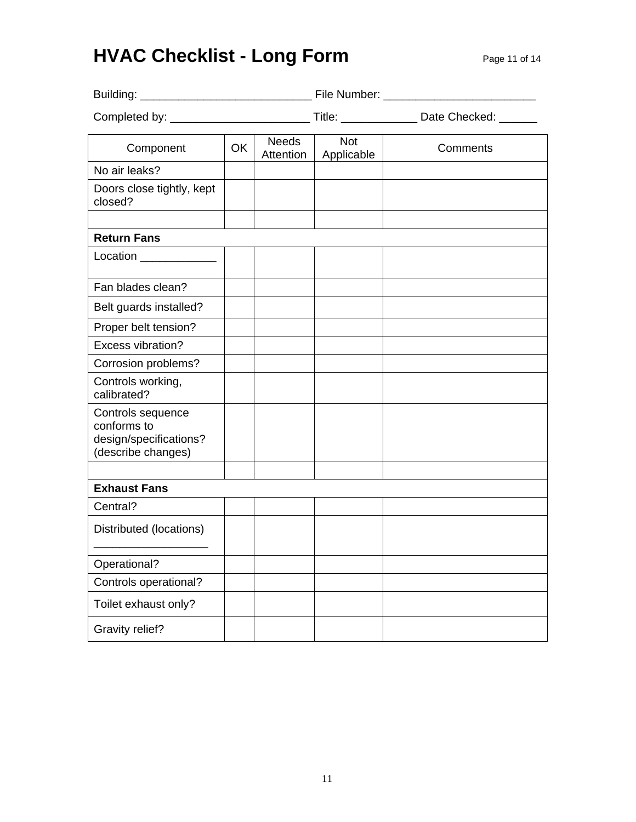## **HVAC Checklist - Long Form Page 11 of 14**

|                                                                                  |           |                           |                          | Title: _________________ Date Checked: _______ |  |
|----------------------------------------------------------------------------------|-----------|---------------------------|--------------------------|------------------------------------------------|--|
| Component                                                                        | <b>OK</b> | <b>Needs</b><br>Attention | <b>Not</b><br>Applicable | Comments                                       |  |
| No air leaks?                                                                    |           |                           |                          |                                                |  |
| Doors close tightly, kept<br>closed?                                             |           |                           |                          |                                                |  |
| <b>Return Fans</b>                                                               |           |                           |                          |                                                |  |
| Location _____________                                                           |           |                           |                          |                                                |  |
| Fan blades clean?                                                                |           |                           |                          |                                                |  |
| Belt guards installed?                                                           |           |                           |                          |                                                |  |
| Proper belt tension?                                                             |           |                           |                          |                                                |  |
| Excess vibration?                                                                |           |                           |                          |                                                |  |
| Corrosion problems?                                                              |           |                           |                          |                                                |  |
| Controls working,<br>calibrated?                                                 |           |                           |                          |                                                |  |
| Controls sequence<br>conforms to<br>design/specifications?<br>(describe changes) |           |                           |                          |                                                |  |
|                                                                                  |           |                           |                          |                                                |  |
| <b>Exhaust Fans</b><br>Central?                                                  |           |                           |                          |                                                |  |
| Distributed (locations)                                                          |           |                           |                          |                                                |  |
| Operational?                                                                     |           |                           |                          |                                                |  |
| Controls operational?                                                            |           |                           |                          |                                                |  |
| Toilet exhaust only?                                                             |           |                           |                          |                                                |  |
| <b>Gravity relief?</b>                                                           |           |                           |                          |                                                |  |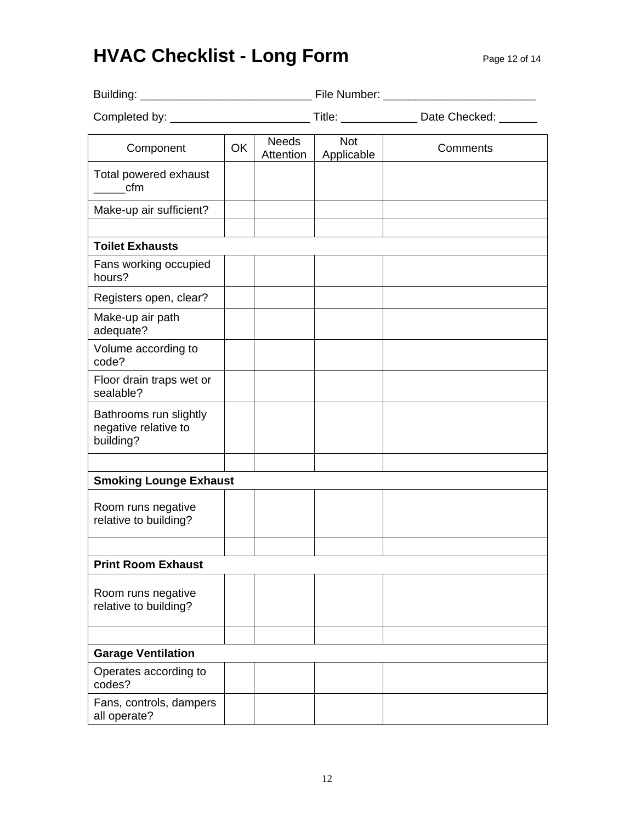# **HVAC Checklist - Long Form** Page 12 of 14

|                                                             |    |                           |                          | Title: Date Checked: |
|-------------------------------------------------------------|----|---------------------------|--------------------------|----------------------|
| Component                                                   | OK | <b>Needs</b><br>Attention | <b>Not</b><br>Applicable | Comments             |
| Total powered exhaust<br>cfm                                |    |                           |                          |                      |
| Make-up air sufficient?                                     |    |                           |                          |                      |
| <b>Toilet Exhausts</b>                                      |    |                           |                          |                      |
| Fans working occupied<br>hours?                             |    |                           |                          |                      |
| Registers open, clear?                                      |    |                           |                          |                      |
| Make-up air path<br>adequate?                               |    |                           |                          |                      |
| Volume according to<br>code?                                |    |                           |                          |                      |
| Floor drain traps wet or<br>sealable?                       |    |                           |                          |                      |
| Bathrooms run slightly<br>negative relative to<br>building? |    |                           |                          |                      |
|                                                             |    |                           |                          |                      |
| <b>Smoking Lounge Exhaust</b>                               |    |                           |                          |                      |
| Room runs negative<br>relative to building?                 |    |                           |                          |                      |
|                                                             |    |                           |                          |                      |
| <b>Print Room Exhaust</b>                                   |    |                           |                          |                      |
| Room runs negative<br>relative to building?                 |    |                           |                          |                      |
|                                                             |    |                           |                          |                      |
| <b>Garage Ventilation</b>                                   |    |                           |                          |                      |
| Operates according to<br>codes?                             |    |                           |                          |                      |
| Fans, controls, dampers<br>all operate?                     |    |                           |                          |                      |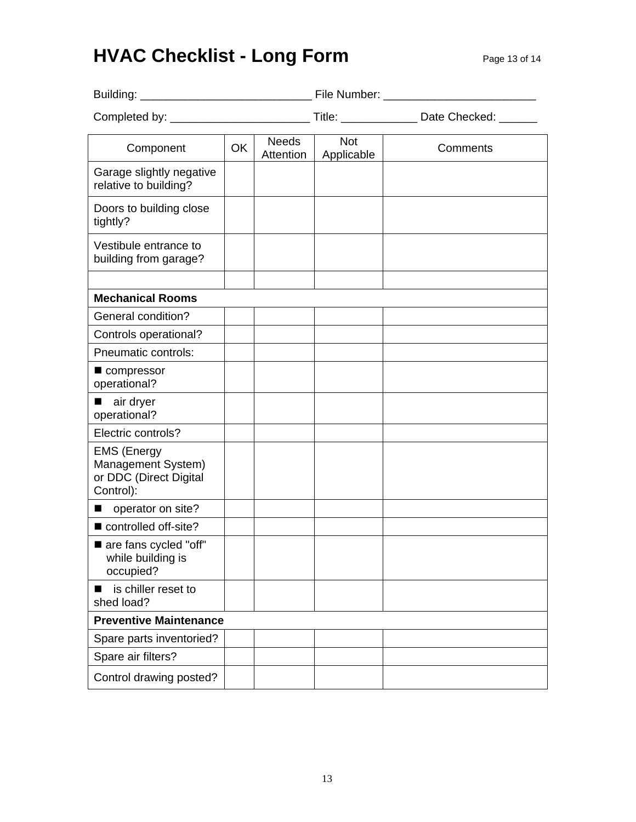## **HVAC Checklist - Long Form** Page 13 of 14

| Component                                                                       | OK | <b>Needs</b><br>Attention | <b>Not</b><br>Applicable | Comments |
|---------------------------------------------------------------------------------|----|---------------------------|--------------------------|----------|
| Garage slightly negative<br>relative to building?                               |    |                           |                          |          |
| Doors to building close<br>tightly?                                             |    |                           |                          |          |
| Vestibule entrance to<br>building from garage?                                  |    |                           |                          |          |
| <b>Mechanical Rooms</b>                                                         |    |                           |                          |          |
| General condition?                                                              |    |                           |                          |          |
| Controls operational?                                                           |    |                           |                          |          |
| Pneumatic controls:                                                             |    |                           |                          |          |
| compressor<br>operational?                                                      |    |                           |                          |          |
| air dryer<br>operational?                                                       |    |                           |                          |          |
| Electric controls?                                                              |    |                           |                          |          |
| <b>EMS (Energy</b><br>Management System)<br>or DDC (Direct Digital<br>Control): |    |                           |                          |          |
| operator on site?                                                               |    |                           |                          |          |
| controlled off-site?                                                            |    |                           |                          |          |
| are fans cycled "off"<br>while building is<br>occupied?                         |    |                           |                          |          |
| is chiller reset to<br>shed load?                                               |    |                           |                          |          |
| <b>Preventive Maintenance</b>                                                   |    |                           |                          |          |
| Spare parts inventoried?                                                        |    |                           |                          |          |
| Spare air filters?                                                              |    |                           |                          |          |
| Control drawing posted?                                                         |    |                           |                          |          |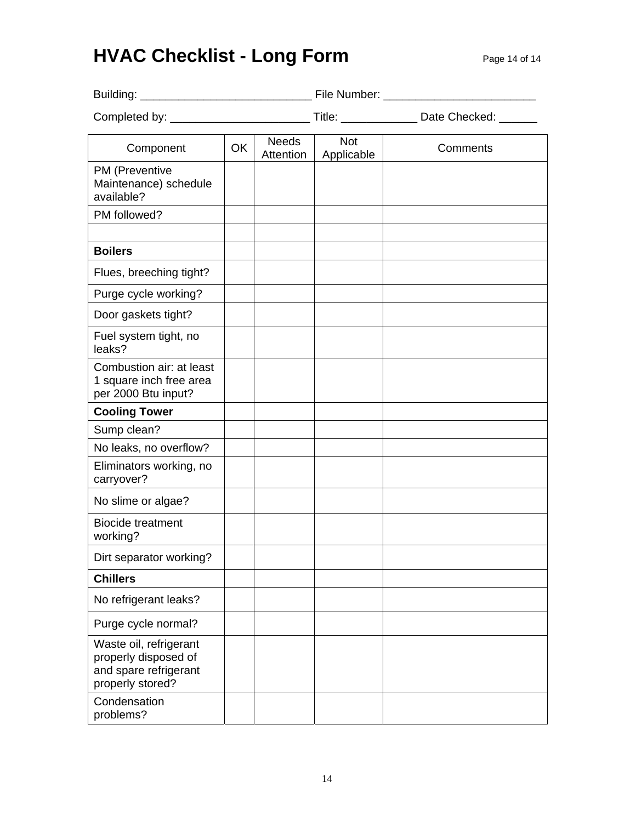# **HVAC Checklist - Long Form** Page 14 of 14

|                                                                                             |    |                           |                          | Title: _________________ Date Checked: ______ |
|---------------------------------------------------------------------------------------------|----|---------------------------|--------------------------|-----------------------------------------------|
| Component                                                                                   | OK | <b>Needs</b><br>Attention | <b>Not</b><br>Applicable | Comments                                      |
| PM (Preventive<br>Maintenance) schedule<br>available?                                       |    |                           |                          |                                               |
| PM followed?                                                                                |    |                           |                          |                                               |
| <b>Boilers</b>                                                                              |    |                           |                          |                                               |
| Flues, breeching tight?                                                                     |    |                           |                          |                                               |
| Purge cycle working?                                                                        |    |                           |                          |                                               |
| Door gaskets tight?                                                                         |    |                           |                          |                                               |
| Fuel system tight, no<br>leaks?                                                             |    |                           |                          |                                               |
| Combustion air: at least<br>1 square inch free area<br>per 2000 Btu input?                  |    |                           |                          |                                               |
| <b>Cooling Tower</b>                                                                        |    |                           |                          |                                               |
| Sump clean?                                                                                 |    |                           |                          |                                               |
| No leaks, no overflow?                                                                      |    |                           |                          |                                               |
| Eliminators working, no<br>carryover?                                                       |    |                           |                          |                                               |
| No slime or algae?                                                                          |    |                           |                          |                                               |
| <b>Biocide treatment</b><br>working?                                                        |    |                           |                          |                                               |
| Dirt separator working?                                                                     |    |                           |                          |                                               |
| <b>Chillers</b>                                                                             |    |                           |                          |                                               |
| No refrigerant leaks?                                                                       |    |                           |                          |                                               |
| Purge cycle normal?                                                                         |    |                           |                          |                                               |
| Waste oil, refrigerant<br>properly disposed of<br>and spare refrigerant<br>properly stored? |    |                           |                          |                                               |
| Condensation<br>problems?                                                                   |    |                           |                          |                                               |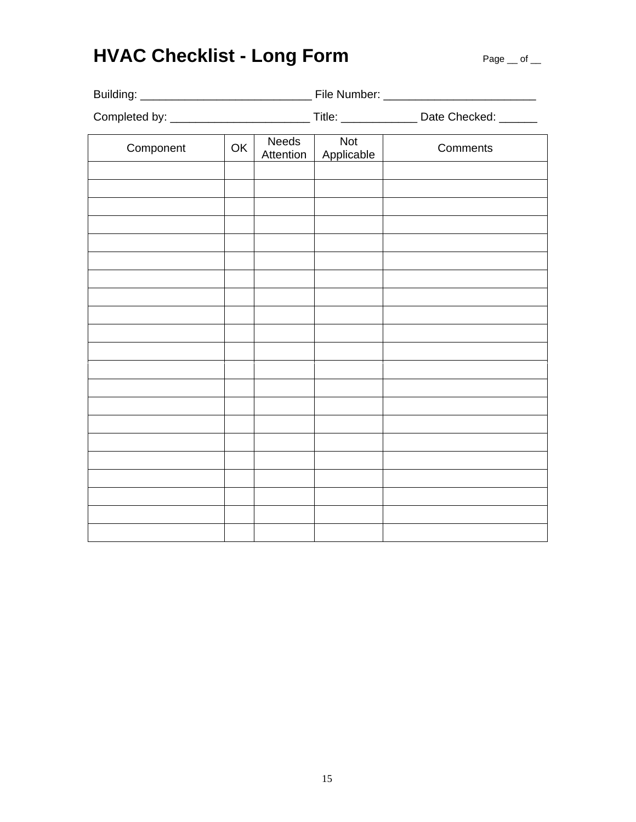# HVAC Checklist - Long Form **Page \_\_ of \_\_**

|           |    |                           |                          | Title: ___________________ Date Checked: _______ |  |
|-----------|----|---------------------------|--------------------------|--------------------------------------------------|--|
| Component | OK | <b>Needs</b><br>Attention | <b>Not</b><br>Applicable | Comments                                         |  |
|           |    |                           |                          |                                                  |  |
|           |    |                           |                          |                                                  |  |
|           |    |                           |                          |                                                  |  |
|           |    |                           |                          |                                                  |  |
|           |    |                           |                          |                                                  |  |
|           |    |                           |                          |                                                  |  |
|           |    |                           |                          |                                                  |  |
|           |    |                           |                          |                                                  |  |
|           |    |                           |                          |                                                  |  |
|           |    |                           |                          |                                                  |  |
|           |    |                           |                          |                                                  |  |
|           |    |                           |                          |                                                  |  |
|           |    |                           |                          |                                                  |  |
|           |    |                           |                          |                                                  |  |
|           |    |                           |                          |                                                  |  |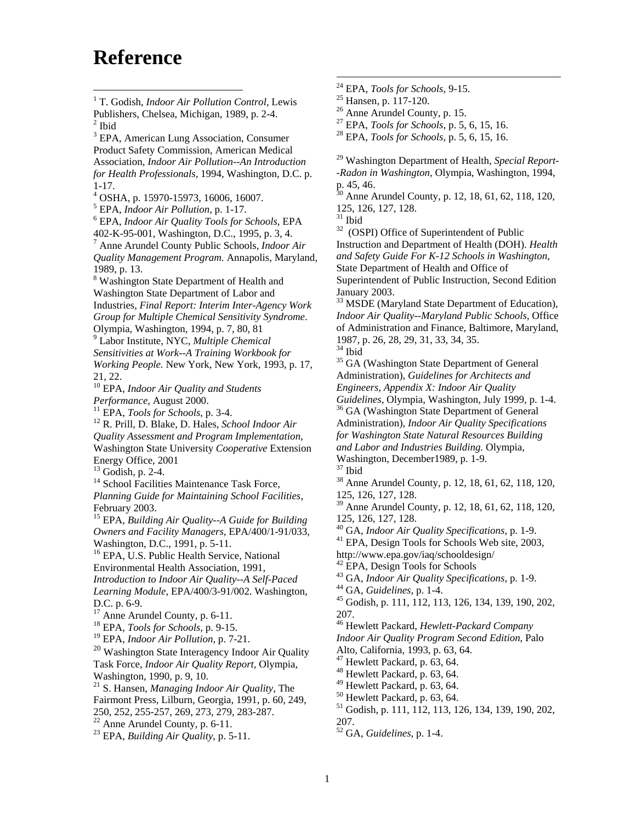### **Reference**

<sup>3</sup> EPA, American Lung Association, Consumer Product Safety Commission, American Medical Association, *Indoor Air Pollution--An Introduction for Health Professionals,* 1994, Washington, D.C. p. 1-17.

4 OSHA, p. 15970-15973, 16006, 16007.

<sup>5</sup> EPA, *Indoor Air Pollution*, p. 1-17.

 EPA, *Indoor Air Quality Tools for Schools*, EPA 402-K-95-001, Washington, D.C., 1995, p. 3, 4.

7 Anne Arundel County Public Schools, *Indoor Air Quality Management Program.* Annapolis, Maryland, 1989, p. 13.

<sup>8</sup> Washington State Department of Health and Washington State Department of Labor and Industries, *Final Report: Interim Inter-Agency Work Group for Multiple Chemical Sensitivity Syndrome*. Olympia, Washington, 1994, p. 7, 80, 81

9 Labor Institute, NYC, *Multiple Chemical Sensitivities at Work--A Training Workbook for Working People.* New York, New York, 1993, p. 17, 21, 22.

<sup>10</sup> EPA, *Indoor Air Quality and Students Performance*, August 2000.

<sup>11</sup> EPA, *Tools for Schools*, p. 3-4.<br><sup>12</sup> R. Prill, D. Blake, D. Hales, *School Indoor Air Quality Assessment and Program Implementation,* Washington State University *Cooperative* Extension Energy Office, 2001

 $13$  Godish, p. 2-4.

<sup>14</sup> School Facilities Maintenance Task Force,

*Planning Guide for Maintaining School Facilities*, February 2003.

15 EPA, *Building Air Quality--A Guide for Building Owners and Facility Managers,* EPA/400/1-91/033, Washington, D.C., 1991, p. 5-11.

<sup>16</sup> EPA, U.S. Public Health Service, National Environmental Health Association, 1991, *Introduction to Indoor Air Quality--A Self-Paced Learning Module,* EPA/400/3-91/002. Washington, D.C. p. 6-9.

<sup>17</sup> Anne Arundel County, p. 6-11.

18 EPA, *Tools for Schools,* p. 9-15.

19 EPA, *Indoor Air Pollution,* p. 7-21.

 $20$  Washington State Interagency Indoor Air Quality Task Force, *Indoor Air Quality Report,* Olympia, Washington, 1990, p. 9, 10.

21 S. Hansen, *Managing Indoor Air Quality,* The Fairmont Press, Lilburn, Georgia, 1991, p. 60, 249, 250, 252, 255-257, 269, 273, 279, 283-287.

 $22$  Anne Arundel County, p. 6-11.

23 EPA, *Building Air Quality,* p. 5-11.

- 24 24 EPA, *Tools for Schools,* 9-15. 25 Hansen, p. 117-120.
- 
- 

<sup>26</sup> Anne Arundel County, p. 15.<br><sup>27</sup> EPA, *Tools for Schools*, p. 5, 6, 15, 16.

27 EPA, *Tools for Schools,* p. 5, 6, 15, 16. 28 EPA, *Tools for Schools,* p. 5, 6, 15, 16.

29 Washington Department of Health, *Special Report- -Radon in Washington,* Olympia, Washington, 1994, p. 45, 46.

 $30$  Anne Arundel County, p. 12, 18, 61, 62, 118, 120, 125, 126, 127, 128.

 $^{\rm 31}$  Ibid

<sup>32</sup> (OSPI) Office of Superintendent of Public Instruction and Department of Health (DOH). *Health and Safety Guide For K-12 Schools in Washington*, State Department of Health and Office of Superintendent of Public Instruction, Second Edition January 2003.

<sup>33</sup> MSDE (Maryland State Department of Education), *Indoor Air Quality--Maryland Public Schools,* Office of Administration and Finance, Baltimore, Maryland, 1987, p. 26, 28, 29, 31, 33, 34, 35.

 $^{34}$  Ibid

<sup>35</sup> GA (Washington State Department of General Administration), *Guidelines for Architects and Engineers, Appendix X: Indoor Air Quality* 

*Guidelines,* Olympia, Washington, July 1999, p. 1-4. 36 GA (Washington State Department of General

Administration), *Indoor Air Quality Specifications for Washington State Natural Resources Building and Labor and Industries Building.* Olympia, Washington, December1989, p. 1-9.

37 Ibid

38 Anne Arundel County, p. 12, 18, 61, 62, 118, 120, 125, 126, 127, 128.

39 Anne Arundel County, p. 12, 18, 61, 62, 118, 120, 125, 126, 127, 128.<br><sup>40</sup> GA, *Indoor Air Quality Specifications*, p. 1-9.

<sup>41</sup> EPA, Design Tools for Schools Web site, 2003, http://www.epa.gov/iaq/schooldesign/

<sup>42</sup> EPA, Design Tools for Schools<br><sup>43</sup> GA, *Indoor Air Quality Specifications*, p. 1-9.

43 GA, *Indoor Air Quality Specifications,* p. 1-9. 44 GA, *Guidelines,* p. 1-4. 45 Godish, p. 111, 112, 113, 126, 134, 139, 190, 202, 207.

46 Hewlett Packard, *Hewlett-Packard Company Indoor Air Quality Program Second Edition*, Palo Alto, California, 1993, p. 63, 64.

 $47$  Hewlett Packard, p. 63, 64.

 $48$  Hewlett Packard, p. 63, 64.

49 Hewlett Packard, p. 63, 64.

 $50$  Hewlett Packard, p. 63, 64.

51 Godish, p. 111, 112, 113, 126, 134, 139, 190, 202, 207.

52 GA, *Guidelines,* p. 1-4.

 $\overline{a}$ 1 T. Godish, *Indoor Air Pollution Control,* Lewis Publishers, Chelsea, Michigan, 1989, p. 2-4.  $2$  Ibid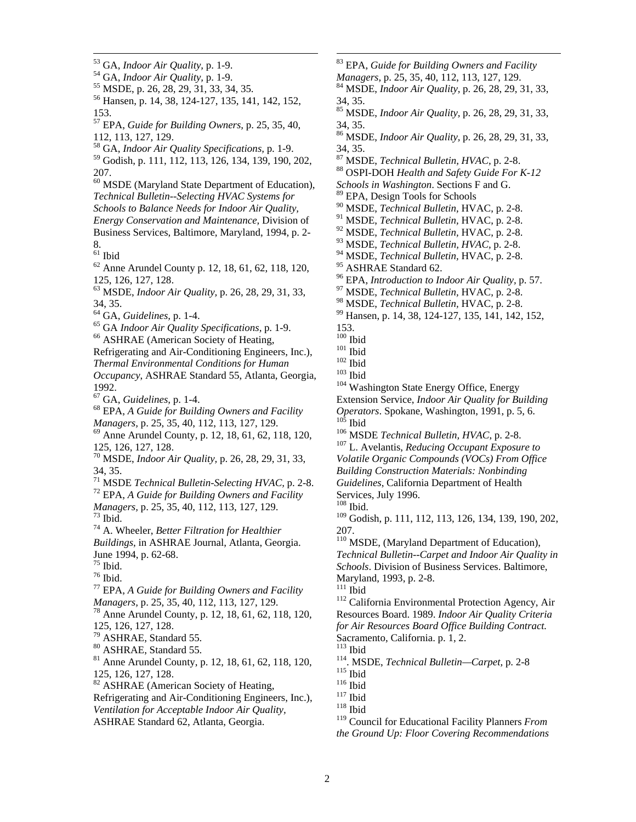- 
- <sup>53</sup> GA, *Indoor Air Quality*, p. 1-9.<br><sup>54</sup> GA, *Indoor Air Quality*, p. 1-9.<br><sup>55</sup> MSDE, p. 26, 28, 29, 31, 33, 34, 35.<br><sup>56</sup> Hansen, p. 14, 38, 124-127, 135, 141, 142, 152, 153.
- 57 EPA, *Guide for Building Owners,* p. 25, 35, 40, 112, 113, 127, 129.
- 58 GA, *Indoor Air Quality Specifications,* p. 1-9.
- 59 Godish, p. 111, 112, 113, 126, 134, 139, 190, 202, 207.
- 60 MSDE (Maryland State Department of Education), *Technical Bulletin--Selecting HVAC Systems for Schools to Balance Needs for Indoor Air Quality, Energy Conservation and Maintenance,* Division of Business Services, Baltimore, Maryland, 1994, p. 2- 8.
- $^{61}$  Ibid

 $\overline{a}$ 

- $62$  Anne Arundel County p. 12, 18, 61, 62, 118, 120, 125, 126, 127, 128.
- 63 MSDE, *Indoor Air Quality,* p. 26, 28, 29, 31, 33, 34, 35.<br><sup>64</sup> GA, *Guidelines*, p. 1-4.
- 
- <sup>65</sup> GA *Indoor Air Quality Specifications*, p. 1-9.<br><sup>66</sup> ASHRAE (American Society of Heating,
- 
- Refrigerating and Air-Conditioning Engineers, Inc.), *Thermal Environmental Conditions for Human Occupancy*, ASHRAE Standard 55, Atlanta, Georgia, 1992.
- 
- <sup>67</sup> GA, *Guidelines*, p. 1-4.<br><sup>68</sup> EPA, *A Guide for Building Owners and Facility Managers*, p. 25, 35, 40, 112, 113, 127, 129.
- <sup>69</sup> Anne Arundel County, p. 12, 18, 61, 62, 118, 120, 125, 126, 127, 128.
- 70 MSDE, *Indoor Air Quality,* p. 26, 28, 29, 31, 33, 34, 35.<br><sup>71</sup> MSDE *Technical Bulletin-Selecting HVAC*, p. 2-8.
- 

<sup>72</sup> EPA, *A Guide for Building Owners and Facility Managers, p. 25, 35, 40, 112, 113, 127, 129.* <sup>73</sup> Ibid.

- 74 A. Wheeler, *Better Filtration for Healthier Buildings*, in ASHRAE Journal, Atlanta, Georgia. June 1994, p. 62-68.
- $75$  Ibid.
- $^{\rm 76}$  Ibid.
- 77 EPA, *A Guide for Building Owners and Facility Managers, p. 25, 35, 40, 112, 113, 127, 129.*<br><sup>78</sup> Anne Arundel County, p. 12, 18, 61, 62, 118, 120,
- 125, 126, 127, 128.
- 79 ASHRAE, Standard 55.
- 80 ASHRAE, Standard 55.
- 81 Anne Arundel County, p. 12, 18, 61, 62, 118, 120, 125, 126, 127, 128.
- <sup>82</sup> ASHRAE (American Society of Heating,
- Refrigerating and Air-Conditioning Engineers, Inc.), *Ventilation for Acceptable Indoor Air Quality,*
- 
- $\overline{a}$ 83 EPA, *Guide for Building Owners and Facility Managers, p. 25, 35, 40, 112, 113, 127, 129.*<br><sup>84</sup> MSDE, *Indoor Air Quality, p. 26, 28, 29, 31, 33,* 34, 35. 85 MSDE, *Indoor Air Quality,* p. 26, 28, 29, 31, 33, 34, 35. 86 MSDE, *Indoor Air Quality,* p. 26, 28, 29, 31, 33, 34, 35.<br><sup>87</sup> MSDE, *Technical Bulletin, HVAC*, p. 2-8. 88 OSPI-DOH *Health and Safety Guide For K-12 Schools in Washington*. Sections F and G. EPA, Design Tools for Schools 90 MSDE, *Technical Bulletin,* HVAC, p. 2-8. 91 MSDE, *Technical Bulletin,* HVAC, p. 2-8. 92 MSDE, *Technical Bulletin,* HVAC, p. 2-8. 93 MSDE, *Technical Bulletin, HVAC,* p. 2-8. 94 MSDE, *Technical Bulletin,* HVAC, p. 2-8. <sup>95</sup> ASHRAE Standard 62.<br><sup>96</sup> EPA, *Introduction to Indoor Air Quality*, p. 57. <sup>97</sup> MSDE, *Technical Bulletin*, HVAC, p. 2-8.<br><sup>98</sup> MSDE, *Technical Bulletin*, HVAC, p. 2-8. <sup>99</sup> Hansen, p. 14, 38, 124-127, 135, 141, 142, 152,  $153.$ <sup>100</sup> Ibid <sup>101</sup> Ibid<br><sup>102</sup> Ibid<br><sup>103</sup> Ibid <sup>103</sup> Washington State Energy Office, Energy Extension Service, *Indoor Air Quality for Building*
- *Operators*. Spokane, Washington, 1991, p. 5, 6. 105 Ibid 106 MSDE *Technical Bulletin, HVAC*, p. 2-8. 107 L. Avelantis, *Reducing Occupant Exposure to*
- 
- *Volatile Organic Compounds (VOCs) From Office Building Construction Materials: Nonbinding*
- *Guidelines*, California Department of Health
- Services, July 1996.
- 108 Ibid.

109 Godish, p. 111, 112, 113, 126, 134, 139, 190, 202, 207.

- <sup>110</sup> MSDE, (Maryland Department of Education), *Technical Bulletin--Carpet and Indoor Air Quality in*
- *Schools*. Division of Business Services. Baltimore, Maryland, 1993, p. 2-8.
- 
- <sup>112</sup> California Environmental Protection Agency, Air Resources Board. 1989. *Indoor Air Quality Criteria for Air Resources Board Office Building Contract.* Sacramento, California. p. 1, 2.<br><sup>113</sup> Ibid
- 
- <sup>114</sup>. MSDE, *Technical Bulletin—Carpet*, p. 2-8<br><sup>115</sup> Ibid<br><sup>116</sup> Ibid<br><sup>117</sup> Ibid <sup>118</sup> Ibid
- 
- 
- 
- 

ASHRAE Standard 62, Atlanta, Georgia. <sup>119</sup> Council for Educational Facility Planners *From the Ground Up: Floor Covering Recommendations*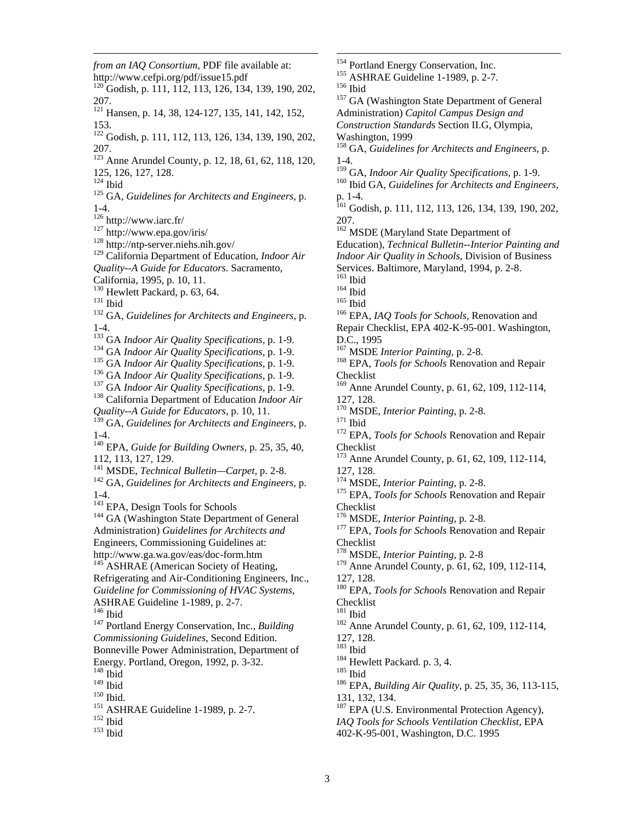$^{152}$  Ibid  $^{153}$  Ibid *from an IAQ Consortium*, PDF file available at: http://www.cefpi.org/pdf/issue15.pdf  $120$  Godish, p. 111, 112, 113, 126, 134, 139, 190, 202, 207. 121 Hansen, p. 14, 38, 124-127, 135, 141, 142, 152, 153. 122 Godish, p. 111, 112, 113, 126, 134, 139, 190, 202, 207. <sup>123</sup> Anne Arundel County, p. 12, 18, 61, 62, 118, 120, 125, 126, 127, 128.<br><sup>124</sup> Ibid <sup>125</sup> GA, *Guidelines for Architects and Engineers*, p. 1-4.<br> $126$  http://www.iarc.fr/  $127 \text{ http://www.epa.gov/iris/}$ <br> $128 \text{ http://ntp-server.niehs.nih.gov/}$ 129 California Department of Education, *Indoor Air Quality--A Guide for Educators.* Sacramento, California, 1995, p. 10, 11.<br><sup>130</sup> Hewlett Packard, p. 63, 64. <sup>131</sup> Ibid<br><sup>132</sup> GA, *Guidelines for Architects and Engineers*, p. 1-4.<br><sup>133</sup> GA *Indoor Air Quality Specifications*, p. 1-9. <sup>134</sup> GA *Indoor Air Quality Specifications*, p. 1-9.<br><sup>135</sup> GA *Indoor Air Quality Specifications*, p. 1-9.<br><sup>136</sup> GA *Indoor Air Quality Specifications*, p. 1-9.<br><sup>137</sup> GA *Indoor Air Quality Specifications*, p. 1-9.<br><sup>138</sup> *Quality--A Guide for Educators,* p. 10, 11. 139 GA, *Guidelines for Architects and Engineers,* p. 1-4. 140 EPA, *Guide for Building Owners,* p. 25, 35, 40, 112, 113, 127, 129.<br><sup>141</sup> MSDE, *Technical Bulletin—Carpet*, p. 2-8. <sup>142</sup> GA, *Guidelines for Architects and Engineers*, p. 1-4.<br><sup>143</sup> EPA, Design Tools for Schools <sup>144</sup> GA (Washington State Department of General Administration) *Guidelines for Architects and*  Engineers, Commissioning Guidelines at: http://www.ga.wa.gov/eas/doc-form.htm  $145$  ASHRAE (American Society of Heating, Refrigerating and Air-Conditioning Engineers, Inc., *Guideline for Commissioning of HVAC Systems*, ASHRAE Guideline 1-1989, p. 2-7. <sup>147</sup> Portland Energy Conservation, Inc., *Building Commissioning Guidelines*, Second Edition. Bonneville Power Administration, Department of Energy. Portland, Oregon, 1992, p. 3-32.  $148$  Ibid<br> $149$  Ibid  $150$  Ibid.<br> $151$  ASHRAE Guideline 1-1989, p. 2-7.

 $\overline{a}$ 

*IAQ Tools for Schools Ventilation Checklist,* EPA 402-K-95-001, Washington, D.C. 1995 <sup>154</sup> Portland Energy Conservation, Inc.<br><sup>155</sup> ASHRAE Guideline 1-1989, p. 2-7.<br><sup>156</sup> Ibid <sup>157</sup> GA (Washington State Department of General Administration) *Capitol Campus Design and Construction Standard*s Section II.G, Olympia, Washington, 1999 158 GA, *Guidelines for Architects and Engineers,* p. 1-4.<br><sup>159</sup> GA, *Indoor Air Quality Specifications*, p. 1-9. <sup>160</sup> Ibid GA, *Guidelines for Architects and Engineers*, p. 1-4. <sup>161</sup> Godish, p. 111, 112, 113, 126, 134, 139, 190, 202, 207. <sup>162</sup> MSDE (Maryland State Department of Education), *Technical Bulletin--Interior Painting and Indoor Air Quality in Schools,* Division of Business Services. Baltimore, Maryland, 1994, p. 2-8. <sup>164</sup> Ibid<br><sup>165</sup> Ibid<br><sup>166</sup> EPA, *IAQ Tools for Schools*, Renovation and Repair Checklist, EPA 402-K-95-001. Washington, D.C., 1995<br><sup>167</sup> MSDE *Interior Painting*, p. 2-8. <sup>168</sup> EPA, *Tools for Schools* Renovation and Repair Checklist  $169$  Anne Arundel County, p. 61, 62, 109, 112-114, 127, 128.<br><sup>170</sup> MSDE, *Interior Painting*, p. 2-8. 171 Ibid<br><sup>171</sup> EPA, *Tools for Schools* Renovation and Repair Checklist <sup>173</sup> Anne Arundel County, p. 61, 62, 109, 112-114, 127, 128.<br><sup>174</sup> MSDE, *Interior Painting*, p. 2-8. <sup>175</sup> EPA, *Tools for Schools* Renovation and Repair Checklist<br><sup>176</sup> MSDE, *Interior Painting*, p. 2-8. <sup>177</sup> EPA, *Tools for Schools* Renovation and Repair Checklist 178 MSDE, *Interior Painting,* p. 2-8 179 Anne Arundel County, p. 61, 62, 109, 112-114, 127, 128. 180 EPA, *Tools for Schools* Renovation and Repair Checklist<br><sup>181</sup> Ibid <sup>182</sup> Anne Arundel County, p. 61, 62, 109, 112-114, 127, 128.<br><sup>183</sup> Ibid <sup>184</sup> Hewlett Packard. p. 3, 4.<br><sup>185</sup> Ibid<br><sup>186</sup> EPA, *Building Air Quality*, p. 25, 35, 36, 113-115, 131, 132, 134.  $187$  EPA (U.S. Environmental Protection Agency),

 $\overline{a}$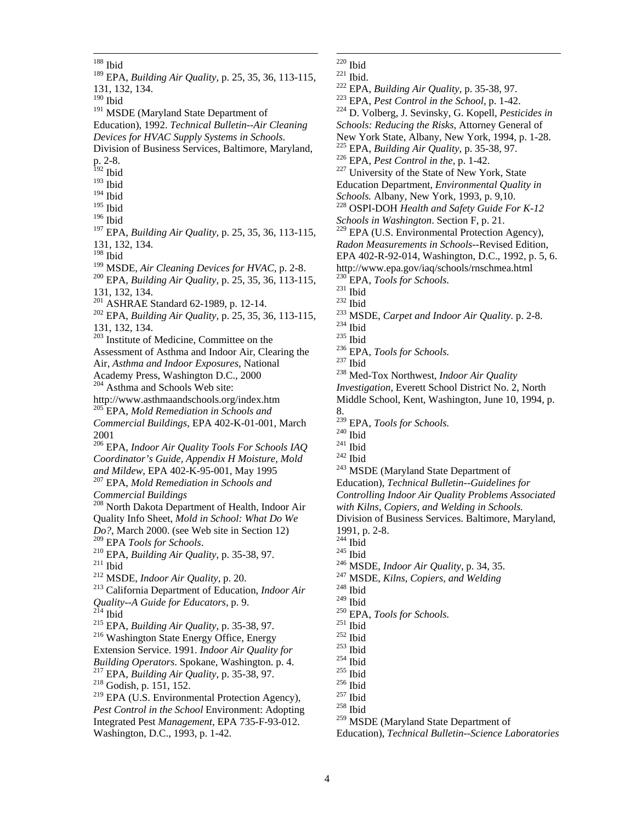Integrated Pest *Management,* EPA 735-F-93-012. Washington, D.C., 1993, p. 1-42.  $\overline{a}$ 188 Ibid 189 EPA, *Building Air Quality,* p. 25, 35, 36, 113-115, 131, 132, 134.  $^{190}$  Ibid <sup>191</sup> MSDE (Maryland State Department of Education), 1992. *Technical Bulletin--Air Cleaning Devices for HVAC Supply Systems in Schools*. Division of Business Services, Baltimore, Maryland, p. 2-8. 192 Ibid  $193$  Ibid  $^{194}$  Ibid  $^{195}$  Ibid  $196$  Ibid 197 EPA, *Building Air Quality,* p. 25, 35, 36, 113-115, 131, 132, 134. <sup>198</sup> Ibid<br><sup>199</sup> MSDE, Air Cleaning Devices for HVAC, p. 2-8. <sup>200</sup> EPA, *Building Air Quality*, p. 25, 35, 36, 113-115, 131, 132, 134.<br><sup>201</sup> ASHRAE Standard 62-1989, p. 12-14. <sup>202</sup> EPA, *Building Air Quality*, p. 25, 35, 36, 113-115, 131, 132, 134. 203 Institute of Medicine, Committee on the Assessment of Asthma and Indoor Air, Clearing the Air, *Asthma and Indoor Exposures*, National Academy Press, Washington D.C., 2000 <sup>204</sup> Asthma and Schools Web site: http://www.asthmaandschools.org/index.htm 205 EPA, *Mold Remediation in Schools and Commercial Buildings*, EPA 402-K-01-001, March 2001 206 EPA, *Indoor Air Quality Tools For Schools IAQ Coordinator's Guide, Appendix H Moisture, Mold and Mildew*, EPA 402-K-95-001, May 1995 207 EPA, *Mold Remediation in Schools and Commercial Buildings* <sup>208</sup> North Dakota Department of Health, Indoor Air Quality Info Sheet, *Mold in School: What Do We Do?*, March 2000. (see Web site in Section 12) <sup>210</sup> EPA, *Building Air Quality*, p. 35-38, 97.<br><sup>211</sup> Ibid<br><sup>212</sup> MSDE, *Indoor Air Quality*, p. 20.<br><sup>213</sup> California Department of Education, *Indoor Air Quality--A Guide for Educators,* p. 9. 214 Ibid 215 EPA, *Building Air Quality,* p. 35-38, 97. 216 Washington State Energy Office, Energy Extension Service. 1991. *Indoor Air Quality for*  <sup>217</sup> EPA, *Building Air Quality*, p. 35-38, 97. <sup>218</sup> Godish, p. 151, 152.  $219$  EPA (U.S. Environmental Protection Agency), *Pest Control in the School* Environment: Adopting

- $220$  Ibid
- 
- 
- <sup>221</sup> Ibid.<br><sup>222</sup> EPA, *Building Air Quality*, p. 35-38, 97.<br><sup>223</sup> EPA, *Pest Control in the School*, p. 1-42.<br><sup>224</sup> D. Volberg, J. Sevinsky, G. Kopell, *Pesticides in*
- *Schools: Reducing the Risks,* Attorney General of
- New York State, Albany, New York, 1994, p. 1-28.<br><sup>225</sup> EPA, *Building Air Quality*, p. 35-38, 97.
- 
- <sup>226</sup> EPA, *Pest Control in the*, p. 1-42.<br><sup>227</sup> University of the State of New York, State
- 
- Education Department, *Environmental Quality in*
- <sup>228</sup> OSPI-DOH *Health and Safety Guide For K-12*
- *Schools in Washington*. Section F, p. 21.
- $229$  EPA (U.S. Environmental Protection Agency),
- *Radon Measurements in Schools*--Revised Edition,
- EPA 402-R-92-014, Washington, D.C., 1992, p. 5, 6.
- http://www.epa.gov/iaq/schools/rnschmea.html<br><sup>230</sup> EPA, *Tools for Schools*.
- 
- 
- 
- 231 Ibid<br>
<sup>233</sup> Ibid<br>
<sup>233</sup> MSDE, *Carpet and Indoor Air Quality*. p. 2-8.<br>
<sup>234</sup> Ibid<br>
<sup>236</sup> EPA, *Tools for Schools.*<br>
<sup>237</sup> Ibid<br>
<sup>238</sup> Med-Tox Northwest, *Indoor Air Quality*
- 
- 
- 
- 
- 
- *Investigation,* Everett School District No. 2, North
- Middle School, Kent, Washington, June 10, 1994, p. 8.
- 
- 
- 
- 
- <sup>239</sup> EPA, *Tools for Schools.*<br><sup>240</sup> Ibid<br><sup>241</sup> Ibid<br><sup>242</sup> MSDE (Maryland State Department of
- Education), *Technical Bulletin--Guidelines for*
- *Controlling Indoor Air Quality Problems Associated*
- *with Kilns, Copiers, and Welding in Schools.*
- Division of Business Services. Baltimore, Maryland,
- 1991, p. 2-8.
- 
- 
- 244 Ibid 245 Ibid 246 MSDE, *Indoor Air Quality,* p. 34, 35. 247 MSDE, *Kilns, Copiers, and Welding* 248 Ibid
- 
- 
- 
- <sup>250</sup> EPA, *Tools for Schools.*<br><sup>251</sup> Ibid<br><sup>252</sup> Ibid<br><sup>253</sup> Ibid<br><sup>254</sup> Ibid<br><sup>255</sup> Ibid<br><sup>255</sup> Ibid<br><sup>257</sup> Ibid<br><sup>257</sup> Ibid
- 
- 
- 
- 
- 
- 
- 
- 
- <sup>259</sup> MSDE (Maryland State Department of

Education), *Technical Bulletin--Science Laboratories* 

- 
- 
-